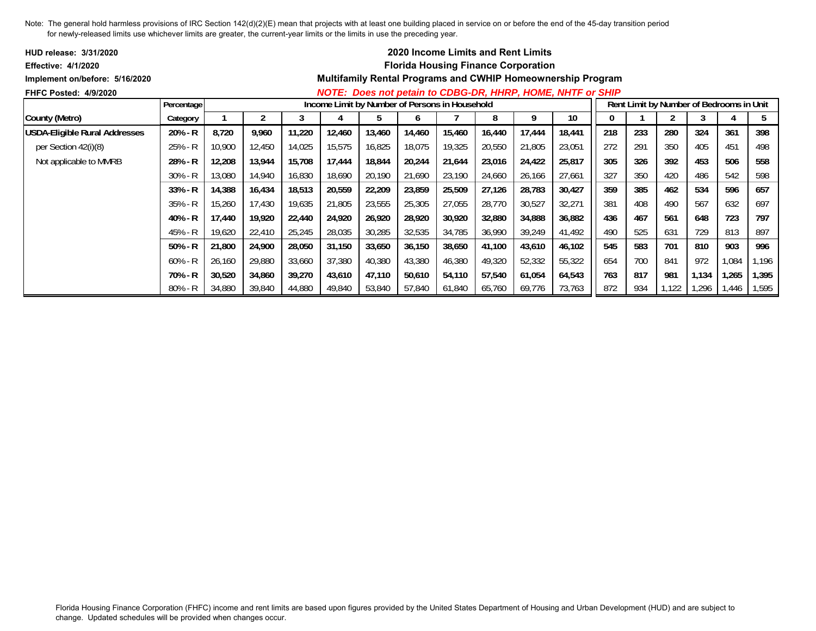| <b>HUD release: 3/31/2020</b>        |            |        |        |        |                                                |        | <b>2020 Income Limits and Rent Limits</b>  |        |        |        |                                                                    |     |     |       |                                          |       |       |
|--------------------------------------|------------|--------|--------|--------|------------------------------------------------|--------|--------------------------------------------|--------|--------|--------|--------------------------------------------------------------------|-----|-----|-------|------------------------------------------|-------|-------|
| <b>Effective: 4/1/2020</b>           |            |        |        |        |                                                |        | <b>Florida Housing Finance Corporation</b> |        |        |        |                                                                    |     |     |       |                                          |       |       |
| Implement on/before: 5/16/2020       |            |        |        |        |                                                |        |                                            |        |        |        | <b>Multifamily Rental Programs and CWHIP Homeownership Program</b> |     |     |       |                                          |       |       |
| <b>FHFC Posted: 4/9/2020</b>         |            |        |        |        |                                                |        |                                            |        |        |        | NOTE: Does not petain to CDBG-DR, HHRP, HOME, NHTF or SHIP         |     |     |       |                                          |       |       |
|                                      | Percentage |        |        |        | Income Limit by Number of Persons in Household |        |                                            |        |        |        |                                                                    |     |     |       | Rent Limit by Number of Bedrooms in Unit |       |       |
| County (Metro)                       | Category   |        |        |        |                                                |        | O                                          |        | 8      |        | 10                                                                 | 0   |     |       |                                          |       | b.    |
| <b>USDA-Eligible Rural Addresses</b> | 20% - R    | 8,720  | 9,960  | 11,220 | 12,460                                         | 13,460 | 14,460                                     | 15,460 | 16,440 | 17,444 | 18,441                                                             | 218 | 233 | 280   | 324                                      | 361   | 398   |
| per Section $42(i)(8)$               | 25% - R    | 10,900 | 12,450 | 14,025 | 15,575                                         | 16,825 | 18,075                                     | 19,325 | 20,550 | 21,805 | 23,051                                                             | 272 | 291 | 350   | 405                                      | 451   | 498   |
| Not applicable to MMRB               | 28% - R    | 12,208 | 13,944 | 15,708 | 17,444                                         | 18,844 | 20,244                                     | 21,644 | 23,016 | 24,422 | 25,817                                                             | 305 | 326 | 392   | 453                                      | 506   | 558   |
|                                      | $30\% - R$ | 13,080 | 14,940 | 16,830 | 18,690                                         | 20,190 | 21,690                                     | 23,190 | 24,660 | 26,166 | 27,661                                                             | 327 | 350 | 420   | 486                                      | 542   | 598   |
|                                      | $33% - R$  | 14,388 | 16,434 | 18,513 | 20,559                                         | 22,209 | 23,859                                     | 25,509 | 27,126 | 28,783 | 30,427                                                             | 359 | 385 | 462   | 534                                      | 596   | 657   |
|                                      | $35% - R$  | 15,260 | 17,430 | 19,635 | 21,805                                         | 23,555 | 25,305                                     | 27,055 | 28,770 | 30,527 | 32,271                                                             | 381 | 408 | 490   | 567                                      | 632   | 697   |
|                                      | 40% - R    | 17,440 | 19,920 | 22,440 | 24,920                                         | 26,920 | 28,920                                     | 30,920 | 32,880 | 34,888 | 36,882                                                             | 436 | 467 | 561   | 648                                      | 723   | 797   |
|                                      | 45% - R    | 19,620 | 22,410 | 25,245 | 28,035                                         | 30,285 | 32,535                                     | 34,785 | 36,990 | 39,249 | 41,492                                                             | 490 | 525 | 631   | 729                                      | 813   | 897   |
|                                      | $50\% - R$ | 21,800 | 24,900 | 28,050 | 31,150                                         | 33,650 | 36,150                                     | 38,650 | 41,100 | 43,610 | 46,102                                                             | 545 | 583 | 701   | 810                                      | 903   | 996   |
|                                      | $60\%$ - R | 26,160 | 29,880 | 33,660 | 37,380                                         | 40,380 | 43,380                                     | 46,380 | 49,320 | 52,332 | 55,322                                                             | 654 | 700 | 841   | 972                                      | 1,084 | 1,196 |
|                                      | 70% - R    | 30,520 | 34,860 | 39,270 | 43,610                                         | 47,110 | 50,610                                     | 54,110 | 57,540 | 61,054 | 64,543                                                             | 763 | 817 | 981   | 1,134                                    | 1,265 | 1,395 |
|                                      | 80% - R    | 34,880 | 39,840 | 44,880 | 49,840                                         | 53,840 | 57,840                                     | 61,840 | 65,760 | 69,776 | 73,763                                                             | 872 | 934 | 1,122 | 296, ا                                   | 1,446 | 1,595 |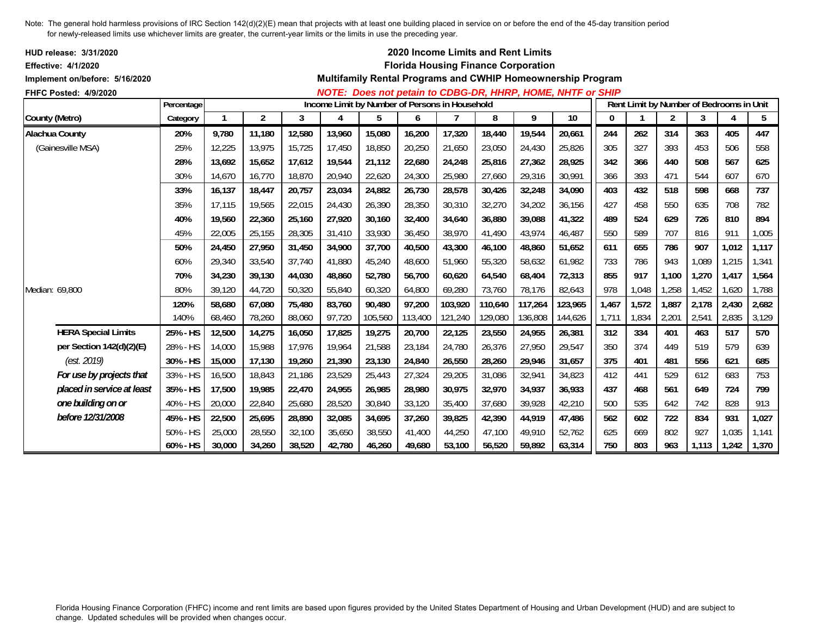| HUD release: 3/31/2020<br><b>Effective: 4/1/2020</b><br>Implement on/before: 5/16/2020 |             |        |                |        |        |         |         |                                                | 2020 Income Limits and Rent Limits<br><b>Florida Housing Finance Corporation</b> |         | Multifamily Rental Programs and CWHIP Homeownership Program |          |       |                         |                                          |       |       |
|----------------------------------------------------------------------------------------|-------------|--------|----------------|--------|--------|---------|---------|------------------------------------------------|----------------------------------------------------------------------------------|---------|-------------------------------------------------------------|----------|-------|-------------------------|------------------------------------------|-------|-------|
| FHFC Posted: 4/9/2020                                                                  |             |        |                |        |        |         |         |                                                |                                                                                  |         | NOTE: Does not petain to CDBG-DR, HHRP, HOME, NHTF or SHIP  |          |       |                         |                                          |       |       |
|                                                                                        | Percentage  |        |                |        |        |         |         | Income Limit by Number of Persons in Household |                                                                                  |         |                                                             |          |       |                         | Rent Limit by Number of Bedrooms in Unit |       |       |
| County (Metro)                                                                         | Category    |        | $\overline{c}$ | 3      | 4      | 5       | 6       |                                                | 8                                                                                | 9       | 10                                                          | $\bf{0}$ |       | $\overline{\mathbf{c}}$ | 3                                        | 4     | 5     |
| Alachua County                                                                         | 20%         | 9,780  | 11,180         | 12,580 | 13,960 | 15,080  | 16,200  | 17,320                                         | 18,440                                                                           | 19,544  | 20,661                                                      | 244      | 262   | 314                     | 363                                      | 405   | 447   |
| (Gainesville MSA)                                                                      | 25%         | 12,225 | 13,975         | 15,725 | 17,450 | 18,850  | 20,250  | 21,650                                         | 23,050                                                                           | 24,430  | 25,826                                                      | 305      | 327   | 393                     | 453                                      | 506   | 558   |
|                                                                                        | 28%         | 13,692 | 15,652         | 17,612 | 19,544 | 21,112  | 22,680  | 24,248                                         | 25,816                                                                           | 27,362  | 28,925                                                      | 342      | 366   | 440                     | 508                                      | 567   | 625   |
|                                                                                        | 30%         | 14.670 | 16,770         | 18,870 | 20,940 | 22,620  | 24,300  | 25,980                                         | 27,660                                                                           | 29,316  | 30,991                                                      | 366      | 393   | 471                     | 544                                      | 607   | 670   |
|                                                                                        | 33%         | 16.137 | 18.447         | 20,757 | 23,034 | 24,882  | 26,730  | 28,578                                         | 30,426                                                                           | 32,248  | 34,090                                                      | 403      | 432   | 518                     | 598                                      | 668   | 737   |
|                                                                                        | 35%         | 17,115 | 19,565         | 22,015 | 24,430 | 26,390  | 28,350  | 30,310                                         | 32,270                                                                           | 34,202  | 36,156                                                      | 427      | 458   | 550                     | 635                                      | 708   | 782   |
|                                                                                        | 40%         | 19,560 | 22,360         | 25,160 | 27,920 | 30,160  | 32,400  | 34,640                                         | 36,880                                                                           | 39,088  | 41,322                                                      | 489      | 524   | 629                     | 726                                      | 810   | 894   |
|                                                                                        | 45%         | 22,005 | 25,155         | 28,305 | 31,410 | 33,930  | 36,450  | 38,970                                         | 41,490                                                                           | 43,974  | 46,487                                                      | 550      | 589   | 707                     | 816                                      | 911   | 1,005 |
|                                                                                        | 50%         | 24,450 | 27,950         | 31,450 | 34,900 | 37,700  | 40,500  | 43,300                                         | 46,100                                                                           | 48,860  | 51,652                                                      | 611      | 655   | 786                     | 907                                      | 1,012 | 1,117 |
|                                                                                        | 60%         | 29,340 | 33,540         | 37,740 | 41,880 | 45,240  | 48,600  | 51,960                                         | 55,320                                                                           | 58,632  | 61,982                                                      | 733      | 786   | 943                     | 1,089                                    | 1,215 | 1,341 |
|                                                                                        | 70%         | 34,230 | 39,130         | 44,030 | 48,860 | 52,780  | 56,700  | 60,620                                         | 64,540                                                                           | 68,404  | 72,313                                                      | 855      | 917   | 1,100                   | 1,270                                    | 1,417 | 1,564 |
| Median: 69,800                                                                         | 80%         | 39,120 | 44,720         | 50,320 | 55,840 | 60,320  | 64,800  | 69,280                                         | 73,760                                                                           | 78,176  | 82,643                                                      | 978      | 1,048 | 1,258                   | 1,452                                    | 1,620 | 1,788 |
|                                                                                        | 120%        | 58,680 | 67,080         | 75,480 | 83,760 | 90,480  | 97,200  | 103,920                                        | 110,640                                                                          | 117,264 | 123,965                                                     | 1,467    | 1,572 | 1,887                   | 2,178                                    | 2,430 | 2,682 |
|                                                                                        | 140%        | 68,460 | 78,260         | 88,060 | 97,720 | 105,560 | 113,400 | 121,240                                        | 129,080                                                                          | 136,808 | 144,626                                                     | 1,711    | 1,834 | 2,201                   | 2,541                                    | 2,835 | 3,129 |
| <b>HERA Special Limits</b>                                                             | 25% - HS    | 12,500 | 14,275         | 16,050 | 17,825 | 19,275  | 20,700  | 22,125                                         | 23,550                                                                           | 24,955  | 26,381                                                      | 312      | 334   | 401                     | 463                                      | 517   | 570   |
| per Section 142(d)(2)(E)                                                               | 28% - HS    | 14,000 | 15,988         | 17,976 | 19,964 | 21,588  | 23,184  | 24,780                                         | 26,376                                                                           | 27,950  | 29,547                                                      | 350      | 374   | 449                     | 519                                      | 579   | 639   |
| (est. 2019)                                                                            | 30% - HS    | 15,000 | 17,130         | 19,260 | 21,390 | 23,130  | 24,840  | 26,550                                         | 28,260                                                                           | 29,946  | 31,657                                                      | 375      | 401   | 481                     | 556                                      | 621   | 685   |
| For use by projects that                                                               | 33% - HS    | 16,500 | 18,843         | 21,186 | 23,529 | 25,443  | 27,324  | 29,205                                         | 31,086                                                                           | 32,941  | 34,823                                                      | 412      | 441   | 529                     | 612                                      | 683   | 753   |
| placed in service at least                                                             | 35% - HS    | 17,500 | 19,985         | 22,470 | 24,955 | 26,985  | 28,980  | 30,975                                         | 32,970                                                                           | 34,937  | 36,933                                                      | 437      | 468   | 561                     | 649                                      | 724   | 799   |
| one building on or                                                                     | 40% - HS    | 20,000 | 22,840         | 25,680 | 28,520 | 30,840  | 33,120  | 35,400                                         | 37,680                                                                           | 39,928  | 42,210                                                      | 500      | 535   | 642                     | 742                                      | 828   | 913   |
| before 12/31/2008                                                                      | 45% - HS    | 22,500 | 25,695         | 28,890 | 32,085 | 34,695  | 37,260  | 39,825                                         | 42,390                                                                           | 44,919  | 47,486                                                      | 562      | 602   | 722                     | 834                                      | 931   | 1,027 |
|                                                                                        | $50\% - HS$ | 25,000 | 28,550         | 32,100 | 35,650 | 38,550  | 41,400  | 44,250                                         | 47,100                                                                           | 49.910  | 52,762                                                      | 625      | 669   | 802                     | 927                                      | 1,035 | 1,141 |
|                                                                                        | 60% - HS    | 30,000 | 34,260         | 38,520 | 42,780 | 46,260  | 49,680  | 53,100                                         | 56,520                                                                           | 59,892  | 63,314                                                      | 750      | 803   | 963                     | 1,113                                    | 1,242 | 1,370 |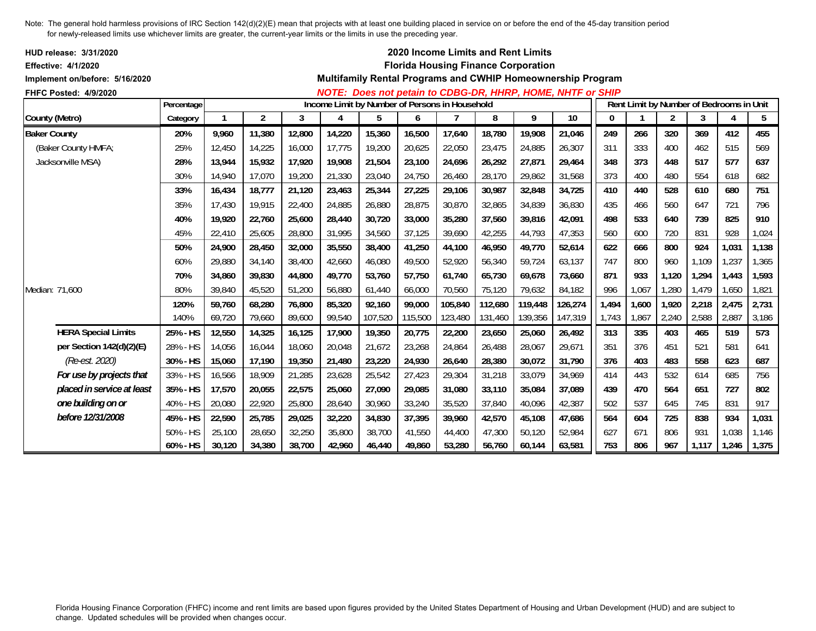| <b>HUD release: 3/31/2020</b><br><b>Effective: 4/1/2020</b> |             |        |                |        |        |         |         | 2020 Income Limits and Rent Limits<br><b>Florida Housing Finance Corporation</b> |         |         |                                                             |          |                                          |                |       |       |       |
|-------------------------------------------------------------|-------------|--------|----------------|--------|--------|---------|---------|----------------------------------------------------------------------------------|---------|---------|-------------------------------------------------------------|----------|------------------------------------------|----------------|-------|-------|-------|
| Implement on/before: 5/16/2020                              |             |        |                |        |        |         |         |                                                                                  |         |         | Multifamily Rental Programs and CWHIP Homeownership Program |          |                                          |                |       |       |       |
| FHFC Posted: 4/9/2020                                       |             |        |                |        |        |         |         |                                                                                  |         |         | NOTE: Does not petain to CDBG-DR, HHRP, HOME, NHTF or SHIP  |          |                                          |                |       |       |       |
|                                                             | Percentage  |        |                |        |        |         |         | Income Limit by Number of Persons in Household                                   |         |         |                                                             |          | Rent Limit by Number of Bedrooms in Unit |                |       |       |       |
| County (Metro)                                              | Category    |        | $\overline{2}$ | 3      | 4      | 5       | 6       |                                                                                  | 8       | 9       | 10                                                          | $\bf{0}$ |                                          | $\overline{2}$ | 3     | 4     | 5     |
| <b>Baker County</b>                                         | 20%         | 9,960  | 11,380         | 12,800 | 14,220 | 15,360  | 16,500  | 17,640                                                                           | 18,780  | 19,908  | 21,046                                                      | 249      | 266                                      | 320            | 369   | 412   | 455   |
| (Baker County HMFA;                                         | 25%         | 12,450 | 14,225         | 16,000 | 17,775 | 19,200  | 20,625  | 22,050                                                                           | 23,475  | 24,885  | 26,307                                                      | 311      | 333                                      | 400            | 462   | 515   | 569   |
| Jacksonville MSA)                                           | 28%         | 13,944 | 15,932         | 17,920 | 19,908 | 21,504  | 23,100  | 24,696                                                                           | 26,292  | 27,871  | 29,464                                                      | 348      | 373                                      | 448            | 517   | 577   | 637   |
|                                                             | 30%         | 14,940 | 17,070         | 19,200 | 21,330 | 23,040  | 24,750  | 26,460                                                                           | 28,170  | 29,862  | 31,568                                                      | 373      | 400                                      | 480            | 554   | 618   | 682   |
|                                                             | 33%         | 16,434 | 18,777         | 21,120 | 23,463 | 25,344  | 27,225  | 29,106                                                                           | 30.987  | 32,848  | 34,725                                                      | 410      | 440                                      | 528            | 610   | 680   | 751   |
|                                                             | 35%         | 17,430 | 19,915         | 22,400 | 24,885 | 26,880  | 28,875  | 30,870                                                                           | 32,865  | 34,839  | 36,830                                                      | 435      | 466                                      | 560            | 647   | 721   | 796   |
|                                                             | 40%         | 19,920 | 22,760         | 25,600 | 28,440 | 30,720  | 33,000  | 35,280                                                                           | 37,560  | 39,816  | 42,091                                                      | 498      | 533                                      | 640            | 739   | 825   | 910   |
|                                                             | 45%         | 22,410 | 25,605         | 28,800 | 31,995 | 34,560  | 37,125  | 39.690                                                                           | 42,255  | 44,793  | 47,353                                                      | 560      | 600                                      | 720            | 831   | 928   | 1,024 |
|                                                             | 50%         | 24,900 | 28,450         | 32,000 | 35,550 | 38,400  | 41,250  | 44,100                                                                           | 46,950  | 49,770  | 52,614                                                      | 622      | 666                                      | 800            | 924   | 1,031 | 1,138 |
|                                                             | 60%         | 29,880 | 34,140         | 38,400 | 42,660 | 46,080  | 49,500  | 52,920                                                                           | 56,340  | 59,724  | 63,137                                                      | 747      | 800                                      | 960            | 1,109 | 1,237 | 1,365 |
|                                                             | 70%         | 34,860 | 39,830         | 44,800 | 49,770 | 53,760  | 57,750  | 61,740                                                                           | 65,730  | 69,678  | 73,660                                                      | 871      | 933                                      | 1,120          | 1,294 | 1,443 | 1,593 |
| Median: 71.600                                              | 80%         | 39,840 | 45,520         | 51,200 | 56,880 | 61,440  | 66,000  | 70,560                                                                           | 75,120  | 79,632  | 84,182                                                      | 996      | 1,067                                    | 1,280          | 1,479 | 1,650 | 1,821 |
|                                                             | 120%        | 59,760 | 68,280         | 76,800 | 85,320 | 92,160  | 99,000  | 105,840                                                                          | 112,680 | 119,448 | 126,274                                                     | 1,494    | 1,600                                    | 1,920          | 2,218 | 2,475 | 2,731 |
|                                                             | 140%        | 69,720 | 79,660         | 89,600 | 99,540 | 107,520 | 115,500 | 123,480                                                                          | 131,460 | 139,356 | 147,319                                                     | 1,743    | 1,867                                    | 2,240          | 2,588 | 2,887 | 3,186 |
| <b>HERA Special Limits</b>                                  | 25% - HS    | 12,550 | 14,325         | 16,125 | 17,900 | 19,350  | 20,775  | 22,200                                                                           | 23,650  | 25,060  | 26,492                                                      | 313      | 335                                      | 403            | 465   | 519   | 573   |
| per Section 142(d)(2)(E)                                    | 28% - HS    | 14,056 | 16,044         | 18,060 | 20,048 | 21,672  | 23,268  | 24,864                                                                           | 26,488  | 28,067  | 29,671                                                      | 351      | 376                                      | 451            | 521   | 581   | 641   |
| (Re-est. 2020)                                              | 30% - HS    | 15,060 | 17,190         | 19,350 | 21,480 | 23,220  | 24,930  | 26,640                                                                           | 28,380  | 30,072  | 31,790                                                      | 376      | 403                                      | 483            | 558   | 623   | 687   |
| For use by projects that                                    | 33% - HS    | 16,566 | 18,909         | 21,285 | 23,628 | 25,542  | 27,423  | 29,304                                                                           | 31,218  | 33,079  | 34,969                                                      | 414      | 443                                      | 532            | 614   | 685   | 756   |
| placed in service at least                                  | 35% - HS    | 17,570 | 20,055         | 22,575 | 25,060 | 27,090  | 29,085  | 31.080                                                                           | 33,110  | 35,084  | 37,089                                                      | 439      | 470                                      | 564            | 651   | 727   | 802   |
| one building on or                                          | 40% - HS    | 20,080 | 22,920         | 25,800 | 28,640 | 30,960  | 33,240  | 35,520                                                                           | 37,840  | 40,096  | 42,387                                                      | 502      | 537                                      | 645            | 745   | 831   | 917   |
| before 12/31/2008                                           | 45% - HS    | 22,590 | 25,785         | 29,025 | 32,220 | 34,830  | 37,395  | 39,960                                                                           | 42,570  | 45,108  | 47,686                                                      | 564      | 604                                      | 725            | 838   | 934   | 1,031 |
|                                                             | $50\% - HS$ | 25,100 | 28,650         | 32,250 | 35,800 | 38,700  | 41,550  | 44,400                                                                           | 47,300  | 50,120  | 52,984                                                      | 627      | 671                                      | 806            | 931   | 1,038 | 1,146 |
|                                                             | 60% - HS    | 30,120 | 34,380         | 38,700 | 42,960 | 46,440  | 49,860  | 53,280                                                                           | 56,760  | 60,144  | 63,581                                                      | 753      | 806                                      | 967            | 1,117 | 1,246 | 1,375 |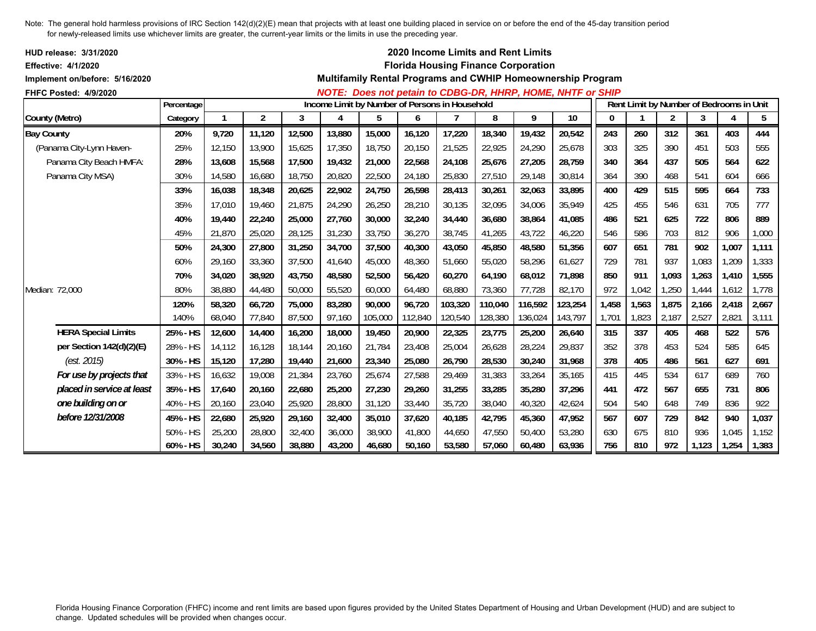| HUD release: 3/31/2020<br><b>Effective: 4/1/2020</b> |            |        |        |        |        |         |         | 2020 Income Limits and Rent Limits<br><b>Florida Housing Finance Corporation</b> |         |         |                                                             |       |                                          |                |       |       |       |
|------------------------------------------------------|------------|--------|--------|--------|--------|---------|---------|----------------------------------------------------------------------------------|---------|---------|-------------------------------------------------------------|-------|------------------------------------------|----------------|-------|-------|-------|
| Implement on/before: 5/16/2020                       |            |        |        |        |        |         |         |                                                                                  |         |         | Multifamily Rental Programs and CWHIP Homeownership Program |       |                                          |                |       |       |       |
| <b>FHFC Posted: 4/9/2020</b>                         | Percentage |        |        |        |        |         |         | Income Limit by Number of Persons in Household                                   |         |         | NOTE: Does not petain to CDBG-DR, HHRP, HOME, NHTF or SHIP  |       | Rent Limit by Number of Bedrooms in Unit |                |       |       |       |
| County (Metro)                                       | Category   |        | 2      | 3      | 4      | 5       | 6       |                                                                                  | 8       | 9       | 10                                                          | 0     |                                          | $\overline{2}$ | 3     | 4     | 5     |
| <b>Bay County</b>                                    | 20%        | 9,720  | 11,120 | 12,500 | 13,880 | 15,000  | 16,120  | 17,220                                                                           | 18,340  | 19,432  | 20,542                                                      | 243   | 260                                      | 312            | 361   | 403   | 444   |
| (Panama City-Lynn Haven-                             | 25%        | 12,150 | 13,900 | 15,625 | 17,350 | 18,750  | 20,150  | 21,525                                                                           | 22,925  | 24,290  | 25,678                                                      | 303   | 325                                      | 390            | 451   | 503   | 555   |
| Panama City Beach HMFA:                              | 28%        | 13.608 | 15,568 | 17,500 | 19,432 | 21,000  | 22,568  | 24,108                                                                           | 25.676  | 27,205  | 28,759                                                      | 340   | 364                                      | 437            | 505   | 564   | 622   |
| Panama City MSA)                                     | 30%        | 14,580 | 16,680 | 18,750 | 20,820 | 22,500  | 24,180  | 25,830                                                                           | 27,510  | 29,148  | 30,814                                                      | 364   | 390                                      | 468            | 541   | 604   | 666   |
|                                                      | 33%        | 16,038 | 18,348 | 20,625 | 22,902 | 24,750  | 26,598  | 28,413                                                                           | 30,261  | 32,063  | 33,895                                                      | 400   | 429                                      | 515            | 595   | 664   | 733   |
|                                                      | 35%        | 17.010 | 19.460 | 21,875 | 24,290 | 26,250  | 28,210  | 30,135                                                                           | 32.095  | 34,006  | 35,949                                                      | 425   | 455                                      | 546            | 631   | 705   | 777   |
|                                                      | 40%        | 19,440 | 22,240 | 25,000 | 27,760 | 30,000  | 32,240  | 34,440                                                                           | 36,680  | 38,864  | 41,085                                                      | 486   | 521                                      | 625            | 722   | 806   | 889   |
|                                                      | 45%        | 21,870 | 25,020 | 28,125 | 31,230 | 33,750  | 36,270  | 38,745                                                                           | 41,265  | 43,722  | 46,220                                                      | 546   | 586                                      | 703            | 812   | 906   | 1,000 |
|                                                      | 50%        | 24,300 | 27,800 | 31,250 | 34,700 | 37,500  | 40,300  | 43,050                                                                           | 45,850  | 48,580  | 51,356                                                      | 607   | 651                                      | 781            | 902   | 1,007 | 1,111 |
|                                                      | 60%        | 29,160 | 33,360 | 37,500 | 41,640 | 45,000  | 48,360  | 51,660                                                                           | 55,020  | 58,296  | 61,627                                                      | 729   | 781                                      | 937            | 1,083 | 1,209 | 1,333 |
|                                                      | 70%        | 34,020 | 38,920 | 43,750 | 48,580 | 52,500  | 56,420  | 60,270                                                                           | 64,190  | 68,012  | 71,898                                                      | 850   | 911                                      | 1,093          | 1,263 | 1,410 | 1,555 |
| Median: 72,000                                       | 80%        | 38,880 | 44,480 | 50,000 | 55,520 | 60,000  | 64,480  | 68,880                                                                           | 73,360  | 77,728  | 82,170                                                      | 972   | 1,042                                    | 1,250          | 1,444 | 1,612 | 1,778 |
|                                                      | 120%       | 58,320 | 66,720 | 75,000 | 83,280 | 90,000  | 96,720  | 103,320                                                                          | 110,040 | 116,592 | 123,254                                                     | 1,458 | 1,563                                    | 1,875          | 2,166 | 2,418 | 2,667 |
|                                                      | 140%       | 68,040 | 77,840 | 87,500 | 97,160 | 105,000 | 112,840 | 120,540                                                                          | 128,380 | 136,024 | 143,797                                                     | 1,701 | 1,823                                    | 2,187          | 2,527 | 2,821 | 3,111 |
| <b>HERA Special Limits</b>                           | 25% - HS   | 12,600 | 14,400 | 16,200 | 18,000 | 19,450  | 20,900  | 22,325                                                                           | 23,775  | 25,200  | 26,640                                                      | 315   | 337                                      | 405            | 468   | 522   | 576   |
| per Section 142(d)(2)(E)                             | 28% - HS   | 14,112 | 16,128 | 18,144 | 20,160 | 21,784  | 23,408  | 25,004                                                                           | 26,628  | 28,224  | 29,837                                                      | 352   | 378                                      | 453            | 524   | 585   | 645   |
| (est. 2015)                                          | 30% - HS   | 15,120 | 17,280 | 19,440 | 21,600 | 23,340  | 25,080  | 26,790                                                                           | 28,530  | 30,240  | 31,968                                                      | 378   | 405                                      | 486            | 561   | 627   | 691   |
| For use by projects that                             | 33% - HS   | 16,632 | 19,008 | 21,384 | 23,760 | 25,674  | 27,588  | 29,469                                                                           | 31,383  | 33,264  | 35,165                                                      | 415   | 445                                      | 534            | 617   | 689   | 760   |
| placed in service at least                           | 35% - HS   | 17,640 | 20,160 | 22,680 | 25,200 | 27,230  | 29,260  | 31,255                                                                           | 33,285  | 35,280  | 37,296                                                      | 441   | 472                                      | 567            | 655   | 731   | 806   |
| one building on or                                   | 40% - HS   | 20,160 | 23,040 | 25,920 | 28,800 | 31,120  | 33,440  | 35,720                                                                           | 38,040  | 40,320  | 42,624                                                      | 504   | 540                                      | 648            | 749   | 836   | 922   |
| before 12/31/2008                                    | 45% - HS   | 22,680 | 25,920 | 29,160 | 32,400 | 35,010  | 37,620  | 40,185                                                                           | 42,795  | 45,360  | 47,952                                                      | 567   | 607                                      | 729            | 842   | 940   | 1,037 |
|                                                      | 50% - HS   | 25,200 | 28,800 | 32,400 | 36,000 | 38,900  | 41,800  | 44,650                                                                           | 47,550  | 50,400  | 53,280                                                      | 630   | 675                                      | 810            | 936   | 1,045 | 1,152 |
|                                                      | 60% - HS   | 30,240 | 34,560 | 38,880 | 43,200 | 46,680  | 50,160  | 53,580                                                                           | 57,060  | 60,480  | 63,936                                                      | 756   | 810                                      | 972            | 1,123 | 1,254 | 1,383 |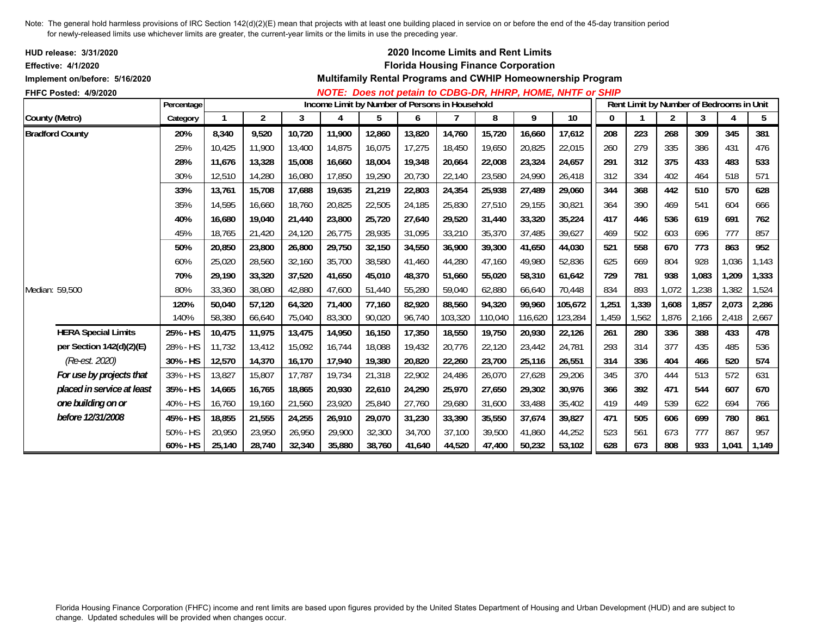| HUD release: 3/31/2020<br><b>Effective: 4/1/2020</b><br>Implement on/before: 5/16/2020 |            |        |                |        |        |                                                |        |         |         | 2020 Income Limits and Rent Limits<br><b>Florida Housing Finance Corporation</b> | Multifamily Rental Programs and CWHIP Homeownership Program |          |       |       |                                          |       |       |
|----------------------------------------------------------------------------------------|------------|--------|----------------|--------|--------|------------------------------------------------|--------|---------|---------|----------------------------------------------------------------------------------|-------------------------------------------------------------|----------|-------|-------|------------------------------------------|-------|-------|
| FHFC Posted: 4/9/2020                                                                  |            |        |                |        |        |                                                |        |         |         |                                                                                  | NOTE: Does not petain to CDBG-DR, HHRP, HOME, NHTF or SHIP  |          |       |       |                                          |       |       |
|                                                                                        | Percentage |        |                |        |        | Income Limit by Number of Persons in Household |        |         |         |                                                                                  |                                                             |          |       |       | Rent Limit by Number of Bedrooms in Unit |       |       |
| County (Metro)                                                                         | Category   |        | $\overline{2}$ | 3      | 4      | 5                                              | 6      |         | 8       | 9                                                                                | 10                                                          | $\bf{0}$ |       | 2     | 3                                        | 4     | 5     |
| <b>Bradford County</b>                                                                 | 20%        | 8,340  | 9,520          | 10,720 | 11,900 | 12,860                                         | 13,820 | 14,760  | 15,720  | 16,660                                                                           | 17,612                                                      | 208      | 223   | 268   | 309                                      | 345   | 381   |
|                                                                                        | 25%        | 10,425 | 11,900         | 13,400 | 14,875 | 16,075                                         | 17,275 | 18,450  | 19.650  | 20,825                                                                           | 22,015                                                      | 260      | 279   | 335   | 386                                      | 431   | 476   |
|                                                                                        | 28%        | 11,676 | 13,328         | 15,008 | 16,660 | 18,004                                         | 19,348 | 20,664  | 22,008  | 23,324                                                                           | 24,657                                                      | 291      | 312   | 375   | 433                                      | 483   | 533   |
|                                                                                        | 30%        | 12,510 | 14,280         | 16,080 | 17,850 | 19,290                                         | 20,730 | 22,140  | 23,580  | 24,990                                                                           | 26,418                                                      | 312      | 334   | 402   | 464                                      | 518   | 571   |
|                                                                                        | 33%        | 13,761 | 15,708         | 17,688 | 19,635 | 21,219                                         | 22,803 | 24,354  | 25,938  | 27,489                                                                           | 29,060                                                      | 344      | 368   | 442   | 510                                      | 570   | 628   |
|                                                                                        | 35%        | 14.595 | 16,660         | 18,760 | 20,825 | 22,505                                         | 24,185 | 25,830  | 27.510  | 29,155                                                                           | 30,821                                                      | 364      | 390   | 469   | 541                                      | 604   | 666   |
|                                                                                        | 40%        | 16.680 | 19,040         | 21,440 | 23,800 | 25,720                                         | 27,640 | 29,520  | 31,440  | 33,320                                                                           | 35,224                                                      | 417      | 446   | 536   | 619                                      | 691   | 762   |
|                                                                                        | 45%        | 18.765 | 21,420         | 24,120 | 26,775 | 28,935                                         | 31,095 | 33,210  | 35,370  | 37,485                                                                           | 39,627                                                      | 469      | 502   | 603   | 696                                      | 777   | 857   |
|                                                                                        | 50%        | 20,850 | 23,800         | 26,800 | 29,750 | 32,150                                         | 34,550 | 36,900  | 39,300  | 41,650                                                                           | 44,030                                                      | 521      | 558   | 670   | 773                                      | 863   | 952   |
|                                                                                        | 60%        | 25,020 | 28,560         | 32,160 | 35,700 | 38,580                                         | 41,460 | 44,280  | 47,160  | 49,980                                                                           | 52,836                                                      | 625      | 669   | 804   | 928                                      | 1,036 | 1,143 |
|                                                                                        | 70%        | 29,190 | 33,320         | 37,520 | 41,650 | 45,010                                         | 48,370 | 51,660  | 55,020  | 58,310                                                                           | 61,642                                                      | 729      | 781   | 938   | 1,083                                    | 1,209 | 1,333 |
| Median: 59,500                                                                         | 80%        | 33,360 | 38,080         | 42,880 | 47,600 | 51,440                                         | 55,280 | 59,040  | 62,880  | 66,640                                                                           | 70,448                                                      | 834      | 893   | 1,072 | 1,238                                    | 1,382 | 1,524 |
|                                                                                        | 120%       | 50,040 | 57,120         | 64,320 | 71,400 | 77,160                                         | 82,920 | 88,560  | 94,320  | 99,960                                                                           | 105,672                                                     | 1,251    | 1,339 | 1,608 | 1,857                                    | 2,073 | 2,286 |
|                                                                                        | 140%       | 58,380 | 66,640         | 75,040 | 83,300 | 90,020                                         | 96,740 | 103,320 | 110,040 | 116,620                                                                          | 123,284                                                     | 1,459    | 1,562 | 1,876 | 2,166                                    | 2,418 | 2,667 |
| <b>HERA Special Limits</b>                                                             | 25% - HS   | 10,475 | 11,975         | 13,475 | 14,950 | 16,150                                         | 17,350 | 18,550  | 19,750  | 20,930                                                                           | 22,126                                                      | 261      | 280   | 336   | 388                                      | 433   | 478   |
| per Section 142(d)(2)(E)                                                               | 28% - HS   | 11,732 | 13,412         | 15,092 | 16,744 | 18,088                                         | 19,432 | 20,776  | 22,120  | 23,442                                                                           | 24,781                                                      | 293      | 314   | 377   | 435                                      | 485   | 536   |
| (Re-est. 2020)                                                                         | 30% - HS   | 12,570 | 14,370         | 16,170 | 17,940 | 19,380                                         | 20,820 | 22,260  | 23,700  | 25,116                                                                           | 26,551                                                      | 314      | 336   | 404   | 466                                      | 520   | 574   |
| For use by projects that                                                               | 33% - HS   | 13,827 | 15,807         | 17,787 | 19,734 | 21,318                                         | 22,902 | 24,486  | 26,070  | 27,628                                                                           | 29,206                                                      | 345      | 370   | 444   | 513                                      | 572   | 631   |
| placed in service at least                                                             | 35% - HS   | 14,665 | 16,765         | 18,865 | 20,930 | 22,610                                         | 24,290 | 25,970  | 27,650  | 29,302                                                                           | 30,976                                                      | 366      | 392   | 471   | 544                                      | 607   | 670   |
| one building on or                                                                     | 40% - HS   | 16,760 | 19,160         | 21,560 | 23,920 | 25,840                                         | 27,760 | 29,680  | 31,600  | 33,488                                                                           | 35,402                                                      | 419      | 449   | 539   | 622                                      | 694   | 766   |
| before 12/31/2008                                                                      | 45% - HS   | 18,855 | 21,555         | 24,255 | 26,910 | 29,070                                         | 31,230 | 33,390  | 35,550  | 37,674                                                                           | 39,827                                                      | 471      | 505   | 606   | 699                                      | 780   | 861   |
|                                                                                        | 50% - HS   | 20,950 | 23,950         | 26,950 | 29,900 | 32,300                                         | 34,700 | 37,100  | 39,500  | 41,860                                                                           | 44,252                                                      | 523      | 561   | 673   | 777                                      | 867   | 957   |
|                                                                                        | 60% - HS   | 25,140 | 28,740         | 32,340 | 35,880 | 38,760                                         | 41,640 | 44,520  | 47,400  | 50,232                                                                           | 53,102                                                      | 628      | 673   | 808   | 933                                      | 1,041 | 1,149 |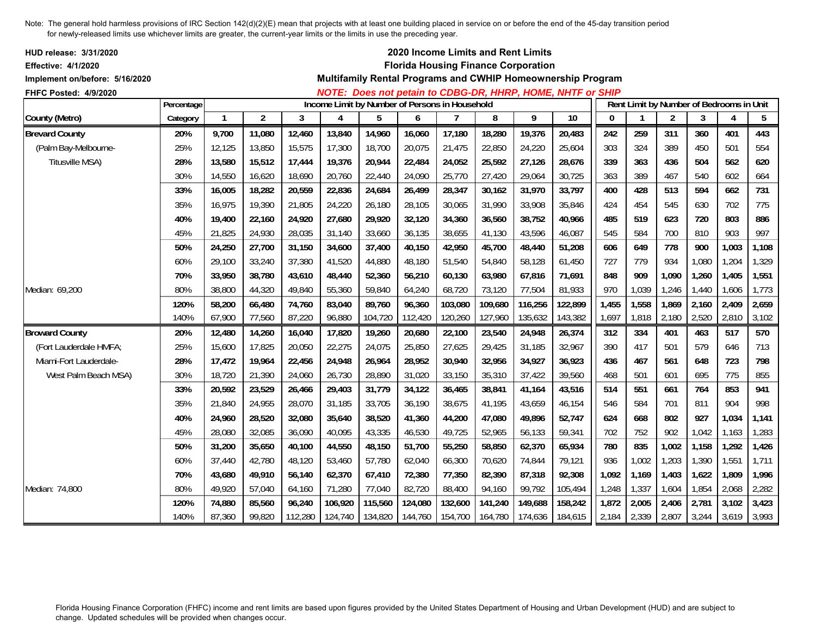| <b>HUD release: 3/31/2020</b><br><b>Effective: 4/1/2020</b><br>Implement on/before: 5/16/2020 |            |              |                |         |         |                                                |         |         | 2020 Income Limits and Rent Limits<br><b>Florida Housing Finance Corporation</b> |         | Multifamily Rental Programs and CWHIP Homeownership Program<br>NOTE: Does not petain to CDBG-DR, HHRP, HOME, NHTF or SHIP |              |              |                |                                          |                |       |
|-----------------------------------------------------------------------------------------------|------------|--------------|----------------|---------|---------|------------------------------------------------|---------|---------|----------------------------------------------------------------------------------|---------|---------------------------------------------------------------------------------------------------------------------------|--------------|--------------|----------------|------------------------------------------|----------------|-------|
| FHFC Posted: 4/9/2020                                                                         | Percentage |              |                |         |         | Income Limit by Number of Persons in Household |         |         |                                                                                  |         |                                                                                                                           |              |              |                | Rent Limit by Number of Bedrooms in Unit |                |       |
| County (Metro)                                                                                | Category   | $\mathbf{1}$ | $\overline{2}$ | 3       | 4       | 5                                              | 6       | 7       | 8                                                                                | 9       | $\overline{10}$                                                                                                           | $\mathbf{0}$ | $\mathbf{1}$ | $\overline{2}$ | 3                                        | $\overline{4}$ | 5     |
| <b>Brevard County</b>                                                                         | 20%        | 9,700        | 11,080         | 12,460  | 13,840  | 14,960                                         | 16,060  | 17,180  | 18,280                                                                           | 19,376  | 20,483                                                                                                                    | 242          | 259          | 311            | 360                                      | 401            | 443   |
| (Palm Bay-Melbourne-                                                                          | 25%        | 12,125       | 13,850         | 15,575  | 17,300  | 18,700                                         | 20,075  | 21,475  | 22,850                                                                           | 24,220  | 25,604                                                                                                                    | 303          | 324          | 389            | 450                                      | 501            | 554   |
| Titusville MSA)                                                                               | 28%        | 13,580       | 15,512         | 17,444  | 19,376  | 20,944                                         | 22,484  | 24,052  | 25,592                                                                           | 27,126  | 28,676                                                                                                                    | 339          | 363          | 436            | 504                                      | 562            | 620   |
|                                                                                               | 30%        | 14,550       | 16,620         | 18,690  | 20,760  | 22,440                                         | 24,090  | 25,770  | 27,420                                                                           | 29,064  | 30,725                                                                                                                    | 363          | 389          | 467            | 540                                      | 602            | 664   |
|                                                                                               | 33%        | 16,005       | 18,282         | 20,559  | 22,836  | 24,684                                         | 26,499  | 28,347  | 30.162                                                                           | 31,970  | 33,797                                                                                                                    | 400          | 428          | 513            | 594                                      | 662            | 731   |
|                                                                                               | 35%        | 16,975       | 19,390         | 21,805  | 24,220  | 26,180                                         | 28,105  | 30,065  | 31,990                                                                           | 33,908  | 35,846                                                                                                                    | 424          | 454          | 545            | 630                                      | 702            | 775   |
|                                                                                               | 40%        | 19,400       | 22,160         | 24,920  | 27,680  | 29,920                                         | 32,120  | 34,360  | 36,560                                                                           | 38,752  | 40,966                                                                                                                    | 485          | 519          | 623            | 720                                      | 803            | 886   |
|                                                                                               | 45%        | 21,825       | 24,930         | 28,035  | 31,140  | 33,660                                         | 36,135  | 38,655  | 41,130                                                                           | 43,596  | 46,087                                                                                                                    | 545          | 584          | 700            | 810                                      | 903            | 997   |
|                                                                                               | 50%        | 24,250       | 27,700         | 31,150  | 34,600  | 37,400                                         | 40,150  | 42,950  | 45,700                                                                           | 48,440  | 51,208                                                                                                                    | 606          | 649          | 778            | 900                                      | 1,003          | 1,108 |
|                                                                                               | 60%        | 29,100       | 33,240         | 37,380  | 41,520  | 44,880                                         | 48,180  | 51,540  | 54,840                                                                           | 58,128  | 61,450                                                                                                                    | 727          | 779          | 934            | 1,080                                    | 1,204          | 1,329 |
|                                                                                               | 70%        | 33,950       | 38,780         | 43,610  | 48,440  | 52,360                                         | 56,210  | 60,130  | 63,980                                                                           | 67,816  | 71,691                                                                                                                    | 848          | 909          | 1,090          | 1,260                                    | 1,405          | 1,551 |
| Median: 69,200                                                                                | 80%        | 38,800       | 44,320         | 49,840  | 55,360  | 59,840                                         | 64,240  | 68,720  | 73,120                                                                           | 77,504  | 81,933                                                                                                                    | 970          | 1,039        | 1,246          | 1,440                                    | 1,606          | 1,773 |
|                                                                                               | 120%       | 58,200       | 66,480         | 74,760  | 83,040  | 89,760                                         | 96,360  | 103,080 | 109,680                                                                          | 116,256 | 122,899                                                                                                                   | 1,455        | 1,558        | 1,869          | 2,160                                    | 2,409          | 2,659 |
|                                                                                               | 140%       | 67,900       | 77,560         | 87,220  | 96,880  | 104,720                                        | 112,420 | 120,260 | 127,960                                                                          | 135,632 | 143,382                                                                                                                   | 1,697        | 1,818        | 2,180          | 2,520                                    | 2,810          | 3,102 |
| <b>Broward County</b>                                                                         | 20%        | 12,480       | 14,260         | 16,040  | 17,820  | 19,260                                         | 20,680  | 22,100  | 23,540                                                                           | 24,948  | 26,374                                                                                                                    | 312          | 334          | 401            | 463                                      | 517            | 570   |
| (Fort Lauderdale HMFA;                                                                        | 25%        | 15,600       | 17,825         | 20,050  | 22,275  | 24,075                                         | 25,850  | 27,625  | 29,425                                                                           | 31,185  | 32,967                                                                                                                    | 390          | 417          | 501            | 579                                      | 646            | 713   |
| Miami-Fort Lauderdale-                                                                        | 28%        | 17,472       | 19,964         | 22,456  | 24,948  | 26,964                                         | 28,952  | 30,940  | 32,956                                                                           | 34,927  | 36,923                                                                                                                    | 436          | 467          | 561            | 648                                      | 723            | 798   |
| West Palm Beach MSA)                                                                          | 30%        | 18,720       | 21,390         | 24,060  | 26,730  | 28,890                                         | 31,020  | 33,150  | 35,310                                                                           | 37,422  | 39,560                                                                                                                    | 468          | 501          | 601            | 695                                      | 775            | 855   |
|                                                                                               | 33%        | 20,592       | 23,529         | 26,466  | 29,403  | 31,779                                         | 34,122  | 36,465  | 38,841                                                                           | 41,164  | 43,516                                                                                                                    | 514          | 551          | 661            | 764                                      | 853            | 941   |
|                                                                                               | 35%        | 21,840       | 24,955         | 28,070  | 31,185  | 33,705                                         | 36,190  | 38,675  | 41,195                                                                           | 43,659  | 46,154                                                                                                                    | 546          | 584          | 701            | 811                                      | 904            | 998   |
|                                                                                               | 40%        | 24,960       | 28,520         | 32,080  | 35,640  | 38,520                                         | 41,360  | 44,200  | 47,080                                                                           | 49,896  | 52,747                                                                                                                    | 624          | 668          | 802            | 927                                      | 1,034          | 1,141 |
|                                                                                               | 45%        | 28,080       | 32,085         | 36,090  | 40,095  | 43,335                                         | 46,530  | 49,725  | 52,965                                                                           | 56,133  | 59,341                                                                                                                    | 702          | 752          | 902            | 1,042                                    | 1,163          | 1,283 |
|                                                                                               | 50%        | 31,200       | 35,650         | 40,100  | 44,550  | 48,150                                         | 51,700  | 55,250  | 58,850                                                                           | 62,370  | 65,934                                                                                                                    | 780          | 835          | 1,002          | 1,158                                    | 1,292          | 1,426 |
|                                                                                               | 60%        | 37,440       | 42,780         | 48,120  | 53,460  | 57,780                                         | 62,040  | 66,300  | 70,620                                                                           | 74,844  | 79,121                                                                                                                    | 936          | 1,002        | 1,203          | 1,390                                    | 1,551          | 1,711 |
|                                                                                               | 70%        | 43,680       | 49,910         | 56,140  | 62,370  | 67,410                                         | 72,380  | 77,350  | 82,390                                                                           | 87,318  | 92,308                                                                                                                    | 1,092        | 1,169        | 1,403          | 1,622                                    | 1,809          | 1,996 |
| Median: 74,800                                                                                | 80%        | 49.920       | 57,040         | 64,160  | 71,280  | 77,040                                         | 82,720  | 88,400  | 94,160                                                                           | 99,792  | 105,494                                                                                                                   | 1,248        | 1,337        | 1,604          | 1,854                                    | 2,068          | 2,282 |
|                                                                                               | 120%       | 74,880       | 85,560         | 96,240  | 106,920 | 115,560                                        | 124,080 | 132,600 | 141,240                                                                          | 149,688 | 158,242                                                                                                                   | 1,872        | 2,005        | 2,406          | 2,781                                    | 3,102          | 3,423 |
|                                                                                               | 140%       | 87,360       | 99,820         | 112,280 | 124,740 | 134,820                                        | 144,760 | 154,700 | 164,780                                                                          | 174,636 | 184,615                                                                                                                   | 2,184        | 2,339        | 2,807          | 3,244                                    | 3,619          | 3,993 |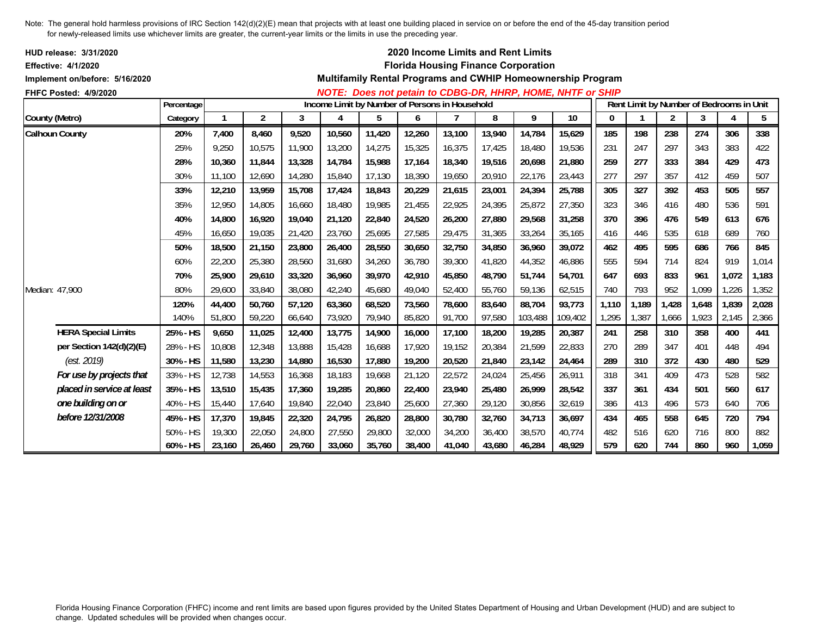| <b>HUD release: 3/31/2020</b>  |            |             |        |        |        |        |                                                |        |        | <b>2020 Income Limits and Rent Limits</b>  |                                                             |          |                                          |                |       |       |       |
|--------------------------------|------------|-------------|--------|--------|--------|--------|------------------------------------------------|--------|--------|--------------------------------------------|-------------------------------------------------------------|----------|------------------------------------------|----------------|-------|-------|-------|
| <b>Effective: 4/1/2020</b>     |            |             |        |        |        |        |                                                |        |        | <b>Florida Housing Finance Corporation</b> |                                                             |          |                                          |                |       |       |       |
| Implement on/before: 5/16/2020 |            |             |        |        |        |        |                                                |        |        |                                            | Multifamily Rental Programs and CWHIP Homeownership Program |          |                                          |                |       |       |       |
| <b>FHFC Posted: 4/9/2020</b>   | Percentage |             |        |        |        |        | Income Limit by Number of Persons in Household |        |        |                                            | NOTE: Does not petain to CDBG-DR, HHRP, HOME, NHTF or SHIP  |          | Rent Limit by Number of Bedrooms in Unit |                |       |       |       |
| County (Metro)                 | Category   | $\mathbf 1$ | 2      | 3      | 4      | 5      | 6                                              |        | 8      | 9                                          | 10                                                          | $\bf{0}$ | -1                                       | $\overline{2}$ | 3     | 4     | 5     |
| <b>Calhoun County</b>          | 20%        | 7,400       | 8,460  | 9,520  | 10,560 | 11,420 | 12,260                                         | 13,100 | 13,940 | 14,784                                     | 15,629                                                      | 185      | 198                                      | 238            | 274   | 306   | 338   |
|                                | 25%        | 9,250       | 10,575 | 11,900 | 13,200 | 14,275 | 15,325                                         | 16,375 | 17,425 | 18,480                                     | 19,536                                                      | 231      | 247                                      | 297            | 343   | 383   | 422   |
|                                | 28%        | 10.360      | 11,844 | 13,328 | 14,784 | 15,988 | 17,164                                         | 18,340 | 19,516 | 20,698                                     | 21,880                                                      | 259      | 277                                      | 333            | 384   | 429   | 473   |
|                                | 30%        | 11.100      | 12,690 | 14,280 | 15,840 | 17,130 | 18,390                                         | 19.650 | 20.910 | 22.176                                     | 23,443                                                      | 277      | 297                                      | 357            | 412   | 459   | 507   |
|                                | 33%        | 12,210      | 13,959 | 15,708 | 17,424 | 18,843 | 20,229                                         | 21,615 | 23,001 | 24,394                                     | 25,788                                                      | 305      | 327                                      | 392            | 453   | 505   | 557   |
|                                | 35%        | 12,950      | 14,805 | 16,660 | 18,480 | 19,985 | 21,455                                         | 22,925 | 24,395 | 25,872                                     | 27,350                                                      | 323      | 346                                      | 416            | 480   | 536   | 591   |
|                                | 40%        | 14,800      | 16,920 | 19,040 | 21,120 | 22,840 | 24,520                                         | 26,200 | 27,880 | 29,568                                     | 31,258                                                      | 370      | 396                                      | 476            | 549   | 613   | 676   |
|                                | 45%        | 16,650      | 19,035 | 21,420 | 23,760 | 25,695 | 27,585                                         | 29,475 | 31,365 | 33,264                                     | 35,165                                                      | 416      | 446                                      | 535            | 618   | 689   | 760   |
|                                | 50%        | 18.500      | 21.150 | 23,800 | 26,400 | 28,550 | 30,650                                         | 32,750 | 34.850 | 36,960                                     | 39,072                                                      | 462      | 495                                      | 595            | 686   | 766   | 845   |
|                                | 60%        | 22,200      | 25,380 | 28,560 | 31,680 | 34,260 | 36,780                                         | 39,300 | 41.820 | 44,352                                     | 46,886                                                      | 555      | 594                                      | 714            | 824   | 919   | 1,014 |
|                                | 70%        | 25,900      | 29,610 | 33,320 | 36,960 | 39,970 | 42,910                                         | 45,850 | 48,790 | 51,744                                     | 54,701                                                      | 647      | 693                                      | 833            | 961   | 1,072 | 1,183 |
| Median: 47,900                 | 80%        | 29,600      | 33,840 | 38,080 | 42,240 | 45,680 | 49,040                                         | 52,400 | 55,760 | 59,136                                     | 62,515                                                      | 740      | 793                                      | 952            | 1,099 | 1,226 | 1,352 |
|                                | 120%       | 44,400      | 50,760 | 57,120 | 63,360 | 68,520 | 73,560                                         | 78,600 | 83,640 | 88,704                                     | 93,773                                                      | 1,110    | 1,189                                    | 1,428          | 1,648 | 1,839 | 2,028 |
|                                | 140%       | 51,800      | 59,220 | 66,640 | 73,920 | 79,940 | 85,820                                         | 91,700 | 97,580 | 103,488                                    | 109,402                                                     | 1,295    | 1,387                                    | 1,666          | 1,923 | 2,145 | 2,366 |
| <b>HERA Special Limits</b>     | 25% - HS   | 9,650       | 11,025 | 12,400 | 13,775 | 14,900 | 16,000                                         | 17,100 | 18,200 | 19,285                                     | 20,387                                                      | 241      | 258                                      | 310            | 358   | 400   | 441   |
| per Section 142(d)(2)(E)       | 28% - HS   | 10,808      | 12,348 | 13,888 | 15,428 | 16,688 | 17,920                                         | 19,152 | 20,384 | 21,599                                     | 22,833                                                      | 270      | 289                                      | 347            | 401   | 448   | 494   |
| (est. 2019)                    | 30% - HS   | 11,580      | 13,230 | 14,880 | 16,530 | 17,880 | 19,200                                         | 20,520 | 21,840 | 23,142                                     | 24,464                                                      | 289      | 310                                      | 372            | 430   | 480   | 529   |
| For use by projects that       | 33% - HS   | 12,738      | 14,553 | 16,368 | 18,183 | 19,668 | 21,120                                         | 22,572 | 24,024 | 25,456                                     | 26,911                                                      | 318      | 341                                      | 409            | 473   | 528   | 582   |
| placed in service at least     | 35% - HS   | 13,510      | 15,435 | 17,360 | 19,285 | 20,860 | 22,400                                         | 23,940 | 25,480 | 26,999                                     | 28,542                                                      | 337      | 361                                      | 434            | 501   | 560   | 617   |
| one building on or             | 40% - HS   | 15,440      | 17,640 | 19,840 | 22,040 | 23,840 | 25,600                                         | 27,360 | 29,120 | 30,856                                     | 32,619                                                      | 386      | 413                                      | 496            | 573   | 640   | 706   |
| before 12/31/2008              | 45% - HS   | 17,370      | 19,845 | 22,320 | 24,795 | 26,820 | 28,800                                         | 30,780 | 32.760 | 34,713                                     | 36,697                                                      | 434      | 465                                      | 558            | 645   | 720   | 794   |
|                                | 50% - HS   | 19,300      | 22,050 | 24,800 | 27,550 | 29,800 | 32,000                                         | 34,200 | 36,400 | 38,570                                     | 40,774                                                      | 482      | 516                                      | 620            | 716   | 800   | 882   |
|                                | 60% - HS   | 23,160      | 26,460 | 29,760 | 33,060 | 35,760 | 38,400                                         | 41,040 | 43,680 | 46,284                                     | 48,929                                                      | 579      | 620                                      | 744            | 860   | 960   | 1,059 |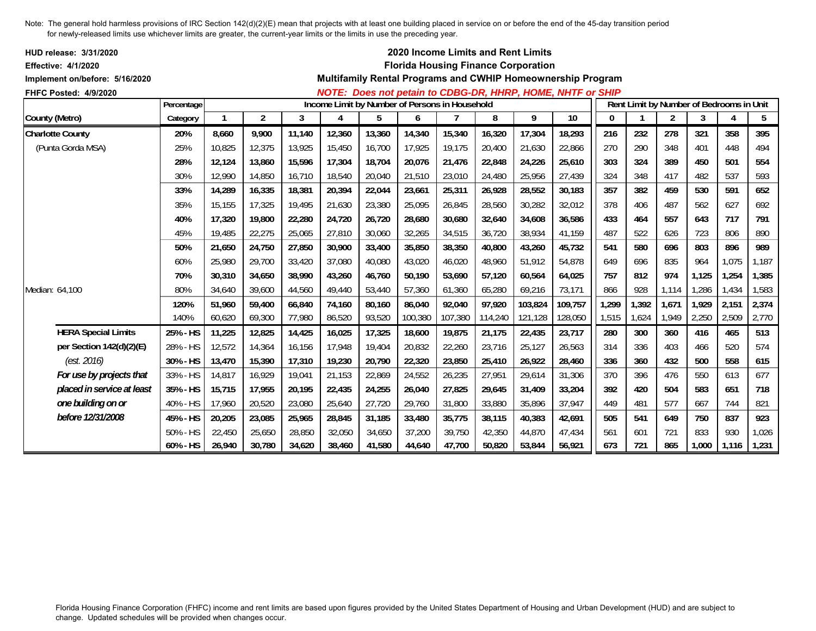| HUD release: 3/31/2020<br><b>Effective: 4/1/2020</b> |            |        |                |        |        |                                                |         |         |         | 2020 Income Limits and Rent Limits<br><b>Florida Housing Finance Corporation</b> |                                                             |          |       |                |                                          |       |       |
|------------------------------------------------------|------------|--------|----------------|--------|--------|------------------------------------------------|---------|---------|---------|----------------------------------------------------------------------------------|-------------------------------------------------------------|----------|-------|----------------|------------------------------------------|-------|-------|
| Implement on/before: 5/16/2020                       |            |        |                |        |        |                                                |         |         |         |                                                                                  | Multifamily Rental Programs and CWHIP Homeownership Program |          |       |                |                                          |       |       |
| FHFC Posted: 4/9/2020                                | Percentage |        |                |        |        | Income Limit by Number of Persons in Household |         |         |         |                                                                                  | NOTE: Does not petain to CDBG-DR, HHRP, HOME, NHTF or SHIP  |          |       |                | Rent Limit by Number of Bedrooms in Unit |       |       |
| County (Metro)                                       | Category   |        | $\overline{2}$ | 3      | 4      | 5                                              | 6       |         | 8       | 9                                                                                | 10                                                          | $\bf{0}$ |       | $\overline{2}$ | 3                                        | 4     | 5     |
| <b>Charlotte County</b>                              | 20%        | 8,660  | 9,900          | 11,140 | 12,360 | 13,360                                         | 14,340  | 15,340  | 16,320  | 17,304                                                                           | 18,293                                                      | 216      | 232   | 278            | 321                                      | 358   | 395   |
| (Punta Gorda MSA)                                    | 25%        | 10,825 | 12,375         | 13,925 | 15,450 | 16,700                                         | 17,925  | 19,175  | 20,400  | 21,630                                                                           | 22,866                                                      | 270      | 290   | 348            | 401                                      | 448   | 494   |
|                                                      | 28%        | 12,124 | 13,860         | 15,596 | 17,304 | 18,704                                         | 20,076  | 21,476  | 22,848  | 24,226                                                                           | 25,610                                                      | 303      | 324   | 389            | 450                                      | 501   | 554   |
|                                                      | 30%        | 12.990 | 14,850         | 16,710 | 18,540 | 20,040                                         | 21,510  | 23,010  | 24,480  | 25,956                                                                           | 27,439                                                      | 324      | 348   | 417            | 482                                      | 537   | 593   |
|                                                      | 33%        | 14,289 | 16,335         | 18,381 | 20,394 | 22,044                                         | 23,661  | 25,311  | 26.928  | 28,552                                                                           | 30,183                                                      | 357      | 382   | 459            | 530                                      | 591   | 652   |
|                                                      | 35%        | 15,155 | 17,325         | 19,495 | 21,630 | 23,380                                         | 25,095  | 26,845  | 28,560  | 30,282                                                                           | 32,012                                                      | 378      | 406   | 487            | 562                                      | 627   | 692   |
|                                                      | 40%        | 17,320 | 19,800         | 22,280 | 24,720 | 26,720                                         | 28,680  | 30,680  | 32,640  | 34,608                                                                           | 36,586                                                      | 433      | 464   | 557            | 643                                      | 717   | 791   |
|                                                      | 45%        | 19,485 | 22,275         | 25,065 | 27,810 | 30,060                                         | 32,265  | 34,515  | 36,720  | 38,934                                                                           | 41,159                                                      | 487      | 522   | 626            | 723                                      | 806   | 890   |
|                                                      | 50%        | 21,650 | 24,750         | 27,850 | 30,900 | 33,400                                         | 35,850  | 38,350  | 40,800  | 43,260                                                                           | 45,732                                                      | 541      | 580   | 696            | 803                                      | 896   | 989   |
|                                                      | 60%        | 25,980 | 29,700         | 33,420 | 37,080 | 40,080                                         | 43,020  | 46,020  | 48,960  | 51,912                                                                           | 54,878                                                      | 649      | 696   | 835            | 964                                      | 1,075 | 1,187 |
|                                                      | 70%        | 30,310 | 34,650         | 38,990 | 43,260 | 46,760                                         | 50,190  | 53,690  | 57,120  | 60,564                                                                           | 64,025                                                      | 757      | 812   | 974            | 1,125                                    | 1,254 | 1,385 |
| Median: 64,100                                       | 80%        | 34,640 | 39,600         | 44,560 | 49,440 | 53,440                                         | 57,360  | 61,360  | 65,280  | 69,216                                                                           | 73,171                                                      | 866      | 928   | 1,114          | 1,286                                    | 1,434 | 1,583 |
|                                                      | 120%       | 51,960 | 59,400         | 66,840 | 74,160 | 80,160                                         | 86,040  | 92,040  | 97,920  | 103,824                                                                          | 109,757                                                     | 1,299    | 1,392 | 1,671          | 1,929                                    | 2,151 | 2,374 |
|                                                      | 140%       | 60,620 | 69,300         | 77,980 | 86,520 | 93,520                                         | 100,380 | 107,380 | 114,240 | 121,128                                                                          | 128,050                                                     | 1,515    | 1,624 | 1,949          | 2,250                                    | 2,509 | 2,770 |
| <b>HERA Special Limits</b>                           | 25% - HS   | 11,225 | 12,825         | 14,425 | 16,025 | 17,325                                         | 18,600  | 19,875  | 21,175  | 22,435                                                                           | 23,717                                                      | 280      | 300   | 360            | 416                                      | 465   | 513   |
| per Section 142(d)(2)(E)                             | 28% - HS   | 12,572 | 14,364         | 16,156 | 17,948 | 19,404                                         | 20,832  | 22,260  | 23,716  | 25,127                                                                           | 26,563                                                      | 314      | 336   | 403            | 466                                      | 520   | 574   |
| (est. 2016)                                          | 30% - HS   | 13,470 | 15,390         | 17,310 | 19,230 | 20,790                                         | 22,320  | 23,850  | 25,410  | 26,922                                                                           | 28,460                                                      | 336      | 360   | 432            | 500                                      | 558   | 615   |
| For use by projects that                             | 33% - HS   | 14,817 | 16,929         | 19,041 | 21,153 | 22,869                                         | 24,552  | 26,235  | 27,951  | 29,614                                                                           | 31,306                                                      | 370      | 396   | 476            | 550                                      | 613   | 677   |
| placed in service at least                           | 35% - HS   | 15,715 | 17,955         | 20,195 | 22,435 | 24,255                                         | 26,040  | 27,825  | 29,645  | 31,409                                                                           | 33,204                                                      | 392      | 420   | 504            | 583                                      | 651   | 718   |
| one building on or                                   | 40% - HS   | 17,960 | 20,520         | 23,080 | 25,640 | 27,720                                         | 29,760  | 31,800  | 33,880  | 35,896                                                                           | 37,947                                                      | 449      | 481   | 577            | 667                                      | 744   | 821   |
| before 12/31/2008                                    | 45% - HS   | 20,205 | 23,085         | 25,965 | 28,845 | 31,185                                         | 33,480  | 35,775  | 38,115  | 40,383                                                                           | 42,691                                                      | 505      | 541   | 649            | 750                                      | 837   | 923   |
|                                                      | 50% - HS   | 22,450 | 25,650         | 28,850 | 32,050 | 34,650                                         | 37,200  | 39,750  | 42,350  | 44,870                                                                           | 47,434                                                      | 561      | 601   | 721            | 833                                      | 930   | 1,026 |
|                                                      | 60% - HS   | 26,940 | 30,780         | 34,620 | 38,460 | 41,580                                         | 44,640  | 47,700  | 50,820  | 53,844                                                                           | 56,921                                                      | 673      | 721   | 865            | 1,000                                    | 1,116 | 1,231 |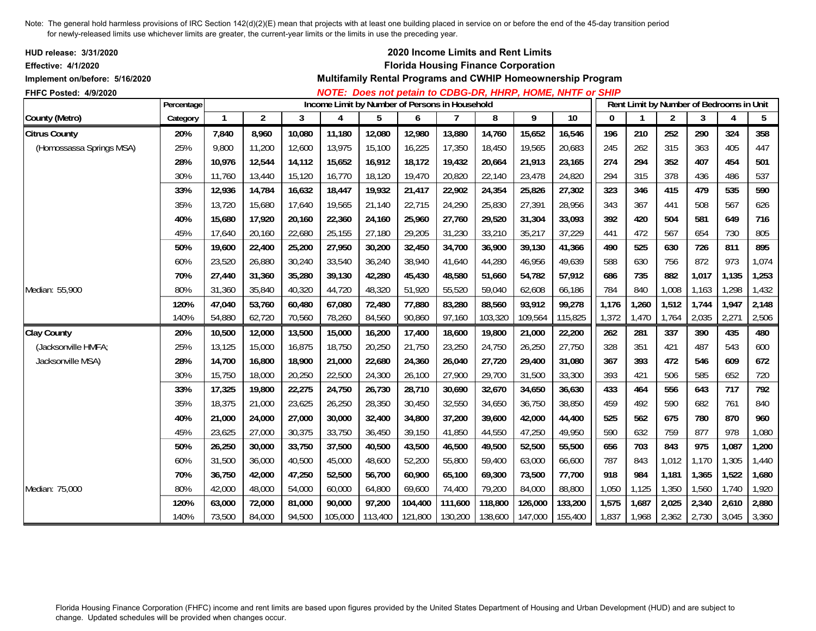| <b>HUD release: 3/31/2020</b><br><b>Effective: 4/1/2020</b> |            |        |                |        |                                                |         |         |                | 2020 Income Limits and Rent Limits<br><b>Florida Housing Finance Corporation</b> |         | Multifamily Rental Programs and CWHIP Homeownership Program |              |              |                |       |                                          |                 |
|-------------------------------------------------------------|------------|--------|----------------|--------|------------------------------------------------|---------|---------|----------------|----------------------------------------------------------------------------------|---------|-------------------------------------------------------------|--------------|--------------|----------------|-------|------------------------------------------|-----------------|
| Implement on/before: 5/16/2020                              |            |        |                |        |                                                |         |         |                |                                                                                  |         |                                                             |              |              |                |       |                                          |                 |
| FHFC Posted: 4/9/2020                                       | Percentage |        |                |        | Income Limit by Number of Persons in Household |         |         |                |                                                                                  |         | NOTE: Does not petain to CDBG-DR, HHRP, HOME, NHTF or SHIP  |              |              |                |       | Rent Limit by Number of Bedrooms in Unit |                 |
| County (Metro)                                              | Category   |        | $\overline{2}$ | 3      | 4                                              | 5       | 6       | $\overline{1}$ | 8                                                                                | 9       | $\overline{10}$                                             | $\mathbf{0}$ | $\mathbf{1}$ | $\overline{2}$ | 3     | $\boldsymbol{4}$                         | $5\phantom{.0}$ |
| <b>Citrus County</b>                                        | 20%        | 7,840  | 8,960          | 10,080 | 11,180                                         | 12,080  | 12,980  | 13,880         | 14,760                                                                           | 15,652  | 16,546                                                      | 196          | 210          | 252            | 290   | 324                                      | 358             |
| (Homossassa Springs MSA)                                    | 25%        | 9,800  | 11,200         | 12,600 | 13,975                                         | 15,100  | 16,225  | 17,350         | 18,450                                                                           | 19,565  | 20,683                                                      | 245          | 262          | 315            | 363   | 405                                      | 447             |
|                                                             | 28%        | 10,976 | 12,544         | 14,112 | 15,652                                         | 16,912  | 18,172  | 19,432         | 20,664                                                                           | 21,913  | 23,165                                                      | 274          | 294          | 352            | 407   | 454                                      | 501             |
|                                                             | 30%        | 11,760 | 13,440         | 15,120 | 16,770                                         | 18,120  | 19,470  | 20,820         | 22,140                                                                           | 23,478  | 24,820                                                      | 294          | 315          | 378            | 436   | 486                                      | 537             |
|                                                             | 33%        | 12,936 | 14,784         | 16,632 | 18,447                                         | 19,932  | 21,417  | 22,902         | 24,354                                                                           | 25,826  | 27,302                                                      | 323          | 346          | 415            | 479   | 535                                      | 590             |
|                                                             | 35%        | 13,720 | 15,680         | 17,640 | 19,565                                         | 21,140  | 22,715  | 24,290         | 25,830                                                                           | 27,391  | 28,956                                                      | 343          | 367          | 441            | 508   | 567                                      | 626             |
|                                                             | 40%        | 15,680 | 17,920         | 20,160 | 22,360                                         | 24,160  | 25,960  | 27,760         | 29,520                                                                           | 31,304  | 33,093                                                      | 392          | 420          | 504            | 581   | 649                                      | 716             |
|                                                             | 45%        | 17.640 | 20,160         | 22,680 | 25,155                                         | 27,180  | 29,205  | 31,230         | 33,210                                                                           | 35,217  | 37,229                                                      | 441          | 472          | 567            | 654   | 730                                      | 805             |
|                                                             | 50%        | 19.600 | 22,400         | 25,200 | 27,950                                         | 30,200  | 32,450  | 34,700         | 36,900                                                                           | 39.130  | 41,366                                                      | 490          | 525          | 630            | 726   | 811                                      | 895             |
|                                                             | 60%        | 23,520 | 26,880         | 30,240 | 33,540                                         | 36,240  | 38,940  | 41,640         | 44,280                                                                           | 46,956  | 49,639                                                      | 588          | 630          | 756            | 872   | 973                                      | 1,074           |
|                                                             | 70%        | 27.440 | 31,360         | 35,280 | 39,130                                         | 42,280  | 45,430  | 48,580         | 51.660                                                                           | 54,782  | 57,912                                                      | 686          | 735          | 882            | 1,017 | 1,135                                    | 1,253           |
| Median: 55,900                                              | 80%        | 31,360 | 35,840         | 40,320 | 44,720                                         | 48,320  | 51,920  | 55,520         | 59,040                                                                           | 62,608  | 66,186                                                      | 784          | 840          | 1,008          | 1,163 | 1,298                                    | 1,432           |
|                                                             | 120%       | 47,040 | 53,760         | 60,480 | 67,080                                         | 72,480  | 77,880  | 83,280         | 88,560                                                                           | 93,912  | 99,278                                                      | 1,176        | 1,260        | 1,512          | 1,744 | 1,947                                    | 2,148           |
|                                                             | 140%       | 54,880 | 62,720         | 70,560 | 78,260                                         | 84,560  | 90,860  | 97,160         | 103,320                                                                          | 109,564 | 115,825                                                     | 1,372        | 1,470        | 1,764          | 2,035 | 2,271                                    | 2,506           |
| <b>Clay County</b>                                          | 20%        | 10,500 | 12,000         | 13,500 | 15,000                                         | 16,200  | 17,400  | 18,600         | 19,800                                                                           | 21,000  | 22,200                                                      | 262          | 281          | 337            | 390   | 435                                      | 480             |
| (Jacksonville HMFA;                                         | 25%        | 13,125 | 15,000         | 16,875 | 18,750                                         | 20,250  | 21,750  | 23,250         | 24,750                                                                           | 26,250  | 27,750                                                      | 328          | 351          | 421            | 487   | 543                                      | 600             |
| Jacksonville MSA)                                           | 28%        | 14,700 | 16,800         | 18,900 | 21,000                                         | 22,680  | 24,360  | 26,040         | 27,720                                                                           | 29,400  | 31,080                                                      | 367          | 393          | 472            | 546   | 609                                      | 672             |
|                                                             | 30%        | 15,750 | 18,000         | 20,250 | 22,500                                         | 24,300  | 26,100  | 27,900         | 29,700                                                                           | 31,500  | 33,300                                                      | 393          | 421          | 506            | 585   | 652                                      | 720             |
|                                                             | 33%        | 17,325 | 19,800         | 22,275 | 24,750                                         | 26,730  | 28,710  | 30,690         | 32,670                                                                           | 34,650  | 36,630                                                      | 433          | 464          | 556            | 643   | 717                                      | 792             |
|                                                             | 35%        | 18,375 | 21,000         | 23,625 | 26,250                                         | 28,350  | 30,450  | 32,550         | 34,650                                                                           | 36,750  | 38,850                                                      | 459          | 492          | 590            | 682   | 761                                      | 840             |
|                                                             | 40%        | 21,000 | 24,000         | 27,000 | 30,000                                         | 32,400  | 34,800  | 37,200         | 39,600                                                                           | 42,000  | 44,400                                                      | 525          | 562          | 675            | 780   | 870                                      | 960             |
|                                                             | 45%        | 23,625 | 27,000         | 30,375 | 33,750                                         | 36,450  | 39,150  | 41,850         | 44,550                                                                           | 47,250  | 49,950                                                      | 590          | 632          | 759            | 877   | 978                                      | 1,080           |
|                                                             | 50%        | 26,250 | 30,000         | 33,750 | 37,500                                         | 40,500  | 43,500  | 46,500         | 49,500                                                                           | 52,500  | 55,500                                                      | 656          | 703          | 843            | 975   | 1,087                                    | 1,200           |
|                                                             | 60%        | 31,500 | 36,000         | 40,500 | 45,000                                         | 48,600  | 52,200  | 55,800         | 59,400                                                                           | 63,000  | 66,600                                                      | 787          | 843          | 1,012          | 1,170 | 1,305                                    | 1,440           |
|                                                             | 70%        | 36,750 | 42,000         | 47,250 | 52,500                                         | 56,700  | 60,900  | 65,100         | 69,300                                                                           | 73,500  | 77,700                                                      | 918          | 984          | 1,181          | 1,365 | 1,522                                    | 1,680           |
| Median: 75,000                                              | 80%        | 42,000 | 48,000         | 54,000 | 60,000                                         | 64,800  | 69,600  | 74,400         | 79,200                                                                           | 84,000  | 88,800                                                      | 1,050        | 1,125        | 1,350          | 1,560 | 1,740                                    | 1,920           |
|                                                             | 120%       | 63,000 | 72,000         | 81,000 | 90,000                                         | 97,200  | 104,400 | 111,600        | 118,800                                                                          | 126,000 | 133,200                                                     | 1,575        | 1,687        | 2,025          | 2,340 | 2,610                                    | 2,880           |
|                                                             | 140%       | 73,500 | 84,000         | 94,500 | 105,000                                        | 113,400 | 121,800 | 130,200        | 138,600                                                                          | 147,000 | 155,400                                                     | 1,837        | 1,968        | 2,362          | 2,730 | 3,045                                    | 3,360           |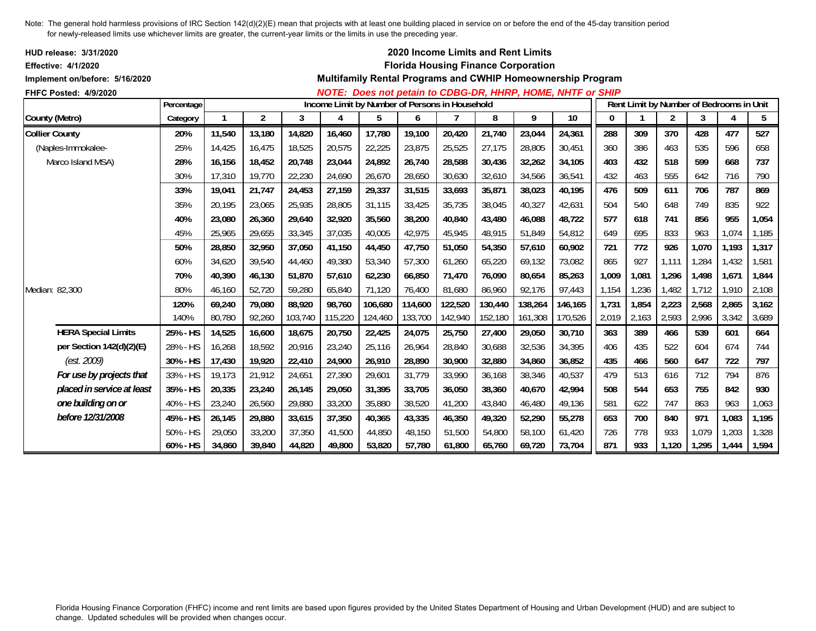| HUD release: 3/31/2020<br><b>Effective: 4/1/2020</b><br>Implement on/before: 5/16/2020 |            |              |                |         |                                                |         |         |         |         | 2020 Income Limits and Rent Limits<br><b>Florida Housing Finance Corporation</b> | Multifamily Rental Programs and CWHIP Homeownership Program |       |                                          |                |       |       |       |
|----------------------------------------------------------------------------------------|------------|--------------|----------------|---------|------------------------------------------------|---------|---------|---------|---------|----------------------------------------------------------------------------------|-------------------------------------------------------------|-------|------------------------------------------|----------------|-------|-------|-------|
| FHFC Posted: 4/9/2020                                                                  |            |              |                |         |                                                |         |         |         |         |                                                                                  | NOTE: Does not petain to CDBG-DR, HHRP, HOME, NHTF or SHIP  |       |                                          |                |       |       |       |
|                                                                                        | Percentage |              |                |         | Income Limit by Number of Persons in Household |         |         |         |         |                                                                                  |                                                             |       | Rent Limit by Number of Bedrooms in Unit |                |       |       |       |
| County (Metro)                                                                         | Category   | $\mathbf{1}$ | $\overline{2}$ | 3       | 4                                              | 5       | 6       |         | 8       | 9                                                                                | 10                                                          | 0     |                                          | $\overline{2}$ | 3     | 4     | 5     |
| <b>Collier County</b>                                                                  | 20%        | 11,540       | 13,180         | 14,820  | 16,460                                         | 17,780  | 19,100  | 20,420  | 21,740  | 23,044                                                                           | 24,361                                                      | 288   | 309                                      | 370            | 428   | 477   | 527   |
| (Naples-Immokalee-                                                                     | 25%        | 14,425       | 16,475         | 18,525  | 20,575                                         | 22,225  | 23,875  | 25,525  | 27,175  | 28,805                                                                           | 30,451                                                      | 360   | 386                                      | 463            | 535   | 596   | 658   |
| Marco Island MSA)                                                                      | 28%        | 16,156       | 18,452         | 20,748  | 23,044                                         | 24,892  | 26,740  | 28,588  | 30,436  | 32,262                                                                           | 34,105                                                      | 403   | 432                                      | 518            | 599   | 668   | 737   |
|                                                                                        | 30%        | 17,310       | 19,770         | 22,230  | 24,690                                         | 26,670  | 28,650  | 30,630  | 32,610  | 34,566                                                                           | 36,541                                                      | 432   | 463                                      | 555            | 642   | 716   | 790   |
|                                                                                        | 33%        | 19,041       | 21,747         | 24,453  | 27,159                                         | 29,337  | 31,515  | 33,693  | 35,871  | 38,023                                                                           | 40,195                                                      | 476   | 509                                      | 611            | 706   | 787   | 869   |
|                                                                                        | 35%        | 20,195       | 23,065         | 25,935  | 28,805                                         | 31,115  | 33,425  | 35,735  | 38,045  | 40,327                                                                           | 42,631                                                      | 504   | 540                                      | 648            | 749   | 835   | 922   |
|                                                                                        | 40%        | 23,080       | 26,360         | 29,640  | 32,920                                         | 35,560  | 38,200  | 40,840  | 43,480  | 46,088                                                                           | 48,722                                                      | 577   | 618                                      | 741            | 856   | 955   | 1,054 |
|                                                                                        | 45%        | 25,965       | 29,655         | 33,345  | 37,035                                         | 40,005  | 42,975  | 45,945  | 48,915  | 51,849                                                                           | 54,812                                                      | 649   | 695                                      | 833            | 963   | 1,074 | 1,185 |
|                                                                                        | 50%        | 28,850       | 32,950         | 37.050  | 41,150                                         | 44,450  | 47,750  | 51,050  | 54,350  | 57,610                                                                           | 60,902                                                      | 721   | 772                                      | 926            | 1,070 | 1,193 | 1,317 |
|                                                                                        | 60%        | 34,620       | 39,540         | 44,460  | 49,380                                         | 53,340  | 57,300  | 61,260  | 65,220  | 69,132                                                                           | 73,082                                                      | 865   | 927                                      | 1,111          | 1,284 | 1,432 | 1,581 |
|                                                                                        | 70%        | 40,390       | 46,130         | 51.870  | 57,610                                         | 62,230  | 66,850  | 71,470  | 76.090  | 80,654                                                                           | 85,263                                                      | 1,009 | 1,081                                    | 1,296          | 1,498 | 1,671 | 1,844 |
| Median: 82,300                                                                         | 80%        | 46,160       | 52,720         | 59,280  | 65,840                                         | 71,120  | 76,400  | 81,680  | 86,960  | 92,176                                                                           | 97,443                                                      | 1,154 | 1,236                                    | 1,482          | 1,712 | 1,910 | 2,108 |
|                                                                                        | 120%       | 69,240       | 79,080         | 88,920  | 98,760                                         | 106,680 | 114,600 | 122,520 | 130,440 | 138,264                                                                          | 146,165                                                     | 1,731 | 1,854                                    | 2,223          | 2,568 | 2,865 | 3,162 |
|                                                                                        | 140%       | 80,780       | 92,260         | 103,740 | 115,220                                        | 124,460 | 133,700 | 142,940 | 152,180 | 161,308                                                                          | 170,526                                                     | 2,019 | 2,163                                    | 2,593          | 2,996 | 3,342 | 3,689 |
| <b>HERA Special Limits</b>                                                             | 25% - HS   | 14,525       | 16,600         | 18,675  | 20,750                                         | 22,425  | 24,075  | 25,750  | 27,400  | 29,050                                                                           | 30,710                                                      | 363   | 389                                      | 466            | 539   | 601   | 664   |
| per Section 142(d)(2)(E)                                                               | 28% - HS   | 16,268       | 18,592         | 20,916  | 23,240                                         | 25,116  | 26,964  | 28,840  | 30.688  | 32,536                                                                           | 34,395                                                      | 406   | 435                                      | 522            | 604   | 674   | 744   |
| (est. 2009)                                                                            | 30% - HS   | 17,430       | 19,920         | 22,410  | 24,900                                         | 26,910  | 28,890  | 30,900  | 32,880  | 34,860                                                                           | 36,852                                                      | 435   | 466                                      | 560            | 647   | 722   | 797   |
| For use by projects that                                                               | 33% - HS   | 19,173       | 21,912         | 24,651  | 27,390                                         | 29,601  | 31,779  | 33,990  | 36.168  | 38,346                                                                           | 40,537                                                      | 479   | 513                                      | 616            | 712   | 794   | 876   |
| placed in service at least                                                             | 35% - HS   | 20,335       | 23,240         | 26,145  | 29,050                                         | 31,395  | 33,705  | 36,050  | 38,360  | 40.670                                                                           | 42,994                                                      | 508   | 544                                      | 653            | 755   | 842   | 930   |
| one building on or                                                                     | 40% - HS   | 23,240       | 26,560         | 29,880  | 33,200                                         | 35,880  | 38,520  | 41,200  | 43,840  | 46,480                                                                           | 49,136                                                      | 581   | 622                                      | 747            | 863   | 963   | 1,063 |
| before 12/31/2008                                                                      | 45% - HS   | 26,145       | 29,880         | 33,615  | 37,350                                         | 40,365  | 43,335  | 46,350  | 49,320  | 52,290                                                                           | 55,278                                                      | 653   | 700                                      | 840            | 971   | 1,083 | 1,195 |
|                                                                                        | 50% - HS   | 29,050       | 33,200         | 37,350  | 41,500                                         | 44,850  | 48,150  | 51,500  | 54,800  | 58,100                                                                           | 61,420                                                      | 726   | 778                                      | 933            | 1,079 | ,203  | 1,328 |
|                                                                                        | 60% - HS   | 34,860       | 39,840         | 44,820  | 49,800                                         | 53,820  | 57,780  | 61,800  | 65,760  | 69,720                                                                           | 73,704                                                      | 871   | 933                                      | 1,120          | 1,295 | 1,444 | 1,594 |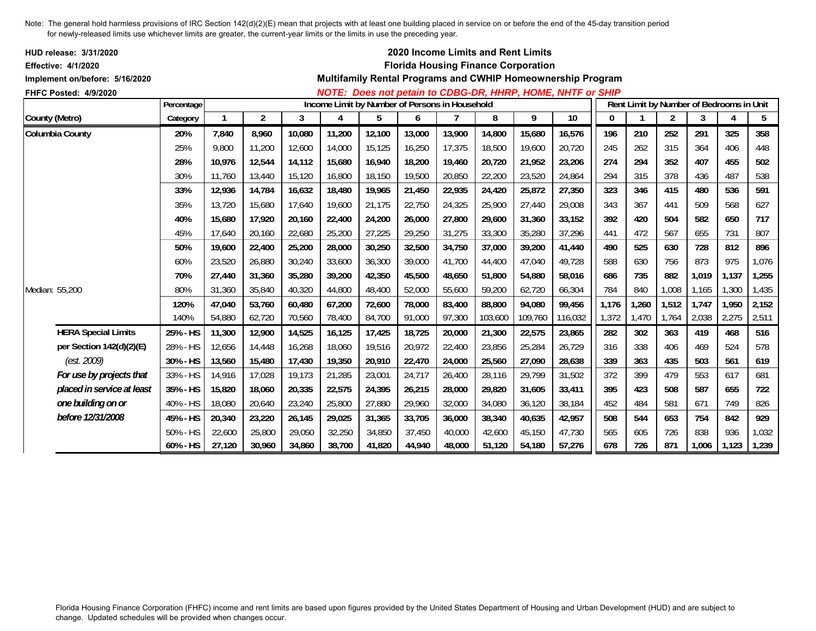| <b>HUD release: 3/31/2020</b>  |            |        |        |        |        |                                                |        |        | 2020 Income Limits and Rent Limits         |         |                                                             |       |       |       |       |                                          |       |
|--------------------------------|------------|--------|--------|--------|--------|------------------------------------------------|--------|--------|--------------------------------------------|---------|-------------------------------------------------------------|-------|-------|-------|-------|------------------------------------------|-------|
| <b>Effective: 4/1/2020</b>     |            |        |        |        |        |                                                |        |        | <b>Florida Housing Finance Corporation</b> |         |                                                             |       |       |       |       |                                          |       |
| Implement on/before: 5/16/2020 |            |        |        |        |        |                                                |        |        |                                            |         | Multifamily Rental Programs and CWHIP Homeownership Program |       |       |       |       |                                          |       |
| FHFC Posted: 4/9/2020          |            |        |        |        |        |                                                |        |        |                                            |         | NOTE: Does not petain to CDBG-DR, HHRP, HOME, NHTF or SHIP  |       |       |       |       |                                          |       |
|                                | Percentage |        |        |        |        | Income Limit by Number of Persons in Household |        |        |                                            |         |                                                             |       |       |       |       | Rent Limit by Number of Bedrooms in Unit |       |
| County (Metro)                 | Category   |        | 2      | 3      | 4      | 5                                              | 6      |        | 8                                          | 9       | 10                                                          | 0     |       | 2     | 3     | 4                                        | 5     |
| Columbia County                | 20%        | 7,840  | 8,960  | 10,080 | 11,200 | 12,100                                         | 13,000 | 13,900 | 14,800                                     | 15,680  | 16,576                                                      | 196   | 210   | 252   | 291   | 325                                      | 358   |
|                                | 25%        | 9,800  | 11,200 | 12,600 | 14,000 | 15,125                                         | 16,250 | 17,375 | 18,500                                     | 19,600  | 20,720                                                      | 245   | 262   | 315   | 364   | 406                                      | 448   |
|                                | 28%        | 10.976 | 12,544 | 14,112 | 15,680 | 16,940                                         | 18,200 | 19,460 | 20,720                                     | 21,952  | 23,206                                                      | 274   | 294   | 352   | 407   | 455                                      | 502   |
|                                | 30%        | 11.760 | 13,440 | 15,120 | 16,800 | 18,150                                         | 19,500 | 20,850 | 22,200                                     | 23,520  | 24.864                                                      | 294   | 315   | 378   | 436   | 487                                      | 538   |
|                                | 33%        | 12,936 | 14,784 | 16,632 | 18,480 | 19,965                                         | 21,450 | 22,935 | 24,420                                     | 25,872  | 27,350                                                      | 323   | 346   | 415   | 480   | 536                                      | 591   |
|                                | 35%        | 13,720 | 15,680 | 17,640 | 19,600 | 21,175                                         | 22,750 | 24,325 | 25,900                                     | 27,440  | 29,008                                                      | 343   | 367   | 441   | 509   | 568                                      | 627   |
|                                | 40%        | 15.680 | 17.920 | 20,160 | 22,400 | 24,200                                         | 26,000 | 27,800 | 29,600                                     | 31,360  | 33,152                                                      | 392   | 420   | 504   | 582   | 650                                      | 717   |
|                                | 45%        | 17.640 | 20,160 | 22,680 | 25,200 | 27,225                                         | 29,250 | 31,275 | 33,300                                     | 35,280  | 37,296                                                      | 441   | 472   | 567   | 655   | 731                                      | 807   |
|                                | 50%        | 19,600 | 22,400 | 25,200 | 28,000 | 30,250                                         | 32,500 | 34,750 | 37,000                                     | 39,200  | 41,440                                                      | 490   | 525   | 630   | 728   | 812                                      | 896   |
|                                | 60%        | 23,520 | 26,880 | 30,240 | 33,600 | 36,300                                         | 39,000 | 41,700 | 44,400                                     | 47,040  | 49,728                                                      | 588   | 630   | 756   | 873   | 975                                      | 1,076 |
|                                | 70%        | 27.440 | 31,360 | 35,280 | 39,200 | 42,350                                         | 45,500 | 48,650 | 51,800                                     | 54,880  | 58.016                                                      | 686   | 735   | 882   | 1,019 | 1,137                                    | 1,255 |
| Median: 55,200                 | 80%        | 31,360 | 35,840 | 40,320 | 44,800 | 48,400                                         | 52,000 | 55,600 | 59,200                                     | 62,720  | 66,304                                                      | 784   | 840   | 1,008 | 1,165 | 1,300                                    | 1,435 |
|                                | 120%       | 47,040 | 53,760 | 60,480 | 67,200 | 72,600                                         | 78,000 | 83,400 | 88,800                                     | 94,080  | 99,456                                                      | 1,176 | 1,260 | 1,512 | 1,747 | 1,950                                    | 2,152 |
|                                | 140%       | 54,880 | 62,720 | 70,560 | 78,400 | 84,700                                         | 91,000 | 97,300 | 103,600                                    | 109,760 | 116,032                                                     | 1,372 | 1,470 | 1,764 | 2,038 | 2,275                                    | 2,511 |
| <b>HERA Special Limits</b>     | 25% - HS   | 11,300 | 12,900 | 14,525 | 16,125 | 17,425                                         | 18,725 | 20,000 | 21,300                                     | 22,575  | 23,865                                                      | 282   | 302   | 363   | 419   | 468                                      | 516   |
| per Section 142(d)(2)(E)       | 28% - HS   | 12,656 | 14,448 | 16,268 | 18,060 | 19,516                                         | 20,972 | 22,400 | 23,856                                     | 25,284  | 26,729                                                      | 316   | 338   | 406   | 469   | 524                                      | 578   |
| (est. 2009)                    | 30% - HS   | 13,560 | 15,480 | 17,430 | 19,350 | 20,910                                         | 22,470 | 24,000 | 25,560                                     | 27,090  | 28,638                                                      | 339   | 363   | 435   | 503   | 561                                      | 619   |
| For use by projects that       | 33% - HS   | 14,916 | 17,028 | 19,173 | 21,285 | 23,001                                         | 24,717 | 26,400 | 28,116                                     | 29,799  | 31,502                                                      | 372   | 399   | 479   | 553   | 617                                      | 681   |
| placed in service at least     | 35% - HS   | 15,820 | 18,060 | 20,335 | 22,575 | 24,395                                         | 26,215 | 28,000 | 29,820                                     | 31,605  | 33,411                                                      | 395   | 423   | 508   | 587   | 655                                      | 722   |
| one building on or             | 40% - HS   | 18,080 | 20,640 | 23,240 | 25,800 | 27,880                                         | 29,960 | 32,000 | 34,080                                     | 36,120  | 38,184                                                      | 452   | 484   | 581   | 671   | 749                                      | 826   |
| before 12/31/2008              | 45% - HS   | 20,340 | 23,220 | 26,145 | 29,025 | 31,365                                         | 33,705 | 36,000 | 38,340                                     | 40,635  | 42,957                                                      | 508   | 544   | 653   | 754   | 842                                      | 929   |
|                                | 50% - HS   | 22,600 | 25,800 | 29,050 | 32,250 | 34,850                                         | 37,450 | 40,000 | 42,600                                     | 45,150  | 47,730                                                      | 565   | 605   | 726   | 838   | 936                                      | 1,032 |
|                                | 60% - HS   | 27,120 | 30,960 | 34,860 | 38,700 | 41,820                                         | 44,940 | 48,000 | 51,120                                     | 54,180  | 57,276                                                      | 678   | 726   | 871   | 1,006 | 1,123                                    | 1,239 |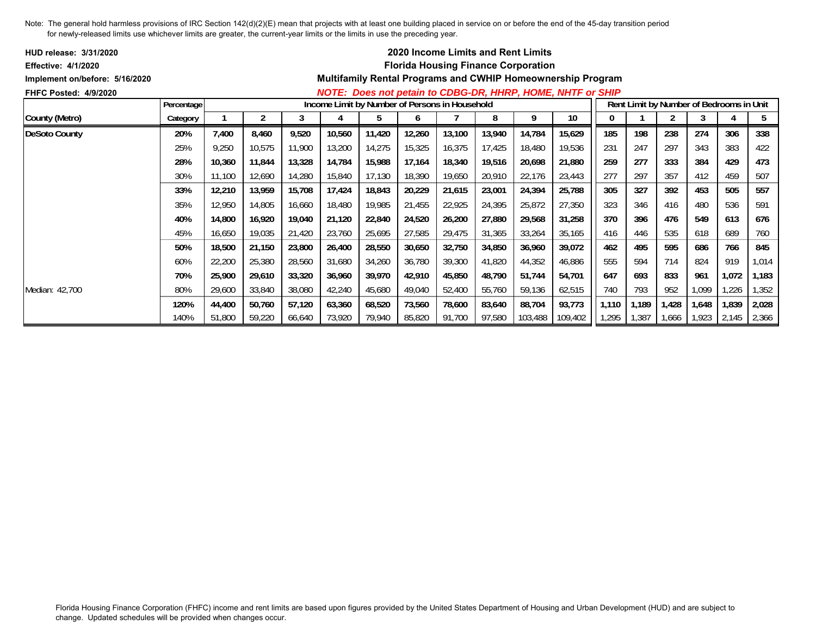| <b>HUD release: 3/31/2020</b>  |            |        |        |        |        |                                                |        |        | <b>2020 Income Limits and Rent Limits</b>  |         |                                                                    |       |       |        |       |                                          |       |
|--------------------------------|------------|--------|--------|--------|--------|------------------------------------------------|--------|--------|--------------------------------------------|---------|--------------------------------------------------------------------|-------|-------|--------|-------|------------------------------------------|-------|
| <b>Effective: 4/1/2020</b>     |            |        |        |        |        |                                                |        |        | <b>Florida Housing Finance Corporation</b> |         |                                                                    |       |       |        |       |                                          |       |
| Implement on/before: 5/16/2020 |            |        |        |        |        |                                                |        |        |                                            |         | <b>Multifamily Rental Programs and CWHIP Homeownership Program</b> |       |       |        |       |                                          |       |
| <b>FHFC Posted: 4/9/2020</b>   |            |        |        |        |        |                                                |        |        |                                            |         | NOTE: Does not petain to CDBG-DR, HHRP, HOME, NHTF or SHIP         |       |       |        |       |                                          |       |
|                                | Percentage |        |        |        |        | Income Limit by Number of Persons in Household |        |        |                                            |         |                                                                    |       |       |        |       | Rent Limit by Number of Bedrooms in Unit |       |
| County (Metro)                 | Category   |        | 2      | 3      | 4      | b                                              | 6      |        | 8                                          | 9       | 10                                                                 | 0     |       |        | 3     | 4                                        | 5     |
| <b>DeSoto County</b>           | 20%        | 7,400  | 8,460  | 9,520  | 10,560 | 11,420                                         | 12,260 | 13,100 | 13,940                                     | 14,784  | 15,629                                                             | 185   | 198   | 238    | 274   | 306                                      | 338   |
|                                | 25%        | 9,250  | 10,575 | 11,900 | 13,200 | 14,275                                         | 15,325 | 16,375 | 17,425                                     | 18,480  | 19,536                                                             | 231   | 247   | 297    | 343   | 383                                      | 422   |
|                                | 28%        | 10,360 | 11,844 | 13,328 | 14,784 | 15,988                                         | 17,164 | 18,340 | 19,516                                     | 20,698  | 21,880                                                             | 259   | 277   | 333    | 384   | 429                                      | 473   |
|                                | 30%        | 11,100 | 12,690 | 14,280 | 15,840 | 17,130                                         | 18,390 | 19,650 | 20,910                                     | 22,176  | 23,443                                                             | 277   | 297   | 357    | 412   | 459                                      | 507   |
|                                | 33%        | 12,210 | 13,959 | 15,708 | 17,424 | 18,843                                         | 20,229 | 21,615 | 23,001                                     | 24,394  | 25,788                                                             | 305   | 327   | 392    | 453   | 505                                      | 557   |
|                                | 35%        | 12,950 | 14,805 | 16,660 | 18,480 | 19,985                                         | 21,455 | 22,925 | 24,395                                     | 25,872  | 27,350                                                             | 323   | 346   | 416    | 480   | 536                                      | 591   |
|                                | 40%        | 14,800 | 16,920 | 19,040 | 21,120 | 22,840                                         | 24,520 | 26,200 | 27,880                                     | 29,568  | 31,258                                                             | 370   | 396   | 476    | 549   | 613                                      | 676   |
|                                | 45%        | 16,650 | 19,035 | 21,420 | 23,760 | 25,695                                         | 27,585 | 29,475 | 31,365                                     | 33,264  | 35,165                                                             | 416   | 446   | 535    | 618   | 689                                      | 760   |
|                                | 50%        | 18,500 | 21,150 | 23,800 | 26,400 | 28,550                                         | 30,650 | 32,750 | 34,850                                     | 36,960  | 39,072                                                             | 462   | 495   | 595    | 686   | 766                                      | 845   |
|                                | 60%        | 22,200 | 25,380 | 28,560 | 31,680 | 34,260                                         | 36,780 | 39,300 | 41,820                                     | 44,352  | 46,886                                                             | 555   | 594   | 714    | 824   | 919                                      | 1,014 |
|                                | 70%        | 25,900 | 29,610 | 33,320 | 36,960 | 39,970                                         | 42,910 | 45,850 | 48,790                                     | 51,744  | 54,701                                                             | 647   | 693   | 833    | 961   | 1,072                                    | 1,183 |
| Median: 42,700                 | 80%        | 29,600 | 33,840 | 38,080 | 42,240 | 45,680                                         | 49,040 | 52,400 | 55,760                                     | 59,136  | 62,515                                                             | 740   | 793   | 952    | 1,099 | 1,226                                    | 1,352 |
|                                | 120%       | 44,400 | 50,760 | 57,120 | 63,360 | 68,520                                         | 73,560 | 78,600 | 83,640                                     | 88,704  | 93,773                                                             | 1,110 | 1,189 | 1,428  | 1,648 | 1,839                                    | 2,028 |
|                                | 140%       | 51,800 | 59,220 | 66,640 | 73,920 | 79,940                                         | 85,820 | 91.700 | 97,580                                     | 103,488 | 109,402                                                            | 1,295 | .387  | 666, ا | 1,923 | 2,145                                    | 2,366 |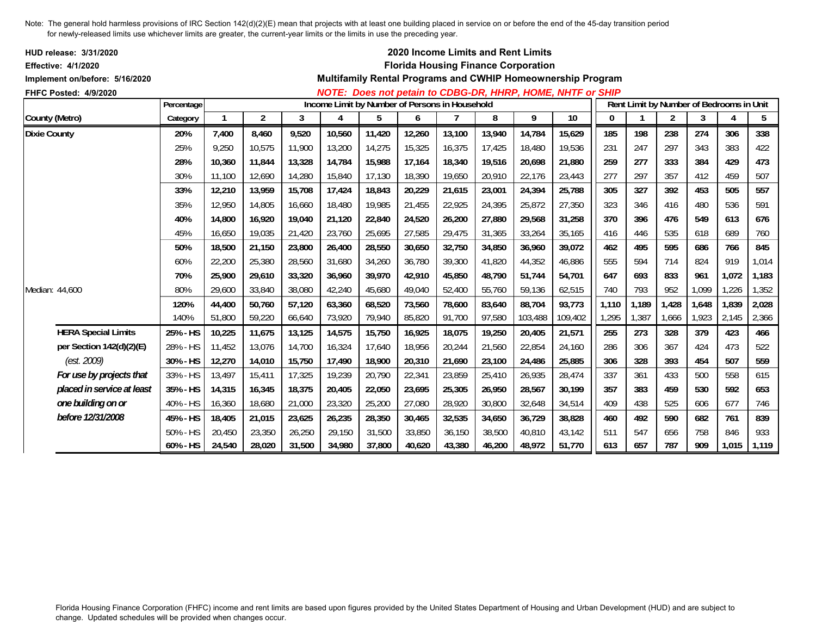| <b>HUD release: 3/31/2020</b><br><b>Effective: 4/1/2020</b> |            |        |        |        |                                                |        |        |        |        | 2020 Income Limits and Rent Limits<br><b>Florida Housing Finance Corporation</b> |                                                             |          |                                          |                |       |       |       |
|-------------------------------------------------------------|------------|--------|--------|--------|------------------------------------------------|--------|--------|--------|--------|----------------------------------------------------------------------------------|-------------------------------------------------------------|----------|------------------------------------------|----------------|-------|-------|-------|
| Implement on/before: 5/16/2020                              |            |        |        |        |                                                |        |        |        |        |                                                                                  | Multifamily Rental Programs and CWHIP Homeownership Program |          |                                          |                |       |       |       |
| FHFC Posted: 4/9/2020                                       |            |        |        |        |                                                |        |        |        |        |                                                                                  | NOTE: Does not petain to CDBG-DR, HHRP, HOME, NHTF or SHIP  |          |                                          |                |       |       |       |
|                                                             | Percentage |        |        |        | Income Limit by Number of Persons in Household |        |        |        |        |                                                                                  |                                                             |          | Rent Limit by Number of Bedrooms in Unit |                |       |       |       |
| County (Metro)                                              | Category   |        | 2      | 3      | 4                                              | 5      | 6      |        | 8      | 9                                                                                | 10                                                          | $\bf{0}$ |                                          | $\overline{2}$ | 3     | 4     | 5     |
| <b>Dixie County</b>                                         | 20%        | 7,400  | 8,460  | 9,520  | 10,560                                         | 11,420 | 12,260 | 13,100 | 13,940 | 14,784                                                                           | 15,629                                                      | 185      | 198                                      | 238            | 274   | 306   | 338   |
|                                                             | 25%        | 9.250  | 10,575 | 11,900 | 13,200                                         | 14,275 | 15,325 | 16,375 | 17,425 | 18,480                                                                           | 19,536                                                      | 231      | 247                                      | 297            | 343   | 383   | 422   |
|                                                             | 28%        | 10.360 | 11,844 | 13,328 | 14,784                                         | 15,988 | 17,164 | 18,340 | 19,516 | 20,698                                                                           | 21,880                                                      | 259      | 277                                      | 333            | 384   | 429   | 473   |
|                                                             | 30%        | 11,100 | 12,690 | 14,280 | 15,840                                         | 17,130 | 18,390 | 19,650 | 20,910 | 22,176                                                                           | 23,443                                                      | 277      | 297                                      | 357            | 412   | 459   | 507   |
|                                                             | 33%        | 12,210 | 13,959 | 15,708 | 17,424                                         | 18,843 | 20,229 | 21,615 | 23,001 | 24,394                                                                           | 25,788                                                      | 305      | 327                                      | 392            | 453   | 505   | 557   |
|                                                             | 35%        | 12,950 | 14,805 | 16,660 | 18,480                                         | 19,985 | 21,455 | 22,925 | 24,395 | 25,872                                                                           | 27,350                                                      | 323      | 346                                      | 416            | 480   | 536   | 591   |
|                                                             | 40%        | 14.800 | 16,920 | 19,040 | 21,120                                         | 22,840 | 24,520 | 26,200 | 27,880 | 29,568                                                                           | 31,258                                                      | 370      | 396                                      | 476            | 549   | 613   | 676   |
|                                                             | 45%        | 16,650 | 19,035 | 21,420 | 23,760                                         | 25,695 | 27,585 | 29,475 | 31,365 | 33,264                                                                           | 35,165                                                      | 416      | 446                                      | 535            | 618   | 689   | 760   |
|                                                             | 50%        | 18,500 | 21,150 | 23,800 | 26,400                                         | 28,550 | 30,650 | 32,750 | 34,850 | 36,960                                                                           | 39,072                                                      | 462      | 495                                      | 595            | 686   | 766   | 845   |
|                                                             | 60%        | 22,200 | 25,380 | 28,560 | 31,680                                         | 34,260 | 36,780 | 39,300 | 41,820 | 44,352                                                                           | 46,886                                                      | 555      | 594                                      | 714            | 824   | 919   | 1,014 |
|                                                             | 70%        | 25,900 | 29,610 | 33,320 | 36,960                                         | 39,970 | 42,910 | 45,850 | 48,790 | 51.744                                                                           | 54.701                                                      | 647      | 693                                      | 833            | 961   | 1,072 | 1,183 |
| Median: 44,600                                              | 80%        | 29,600 | 33,840 | 38,080 | 42,240                                         | 45,680 | 49,040 | 52,400 | 55,760 | 59,136                                                                           | 62,515                                                      | 740      | 793                                      | 952            | 1,099 | 1,226 | 1,352 |
|                                                             | 120%       | 44,400 | 50,760 | 57,120 | 63,360                                         | 68,520 | 73,560 | 78,600 | 83,640 | 88,704                                                                           | 93,773                                                      | 1,110    | 1,189                                    | 1,428          | 1,648 | 1,839 | 2,028 |
|                                                             | 140%       | 51,800 | 59,220 | 66,640 | 73,920                                         | 79,940 | 85,820 | 91,700 | 97,580 | 103,488                                                                          | 109,402                                                     | 1,295    | 1,387                                    | 1,666          | 1,923 | 2,145 | 2,366 |
| <b>HERA Special Limits</b>                                  | 25% - HS   | 10,225 | 11,675 | 13,125 | 14,575                                         | 15,750 | 16,925 | 18,075 | 19,250 | 20,405                                                                           | 21,571                                                      | 255      | 273                                      | 328            | 379   | 423   | 466   |
| per Section 142(d)(2)(E)                                    | 28% - HS   | 11,452 | 13,076 | 14.700 | 16,324                                         | 17,640 | 18,956 | 20,244 | 21,560 | 22.854                                                                           | 24.160                                                      | 286      | 306                                      | 367            | 424   | 473   | 522   |
| (est. 2009)                                                 | 30% - HS   | 12,270 | 14,010 | 15,750 | 17,490                                         | 18,900 | 20,310 | 21,690 | 23,100 | 24,486                                                                           | 25,885                                                      | 306      | 328                                      | 393            | 454   | 507   | 559   |
| For use by projects that                                    | 33% - HS   | 13,497 | 15,411 | 17,325 | 19,239                                         | 20,790 | 22,341 | 23,859 | 25,410 | 26,935                                                                           | 28,474                                                      | 337      | 361                                      | 433            | 500   | 558   | 615   |
| placed in service at least                                  | 35% - HS   | 14,315 | 16,345 | 18,375 | 20,405                                         | 22,050 | 23,695 | 25,305 | 26,950 | 28,567                                                                           | 30.199                                                      | 357      | 383                                      | 459            | 530   | 592   | 653   |
| one building on or                                          | 40% - HS   | 16,360 | 18,680 | 21,000 | 23,320                                         | 25,200 | 27,080 | 28,920 | 30,800 | 32,648                                                                           | 34,514                                                      | 409      | 438                                      | 525            | 606   | 677   | 746   |
| before 12/31/2008                                           | 45% - HS   | 18,405 | 21,015 | 23,625 | 26,235                                         | 28,350 | 30,465 | 32,535 | 34,650 | 36,729                                                                           | 38,828                                                      | 460      | 492                                      | 590            | 682   | 761   | 839   |
|                                                             | 50% - HS   | 20,450 | 23,350 | 26,250 | 29,150                                         | 31,500 | 33,850 | 36,150 | 38,500 | 40,810                                                                           | 43,142                                                      | 511      | 547                                      | 656            | 758   | 846   | 933   |
|                                                             | 60% - HS   | 24,540 | 28,020 | 31,500 | 34,980                                         | 37,800 | 40,620 | 43,380 | 46,200 | 48,972                                                                           | 51,770                                                      | 613      | 657                                      | 787            | 909   | 1,015 | 1,119 |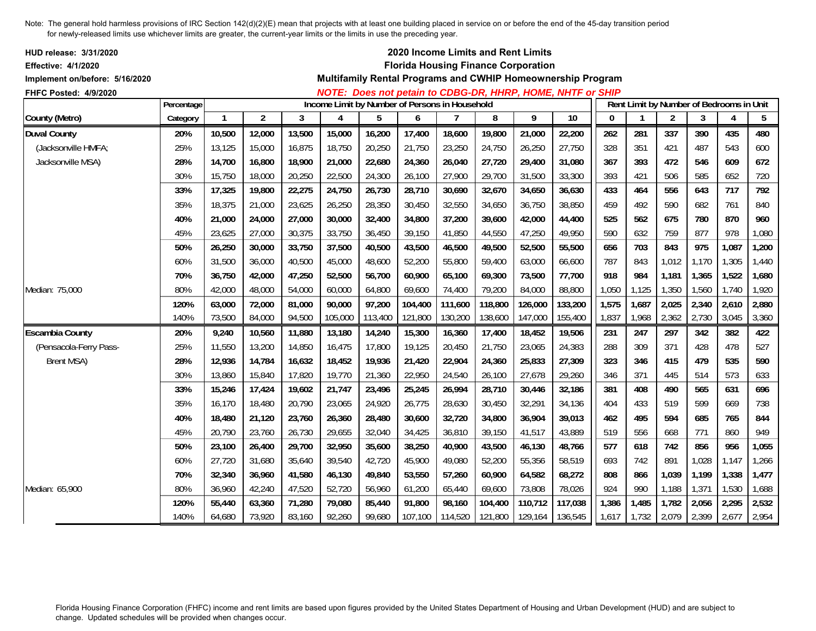| HUD release: 3/31/2020<br><b>Effective: 4/1/2020</b><br>Implement on/before: 5/16/2020 |            |              |                |        |         |                                                |         |         | 2020 Income Limits and Rent Limits<br><b>Florida Housing Finance Corporation</b> |         | Multifamily Rental Programs and CWHIP Homeownership Program |              |              |                |                                          |                |       |
|----------------------------------------------------------------------------------------|------------|--------------|----------------|--------|---------|------------------------------------------------|---------|---------|----------------------------------------------------------------------------------|---------|-------------------------------------------------------------|--------------|--------------|----------------|------------------------------------------|----------------|-------|
| FHFC Posted: 4/9/2020                                                                  | Percentage |              |                |        |         | Income Limit by Number of Persons in Household |         |         |                                                                                  |         | NOTE: Does not petain to CDBG-DR, HHRP, HOME, NHTF or SHIP  |              |              |                | Rent Limit by Number of Bedrooms in Unit |                |       |
| County (Metro)                                                                         | Category   | $\mathbf{1}$ | $\overline{2}$ | 3      | 4       | 5                                              | 6       | 7       | 8                                                                                | 9       | $\overline{10}$                                             | $\mathbf{0}$ | $\mathbf{1}$ | $\overline{2}$ | 3                                        | $\overline{4}$ | 5     |
| <b>Duval County</b>                                                                    | 20%        | 10,500       | 12,000         | 13,500 | 15,000  | 16,200                                         | 17,400  | 18,600  | 19,800                                                                           | 21,000  | 22,200                                                      | 262          | 281          | 337            | 390                                      | 435            | 480   |
| (Jacksonville HMFA;                                                                    | 25%        | 13,125       | 15,000         | 16,875 | 18,750  | 20,250                                         | 21,750  | 23,250  | 24,750                                                                           | 26,250  | 27,750                                                      | 328          | 351          | 421            | 487                                      | 543            | 600   |
| Jacksonville MSA)                                                                      | 28%        | 14,700       | 16,800         | 18,900 | 21,000  | 22,680                                         | 24,360  | 26,040  | 27,720                                                                           | 29,400  | 31,080                                                      | 367          | 393          | 472            | 546                                      | 609            | 672   |
|                                                                                        | 30%        | 15,750       | 18,000         | 20,250 | 22,500  | 24,300                                         | 26,100  | 27,900  | 29,700                                                                           | 31,500  | 33,300                                                      | 393          | 421          | 506            | 585                                      | 652            | 720   |
|                                                                                        | 33%        | 17,325       | 19,800         | 22,275 | 24,750  | 26,730                                         | 28,710  | 30,690  | 32,670                                                                           | 34,650  | 36,630                                                      | 433          | 464          | 556            | 643                                      | 717            | 792   |
|                                                                                        | 35%        | 18,375       | 21,000         | 23,625 | 26,250  | 28,350                                         | 30,450  | 32,550  | 34,650                                                                           | 36,750  | 38,850                                                      | 459          | 492          | 590            | 682                                      | 761            | 840   |
|                                                                                        | 40%        | 21,000       | 24,000         | 27,000 | 30,000  | 32,400                                         | 34,800  | 37,200  | 39,600                                                                           | 42,000  | 44,400                                                      | 525          | 562          | 675            | 780                                      | 870            | 960   |
|                                                                                        | 45%        | 23,625       | 27,000         | 30,375 | 33,750  | 36,450                                         | 39,150  | 41,850  | 44,550                                                                           | 47,250  | 49,950                                                      | 590          | 632          | 759            | 877                                      | 978            | 1,080 |
|                                                                                        | 50%        | 26,250       | 30,000         | 33,750 | 37,500  | 40,500                                         | 43,500  | 46,500  | 49,500                                                                           | 52,500  | 55,500                                                      | 656          | 703          | 843            | 975                                      | 1,087          | 1,200 |
|                                                                                        | 60%        | 31,500       | 36,000         | 40,500 | 45,000  | 48,600                                         | 52,200  | 55,800  | 59,400                                                                           | 63,000  | 66,600                                                      | 787          | 843          | 1,012          | 1,170                                    | 1,305          | 1,440 |
|                                                                                        | 70%        | 36,750       | 42,000         | 47,250 | 52,500  | 56,700                                         | 60,900  | 65,100  | 69,300                                                                           | 73,500  | 77,700                                                      | 918          | 984          | 1,181          | 1,365                                    | 1,522          | 1,680 |
| Median: 75,000                                                                         | 80%        | 42,000       | 48,000         | 54,000 | 60,000  | 64,800                                         | 69,600  | 74,400  | 79,200                                                                           | 84,000  | 88,800                                                      | 1,050        | 1,125        | 1,350          | 1,560                                    | 1,740          | 1,920 |
|                                                                                        | 120%       | 63,000       | 72,000         | 81,000 | 90,000  | 97,200                                         | 104,400 | 111,600 | 118,800                                                                          | 126,000 | 133,200                                                     | 1,575        | 1,687        | 2,025          | 2,340                                    | 2,610          | 2,880 |
|                                                                                        | 140%       | 73,500       | 84,000         | 94,500 | 105,000 | 113,400                                        | 121,800 | 130,200 | 138,600                                                                          | 147,000 | 155,400                                                     | 1,837        | 1,968        | 2,362          | 2,730                                    | 3,045          | 3,360 |
| <b>Escambia County</b>                                                                 | 20%        | 9,240        | 10,560         | 11,880 | 13,180  | 14,240                                         | 15,300  | 16,360  | 17,400                                                                           | 18,452  | 19,506                                                      | 231          | 247          | 297            | 342                                      | 382            | 422   |
| (Pensacola-Ferry Pass-                                                                 | 25%        | 11,550       | 13,200         | 14,850 | 16,475  | 17,800                                         | 19,125  | 20,450  | 21,750                                                                           | 23,065  | 24,383                                                      | 288          | 309          | 371            | 428                                      | 478            | 527   |
| <b>Brent MSA)</b>                                                                      | 28%        | 12,936       | 14,784         | 16,632 | 18,452  | 19,936                                         | 21,420  | 22,904  | 24,360                                                                           | 25,833  | 27,309                                                      | 323          | 346          | 415            | 479                                      | 535            | 590   |
|                                                                                        | 30%        | 13,860       | 15,840         | 17,820 | 19,770  | 21,360                                         | 22,950  | 24,540  | 26,100                                                                           | 27,678  | 29,260                                                      | 346          | 371          | 445            | 514                                      | 573            | 633   |
|                                                                                        | 33%        | 15,246       | 17,424         | 19,602 | 21,747  | 23,496                                         | 25,245  | 26,994  | 28,710                                                                           | 30,446  | 32,186                                                      | 381          | 408          | 490            | 565                                      | 631            | 696   |
|                                                                                        | 35%        | 16,170       | 18,480         | 20,790 | 23,065  | 24,920                                         | 26,775  | 28,630  | 30,450                                                                           | 32,291  | 34,136                                                      | 404          | 433          | 519            | 599                                      | 669            | 738   |
|                                                                                        | 40%        | 18,480       | 21,120         | 23,760 | 26,360  | 28,480                                         | 30,600  | 32,720  | 34,800                                                                           | 36,904  | 39,013                                                      | 462          | 495          | 594            | 685                                      | 765            | 844   |
|                                                                                        | 45%        | 20,790       | 23,760         | 26,730 | 29,655  | 32,040                                         | 34,425  | 36,810  | 39,150                                                                           | 41,517  | 43,889                                                      | 519          | 556          | 668            | 771                                      | 860            | 949   |
|                                                                                        | 50%        | 23,100       | 26,400         | 29,700 | 32,950  | 35,600                                         | 38,250  | 40,900  | 43,500                                                                           | 46,130  | 48,766                                                      | 577          | 618          | 742            | 856                                      | 956            | 1,055 |
|                                                                                        | 60%        | 27,720       | 31,680         | 35,640 | 39,540  | 42,720                                         | 45,900  | 49,080  | 52,200                                                                           | 55,356  | 58,519                                                      | 693          | 742          | 891            | 1,028                                    | 1,147          | 1,266 |
|                                                                                        | 70%        | 32,340       | 36,960         | 41,580 | 46,130  | 49,840                                         | 53,550  | 57,260  | 60,900                                                                           | 64,582  | 68,272                                                      | 808          | 866          | 1,039          | 1,199                                    | 1,338          | 1,477 |
| Median: 65,900                                                                         | 80%        | 36,960       | 42,240         | 47,520 | 52,720  | 56,960                                         | 61,200  | 65,440  | 69,600                                                                           | 73,808  | 78,026                                                      | 924          | 990          | 1,188          | 1,371                                    | 1,530          | 1,688 |
|                                                                                        | 120%       | 55,440       | 63,360         | 71,280 | 79,080  | 85,440                                         | 91,800  | 98,160  | 104,400                                                                          | 110,712 | 117,038                                                     | 1,386        | 1,485        | 1,782          | 2,056                                    | 2,295          | 2,532 |
|                                                                                        | 140%       | 64,680       | 73,920         | 83,160 | 92,260  | 99,680                                         | 107,100 | 114,520 | 121,800                                                                          | 129,164 | 136,545                                                     | 1,617        | 1,732        | 2,079          | 2,399                                    | 2,677          | 2,954 |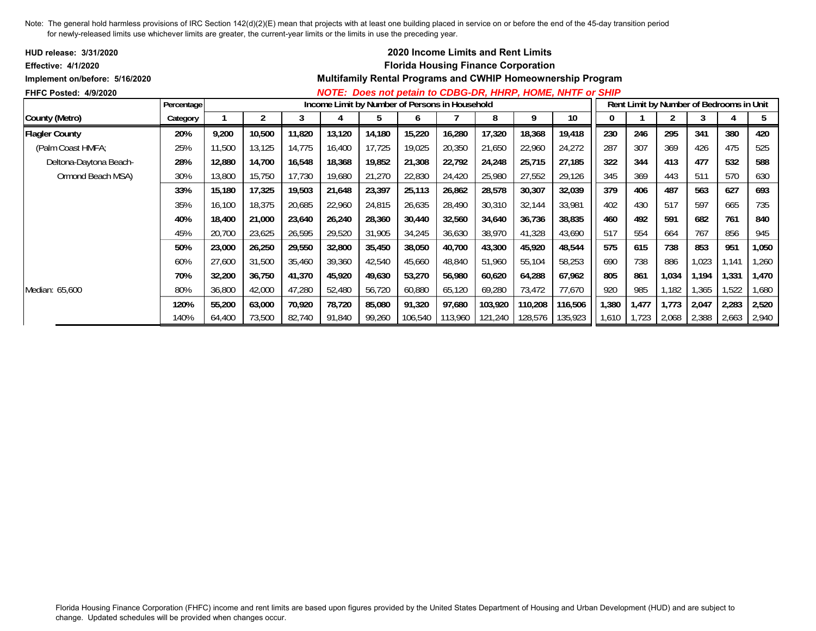| <b>HUD release: 3/31/2020</b>  |            |        |        |        |        |        |                                                |         | <b>2020 Income Limits and Rent Limits</b>  |         |                                                             |       |       |                                          |       |       |       |
|--------------------------------|------------|--------|--------|--------|--------|--------|------------------------------------------------|---------|--------------------------------------------|---------|-------------------------------------------------------------|-------|-------|------------------------------------------|-------|-------|-------|
| <b>Effective: 4/1/2020</b>     |            |        |        |        |        |        |                                                |         | <b>Florida Housing Finance Corporation</b> |         |                                                             |       |       |                                          |       |       |       |
| Implement on/before: 5/16/2020 |            |        |        |        |        |        |                                                |         |                                            |         | Multifamily Rental Programs and CWHIP Homeownership Program |       |       |                                          |       |       |       |
| <b>FHFC Posted: 4/9/2020</b>   |            |        |        |        |        |        |                                                |         |                                            |         | NOTE: Does not petain to CDBG-DR, HHRP, HOME, NHTF or SHIP  |       |       |                                          |       |       |       |
|                                | Percentage |        |        |        |        |        | Income Limit by Number of Persons in Household |         |                                            |         |                                                             |       |       | Rent Limit by Number of Bedrooms in Unit |       |       |       |
| County (Metro)                 | Category   |        |        |        |        | b      | O                                              |         | 8                                          | 9       | 10                                                          |       |       |                                          |       |       | 5     |
| <b>Flagler County</b>          | 20%        | 9,200  | 10,500 | 11,820 | 13,120 | 14,180 | 15,220                                         | 16,280  | 17,320                                     | 18,368  | 19,418                                                      | 230   | 246   | 295                                      | 341   | 380   | 420   |
| (Palm Coast HMFA;              | 25%        | 11,500 | 13,125 | 14,775 | 16,400 | 17,725 | 19,025                                         | 20,350  | 21,650                                     | 22,960  | 24,272                                                      | 287   | 307   | 369                                      | 426   | 475   | 525   |
| Deltona-Daytona Beach-         | 28%        | 12,880 | 14,700 | 16,548 | 18,368 | 19,852 | 21,308                                         | 22,792  | 24,248                                     | 25,715  | 27,185                                                      | 322   | 344   | 413                                      | 477   | 532   | 588   |
| Ormond Beach MSA)              | 30%        | 13,800 | 15,750 | 17,730 | 19,680 | 21,270 | 22,830                                         | 24,420  | 25,980                                     | 27,552  | 29,126                                                      | 345   | 369   | 443                                      | 511   | 570   | 630   |
|                                | 33%        | 15,180 | 17,325 | 19,503 | 21,648 | 23,397 | 25,113                                         | 26,862  | 28,578                                     | 30,307  | 32,039                                                      | 379   | 406   | 487                                      | 563   | 627   | 693   |
|                                | 35%        | 16,100 | 18,375 | 20,685 | 22,960 | 24,815 | 26,635                                         | 28,490  | 30,310                                     | 32,144  | 33,981                                                      | 402   | 430   | 517                                      | 597   | 665   | 735   |
|                                | 40%        | 18,400 | 21,000 | 23,640 | 26,240 | 28,360 | 30,440                                         | 32,560  | 34,640                                     | 36,736  | 38,835                                                      | 460   | 492   | 591                                      | 682   | 761   | 840   |
|                                | 45%        | 20,700 | 23,625 | 26,595 | 29,520 | 31,905 | 34,245                                         | 36,630  | 38,970                                     | 41,328  | 43,690                                                      | 517   | 554   | 664                                      | 767   | 856   | 945   |
|                                | 50%        | 23,000 | 26,250 | 29,550 | 32,800 | 35,450 | 38,050                                         | 40,700  | 43,300                                     | 45,920  | 48,544                                                      | 575   | 615   | 738                                      | 853   | 951   | 1,050 |
|                                | 60%        | 27,600 | 31,500 | 35,460 | 39,360 | 42,540 | 45,660                                         | 48,840  | 51,960                                     | 55,104  | 58,253                                                      | 690   | 738   | 886                                      | 1,023 | 1,141 | 1,260 |
|                                | 70%        | 32,200 | 36,750 | 41,370 | 45,920 | 49,630 | 53,270                                         | 56,980  | 60,620                                     | 64,288  | 67,962                                                      | 805   | 861   | 1,034                                    | 1,194 | 1,331 | 1,470 |
| Median: 65,600                 | 80%        | 36,800 | 42,000 | 47,280 | 52,480 | 56,720 | 60,880                                         | 65,120  | 69,280                                     | 73,472  | 77,670                                                      | 920   | 985   | 1,182                                    | ,365  | 1,522 | 1,680 |
|                                | 120%       | 55,200 | 63,000 | 70,920 | 78,720 | 85,080 | 91,320                                         | 97,680  | 103,920                                    | 110,208 | 116,506                                                     | 1,380 | 1,477 | 1,773                                    | 2,047 | 2,283 | 2,520 |
|                                | 140%       | 64,400 | 73,500 | 82,740 | 91,840 | 99,260 | 106,540                                        | 113,960 | 121,240                                    | 128,576 | 135,923                                                     | 1,610 | 1,723 | 2,068                                    | 2,388 | 2,663 | 2,940 |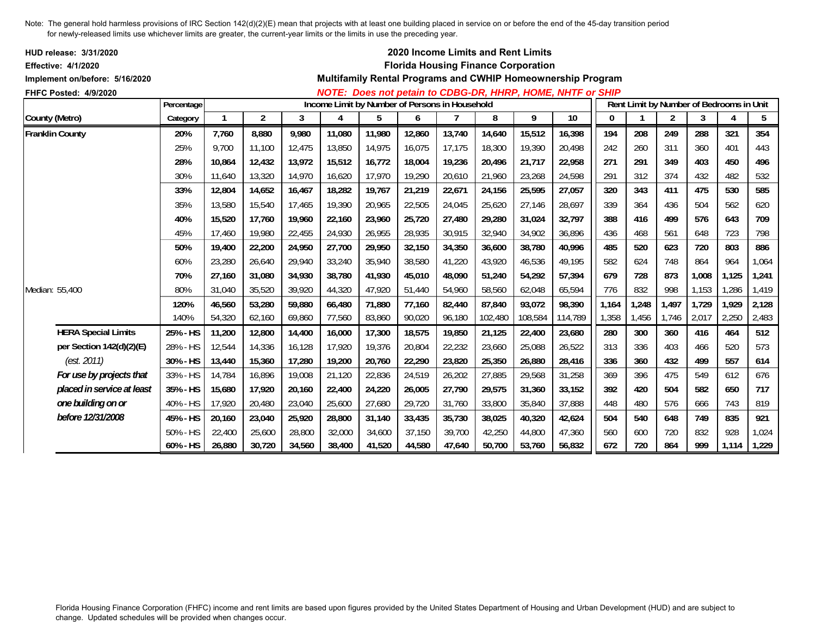| <b>HUD release: 3/31/2020</b><br><b>Effective: 4/1/2020</b> |            |        |        |        |        |                                                |        |        | 2020 Income Limits and Rent Limits<br><b>Florida Housing Finance Corporation</b> |         |                                                             |          |       |                |       |                                          |       |
|-------------------------------------------------------------|------------|--------|--------|--------|--------|------------------------------------------------|--------|--------|----------------------------------------------------------------------------------|---------|-------------------------------------------------------------|----------|-------|----------------|-------|------------------------------------------|-------|
| Implement on/before: 5/16/2020                              |            |        |        |        |        |                                                |        |        |                                                                                  |         | Multifamily Rental Programs and CWHIP Homeownership Program |          |       |                |       |                                          |       |
| FHFC Posted: 4/9/2020                                       |            |        |        |        |        |                                                |        |        |                                                                                  |         | NOTE: Does not petain to CDBG-DR, HHRP, HOME, NHTF or SHIP  |          |       |                |       |                                          |       |
|                                                             | Percentage |        |        |        |        | Income Limit by Number of Persons in Household |        |        |                                                                                  |         |                                                             |          |       |                |       | Rent Limit by Number of Bedrooms in Unit |       |
| County (Metro)                                              | Category   |        | 2      | 3      | 4      | 5                                              | 6      |        | 8                                                                                | 9       | 10                                                          | $\bf{0}$ |       | $\overline{2}$ | 3     | 4                                        | 5     |
| <b>Franklin County</b>                                      | 20%        | 7,760  | 8,880  | 9,980  | 11,080 | 11,980                                         | 12,860 | 13,740 | 14,640                                                                           | 15,512  | 16,398                                                      | 194      | 208   | 249            | 288   | 321                                      | 354   |
|                                                             | 25%        | 9.700  | 11,100 | 12,475 | 13,850 | 14,975                                         | 16,075 | 17,175 | 18,300                                                                           | 19,390  | 20,498                                                      | 242      | 260   | 311            | 360   | 401                                      | 443   |
|                                                             | 28%        | 10.864 | 12,432 | 13,972 | 15,512 | 16,772                                         | 18,004 | 19,236 | 20,496                                                                           | 21,717  | 22,958                                                      | 271      | 291   | 349            | 403   | 450                                      | 496   |
|                                                             | 30%        | 11,640 | 13,320 | 14,970 | 16,620 | 17,970                                         | 19,290 | 20,610 | 21,960                                                                           | 23,268  | 24,598                                                      | 291      | 312   | 374            | 432   | 482                                      | 532   |
|                                                             | 33%        | 12,804 | 14,652 | 16,467 | 18,282 | 19,767                                         | 21,219 | 22,671 | 24,156                                                                           | 25,595  | 27,057                                                      | 320      | 343   | 411            | 475   | 530                                      | 585   |
|                                                             | 35%        | 13,580 | 15,540 | 17,465 | 19,390 | 20,965                                         | 22,505 | 24,045 | 25,620                                                                           | 27,146  | 28,697                                                      | 339      | 364   | 436            | 504   | 562                                      | 620   |
|                                                             | 40%        | 15,520 | 17.760 | 19.960 | 22,160 | 23,960                                         | 25,720 | 27,480 | 29,280                                                                           | 31,024  | 32,797                                                      | 388      | 416   | 499            | 576   | 643                                      | 709   |
|                                                             | 45%        | 17.460 | 19,980 | 22,455 | 24,930 | 26,955                                         | 28,935 | 30,915 | 32,940                                                                           | 34,902  | 36,896                                                      | 436      | 468   | 561            | 648   | 723                                      | 798   |
|                                                             | 50%        | 19,400 | 22,200 | 24,950 | 27,700 | 29,950                                         | 32,150 | 34,350 | 36,600                                                                           | 38,780  | 40,996                                                      | 485      | 520   | 623            | 720   | 803                                      | 886   |
|                                                             | 60%        | 23,280 | 26,640 | 29,940 | 33,240 | 35,940                                         | 38,580 | 41,220 | 43,920                                                                           | 46,536  | 49,195                                                      | 582      | 624   | 748            | 864   | 964                                      | 1,064 |
|                                                             | 70%        | 27.160 | 31,080 | 34,930 | 38,780 | 41,930                                         | 45,010 | 48,090 | 51.240                                                                           | 54,292  | 57,394                                                      | 679      | 728   | 873            | 1,008 | 1,125                                    | 1,241 |
| Median: 55,400                                              | 80%        | 31.040 | 35,520 | 39,920 | 44,320 | 47,920                                         | 51,440 | 54.960 | 58,560                                                                           | 62,048  | 65,594                                                      | 776      | 832   | 998            | 1,153 | 1,286                                    | 1,419 |
|                                                             | 120%       | 46,560 | 53,280 | 59,880 | 66,480 | 71,880                                         | 77,160 | 82,440 | 87,840                                                                           | 93,072  | 98,390                                                      | 1,164    | 1,248 | 1,497          | 1,729 | 1,929                                    | 2,128 |
|                                                             | 140%       | 54,320 | 62,160 | 69,860 | 77,560 | 83,860                                         | 90,020 | 96,180 | 102,480                                                                          | 108,584 | 114,789                                                     | 1,358    | 1,456 | 1,746          | 2,017 | 2,250                                    | 2,483 |
| <b>HERA Special Limits</b>                                  | 25% - HS   | 11,200 | 12,800 | 14,400 | 16,000 | 17,300                                         | 18,575 | 19,850 | 21,125                                                                           | 22,400  | 23,680                                                      | 280      | 300   | 360            | 416   | 464                                      | 512   |
| per Section 142(d)(2)(E)                                    | 28% - HS   | 12,544 | 14,336 | 16,128 | 17,920 | 19,376                                         | 20,804 | 22,232 | 23,660                                                                           | 25,088  | 26,522                                                      | 313      | 336   | 403            | 466   | 520                                      | 573   |
| (est. 2011)                                                 | 30% - HS   | 13,440 | 15,360 | 17,280 | 19,200 | 20,760                                         | 22,290 | 23,820 | 25,350                                                                           | 26,880  | 28,416                                                      | 336      | 360   | 432            | 499   | 557                                      | 614   |
| For use by projects that                                    | 33% - HS   | 14,784 | 16,896 | 19,008 | 21,120 | 22,836                                         | 24,519 | 26,202 | 27,885                                                                           | 29,568  | 31,258                                                      | 369      | 396   | 475            | 549   | 612                                      | 676   |
| placed in service at least                                  | 35% - HS   | 15,680 | 17,920 | 20,160 | 22,400 | 24,220                                         | 26,005 | 27,790 | 29,575                                                                           | 31,360  | 33,152                                                      | 392      | 420   | 504            | 582   | 650                                      | 717   |
| one building on or                                          | 40% - HS   | 17,920 | 20,480 | 23,040 | 25,600 | 27,680                                         | 29,720 | 31,760 | 33,800                                                                           | 35,840  | 37,888                                                      | 448      | 480   | 576            | 666   | 743                                      | 819   |
| before 12/31/2008                                           | 45% - HS   | 20,160 | 23,040 | 25,920 | 28,800 | 31,140                                         | 33,435 | 35,730 | 38,025                                                                           | 40,320  | 42,624                                                      | 504      | 540   | 648            | 749   | 835                                      | 921   |
|                                                             | 50% - HS   | 22,400 | 25,600 | 28,800 | 32,000 | 34,600                                         | 37,150 | 39,700 | 42,250                                                                           | 44,800  | 47,360                                                      | 560      | 600   | 720            | 832   | 928                                      | 1,024 |
|                                                             | 60% - HS   | 26,880 | 30,720 | 34,560 | 38,400 | 41,520                                         | 44,580 | 47,640 | 50,700                                                                           | 53,760  | 56,832                                                      | 672      | 720   | 864            | 999   | 1,114                                    | 1,229 |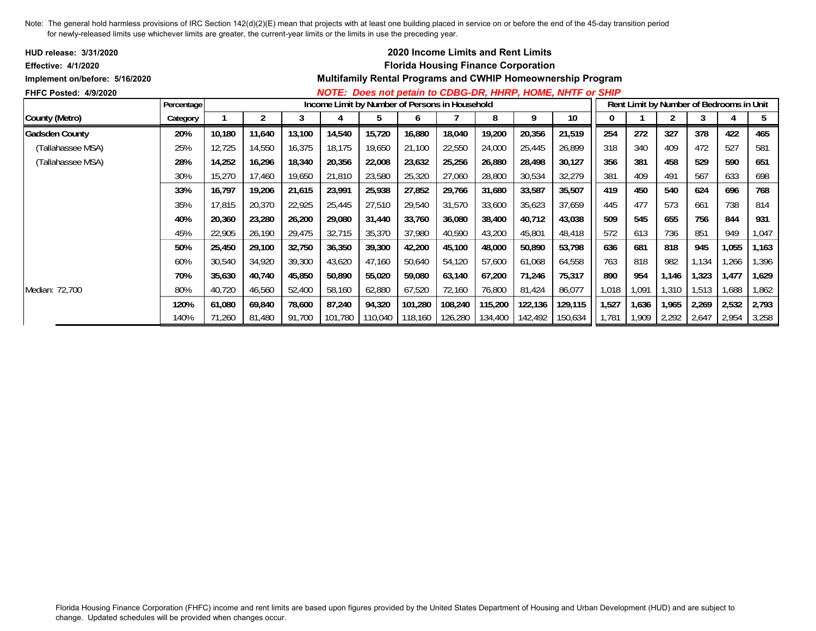| <b>HUD release: 3/31/2020</b>  |            |        |        |        |        |                                                |         |                 | <b>2020 Income Limits and Rent Limits</b>  |         |                                                                    |       |       |                                          |       |       |       |
|--------------------------------|------------|--------|--------|--------|--------|------------------------------------------------|---------|-----------------|--------------------------------------------|---------|--------------------------------------------------------------------|-------|-------|------------------------------------------|-------|-------|-------|
| Effective: 4/1/2020            |            |        |        |        |        |                                                |         |                 | <b>Florida Housing Finance Corporation</b> |         |                                                                    |       |       |                                          |       |       |       |
| Implement on/before: 5/16/2020 |            |        |        |        |        |                                                |         |                 |                                            |         | <b>Multifamily Rental Programs and CWHIP Homeownership Program</b> |       |       |                                          |       |       |       |
| <b>FHFC Posted: 4/9/2020</b>   |            |        |        |        |        |                                                |         |                 |                                            |         | NOTE: Does not petain to CDBG-DR, HHRP, HOME, NHTF or SHIP         |       |       |                                          |       |       |       |
|                                | Percentage |        |        |        |        | Income Limit by Number of Persons in Household |         |                 |                                            |         |                                                                    |       |       | Rent Limit by Number of Bedrooms in Unit |       |       |       |
| County (Metro)                 | Category   |        | 2      |        |        | b.                                             | O       |                 | 8                                          | 9       | 10                                                                 |       |       |                                          |       | 4     | 5     |
| <b>Gadsden County</b>          | 20%        | 10,180 | 11,640 | 13,100 | 14,540 | 15,720                                         | 16,880  | 18,040          | 19,200                                     | 20,356  | 21,519                                                             | 254   | 272   | 327                                      | 378   | 422   | 465   |
| (Tallahassee MSA)              | 25%        | 12,725 | 14,550 | 16,375 | 18,175 | 19,650                                         | 21,100  | 22,550          | 24,000                                     | 25,445  | 26,899                                                             | 318   | 340   | 409                                      | 472   | 527   | 581   |
| (Tallahassee MSA)              | 28%        | 14,252 | 16,296 | 18,340 | 20,356 | 22,008                                         | 23,632  | 25,256          | 26,880                                     | 28,498  | 30,127                                                             | 356   | 381   | 458                                      | 529   | 590   | 651   |
|                                | 30%        | 15,270 | 17,460 | 19,650 | 21,810 | 23,580                                         | 25,320  | 27,060          | 28,800                                     | 30,534  | 32,279                                                             | 381   | 409   | 491                                      | 567   | 633   | 698   |
|                                | 33%        | 16,797 | 19,206 | 21,615 | 23,991 | 25,938                                         | 27,852  | 29,766          | 31,680                                     | 33,587  | 35,507                                                             | 419   | 450   | 540                                      | 624   | 696   | 768   |
|                                | 35%        | 17,815 | 20,370 | 22,925 | 25,445 | 27,510                                         | 29,540  | 31,570          | 33,600                                     | 35,623  | 37,659                                                             | 445   | 477   | 573                                      | 661   | 738   | 814   |
|                                | 40%        | 20,360 | 23,280 | 26,200 | 29,080 | 31,440                                         | 33,760  | 36,080          | 38,400                                     | 40,712  | 43,038                                                             | 509   | 545   | 655                                      | 756   | 844   | 931   |
|                                | 45%        | 22,905 | 26,190 | 29,475 | 32,715 | 35,370                                         | 37,980  | 40,590          | 43,200                                     | 45,801  | 48,418                                                             | 572   | 613   | 736                                      | 851   | 949   | 1,047 |
|                                | 50%        | 25,450 | 29,100 | 32,750 | 36,350 | 39,300                                         | 42,200  | 45,100          | 48,000                                     | 50,890  | 53,798                                                             | 636   | 681   | 818                                      | 945   | 1,055 | 1,163 |
|                                | 60%        | 30,540 | 34,920 | 39,300 | 43,620 | 47,160                                         | 50,640  | 54,120          | 57,600                                     | 61,068  | 64,558                                                             | 763   | 818   | 982                                      | 1,134 | ,266  | 1,396 |
|                                | 70%        | 35,630 | 40,740 | 45,850 | 50,890 | 55,020                                         | 59,080  | 63,140          | 67,200                                     | 71,246  | 75,317                                                             | 890   | 954   | 1,146                                    | 1,323 | 1,477 | 1,629 |
| Median: 72,700                 | 80%        | 40,720 | 46,560 | 52,400 | 58,160 | 62,880                                         | 67,520  | 72,160          | 76,800                                     | 81,424  | 86,077                                                             | 1,018 | 1,091 | 1,310                                    | 1,513 | 1,688 | 1,862 |
|                                | 120%       | 61,080 | 69,840 | 78,600 | 87,240 | 94,320                                         | 101,280 | 108,240         | 115,200                                    | 122,136 | 129,115                                                            | 1,527 | 1,636 | 1,965                                    | 2,269 | 2,532 | 2,793 |
|                                | 140%       | 71,260 | 81,480 | 91,700 |        | 101,780 110,040                                | 118,160 | 126,280 134,400 |                                            | 142,492 | 150,634                                                            | 1,781 | 1,909 | 2,292                                    | 2,647 | 2,954 | 3,258 |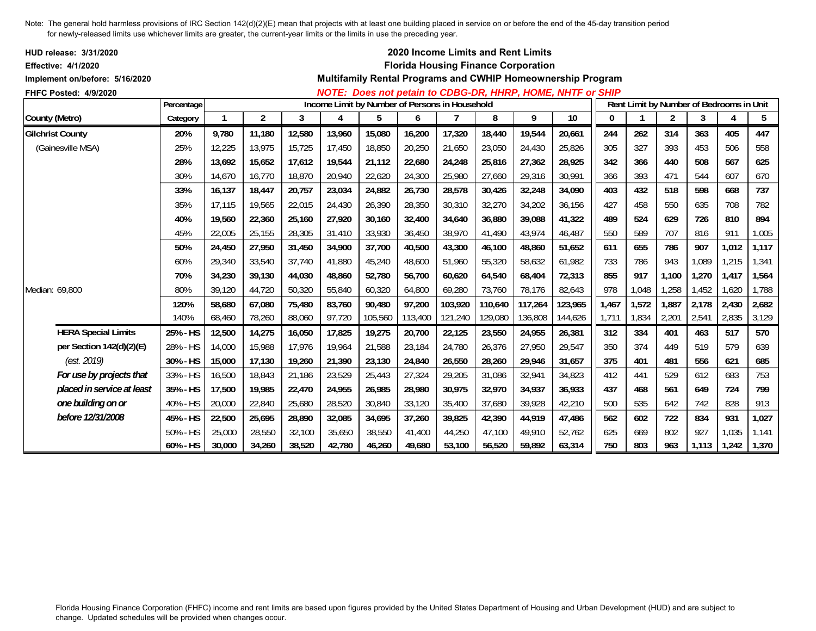| HUD release: 3/31/2020<br><b>Effective: 4/1/2020</b><br>Implement on/before: 5/16/2020 |            |        |                |        |        |                                                |         |         | 2020 Income Limits and Rent Limits<br><b>Florida Housing Finance Corporation</b> |         | Multifamily Rental Programs and CWHIP Homeownership Program       |          |       |                |                                          |       |       |
|----------------------------------------------------------------------------------------|------------|--------|----------------|--------|--------|------------------------------------------------|---------|---------|----------------------------------------------------------------------------------|---------|-------------------------------------------------------------------|----------|-------|----------------|------------------------------------------|-------|-------|
| FHFC Posted: 4/9/2020                                                                  |            |        |                |        |        |                                                |         |         |                                                                                  |         | <b>NOTE: Does not petain to CDBG-DR, HHRP, HOME, NHTF or SHIP</b> |          |       |                |                                          |       |       |
|                                                                                        | Percentage |        |                |        |        | Income Limit by Number of Persons in Household |         |         |                                                                                  |         |                                                                   |          |       |                | Rent Limit by Number of Bedrooms in Unit |       |       |
| County (Metro)                                                                         | Category   |        | $\overline{2}$ | 3      | 4      | 5                                              | 6       |         | 8                                                                                | 9       | 10                                                                | $\bf{0}$ |       | $\overline{2}$ | 3                                        | 4     | 5     |
| <b>Gilchrist County</b>                                                                | 20%        | 9,780  | 11,180         | 12,580 | 13,960 | 15,080                                         | 16,200  | 17,320  | 18,440                                                                           | 19,544  | 20,661                                                            | 244      | 262   | 314            | 363                                      | 405   | 447   |
| (Gainesville MSA)                                                                      | 25%        | 12,225 | 13,975         | 15,725 | 17,450 | 18,850                                         | 20,250  | 21,650  | 23,050                                                                           | 24,430  | 25,826                                                            | 305      | 327   | 393            | 453                                      | 506   | 558   |
|                                                                                        | 28%        | 13,692 | 15,652         | 17,612 | 19,544 | 21,112                                         | 22,680  | 24,248  | 25,816                                                                           | 27,362  | 28,925                                                            | 342      | 366   | 440            | 508                                      | 567   | 625   |
|                                                                                        | 30%        | 14,670 | 16,770         | 18,870 | 20,940 | 22,620                                         | 24,300  | 25,980  | 27,660                                                                           | 29,316  | 30,991                                                            | 366      | 393   | 471            | 544                                      | 607   | 670   |
|                                                                                        | 33%        | 16.137 | 18,447         | 20,757 | 23,034 | 24,882                                         | 26,730  | 28,578  | 30,426                                                                           | 32,248  | 34,090                                                            | 403      | 432   | 518            | 598                                      | 668   | 737   |
|                                                                                        | 35%        | 17,115 | 19,565         | 22,015 | 24,430 | 26,390                                         | 28,350  | 30,310  | 32,270                                                                           | 34,202  | 36,156                                                            | 427      | 458   | 550            | 635                                      | 708   | 782   |
|                                                                                        | 40%        | 19,560 | 22,360         | 25,160 | 27,920 | 30,160                                         | 32,400  | 34,640  | 36,880                                                                           | 39,088  | 41,322                                                            | 489      | 524   | 629            | 726                                      | 810   | 894   |
|                                                                                        | 45%        | 22,005 | 25,155         | 28,305 | 31,410 | 33,930                                         | 36,450  | 38,970  | 41,490                                                                           | 43,974  | 46,487                                                            | 550      | 589   | 707            | 816                                      | 911   | 1,005 |
|                                                                                        | 50%        | 24,450 | 27,950         | 31,450 | 34,900 | 37,700                                         | 40,500  | 43,300  | 46,100                                                                           | 48,860  | 51,652                                                            | 611      | 655   | 786            | 907                                      | 1,012 | 1,117 |
|                                                                                        | 60%        | 29,340 | 33,540         | 37,740 | 41,880 | 45,240                                         | 48,600  | 51,960  | 55,320                                                                           | 58,632  | 61,982                                                            | 733      | 786   | 943            | 1,089                                    | 1,215 | 1,341 |
|                                                                                        | 70%        | 34,230 | 39,130         | 44,030 | 48,860 | 52,780                                         | 56,700  | 60,620  | 64,540                                                                           | 68,404  | 72,313                                                            | 855      | 917   | 1,100          | 1,270                                    | 1,417 | 1,564 |
| Median: 69,800                                                                         | 80%        | 39,120 | 44,720         | 50,320 | 55,840 | 60,320                                         | 64,800  | 69,280  | 73,760                                                                           | 78,176  | 82,643                                                            | 978      | 1,048 | 1,258          | 1,452                                    | 1,620 | 1,788 |
|                                                                                        | 120%       | 58,680 | 67,080         | 75,480 | 83,760 | 90,480                                         | 97,200  | 103,920 | 110,640                                                                          | 117,264 | 123,965                                                           | 1,467    | 1,572 | 1,887          | 2,178                                    | 2,430 | 2,682 |
|                                                                                        | 140%       | 68,460 | 78,260         | 88,060 | 97,720 | 105,560                                        | 113,400 | 121,240 | 129,080                                                                          | 136,808 | 144,626                                                           | 1,711    | 1,834 | 2,201          | 2,541                                    | 2,835 | 3,129 |
| <b>HERA Special Limits</b>                                                             | 25% - HS   | 12,500 | 14,275         | 16,050 | 17,825 | 19,275                                         | 20,700  | 22,125  | 23,550                                                                           | 24,955  | 26,381                                                            | 312      | 334   | 401            | 463                                      | 517   | 570   |
| per Section 142(d)(2)(E)                                                               | 28% - HS   | 14,000 | 15,988         | 17,976 | 19,964 | 21,588                                         | 23,184  | 24,780  | 26,376                                                                           | 27,950  | 29,547                                                            | 350      | 374   | 449            | 519                                      | 579   | 639   |
| (est. 2019)                                                                            | 30% - HS   | 15,000 | 17,130         | 19,260 | 21,390 | 23,130                                         | 24,840  | 26,550  | 28,260                                                                           | 29,946  | 31,657                                                            | 375      | 401   | 481            | 556                                      | 621   | 685   |
| For use by projects that                                                               | 33% - HS   | 16,500 | 18,843         | 21,186 | 23,529 | 25,443                                         | 27,324  | 29,205  | 31,086                                                                           | 32,941  | 34,823                                                            | 412      | 441   | 529            | 612                                      | 683   | 753   |
| placed in service at least                                                             | 35% - HS   | 17,500 | 19,985         | 22,470 | 24,955 | 26,985                                         | 28,980  | 30,975  | 32,970                                                                           | 34,937  | 36,933                                                            | 437      | 468   | 561            | 649                                      | 724   | 799   |
| one building on or                                                                     | 40% - HS   | 20,000 | 22,840         | 25,680 | 28,520 | 30,840                                         | 33,120  | 35,400  | 37,680                                                                           | 39,928  | 42,210                                                            | 500      | 535   | 642            | 742                                      | 828   | 913   |
| before 12/31/2008                                                                      | 45% - HS   | 22,500 | 25,695         | 28,890 | 32,085 | 34,695                                         | 37,260  | 39,825  | 42,390                                                                           | 44,919  | 47,486                                                            | 562      | 602   | 722            | 834                                      | 931   | 1,027 |
|                                                                                        | 50% - HS   | 25,000 | 28,550         | 32,100 | 35,650 | 38,550                                         | 41,400  | 44,250  | 47,100                                                                           | 49,910  | 52,762                                                            | 625      | 669   | 802            | 927                                      | 1,035 | 1,141 |
|                                                                                        | 60% - HS   | 30,000 | 34,260         | 38,520 | 42,780 | 46,260                                         | 49,680  | 53,100  | 56,520                                                                           | 59,892  | 63,314                                                            | 750      | 803   | 963            | 1,113                                    | 1,242 | 1,370 |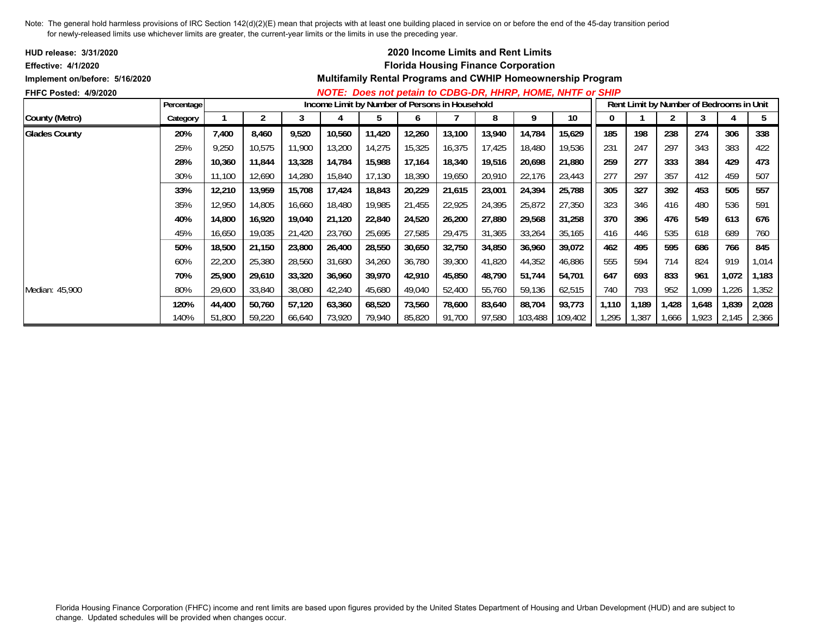| <b>HUD release: 3/31/2020</b>  |            |        |        |        |                                                |        |        |        | <b>2020 Income Limits and Rent Limits</b>  |         |                                                                    |       |       |       |       |                                          |       |
|--------------------------------|------------|--------|--------|--------|------------------------------------------------|--------|--------|--------|--------------------------------------------|---------|--------------------------------------------------------------------|-------|-------|-------|-------|------------------------------------------|-------|
| <b>Effective: 4/1/2020</b>     |            |        |        |        |                                                |        |        |        | <b>Florida Housing Finance Corporation</b> |         |                                                                    |       |       |       |       |                                          |       |
| Implement on/before: 5/16/2020 |            |        |        |        |                                                |        |        |        |                                            |         | <b>Multifamily Rental Programs and CWHIP Homeownership Program</b> |       |       |       |       |                                          |       |
| <b>FHFC Posted: 4/9/2020</b>   |            |        |        |        |                                                |        |        |        |                                            |         | NOTE: Does not petain to CDBG-DR, HHRP, HOME, NHTF or SHIP         |       |       |       |       |                                          |       |
|                                | Percentage |        |        |        | Income Limit by Number of Persons in Household |        |        |        |                                            |         |                                                                    |       |       |       |       | Rent Limit by Number of Bedrooms in Unit |       |
| County (Metro)                 | Category   |        | 2      | 3      | 4                                              | 5      | b      |        | 8                                          | 9       | 10                                                                 | 0     |       |       | 3     |                                          | 5     |
| <b>Glades County</b>           | 20%        | 7,400  | 8,460  | 9,520  | 10,560                                         | 11,420 | 12,260 | 13,100 | 13,940                                     | 14,784  | 15,629                                                             | 185   | 198   | 238   | 274   | 306                                      | 338   |
|                                | 25%        | 9,250  | 10,575 | 11,900 | 13,200                                         | 14,275 | 15,325 | 16,375 | 17.425                                     | 18,480  | 19,536                                                             | 231   | 247   | 297   | 343   | 383                                      | 422   |
|                                | 28%        | 10,360 | 11,844 | 13,328 | 14,784                                         | 15,988 | 17,164 | 18,340 | 19,516                                     | 20,698  | 21,880                                                             | 259   | 277   | 333   | 384   | 429                                      | 473   |
|                                | 30%        | 11,100 | 12,690 | 14,280 | 15,840                                         | 17.130 | 18,390 | 19,650 | 20,910                                     | 22,176  | 23,443                                                             | 277   | 297   | 357   | 412   | 459                                      | 507   |
|                                | 33%        | 12,210 | 13,959 | 15,708 | 17,424                                         | 18,843 | 20,229 | 21,615 | 23,001                                     | 24,394  | 25,788                                                             | 305   | 327   | 392   | 453   | 505                                      | 557   |
|                                | 35%        | 12,950 | 14,805 | 16,660 | 18,480                                         | 19,985 | 21,455 | 22,925 | 24,395                                     | 25,872  | 27,350                                                             | 323   | 346   | 416   | 480   | 536                                      | 591   |
|                                | 40%        | 14,800 | 16,920 | 19,040 | 21,120                                         | 22,840 | 24,520 | 26,200 | 27,880                                     | 29,568  | 31,258                                                             | 370   | 396   | 476   | 549   | 613                                      | 676   |
|                                | 45%        | 16,650 | 19,035 | 21,420 | 23,760                                         | 25,695 | 27,585 | 29,475 | 31,365                                     | 33,264  | 35,165                                                             | 416   | 446   | 535   | 618   | 689                                      | 760   |
|                                | 50%        | 18,500 | 21,150 | 23,800 | 26,400                                         | 28,550 | 30,650 | 32,750 | 34,850                                     | 36,960  | 39,072                                                             | 462   | 495   | 595   | 686   | 766                                      | 845   |
|                                | 60%        | 22,200 | 25,380 | 28,560 | 31,680                                         | 34,260 | 36,780 | 39,300 | 41,820                                     | 44,352  | 46,886                                                             | 555   | 594   | 714   | 824   | 919                                      | 1,014 |
|                                | 70%        | 25,900 | 29,610 | 33,320 | 36,960                                         | 39,970 | 42,910 | 45,850 | 48,790                                     | 51,744  | 54,701                                                             | 647   | 693   | 833   | 961   | 1,072                                    | 1,183 |
| Median: 45,900                 | 80%        | 29,600 | 33,840 | 38,080 | 42,240                                         | 45,680 | 49,040 | 52,400 | 55,760                                     | 59,136  | 62,515                                                             | 740   | 793   | 952   | 1,099 | 1,226                                    | 1,352 |
|                                | 120%       | 44,400 | 50,760 | 57,120 | 63,360                                         | 68,520 | 73,560 | 78,600 | 83,640                                     | 88,704  | 93,773                                                             | 1,110 | 1,189 | 1,428 | 1,648 | 1,839                                    | 2,028 |
|                                | 140%       | 51,800 | 59,220 | 66,640 | 73,920                                         | 79,940 | 85,820 | 91,700 | 97,580                                     | 103,488 | 109,402                                                            | 1,295 | 1,387 | 1,666 | 1,923 | 2,145                                    | 2,366 |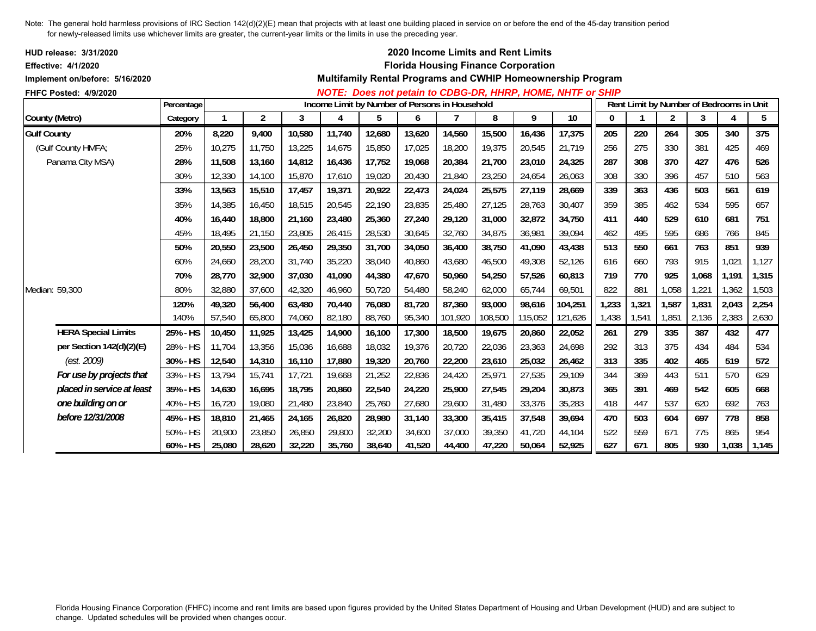| HUD release: 3/31/2020<br><b>Effective: 4/1/2020</b><br>Implement on/before: 5/16/2020 |            |        |                |        |                                                |        |        |         |         | 2020 Income Limits and Rent Limits<br><b>Florida Housing Finance Corporation</b> | Multifamily Rental Programs and CWHIP Homeownership Program |       |       |                                          |       |       |       |
|----------------------------------------------------------------------------------------|------------|--------|----------------|--------|------------------------------------------------|--------|--------|---------|---------|----------------------------------------------------------------------------------|-------------------------------------------------------------|-------|-------|------------------------------------------|-------|-------|-------|
| FHFC Posted: 4/9/2020                                                                  |            |        |                |        |                                                |        |        |         |         |                                                                                  | NOTE: Does not petain to CDBG-DR, HHRP, HOME, NHTF or SHIP  |       |       |                                          |       |       |       |
|                                                                                        | Percentage |        |                |        | Income Limit by Number of Persons in Household |        |        |         |         |                                                                                  |                                                             |       |       | Rent Limit by Number of Bedrooms in Unit |       |       |       |
| County (Metro)                                                                         | Category   |        | $\overline{c}$ | 3      | 4                                              | 5      | 6      |         | 8       | 9                                                                                | 10                                                          | 0     |       | $\overline{2}$                           | 3     | 4     | 5     |
| <b>Gulf County</b>                                                                     | 20%        | 8,220  | 9,400          | 10,580 | 11,740                                         | 12,680 | 13,620 | 14,560  | 15,500  | 16,436                                                                           | 17,375                                                      | 205   | 220   | 264                                      | 305   | 340   | 375   |
| (Gulf County HMFA;                                                                     | 25%        | 10,275 | 11,750         | 13,225 | 14,675                                         | 15,850 | 17,025 | 18,200  | 19,375  | 20,545                                                                           | 21,719                                                      | 256   | 275   | 330                                      | 381   | 425   | 469   |
| Panama City MSA)                                                                       | 28%        | 11,508 | 13,160         | 14,812 | 16,436                                         | 17,752 | 19,068 | 20,384  | 21,700  | 23,010                                                                           | 24,325                                                      | 287   | 308   | 370                                      | 427   | 476   | 526   |
|                                                                                        | 30%        | 12,330 | 14,100         | 15,870 | 17,610                                         | 19,020 | 20,430 | 21,840  | 23,250  | 24,654                                                                           | 26,063                                                      | 308   | 330   | 396                                      | 457   | 510   | 563   |
|                                                                                        | 33%        | 13,563 | 15,510         | 17,457 | 19,371                                         | 20,922 | 22,473 | 24,024  | 25,575  | 27,119                                                                           | 28,669                                                      | 339   | 363   | 436                                      | 503   | 561   | 619   |
|                                                                                        | 35%        | 14,385 | 16,450         | 18,515 | 20,545                                         | 22,190 | 23,835 | 25,480  | 27,125  | 28,763                                                                           | 30,407                                                      | 359   | 385   | 462                                      | 534   | 595   | 657   |
|                                                                                        | 40%        | 16,440 | 18,800         | 21,160 | 23,480                                         | 25,360 | 27,240 | 29,120  | 31,000  | 32,872                                                                           | 34,750                                                      | 411   | 440   | 529                                      | 610   | 681   | 751   |
|                                                                                        | 45%        | 18.495 | 21,150         | 23,805 | 26,415                                         | 28,530 | 30,645 | 32,760  | 34,875  | 36,981                                                                           | 39,094                                                      | 462   | 495   | 595                                      | 686   | 766   | 845   |
|                                                                                        | 50%        | 20,550 | 23,500         | 26,450 | 29,350                                         | 31,700 | 34,050 | 36,400  | 38,750  | 41,090                                                                           | 43,438                                                      | 513   | 550   | 661                                      | 763   | 851   | 939   |
|                                                                                        | 60%        | 24.660 | 28,200         | 31,740 | 35,220                                         | 38,040 | 40,860 | 43,680  | 46,500  | 49,308                                                                           | 52,126                                                      | 616   | 660   | 793                                      | 915   | 1,021 | 1,127 |
|                                                                                        | 70%        | 28,770 | 32,900         | 37,030 | 41,090                                         | 44,380 | 47,670 | 50,960  | 54,250  | 57,526                                                                           | 60,813                                                      | 719   | 770   | 925                                      | 1,068 | 1,191 | 1,315 |
| Median: 59,300                                                                         | 80%        | 32,880 | 37,600         | 42,320 | 46,960                                         | 50,720 | 54,480 | 58,240  | 62,000  | 65,744                                                                           | 69,501                                                      | 822   | 881   | 1,058                                    | 1,221 | 1,362 | 1,503 |
|                                                                                        | 120%       | 49,320 | 56,400         | 63,480 | 70,440                                         | 76,080 | 81,720 | 87,360  | 93,000  | 98,616                                                                           | 104,251                                                     | 1,233 | 1,321 | 1,587                                    | 1,831 | 2,043 | 2,254 |
|                                                                                        | 140%       | 57,540 | 65,800         | 74,060 | 82,180                                         | 88,760 | 95,340 | 101,920 | 108,500 | 115,052                                                                          | 121,626                                                     | 1,438 | 1,541 | 1,851                                    | 2,136 | 2,383 | 2,630 |
| <b>HERA Special Limits</b>                                                             | 25% - HS   | 10,450 | 11,925         | 13,425 | 14,900                                         | 16,100 | 17,300 | 18,500  | 19,675  | 20,860                                                                           | 22,052                                                      | 261   | 279   | 335                                      | 387   | 432   | 477   |
| per Section 142(d)(2)(E)                                                               | 28% - HS   | 11,704 | 13,356         | 15,036 | 16,688                                         | 18,032 | 19,376 | 20,720  | 22,036  | 23,363                                                                           | 24,698                                                      | 292   | 313   | 375                                      | 434   | 484   | 534   |
| (est. 2009)                                                                            | 30% - HS   | 12,540 | 14,310         | 16,110 | 17,880                                         | 19,320 | 20,760 | 22,200  | 23,610  | 25,032                                                                           | 26,462                                                      | 313   | 335   | 402                                      | 465   | 519   | 572   |
| For use by projects that                                                               | 33% - HS   | 13,794 | 15,741         | 17,721 | 19,668                                         | 21,252 | 22,836 | 24,420  | 25,971  | 27,535                                                                           | 29,109                                                      | 344   | 369   | 443                                      | 511   | 570   | 629   |
| placed in service at least                                                             | 35% - HS   | 14,630 | 16,695         | 18,795 | 20,860                                         | 22,540 | 24,220 | 25,900  | 27,545  | 29,204                                                                           | 30,873                                                      | 365   | 391   | 469                                      | 542   | 605   | 668   |
| one building on or                                                                     | 40% - HS   | 16,720 | 19,080         | 21,480 | 23,840                                         | 25,760 | 27,680 | 29,600  | 31,480  | 33,376                                                                           | 35,283                                                      | 418   | 447   | 537                                      | 620   | 692   | 763   |
| before 12/31/2008                                                                      | 45% - HS   | 18,810 | 21,465         | 24,165 | 26,820                                         | 28,980 | 31,140 | 33,300  | 35,415  | 37,548                                                                           | 39,694                                                      | 470   | 503   | 604                                      | 697   | 778   | 858   |
|                                                                                        | 50% - HS   | 20,900 | 23,850         | 26,850 | 29,800                                         | 32,200 | 34,600 | 37,000  | 39,350  | 41,720                                                                           | 44,104                                                      | 522   | 559   | 671                                      | 775   | 865   | 954   |
|                                                                                        | 60% - HS   | 25,080 | 28,620         | 32,220 | 35,760                                         | 38,640 | 41,520 | 44,400  | 47,220  | 50,064                                                                           | 52,925                                                      | 627   | 671   | 805                                      | 930   | 1,038 | 1,145 |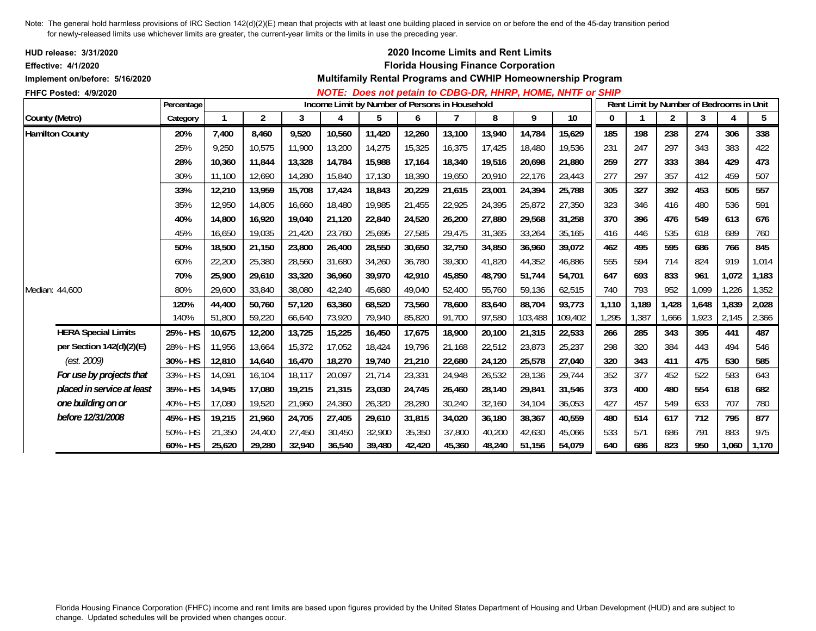| <b>HUD release: 3/31/2020</b><br><b>Effective: 4/1/2020</b> |            |        |        |        |        |                                                |        |        | 2020 Income Limits and Rent Limits<br><b>Florida Housing Finance Corporation</b> |         |                                                             |       |                                          |       |       |       |       |
|-------------------------------------------------------------|------------|--------|--------|--------|--------|------------------------------------------------|--------|--------|----------------------------------------------------------------------------------|---------|-------------------------------------------------------------|-------|------------------------------------------|-------|-------|-------|-------|
| Implement on/before: 5/16/2020                              |            |        |        |        |        |                                                |        |        |                                                                                  |         | Multifamily Rental Programs and CWHIP Homeownership Program |       |                                          |       |       |       |       |
| FHFC Posted: 4/9/2020                                       |            |        |        |        |        |                                                |        |        |                                                                                  |         | NOTE: Does not petain to CDBG-DR, HHRP, HOME, NHTF or SHIP  |       |                                          |       |       |       |       |
|                                                             | Percentage |        |        |        |        | Income Limit by Number of Persons in Household |        |        |                                                                                  |         |                                                             |       | Rent Limit by Number of Bedrooms in Unit |       |       |       |       |
| County (Metro)                                              | Category   |        | 2      | 3      | 4      | 5                                              | 6      |        | 8                                                                                | 9       | 10                                                          | 0     |                                          | 2     | 3     | 4     | 5     |
| <b>Hamilton County</b>                                      | 20%        | 7,400  | 8,460  | 9,520  | 10,560 | 11,420                                         | 12,260 | 13,100 | 13,940                                                                           | 14,784  | 15,629                                                      | 185   | 198                                      | 238   | 274   | 306   | 338   |
|                                                             | 25%        | 9,250  | 10,575 | 11,900 | 13,200 | 14,275                                         | 15,325 | 16,375 | 17,425                                                                           | 18,480  | 19,536                                                      | 231   | 247                                      | 297   | 343   | 383   | 422   |
|                                                             | 28%        | 10,360 | 11,844 | 13,328 | 14,784 | 15,988                                         | 17,164 | 18,340 | 19,516                                                                           | 20,698  | 21,880                                                      | 259   | 277                                      | 333   | 384   | 429   | 473   |
|                                                             | 30%        | 11,100 | 12,690 | 14,280 | 15,840 | 17,130                                         | 18,390 | 19,650 | 20,910                                                                           | 22,176  | 23,443                                                      | 277   | 297                                      | 357   | 412   | 459   | 507   |
|                                                             | 33%        | 12,210 | 13,959 | 15,708 | 17,424 | 18,843                                         | 20,229 | 21,615 | 23,001                                                                           | 24,394  | 25,788                                                      | 305   | 327                                      | 392   | 453   | 505   | 557   |
|                                                             | 35%        | 12,950 | 14.805 | 16.660 | 18,480 | 19,985                                         | 21,455 | 22,925 | 24,395                                                                           | 25,872  | 27,350                                                      | 323   | 346                                      | 416   | 480   | 536   | 591   |
|                                                             | 40%        | 14,800 | 16,920 | 19,040 | 21,120 | 22,840                                         | 24,520 | 26,200 | 27,880                                                                           | 29,568  | 31,258                                                      | 370   | 396                                      | 476   | 549   | 613   | 676   |
|                                                             | 45%        | 16,650 | 19,035 | 21,420 | 23,760 | 25,695                                         | 27,585 | 29,475 | 31,365                                                                           | 33,264  | 35,165                                                      | 416   | 446                                      | 535   | 618   | 689   | 760   |
|                                                             | 50%        | 18,500 | 21,150 | 23,800 | 26,400 | 28,550                                         | 30,650 | 32,750 | 34,850                                                                           | 36.960  | 39,072                                                      | 462   | 495                                      | 595   | 686   | 766   | 845   |
|                                                             | 60%        | 22,200 | 25,380 | 28,560 | 31,680 | 34,260                                         | 36,780 | 39,300 | 41.820                                                                           | 44,352  | 46,886                                                      | 555   | 594                                      | 714   | 824   | 919   | 1,014 |
|                                                             | 70%        | 25,900 | 29,610 | 33,320 | 36,960 | 39,970                                         | 42,910 | 45,850 | 48,790                                                                           | 51,744  | 54,701                                                      | 647   | 693                                      | 833   | 961   | 1,072 | 1,183 |
| Median: 44,600                                              | 80%        | 29,600 | 33,840 | 38,080 | 42,240 | 45,680                                         | 49,040 | 52,400 | 55,760                                                                           | 59,136  | 62,515                                                      | 740   | 793                                      | 952   | 1,099 | 1,226 | 1,352 |
|                                                             | 120%       | 44.400 | 50,760 | 57,120 | 63,360 | 68,520                                         | 73,560 | 78,600 | 83.640                                                                           | 88,704  | 93,773                                                      | 1,110 | 1,189                                    | 1,428 | 1,648 | 1,839 | 2,028 |
|                                                             | 140%       | 51,800 | 59,220 | 66,640 | 73,920 | 79,940                                         | 85,820 | 91,700 | 97,580                                                                           | 103,488 | 109,402                                                     | 1,295 | 1,387                                    | 1,666 | 1,923 | 2,145 | 2,366 |
| <b>HERA Special Limits</b>                                  | 25% - HS   | 10,675 | 12,200 | 13,725 | 15,225 | 16,450                                         | 17,675 | 18,900 | 20,100                                                                           | 21,315  | 22,533                                                      | 266   | 285                                      | 343   | 395   | 441   | 487   |
| per Section 142(d)(2)(E)                                    | 28% - HS   | 11,956 | 13,664 | 15,372 | 17,052 | 18,424                                         | 19,796 | 21,168 | 22,512                                                                           | 23,873  | 25,237                                                      | 298   | 320                                      | 384   | 443   | 494   | 546   |
| (est. 2009)                                                 | 30% - HS   | 12,810 | 14,640 | 16,470 | 18,270 | 19,740                                         | 21,210 | 22,680 | 24,120                                                                           | 25,578  | 27,040                                                      | 320   | 343                                      | 411   | 475   | 530   | 585   |
| For use by projects that                                    | 33% - HS   | 14,091 | 16,104 | 18,117 | 20,097 | 21,714                                         | 23,331 | 24,948 | 26,532                                                                           | 28,136  | 29,744                                                      | 352   | 377                                      | 452   | 522   | 583   | 643   |
| placed in service at least                                  | 35% - HS   | 14,945 | 17,080 | 19,215 | 21,315 | 23,030                                         | 24,745 | 26,460 | 28,140                                                                           | 29.841  | 31,546                                                      | 373   | 400                                      | 480   | 554   | 618   | 682   |
| one building on or                                          | 40% - HS   | 17,080 | 19,520 | 21,960 | 24,360 | 26,320                                         | 28,280 | 30,240 | 32,160                                                                           | 34,104  | 36,053                                                      | 427   | 457                                      | 549   | 633   | 707   | 780   |
| before 12/31/2008                                           | 45% - HS   | 19,215 | 21,960 | 24,705 | 27,405 | 29,610                                         | 31,815 | 34,020 | 36,180                                                                           | 38,367  | 40,559                                                      | 480   | 514                                      | 617   | 712   | 795   | 877   |
|                                                             | 50% - HS   | 21,350 | 24,400 | 27,450 | 30,450 | 32,900                                         | 35,350 | 37,800 | 40,200                                                                           | 42,630  | 45,066                                                      | 533   | 571                                      | 686   | 791   | 883   | 975   |
|                                                             | 60% - HS   | 25,620 | 29,280 | 32,940 | 36,540 | 39,480                                         | 42,420 | 45,360 | 48,240                                                                           | 51,156  | 54,079                                                      | 640   | 686                                      | 823   | 950   | 1.060 | 1,170 |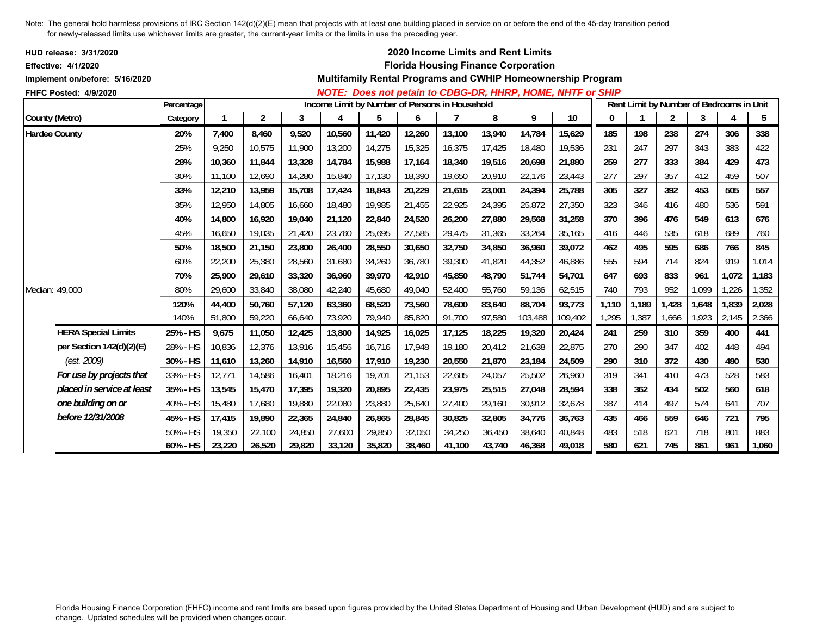| HUD release: 3/31/2020                                       |            |        |                |        |                                                |        |        |        |        | 2020 Income Limits and Rent Limits         |                                                             |          |                                          |       |       |       |       |
|--------------------------------------------------------------|------------|--------|----------------|--------|------------------------------------------------|--------|--------|--------|--------|--------------------------------------------|-------------------------------------------------------------|----------|------------------------------------------|-------|-------|-------|-------|
| <b>Effective: 4/1/2020</b><br>Implement on/before: 5/16/2020 |            |        |                |        |                                                |        |        |        |        | <b>Florida Housing Finance Corporation</b> | Multifamily Rental Programs and CWHIP Homeownership Program |          |                                          |       |       |       |       |
|                                                              |            |        |                |        |                                                |        |        |        |        |                                            |                                                             |          |                                          |       |       |       |       |
| FHFC Posted: 4/9/2020                                        | Percentage |        |                |        | Income Limit by Number of Persons in Household |        |        |        |        |                                            | NOTE: Does not petain to CDBG-DR, HHRP, HOME, NHTF or SHIP  |          | Rent Limit by Number of Bedrooms in Unit |       |       |       |       |
| County (Metro)                                               | Category   |        | $\overline{2}$ | 3      | 4                                              | 5      | 6      |        | 8      | 9                                          | 10                                                          | $\bf{0}$ |                                          | 2     | 3     | 4     | 5     |
| <b>Hardee County</b>                                         | 20%        | 7,400  | 8,460          | 9,520  | 10,560                                         | 11,420 | 12,260 | 13,100 | 13,940 | 14,784                                     | 15,629                                                      | 185      | 198                                      | 238   | 274   | 306   | 338   |
|                                                              | 25%        | 9,250  | 10,575         | 11,900 | 13,200                                         | 14,275 | 15,325 | 16,375 | 17,425 | 18,480                                     | 19,536                                                      | 231      | 247                                      | 297   | 343   | 383   | 422   |
|                                                              | 28%        | 10,360 | 11,844         | 13,328 | 14,784                                         | 15,988 | 17,164 | 18,340 | 19,516 | 20,698                                     | 21,880                                                      | 259      | 277                                      | 333   | 384   | 429   | 473   |
|                                                              | 30%        | 11,100 | 12,690         | 14,280 | 15,840                                         | 17,130 | 18,390 | 19,650 | 20,910 | 22,176                                     | 23,443                                                      | 277      | 297                                      | 357   | 412   | 459   | 507   |
|                                                              | 33%        | 12,210 | 13,959         | 15,708 | 17,424                                         | 18,843 | 20,229 | 21,615 | 23,001 | 24,394                                     | 25,788                                                      | 305      | 327                                      | 392   | 453   | 505   | 557   |
|                                                              | 35%        | 12,950 | 14,805         | 16,660 | 18,480                                         | 19,985 | 21,455 | 22,925 | 24,395 | 25,872                                     | 27,350                                                      | 323      | 346                                      | 416   | 480   | 536   | 591   |
|                                                              | 40%        | 14,800 | 16,920         | 19,040 | 21,120                                         | 22,840 | 24,520 | 26,200 | 27,880 | 29,568                                     | 31,258                                                      | 370      | 396                                      | 476   | 549   | 613   | 676   |
|                                                              | 45%        | 16,650 | 19,035         | 21,420 | 23,760                                         | 25,695 | 27,585 | 29,475 | 31,365 | 33,264                                     | 35,165                                                      | 416      | 446                                      | 535   | 618   | 689   | 760   |
|                                                              | 50%        | 18,500 | 21,150         | 23,800 | 26,400                                         | 28,550 | 30,650 | 32,750 | 34,850 | 36,960                                     | 39,072                                                      | 462      | 495                                      | 595   | 686   | 766   | 845   |
|                                                              | 60%        | 22,200 | 25,380         | 28,560 | 31,680                                         | 34,260 | 36,780 | 39,300 | 41,820 | 44,352                                     | 46,886                                                      | 555      | 594                                      | 714   | 824   | 919   | 1,014 |
|                                                              | 70%        | 25,900 | 29,610         | 33,320 | 36,960                                         | 39,970 | 42.910 | 45.850 | 48.790 | 51.744                                     | 54.701                                                      | 647      | 693                                      | 833   | 961   | 1,072 | 1,183 |
| Median: 49,000                                               | 80%        | 29,600 | 33,840         | 38,080 | 42,240                                         | 45,680 | 49,040 | 52,400 | 55,760 | 59,136                                     | 62,515                                                      | 740      | 793                                      | 952   | 1,099 | 1,226 | 1,352 |
|                                                              | 120%       | 44,400 | 50,760         | 57,120 | 63,360                                         | 68,520 | 73,560 | 78,600 | 83,640 | 88,704                                     | 93,773                                                      | 1,110    | 1,189                                    | 1,428 | 1,648 | 1,839 | 2,028 |
|                                                              | 140%       | 51,800 | 59,220         | 66,640 | 73,920                                         | 79,940 | 85,820 | 91,700 | 97,580 | 103,488                                    | 109,402                                                     | 1,295    | 1,387                                    | 1,666 | 1,923 | 2,145 | 2,366 |
| <b>HERA Special Limits</b>                                   | 25% - HS   | 9,675  | 11,050         | 12,425 | 13,800                                         | 14,925 | 16,025 | 17,125 | 18,225 | 19,320                                     | 20,424                                                      | 241      | 259                                      | 310   | 359   | 400   | 441   |
| per Section 142(d)(2)(E)                                     | 28% - HS   | 10,836 | 12,376         | 13,916 | 15,456                                         | 16,716 | 17,948 | 19,180 | 20,412 | 21,638                                     | 22,875                                                      | 270      | 290                                      | 347   | 402   | 448   | 494   |
| (est. 2009)                                                  | 30% - HS   | 11,610 | 13,260         | 14,910 | 16,560                                         | 17,910 | 19,230 | 20,550 | 21,870 | 23,184                                     | 24,509                                                      | 290      | 310                                      | 372   | 430   | 480   | 530   |
| For use by projects that                                     | 33% - HS   | 12,771 | 14,586         | 16,401 | 18,216                                         | 19,701 | 21,153 | 22,605 | 24,057 | 25,502                                     | 26,960                                                      | 319      | 341                                      | 410   | 473   | 528   | 583   |
| placed in service at least                                   | 35% - HS   | 13,545 | 15,470         | 17,395 | 19,320                                         | 20,895 | 22,435 | 23,975 | 25,515 | 27,048                                     | 28,594                                                      | 338      | 362                                      | 434   | 502   | 560   | 618   |
| one building on or                                           | 40% - HS   | 15,480 | 17.680         | 19,880 | 22,080                                         | 23,880 | 25,640 | 27,400 | 29,160 | 30,912                                     | 32,678                                                      | 387      | 414                                      | 497   | 574   | 641   | 707   |
| before 12/31/2008                                            | 45% - HS   | 17,415 | 19,890         | 22,365 | 24,840                                         | 26,865 | 28,845 | 30,825 | 32,805 | 34,776                                     | 36,763                                                      | 435      | 466                                      | 559   | 646   | 721   | 795   |
|                                                              | 50% - HS   | 19,350 | 22,100         | 24,850 | 27,600                                         | 29,850 | 32,050 | 34,250 | 36,450 | 38,640                                     | 40,848                                                      | 483      | 518                                      | 621   | 718   | 801   | 883   |
|                                                              | 60% - HS   | 23,220 | 26,520         | 29,820 | 33,120                                         | 35,820 | 38,460 | 41,100 | 43,740 | 46,368                                     | 49,018                                                      | 580      | 621                                      | 745   | 861   | 961   | 1,060 |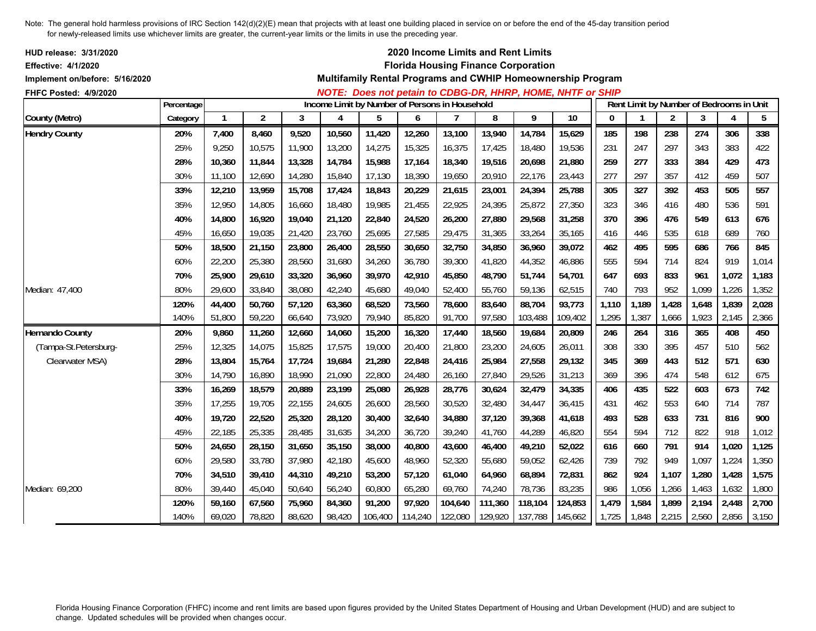| <b>HUD release: 3/31/2020</b><br>Effective: 4/1/2020 |            |        |                |        |                                                |         |         |                | 2020 Income Limits and Rent Limits<br><b>Florida Housing Finance Corporation</b> |         |                                                             |              |              |                |                                          |       |                 |
|------------------------------------------------------|------------|--------|----------------|--------|------------------------------------------------|---------|---------|----------------|----------------------------------------------------------------------------------|---------|-------------------------------------------------------------|--------------|--------------|----------------|------------------------------------------|-------|-----------------|
| Implement on/before: 5/16/2020                       |            |        |                |        |                                                |         |         |                |                                                                                  |         | Multifamily Rental Programs and CWHIP Homeownership Program |              |              |                |                                          |       |                 |
| FHFC Posted: 4/9/2020                                |            |        |                |        |                                                |         |         |                |                                                                                  |         | NOTE: Does not petain to CDBG-DR, HHRP, HOME, NHTF or SHIP  |              |              |                |                                          |       |                 |
|                                                      | Percentage |        |                |        | Income Limit by Number of Persons in Household |         |         |                |                                                                                  |         |                                                             |              |              |                | Rent Limit by Number of Bedrooms in Unit |       |                 |
| County (Metro)                                       | Category   |        | $\overline{2}$ | 3      | 4                                              | 5       | 6       | $\overline{7}$ | 8                                                                                | 9       | 10                                                          | $\mathbf{0}$ | $\mathbf{1}$ | $\overline{2}$ | 3                                        | 4     | $5\phantom{.0}$ |
| <b>Hendry County</b>                                 | 20%        | 7,400  | 8,460          | 9,520  | 10,560                                         | 11,420  | 12,260  | 13,100         | 13,940                                                                           | 14,784  | 15,629                                                      | 185          | 198          | 238            | 274                                      | 306   | 338             |
|                                                      | 25%        | 9,250  | 10,575         | 11,900 | 13,200                                         | 14,275  | 15,325  | 16,375         | 17,425                                                                           | 18,480  | 19,536                                                      | 231          | 247          | 297            | 343                                      | 383   | 422             |
|                                                      | 28%        | 10,360 | 11,844         | 13,328 | 14,784                                         | 15,988  | 17,164  | 18,340         | 19,516                                                                           | 20,698  | 21,880                                                      | 259          | 277          | 333            | 384                                      | 429   | 473             |
|                                                      | 30%        | 11,100 | 12,690         | 14,280 | 15,840                                         | 17,130  | 18,390  | 19,650         | 20,910                                                                           | 22,176  | 23,443                                                      | 277          | 297          | 357            | 412                                      | 459   | 507             |
|                                                      | 33%        | 12,210 | 13,959         | 15,708 | 17,424                                         | 18,843  | 20,229  | 21,615         | 23,001                                                                           | 24,394  | 25,788                                                      | 305          | 327          | 392            | 453                                      | 505   | 557             |
|                                                      | 35%        | 12,950 | 14,805         | 16,660 | 18,480                                         | 19,985  | 21,455  | 22,925         | 24,395                                                                           | 25,872  | 27,350                                                      | 323          | 346          | 416            | 480                                      | 536   | 591             |
|                                                      | 40%        | 14,800 | 16,920         | 19,040 | 21,120                                         | 22,840  | 24,520  | 26,200         | 27,880                                                                           | 29,568  | 31,258                                                      | 370          | 396          | 476            | 549                                      | 613   | 676             |
|                                                      | 45%        | 16,650 | 19,035         | 21,420 | 23,760                                         | 25,695  | 27,585  | 29,475         | 31,365                                                                           | 33,264  | 35,165                                                      | 416          | 446          | 535            | 618                                      | 689   | 760             |
|                                                      | 50%        | 18,500 | 21,150         | 23,800 | 26,400                                         | 28,550  | 30,650  | 32,750         | 34,850                                                                           | 36,960  | 39,072                                                      | 462          | 495          | 595            | 686                                      | 766   | 845             |
|                                                      | 60%        | 22,200 | 25,380         | 28,560 | 31,680                                         | 34,260  | 36,780  | 39,300         | 41,820                                                                           | 44,352  | 46,886                                                      | 555          | 594          | 714            | 824                                      | 919   | 1,014           |
|                                                      | 70%        | 25.900 | 29,610         | 33,320 | 36,960                                         | 39,970  | 42,910  | 45,850         | 48,790                                                                           | 51.744  | 54,701                                                      | 647          | 693          | 833            | 961                                      | 1,072 | 1,183           |
| Median: 47,400                                       | 80%        | 29,600 | 33,840         | 38,080 | 42,240                                         | 45,680  | 49,040  | 52,400         | 55,760                                                                           | 59,136  | 62,515                                                      | 740          | 793          | 952            | 1,099                                    | 1,226 | 1,352           |
|                                                      | 120%       | 44,400 | 50,760         | 57,120 | 63,360                                         | 68,520  | 73,560  | 78,600         | 83,640                                                                           | 88,704  | 93,773                                                      | 1,110        | 1,189        | 1,428          | 1,648                                    | 1,839 | 2,028           |
|                                                      | 140%       | 51,800 | 59,220         | 66,640 | 73,920                                         | 79,940  | 85,820  | 91,700         | 97,580                                                                           | 103,488 | 109,402                                                     | 1,295        | 1,387        | 1,666          | 1,923                                    | 2,145 | 2,366           |
| <b>Hernando County</b>                               | 20%        | 9,860  | 11,260         | 12,660 | 14,060                                         | 15,200  | 16,320  | 17,440         | 18,560                                                                           | 19,684  | 20,809                                                      | 246          | 264          | 316            | 365                                      | 408   | 450             |
| (Tampa-St.Petersburg-                                | 25%        | 12,325 | 14,075         | 15,825 | 17,575                                         | 19,000  | 20,400  | 21,800         | 23,200                                                                           | 24,605  | 26,011                                                      | 308          | 330          | 395            | 457                                      | 510   | 562             |
| Clearwater MSA)                                      | 28%        | 13,804 | 15,764         | 17,724 | 19,684                                         | 21,280  | 22,848  | 24,416         | 25,984                                                                           | 27,558  | 29,132                                                      | 345          | 369          | 443            | 512                                      | 571   | 630             |
|                                                      | 30%        | 14,790 | 16,890         | 18,990 | 21,090                                         | 22,800  | 24,480  | 26,160         | 27,840                                                                           | 29,526  | 31,213                                                      | 369          | 396          | 474            | 548                                      | 612   | 675             |
|                                                      | 33%        | 16,269 | 18,579         | 20,889 | 23,199                                         | 25,080  | 26,928  | 28,776         | 30,624                                                                           | 32,479  | 34,335                                                      | 406          | 435          | 522            | 603                                      | 673   | 742             |
|                                                      | 35%        | 17,255 | 19,705         | 22,155 | 24,605                                         | 26,600  | 28,560  | 30,520         | 32,480                                                                           | 34,447  | 36,415                                                      | 431          | 462          | 553            | 640                                      | 714   | 787             |
|                                                      | 40%        | 19,720 | 22,520         | 25,320 | 28,120                                         | 30,400  | 32,640  | 34,880         | 37,120                                                                           | 39,368  | 41,618                                                      | 493          | 528          | 633            | 731                                      | 816   | 900             |
|                                                      | 45%        | 22,185 | 25,335         | 28,485 | 31,635                                         | 34,200  | 36,720  | 39,240         | 41,760                                                                           | 44,289  | 46,820                                                      | 554          | 594          | 712            | 822                                      | 918   | 1,012           |
|                                                      | 50%        | 24,650 | 28,150         | 31,650 | 35,150                                         | 38,000  | 40,800  | 43,600         | 46,400                                                                           | 49,210  | 52,022                                                      | 616          | 660          | 791            | 914                                      | 1,020 | 1,125           |
|                                                      | 60%        | 29,580 | 33,780         | 37,980 | 42,180                                         | 45,600  | 48,960  | 52,320         | 55,680                                                                           | 59,052  | 62,426                                                      | 739          | 792          | 949            | 1,097                                    | 1,224 | 1,350           |
|                                                      | 70%        | 34,510 | 39,410         | 44,310 | 49,210                                         | 53,200  | 57,120  | 61,040         | 64,960                                                                           | 68,894  | 72,831                                                      | 862          | 924          | 1,107          | 1,280                                    | 1,428 | 1,575           |
| Median: 69,200                                       | 80%        | 39,440 | 45,040         | 50,640 | 56,240                                         | 60,800  | 65,280  | 69,760         | 74,240                                                                           | 78,736  | 83,235                                                      | 986          | 1,056        | 1,266          | 1,463                                    | 1,632 | 1,800           |
|                                                      | 120%       | 59,160 | 67,560         | 75,960 | 84,360                                         | 91,200  | 97,920  | 104,640        | 111,360                                                                          | 118,104 | 124,853                                                     | 1,479        | 1,584        | 1,899          | 2,194                                    | 2,448 | 2,700           |
|                                                      | 140%       | 69,020 | 78,820         | 88,620 | 98.420                                         | 106,400 | 114,240 | 122,080        | 129,920                                                                          | 137,788 | 145,662                                                     | 1,725        | 1,848        | 2,215          | 2,560                                    | 2,856 | 3,150           |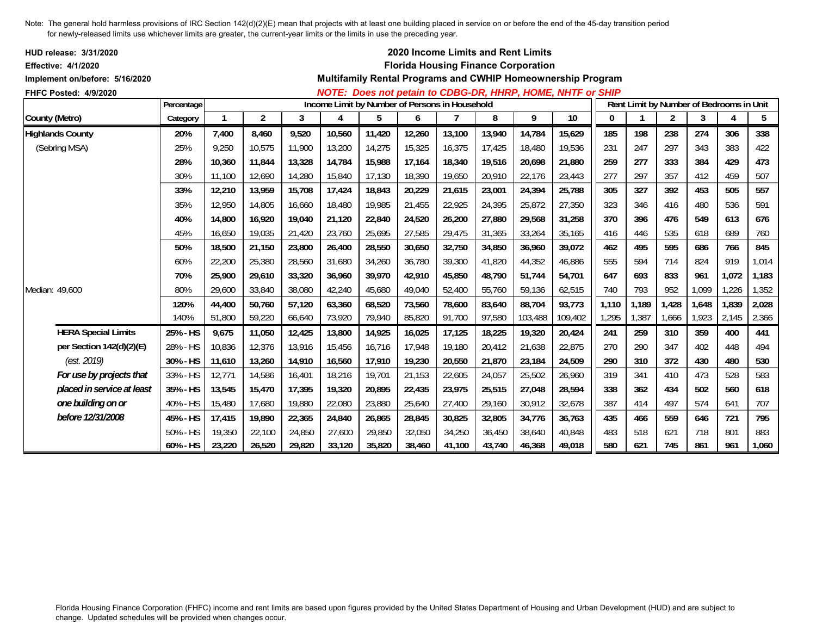| HUD release: 3/31/2020<br><b>Effective: 4/1/2020</b><br>Implement on/before: 5/16/2020 |             |        |                |        |                                                |        |        |        |        | 2020 Income Limits and Rent Limits<br><b>Florida Housing Finance Corporation</b> | Multifamily Rental Programs and CWHIP Homeownership Program       |       |                                          |                |       |       |       |
|----------------------------------------------------------------------------------------|-------------|--------|----------------|--------|------------------------------------------------|--------|--------|--------|--------|----------------------------------------------------------------------------------|-------------------------------------------------------------------|-------|------------------------------------------|----------------|-------|-------|-------|
| <b>FHFC Posted: 4/9/2020</b>                                                           |             |        |                |        |                                                |        |        |        |        |                                                                                  | <b>NOTE: Does not petain to CDBG-DR, HHRP, HOME, NHTF or SHIP</b> |       |                                          |                |       |       |       |
|                                                                                        | Percentage  |        |                |        | Income Limit by Number of Persons in Household |        |        |        |        |                                                                                  |                                                                   |       | Rent Limit by Number of Bedrooms in Unit |                |       |       |       |
| County (Metro)                                                                         | Category    |        | $\overline{c}$ | 3      | 4                                              | 5      | 6      |        | 8      | 9                                                                                | 10                                                                | 0     |                                          | $\overline{2}$ | 3     | 4     | 5     |
| <b>Highlands County</b>                                                                | 20%         | 7,400  | 8,460          | 9,520  | 10,560                                         | 11,420 | 12,260 | 13,100 | 13,940 | 14,784                                                                           | 15,629                                                            | 185   | 198                                      | 238            | 274   | 306   | 338   |
| (Sebring MSA)                                                                          | 25%         | 9,250  | 10,575         | 11,900 | 13,200                                         | 14,275 | 15,325 | 16,375 | 17,425 | 18,480                                                                           | 19,536                                                            | 231   | 247                                      | 297            | 343   | 383   | 422   |
|                                                                                        | 28%         | 10.360 | 11.844         | 13,328 | 14,784                                         | 15,988 | 17,164 | 18,340 | 19,516 | 20,698                                                                           | 21,880                                                            | 259   | 277                                      | 333            | 384   | 429   | 473   |
|                                                                                        | 30%         | 11.100 | 12,690         | 14,280 | 15,840                                         | 17,130 | 18,390 | 19,650 | 20,910 | 22,176                                                                           | 23,443                                                            | 277   | 297                                      | 357            | 412   | 459   | 507   |
|                                                                                        | 33%         | 12,210 | 13,959         | 15,708 | 17,424                                         | 18,843 | 20,229 | 21,615 | 23,001 | 24,394                                                                           | 25,788                                                            | 305   | 327                                      | 392            | 453   | 505   | 557   |
|                                                                                        | 35%         | 12.950 | 14,805         | 16,660 | 18,480                                         | 19,985 | 21,455 | 22,925 | 24,395 | 25,872                                                                           | 27,350                                                            | 323   | 346                                      | 416            | 480   | 536   | 591   |
|                                                                                        | 40%         | 14.800 | 16,920         | 19,040 | 21,120                                         | 22,840 | 24,520 | 26,200 | 27,880 | 29,568                                                                           | 31,258                                                            | 370   | 396                                      | 476            | 549   | 613   | 676   |
|                                                                                        | 45%         | 16.650 | 19,035         | 21,420 | 23,760                                         | 25,695 | 27,585 | 29,475 | 31,365 | 33,264                                                                           | 35,165                                                            | 416   | 446                                      | 535            | 618   | 689   | 760   |
|                                                                                        | 50%         | 18,500 | 21,150         | 23,800 | 26,400                                         | 28,550 | 30,650 | 32,750 | 34,850 | 36,960                                                                           | 39,072                                                            | 462   | 495                                      | 595            | 686   | 766   | 845   |
|                                                                                        | 60%         | 22,200 | 25,380         | 28,560 | 31,680                                         | 34,260 | 36,780 | 39,300 | 41.820 | 44,352                                                                           | 46,886                                                            | 555   | 594                                      | 714            | 824   | 919   | 1,014 |
|                                                                                        | 70%         | 25,900 | 29,610         | 33,320 | 36,960                                         | 39,970 | 42,910 | 45,850 | 48,790 | 51.744                                                                           | 54,701                                                            | 647   | 693                                      | 833            | 961   | 1,072 | 1,183 |
| Median: 49,600                                                                         | 80%         | 29,600 | 33,840         | 38,080 | 42,240                                         | 45,680 | 49,040 | 52,400 | 55,760 | 59,136                                                                           | 62,515                                                            | 740   | 793                                      | 952            | 1,099 | 1,226 | 1,352 |
|                                                                                        | 120%        | 44,400 | 50,760         | 57,120 | 63,360                                         | 68,520 | 73,560 | 78,600 | 83,640 | 88,704                                                                           | 93,773                                                            | 1,110 | 1,189                                    | 1,428          | 1,648 | 1,839 | 2,028 |
|                                                                                        | 140%        | 51,800 | 59,220         | 66,640 | 73,920                                         | 79,940 | 85,820 | 91,700 | 97,580 | 103,488                                                                          | 109,402                                                           | 1,295 | 1,387                                    | 1,666          | 1,923 | 2,145 | 2,366 |
| <b>HERA Special Limits</b>                                                             | 25% - HS    | 9,675  | 11,050         | 12,425 | 13,800                                         | 14,925 | 16,025 | 17,125 | 18,225 | 19,320                                                                           | 20,424                                                            | 241   | 259                                      | 310            | 359   | 400   | 441   |
| per Section 142(d)(2)(E)                                                               | 28% - HS    | 10,836 | 12,376         | 13,916 | 15,456                                         | 16,716 | 17,948 | 19,180 | 20,412 | 21,638                                                                           | 22,875                                                            | 270   | 290                                      | 347            | 402   | 448   | 494   |
| (est. 2019)                                                                            | 30% - HS    | 11,610 | 13,260         | 14,910 | 16,560                                         | 17,910 | 19,230 | 20,550 | 21,870 | 23,184                                                                           | 24,509                                                            | 290   | 310                                      | 372            | 430   | 480   | 530   |
| For use by projects that                                                               | 33% - HS    | 12,771 | 14,586         | 16,401 | 18,216                                         | 19,701 | 21,153 | 22,605 | 24,057 | 25,502                                                                           | 26,960                                                            | 319   | 341                                      | 410            | 473   | 528   | 583   |
| placed in service at least                                                             | 35% - HS    | 13,545 | 15,470         | 17,395 | 19,320                                         | 20,895 | 22,435 | 23,975 | 25,515 | 27,048                                                                           | 28,594                                                            | 338   | 362                                      | 434            | 502   | 560   | 618   |
| one building on or                                                                     | 40% - HS    | 15,480 | 17,680         | 19,880 | 22,080                                         | 23,880 | 25,640 | 27,400 | 29,160 | 30,912                                                                           | 32,678                                                            | 387   | 414                                      | 497            | 574   | 641   | 707   |
| before 12/31/2008                                                                      | 45% - HS    | 17,415 | 19,890         | 22,365 | 24,840                                         | 26,865 | 28,845 | 30,825 | 32,805 | 34,776                                                                           | 36,763                                                            | 435   | 466                                      | 559            | 646   | 721   | 795   |
|                                                                                        | $50\% - HS$ | 19,350 | 22,100         | 24,850 | 27,600                                         | 29,850 | 32,050 | 34,250 | 36,450 | 38,640                                                                           | 40,848                                                            | 483   | 518                                      | 621            | 718   | 801   | 883   |
|                                                                                        | 60% - HS    | 23,220 | 26,520         | 29,820 | 33,120                                         | 35,820 | 38,460 | 41,100 | 43,740 | 46,368                                                                           | 49,018                                                            | 580   | 621                                      | 745            | 861   | 961   | 1,060 |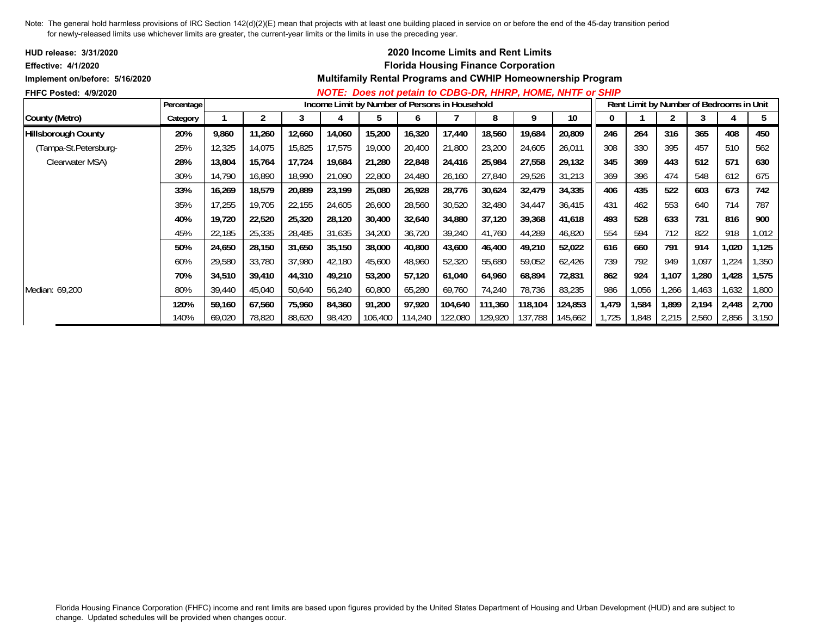| <b>HUD release: 3/31/2020</b>  |            |        |        |        |        |                                                |         |                 | <b>2020 Income Limits and Rent Limits</b>  |         |                                                                    |       |       |       |                                          |             |       |
|--------------------------------|------------|--------|--------|--------|--------|------------------------------------------------|---------|-----------------|--------------------------------------------|---------|--------------------------------------------------------------------|-------|-------|-------|------------------------------------------|-------------|-------|
| <b>Effective: 4/1/2020</b>     |            |        |        |        |        |                                                |         |                 | <b>Florida Housing Finance Corporation</b> |         |                                                                    |       |       |       |                                          |             |       |
| Implement on/before: 5/16/2020 |            |        |        |        |        |                                                |         |                 |                                            |         | <b>Multifamily Rental Programs and CWHIP Homeownership Program</b> |       |       |       |                                          |             |       |
| <b>FHFC Posted: 4/9/2020</b>   |            |        |        |        |        |                                                |         |                 |                                            |         | NOTE: Does not petain to CDBG-DR, HHRP, HOME, NHTF or SHIP         |       |       |       |                                          |             |       |
|                                | Percentage |        |        |        |        | Income Limit by Number of Persons in Household |         |                 |                                            |         |                                                                    |       |       |       | Rent Limit by Number of Bedrooms in Unit |             |       |
| County (Metro)                 | Category   |        |        | 3      |        | b.                                             | O       |                 | 8                                          | 9       | 10                                                                 | 0     |       | 2     |                                          |             | 5     |
| <b>Hillsborough County</b>     | 20%        | 9,860  | 11,260 | 12,660 | 14,060 | 15,200                                         | 16,320  | 17,440          | 18,560                                     | 19,684  | 20,809                                                             | 246   | 264   | 316   | 365                                      | 408         | 450   |
| (Tampa-St.Petersburg-          | 25%        | 12,325 | 14,075 | 15,825 | 17,575 | 19,000                                         | 20,400  | 21,800          | 23,200                                     | 24,605  | 26,011                                                             | 308   | 330   | 395   | 457                                      | 510         | 562   |
| Clearwater MSA)                | 28%        | 13,804 | 15,764 | 17,724 | 19,684 | 21,280                                         | 22,848  | 24,416          | 25,984                                     | 27,558  | 29,132                                                             | 345   | 369   | 443   | 512                                      | 571         | 630   |
|                                | 30%        | 14,790 | 16,890 | 18,990 | 21,090 | 22,800                                         | 24,480  | 26,160          | 27,840                                     | 29,526  | 31,213                                                             | 369   | 396   | 474   | 548                                      | 612         | 675   |
|                                | 33%        | 16,269 | 18,579 | 20,889 | 23,199 | 25,080                                         | 26,928  | 28,776          | 30,624                                     | 32,479  | 34,335                                                             | 406   | 435   | 522   | 603                                      | 673         | 742   |
|                                | 35%        | 17,255 | 19,705 | 22,155 | 24,605 | 26,600                                         | 28,560  | 30,520          | 32,480                                     | 34,447  | 36,415                                                             | 431   | 462   | 553   | 640                                      | 714         | 787   |
|                                | 40%        | 19,720 | 22,520 | 25,320 | 28,120 | 30,400                                         | 32,640  | 34,880          | 37,120                                     | 39,368  | 41,618                                                             | 493   | 528   | 633   | 731                                      | 816         | 900   |
|                                | 45%        | 22,185 | 25,335 | 28,485 | 31,635 | 34,200                                         | 36,720  | 39,240          | 41,760                                     | 44,289  | 46,820                                                             | 554   | 594   | 712   | 822                                      | 918         | 1,012 |
|                                | 50%        | 24,650 | 28,150 | 31,650 | 35,150 | 38,000                                         | 40,800  | 43,600          | 46,400                                     | 49,210  | 52,022                                                             | 616   | 660   | 791   | 914                                      | 1,020       | 1,125 |
|                                | 60%        | 29,580 | 33,780 | 37,980 | 42,180 | 45,600                                         | 48,960  | 52,320          | 55,680                                     | 59,052  | 62,426                                                             | 739   | 792   | 949   | 1,097                                    | 224         | 1,350 |
|                                | 70%        | 34,510 | 39,410 | 44,310 | 49,210 | 53,200                                         | 57,120  | 61,040          | 64,960                                     | 68,894  | 72,831                                                             | 862   | 924   | 1,107 | 1,280                                    | 1,428       | 1,575 |
| Median: 69,200                 | 80%        | 39,440 | 45,040 | 50,640 | 56,240 | 60,800                                         | 65,280  | 69,760          | 74,240                                     | 78,736  | 83,235                                                             | 986   | 1,056 | 1,266 | 1,463                                    | 1,632       | 1,800 |
|                                | 120%       | 59,160 | 67,560 | 75,960 | 84,360 | 91,200                                         | 97,920  | 104,640         | 111,360                                    | 118,104 | 124,853                                                            | 1,479 | 1,584 | 1,899 | 2,194                                    | 2,448       | 2,700 |
|                                | 140%       | 69,020 | 78,820 | 88,620 | 98,420 | 106,400                                        | 114,240 | 122,080 129,920 |                                            | 137,788 | 145,662                                                            | 1,725 | 1,848 | 2,215 | 2,560                                    | 2,856 3,150 |       |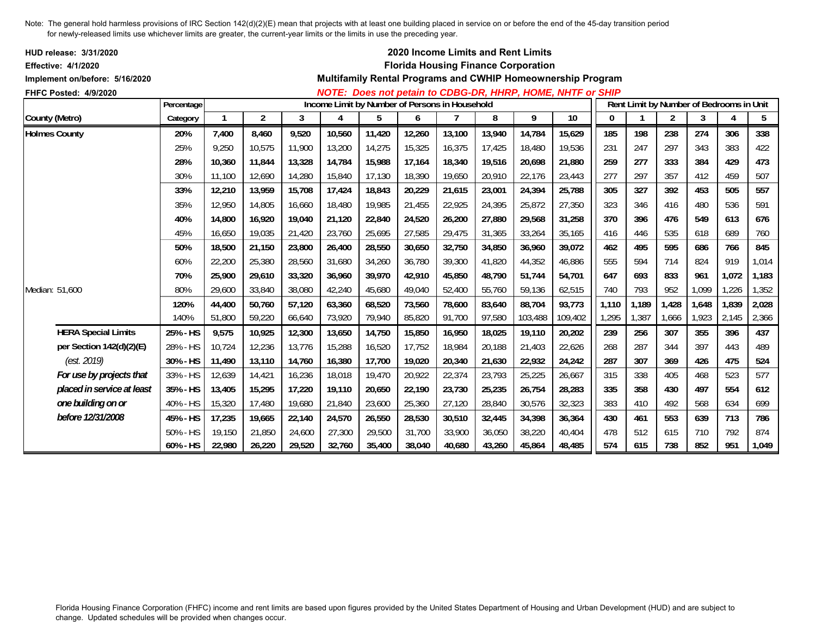| <b>HUD release: 3/31/2020</b><br><b>Effective: 4/1/2020</b> |            |              |        |        |        |                                                |        |        |        | 2020 Income Limits and Rent Limits<br><b>Florida Housing Finance Corporation</b> |                                                             |          |                                          |       |       |       |       |
|-------------------------------------------------------------|------------|--------------|--------|--------|--------|------------------------------------------------|--------|--------|--------|----------------------------------------------------------------------------------|-------------------------------------------------------------|----------|------------------------------------------|-------|-------|-------|-------|
| Implement on/before: 5/16/2020                              |            |              |        |        |        |                                                |        |        |        |                                                                                  | Multifamily Rental Programs and CWHIP Homeownership Program |          |                                          |       |       |       |       |
| FHFC Posted: 4/9/2020                                       |            |              |        |        |        |                                                |        |        |        |                                                                                  | NOTE: Does not petain to CDBG-DR, HHRP, HOME, NHTF or SHIP  |          |                                          |       |       |       |       |
|                                                             | Percentage |              |        |        |        | Income Limit by Number of Persons in Household |        |        |        |                                                                                  |                                                             |          | Rent Limit by Number of Bedrooms in Unit |       |       |       |       |
| County (Metro)                                              | Category   | $\mathbf{1}$ | 2      | 3      | 4      | 5                                              | 6      |        | 8      | 9                                                                                | 10                                                          | $\bf{0}$ |                                          | 2     | 3     | 4     | 5     |
| <b>Holmes County</b>                                        | 20%        | 7,400        | 8,460  | 9,520  | 10,560 | 11,420                                         | 12,260 | 13,100 | 13,940 | 14,784                                                                           | 15,629                                                      | 185      | 198                                      | 238   | 274   | 306   | 338   |
|                                                             | 25%        | 9,250        | 10,575 | 11,900 | 13,200 | 14,275                                         | 15,325 | 16,375 | 17,425 | 18,480                                                                           | 19,536                                                      | 231      | 247                                      | 297   | 343   | 383   | 422   |
|                                                             | 28%        | 10.360       | 11,844 | 13,328 | 14,784 | 15,988                                         | 17,164 | 18,340 | 19,516 | 20,698                                                                           | 21,880                                                      | 259      | 277                                      | 333   | 384   | 429   | 473   |
|                                                             | 30%        | 11,100       | 12,690 | 14,280 | 15,840 | 17,130                                         | 18,390 | 19,650 | 20,910 | 22,176                                                                           | 23,443                                                      | 277      | 297                                      | 357   | 412   | 459   | 507   |
|                                                             | 33%        | 12,210       | 13,959 | 15,708 | 17,424 | 18,843                                         | 20,229 | 21,615 | 23,001 | 24,394                                                                           | 25,788                                                      | 305      | 327                                      | 392   | 453   | 505   | 557   |
|                                                             | 35%        | 12,950       | 14,805 | 16,660 | 18,480 | 19,985                                         | 21,455 | 22,925 | 24,395 | 25,872                                                                           | 27,350                                                      | 323      | 346                                      | 416   | 480   | 536   | 591   |
|                                                             | 40%        | 14.800       | 16,920 | 19,040 | 21,120 | 22,840                                         | 24,520 | 26,200 | 27,880 | 29,568                                                                           | 31,258                                                      | 370      | 396                                      | 476   | 549   | 613   | 676   |
|                                                             | 45%        | 16,650       | 19,035 | 21,420 | 23,760 | 25,695                                         | 27,585 | 29,475 | 31,365 | 33,264                                                                           | 35,165                                                      | 416      | 446                                      | 535   | 618   | 689   | 760   |
|                                                             | 50%        | 18,500       | 21,150 | 23,800 | 26,400 | 28,550                                         | 30,650 | 32,750 | 34,850 | 36,960                                                                           | 39,072                                                      | 462      | 495                                      | 595   | 686   | 766   | 845   |
|                                                             | 60%        | 22,200       | 25,380 | 28,560 | 31,680 | 34,260                                         | 36,780 | 39,300 | 41,820 | 44,352                                                                           | 46,886                                                      | 555      | 594                                      | 714   | 824   | 919   | 1,014 |
|                                                             | 70%        | 25,900       | 29,610 | 33,320 | 36,960 | 39,970                                         | 42,910 | 45,850 | 48,790 | 51.744                                                                           | 54,701                                                      | 647      | 693                                      | 833   | 961   | 1,072 | 1,183 |
| Median: 51,600                                              | 80%        | 29,600       | 33,840 | 38,080 | 42,240 | 45,680                                         | 49,040 | 52,400 | 55,760 | 59.136                                                                           | 62,515                                                      | 740      | 793                                      | 952   | 1,099 | 1,226 | 1,352 |
|                                                             | 120%       | 44,400       | 50,760 | 57,120 | 63,360 | 68,520                                         | 73,560 | 78,600 | 83,640 | 88,704                                                                           | 93,773                                                      | 1,110    | 1,189                                    | 1,428 | 1,648 | 1,839 | 2,028 |
|                                                             | 140%       | 51.800       | 59,220 | 66,640 | 73,920 | 79,940                                         | 85,820 | 91,700 | 97,580 | 103,488                                                                          | 109,402                                                     | 1,295    | 1,387                                    | 1,666 | 1,923 | 2,145 | 2,366 |
| <b>HERA Special Limits</b>                                  | 25% - HS   | 9,575        | 10,925 | 12,300 | 13,650 | 14,750                                         | 15,850 | 16,950 | 18,025 | 19,110                                                                           | 20,202                                                      | 239      | 256                                      | 307   | 355   | 396   | 437   |
| per Section 142(d)(2)(E)                                    | 28% - HS   | 10,724       | 12,236 | 13,776 | 15,288 | 16,520                                         | 17,752 | 18,984 | 20,188 | 21.403                                                                           | 22,626                                                      | 268      | 287                                      | 344   | 397   | 443   | 489   |
| (est. 2019)                                                 | 30% - HS   | 11,490       | 13,110 | 14,760 | 16,380 | 17,700                                         | 19,020 | 20,340 | 21.630 | 22,932                                                                           | 24,242                                                      | 287      | 307                                      | 369   | 426   | 475   | 524   |
| For use by projects that                                    | 33% - HS   | 12,639       | 14,421 | 16,236 | 18,018 | 19,470                                         | 20,922 | 22,374 | 23,793 | 25,225                                                                           | 26,667                                                      | 315      | 338                                      | 405   | 468   | 523   | 577   |
| placed in service at least                                  | 35% - HS   | 13,405       | 15,295 | 17,220 | 19,110 | 20,650                                         | 22,190 | 23,730 | 25,235 | 26,754                                                                           | 28,283                                                      | 335      | 358                                      | 430   | 497   | 554   | 612   |
| one building on or                                          | 40% - HS   | 15,320       | 17,480 | 19,680 | 21,840 | 23,600                                         | 25,360 | 27,120 | 28,840 | 30,576                                                                           | 32,323                                                      | 383      | 410                                      | 492   | 568   | 634   | 699   |
| before 12/31/2008                                           | 45% - HS   | 17,235       | 19,665 | 22,140 | 24,570 | 26,550                                         | 28,530 | 30,510 | 32,445 | 34,398                                                                           | 36,364                                                      | 430      | 461                                      | 553   | 639   | 713   | 786   |
|                                                             | 50% - HS   | 19,150       | 21,850 | 24,600 | 27,300 | 29,500                                         | 31,700 | 33,900 | 36,050 | 38,220                                                                           | 40,404                                                      | 478      | 512                                      | 615   | 710   | 792   | 874   |
|                                                             | 60% - HS   | 22,980       | 26,220 | 29,520 | 32,760 | 35,400                                         | 38,040 | 40,680 | 43,260 | 45,864                                                                           | 48,485                                                      | 574      | 615                                      | 738   | 852   | 951   | 1,049 |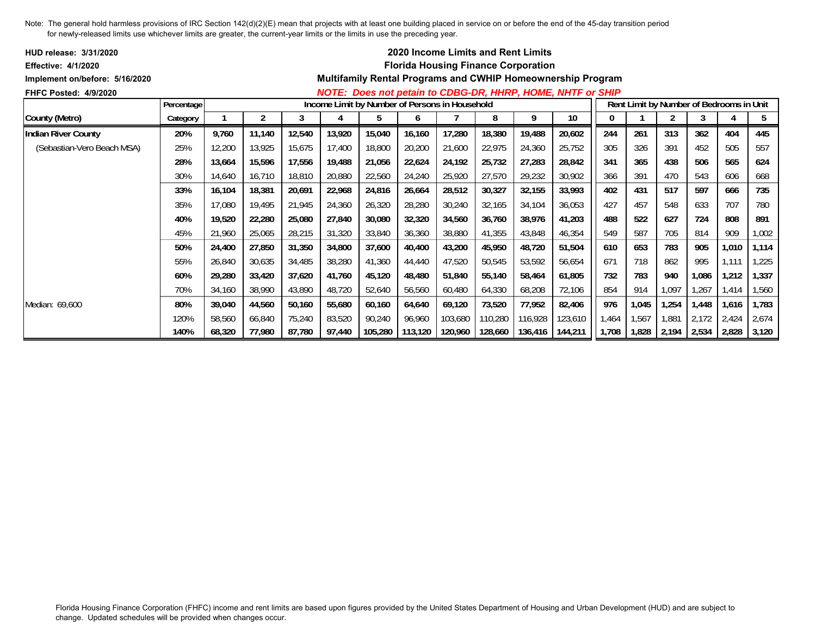| <b>HUD release: 3/31/2020</b>  |            |        |                |        |        |                                                |         | 2020 Income Limits and Rent Limits         |         |         |                                                             |       |       |       |       |                                          |       |
|--------------------------------|------------|--------|----------------|--------|--------|------------------------------------------------|---------|--------------------------------------------|---------|---------|-------------------------------------------------------------|-------|-------|-------|-------|------------------------------------------|-------|
| <b>Effective: 4/1/2020</b>     |            |        |                |        |        |                                                |         | <b>Florida Housing Finance Corporation</b> |         |         |                                                             |       |       |       |       |                                          |       |
| Implement on/before: 5/16/2020 |            |        |                |        |        |                                                |         |                                            |         |         | Multifamily Rental Programs and CWHIP Homeownership Program |       |       |       |       |                                          |       |
| <b>FHFC Posted: 4/9/2020</b>   |            |        |                |        |        |                                                |         |                                            |         |         | NOTE: Does not petain to CDBG-DR, HHRP, HOME, NHTF or SHIP  |       |       |       |       |                                          |       |
|                                | Percentage |        |                |        |        | Income Limit by Number of Persons in Household |         |                                            |         |         |                                                             |       |       |       |       | Rent Limit by Number of Bedrooms in Unit |       |
| County (Metro)                 | Category   |        | $\overline{2}$ |        | 4      | 5                                              | 6       |                                            | 8       | 9       | 10                                                          | 0     |       |       | 3     |                                          | 5     |
| <b>Indian River County</b>     | 20%        | 9,760  | 11,140         | 12,540 | 13,920 | 15,040                                         | 16,160  | 17,280                                     | 18,380  | 19,488  | 20,602                                                      | 244   | 261   | 313   | 362   | 404                                      | 445   |
| (Sebastian-Vero Beach MSA)     | 25%        | 12,200 | 13,925         | 15,675 | 17,400 | 18,800                                         | 20,200  | 21,600                                     | 22,975  | 24,360  | 25,752                                                      | 305   | 326   | 391   | 452   | 505                                      | 557   |
|                                | 28%        | 13,664 | 15,596         | 17,556 | 19,488 | 21,056                                         | 22,624  | 24,192                                     | 25,732  | 27,283  | 28,842                                                      | 341   | 365   | 438   | 506   | 565                                      | 624   |
|                                | 30%        | 14,640 | 16,710         | 18,810 | 20,880 | 22,560                                         | 24,240  | 25,920                                     | 27,570  | 29,232  | 30,902                                                      | 366   | 391   | 470   | 543   | 606                                      | 668   |
|                                | 33%        | 16,104 | 18,381         | 20,691 | 22,968 | 24,816                                         | 26,664  | 28,512                                     | 30,327  | 32,155  | 33,993                                                      | 402   | 431   | 517   | 597   | 666                                      | 735   |
|                                | 35%        | 17,080 | 19,495         | 21,945 | 24,360 | 26,320                                         | 28,280  | 30,240                                     | 32,165  | 34,104  | 36,053                                                      | 427   | 457   | 548   | 633   | 707                                      | 780   |
|                                | 40%        | 19,520 | 22,280         | 25,080 | 27,840 | 30,080                                         | 32,320  | 34,560                                     | 36,760  | 38,976  | 41,203                                                      | 488   | 522   | 627   | 724   | 808                                      | 891   |
|                                | 45%        | 21,960 | 25,065         | 28,215 | 31,320 | 33,840                                         | 36,360  | 38,880                                     | 41,355  | 43,848  | 46,354                                                      | 549   | 587   | 705   | 814   | 909                                      | 1,002 |
|                                | 50%        | 24,400 | 27,850         | 31,350 | 34,800 | 37,600                                         | 40,400  | 43,200                                     | 45,950  | 48,720  | 51,504                                                      | 610   | 653   | 783   | 905   | 1,010                                    | 1,114 |
|                                | 55%        | 26,840 | 30,635         | 34,485 | 38,280 | 41,360                                         | 44,440  | 47,520                                     | 50,545  | 53,592  | 56,654                                                      | 671   | 718   | 862   | 995   | 1,111                                    | 1,225 |
|                                | 60%        | 29,280 | 33,420         | 37,620 | 41,760 | 45,120                                         | 48,480  | 51,840                                     | 55,140  | 58,464  | 61,805                                                      | 732   | 783   | 940   | 1,086 | 1,212                                    | 1,337 |
|                                | 70%        | 34,160 | 38,990         | 43,890 | 48,720 | 52,640                                         | 56,560  | 60,480                                     | 64,330  | 68,208  | 72,106                                                      | 854   | 914   | 1,097 | 1,267 | 1,414                                    | 1,560 |
| Median: 69,600                 | 80%        | 39,040 | 44,560         | 50,160 | 55,680 | 60,160                                         | 64,640  | 69,120                                     | 73,520  | 77,952  | 82,406                                                      | 976   | 1,045 | 1,254 | 1,448 | 1,616                                    | 1,783 |
|                                | 120%       | 58,560 | 66,840         | 75,240 | 83,520 | 90,240                                         | 96,960  | 103,680                                    | 110,280 | 116,928 | 123,610                                                     | 1,464 | 1,567 | 1,881 | 2,172 | 2,424                                    | 2,674 |
|                                | 140%       | 68,320 | 77,980         | 87,780 | 97,440 | 105,280                                        | 113,120 | 120,960                                    | 128,660 | 136,416 | 144,211                                                     | 1,708 | 1,828 | 2,194 | 2,534 | 2,828                                    | 3,120 |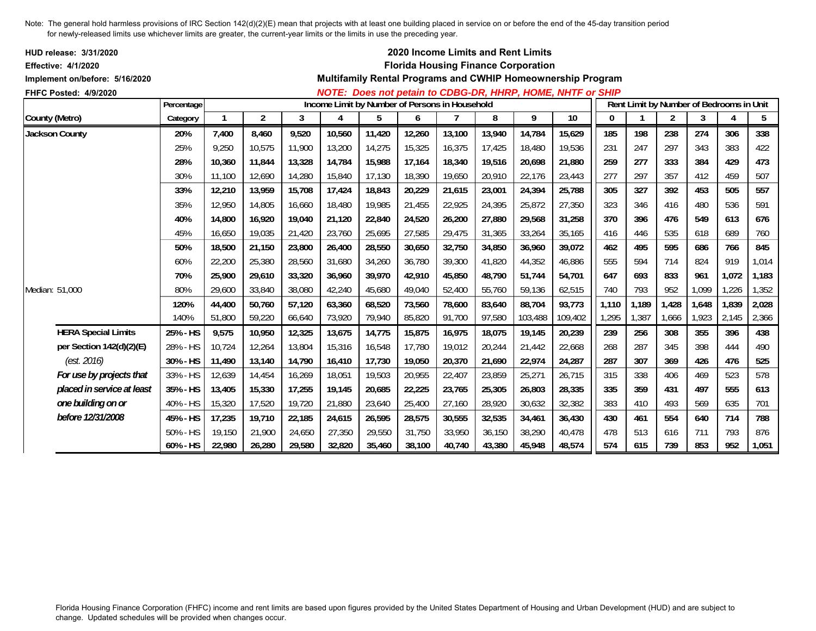| <b>HUD release: 3/31/2020</b><br>Effective: 4/1/2020 |            |        |        |        |        |        |                                                |        | 2020 Income Limits and Rent Limits<br><b>Florida Housing Finance Corporation</b> |         |                                                             |       |                                          |       |       |       |       |
|------------------------------------------------------|------------|--------|--------|--------|--------|--------|------------------------------------------------|--------|----------------------------------------------------------------------------------|---------|-------------------------------------------------------------|-------|------------------------------------------|-------|-------|-------|-------|
| Implement on/before: 5/16/2020                       |            |        |        |        |        |        |                                                |        |                                                                                  |         | Multifamily Rental Programs and CWHIP Homeownership Program |       |                                          |       |       |       |       |
| FHFC Posted: 4/9/2020                                |            |        |        |        |        |        |                                                |        |                                                                                  |         | NOTE: Does not petain to CDBG-DR, HHRP, HOME, NHTF or SHIP  |       |                                          |       |       |       |       |
|                                                      | Percentage |        |        |        |        |        | Income Limit by Number of Persons in Household |        |                                                                                  |         |                                                             |       | Rent Limit by Number of Bedrooms in Unit |       |       |       |       |
| County (Metro)                                       | Category   |        | 2      | 3      | 4      | 5      | 6                                              |        | 8                                                                                | 9       | 10                                                          | 0     |                                          | 2     | 3     | 4     | 5     |
| <b>Jackson County</b>                                | 20%        | 7,400  | 8,460  | 9,520  | 10,560 | 11,420 | 12,260                                         | 13,100 | 13,940                                                                           | 14,784  | 15,629                                                      | 185   | 198                                      | 238   | 274   | 306   | 338   |
|                                                      | 25%        | 9,250  | 10,575 | 11,900 | 13,200 | 14,275 | 15,325                                         | 16,375 | 17,425                                                                           | 18,480  | 19,536                                                      | 231   | 247                                      | 297   | 343   | 383   | 422   |
|                                                      | 28%        | 10.360 | 11,844 | 13,328 | 14,784 | 15,988 | 17,164                                         | 18,340 | 19,516                                                                           | 20.698  | 21,880                                                      | 259   | 277                                      | 333   | 384   | 429   | 473   |
|                                                      | 30%        | 11,100 | 12,690 | 14,280 | 15,840 | 17,130 | 18,390                                         | 19,650 | 20,910                                                                           | 22,176  | 23,443                                                      | 277   | 297                                      | 357   | 412   | 459   | 507   |
|                                                      | 33%        | 12,210 | 13,959 | 15,708 | 17,424 | 18,843 | 20,229                                         | 21,615 | 23,001                                                                           | 24,394  | 25,788                                                      | 305   | 327                                      | 392   | 453   | 505   | 557   |
|                                                      | 35%        | 12.950 | 14,805 | 16,660 | 18,480 | 19,985 | 21,455                                         | 22,925 | 24,395                                                                           | 25,872  | 27,350                                                      | 323   | 346                                      | 416   | 480   | 536   | 591   |
|                                                      | 40%        | 14,800 | 16,920 | 19,040 | 21,120 | 22,840 | 24,520                                         | 26,200 | 27,880                                                                           | 29,568  | 31,258                                                      | 370   | 396                                      | 476   | 549   | 613   | 676   |
|                                                      | 45%        | 16,650 | 19,035 | 21,420 | 23,760 | 25,695 | 27,585                                         | 29,475 | 31,365                                                                           | 33,264  | 35,165                                                      | 416   | 446                                      | 535   | 618   | 689   | 760   |
|                                                      | 50%        | 18.500 | 21.150 | 23,800 | 26,400 | 28,550 | 30,650                                         | 32,750 | 34,850                                                                           | 36.960  | 39,072                                                      | 462   | 495                                      | 595   | 686   | 766   | 845   |
|                                                      | 60%        | 22,200 | 25,380 | 28,560 | 31,680 | 34,260 | 36,780                                         | 39,300 | 41,820                                                                           | 44,352  | 46,886                                                      | 555   | 594                                      | 714   | 824   | 919   | 1,014 |
|                                                      | 70%        | 25,900 | 29,610 | 33,320 | 36,960 | 39,970 | 42,910                                         | 45,850 | 48,790                                                                           | 51.744  | 54,701                                                      | 647   | 693                                      | 833   | 961   | 1,072 | 1,183 |
| Median: 51,000                                       | 80%        | 29,600 | 33,840 | 38,080 | 42,240 | 45,680 | 49,040                                         | 52,400 | 55,760                                                                           | 59,136  | 62,515                                                      | 740   | 793                                      | 952   | 1,099 | 1,226 | 1,352 |
|                                                      | 120%       | 44,400 | 50,760 | 57,120 | 63,360 | 68,520 | 73,560                                         | 78,600 | 83,640                                                                           | 88,704  | 93,773                                                      | 1,110 | 1,189                                    | 1,428 | 1,648 | 1,839 | 2,028 |
|                                                      | 140%       | 51,800 | 59,220 | 66,640 | 73,920 | 79,940 | 85,820                                         | 91,700 | 97,580                                                                           | 103,488 | 109,402                                                     | 1,295 | 1,387                                    | 1,666 | 1,923 | 2,145 | 2,366 |
| <b>HERA Special Limits</b>                           | 25% - HS   | 9,575  | 10,950 | 12,325 | 13,675 | 14,775 | 15,875                                         | 16,975 | 18,075                                                                           | 19,145  | 20,239                                                      | 239   | 256                                      | 308   | 355   | 396   | 438   |
| per Section 142(d)(2)(E)                             | 28% - HS   | 10,724 | 12,264 | 13,804 | 15,316 | 16,548 | 17,780                                         | 19,012 | 20,244                                                                           | 21,442  | 22,668                                                      | 268   | 287                                      | 345   | 398   | 444   | 490   |
| (est. 2016)                                          | 30% - HS   | 11,490 | 13,140 | 14,790 | 16,410 | 17,730 | 19,050                                         | 20,370 | 21,690                                                                           | 22,974  | 24,287                                                      | 287   | 307                                      | 369   | 426   | 476   | 525   |
| For use by projects that                             | 33% - HS   | 12,639 | 14,454 | 16,269 | 18,051 | 19,503 | 20,955                                         | 22,407 | 23,859                                                                           | 25,271  | 26,715                                                      | 315   | 338                                      | 406   | 469   | 523   | 578   |
| placed in service at least                           | 35% - HS   | 13,405 | 15,330 | 17,255 | 19,145 | 20,685 | 22,225                                         | 23,765 | 25,305                                                                           | 26,803  | 28,335                                                      | 335   | 359                                      | 431   | 497   | 555   | 613   |
| one building on or                                   | 40% - HS   | 15,320 | 17,520 | 19,720 | 21,880 | 23,640 | 25,400                                         | 27,160 | 28,920                                                                           | 30,632  | 32,382                                                      | 383   | 410                                      | 493   | 569   | 635   | 701   |
| before 12/31/2008                                    | 45% - HS   | 17,235 | 19,710 | 22,185 | 24,615 | 26,595 | 28,575                                         | 30,555 | 32,535                                                                           | 34,461  | 36,430                                                      | 430   | 461                                      | 554   | 640   | 714   | 788   |
|                                                      | 50% - HS   | 19,150 | 21,900 | 24,650 | 27,350 | 29,550 | 31,750                                         | 33,950 | 36,150                                                                           | 38,290  | 40,478                                                      | 478   | 513                                      | 616   | 711   | 793   | 876   |
|                                                      | 60% - HS   | 22,980 | 26,280 | 29,580 | 32,820 | 35,460 | 38,100                                         | 40,740 | 43,380                                                                           | 45,948  | 48,574                                                      | 574   | 615                                      | 739   | 853   | 952   | 1,051 |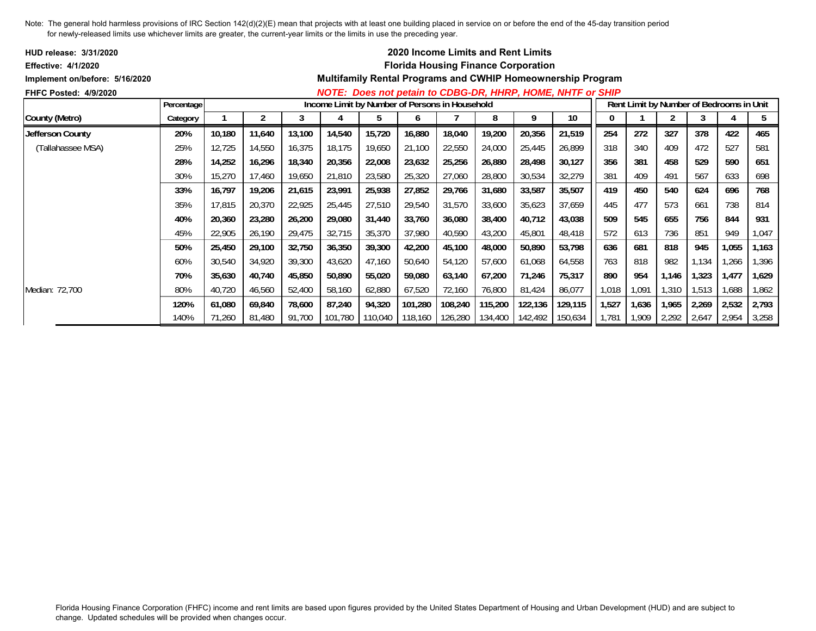| <b>HUD release: 3/31/2020</b>  |            |        |        |        |                                                |                 |         |         | <b>2020 Income Limits and Rent Limits</b>  |         |                                                                    |       |       |                                          |       |       |       |
|--------------------------------|------------|--------|--------|--------|------------------------------------------------|-----------------|---------|---------|--------------------------------------------|---------|--------------------------------------------------------------------|-------|-------|------------------------------------------|-------|-------|-------|
| <b>Effective: 4/1/2020</b>     |            |        |        |        |                                                |                 |         |         | <b>Florida Housing Finance Corporation</b> |         |                                                                    |       |       |                                          |       |       |       |
| Implement on/before: 5/16/2020 |            |        |        |        |                                                |                 |         |         |                                            |         | <b>Multifamily Rental Programs and CWHIP Homeownership Program</b> |       |       |                                          |       |       |       |
| <b>FHFC Posted: 4/9/2020</b>   |            |        |        |        |                                                |                 |         |         |                                            |         | NOTE: Does not petain to CDBG-DR, HHRP, HOME, NHTF or SHIP         |       |       |                                          |       |       |       |
|                                | Percentage |        |        |        | Income Limit by Number of Persons in Household |                 |         |         |                                            |         |                                                                    |       |       | Rent Limit by Number of Bedrooms in Unit |       |       |       |
| County (Metro)                 | Category   |        |        |        |                                                | b               | O       |         | 8                                          | 9       | 10                                                                 |       |       |                                          |       |       | 5     |
| Jefferson County               | 20%        | 10,180 | 11,640 | 13,100 | 14,540                                         | 15,720          | 16,880  | 18,040  | 19,200                                     | 20,356  | 21,519                                                             | 254   | 272   | 327                                      | 378   | 422   | 465   |
| (Tallahassee MSA)              | 25%        | 12,725 | 14,550 | 16,375 | 18,175                                         | 19,650          | 21,100  | 22,550  | 24,000                                     | 25,445  | 26,899                                                             | 318   | 340   | 409                                      | 472   | 527   | 581   |
|                                | 28%        | 14,252 | 16,296 | 18,340 | 20,356                                         | 22,008          | 23,632  | 25,256  | 26,880                                     | 28,498  | 30,127                                                             | 356   | 381   | 458                                      | 529   | 590   | 651   |
|                                | 30%        | 15,270 | 17,460 | 19,650 | 21,810                                         | 23,580          | 25,320  | 27,060  | 28,800                                     | 30,534  | 32,279                                                             | 381   | 409   | 491                                      | 567   | 633   | 698   |
|                                | 33%        | 16,797 | 19,206 | 21,615 | 23,991                                         | 25,938          | 27,852  | 29,766  | 31,680                                     | 33,587  | 35,507                                                             | 419   | 450   | 540                                      | 624   | 696   | 768   |
|                                | 35%        | 17,815 | 20,370 | 22,925 | 25,445                                         | 27,510          | 29,540  | 31,570  | 33,600                                     | 35,623  | 37,659                                                             | 445   | 477   | 573                                      | 661   | 738   | 814   |
|                                | 40%        | 20,360 | 23,280 | 26,200 | 29,080                                         | 31,440          | 33,760  | 36,080  | 38,400                                     | 40,712  | 43,038                                                             | 509   | 545   | 655                                      | 756   | 844   | 931   |
|                                | 45%        | 22,905 | 26,190 | 29,475 | 32,715                                         | 35,370          | 37,980  | 40,590  | 43,200                                     | 45,801  | 48,418                                                             | 572   | 613   | 736                                      | 851   | 949   | 1,047 |
|                                | 50%        | 25,450 | 29,100 | 32,750 | 36,350                                         | 39,300          | 42,200  | 45,100  | 48,000                                     | 50,890  | 53,798                                                             | 636   | 681   | 818                                      | 945   | 1,055 | 1,163 |
|                                | 60%        | 30,540 | 34,920 | 39,300 | 43,620                                         | 47,160          | 50,640  | 54,120  | 57,600                                     | 61,068  | 64,558                                                             | 763   | 818   | 982                                      | 1,134 | ,266  | 1,396 |
|                                | 70%        | 35,630 | 40,740 | 45,850 | 50,890                                         | 55,020          | 59,080  | 63,140  | 67,200                                     | 71,246  | 75,317                                                             | 890   | 954   | 1,146                                    | 1,323 | 1,477 | 1,629 |
| Median: 72,700                 | 80%        | 40,720 | 46,560 | 52,400 | 58,160                                         | 62,880          | 67,520  | 72,160  | 76,800                                     | 81,424  | 86,077                                                             | 1,018 | 1,091 | 1,310                                    | 1,513 | 1,688 | 1,862 |
|                                | 120%       | 61,080 | 69,840 | 78,600 | 87,240                                         | 94,320          | 101,280 | 108,240 | 115,200                                    | 122,136 | 129,115                                                            | 1,527 | 1,636 | 1,965                                    | 2,269 | 2,532 | 2,793 |
|                                | 140%       | 71,260 | 81,480 | 91,700 |                                                | 101,780 110,040 | 118,160 |         | 126,280 134,400                            | 142,492 | 150,634                                                            | 1,781 | 1,909 | 2,292                                    | 2,647 | 2,954 | 3,258 |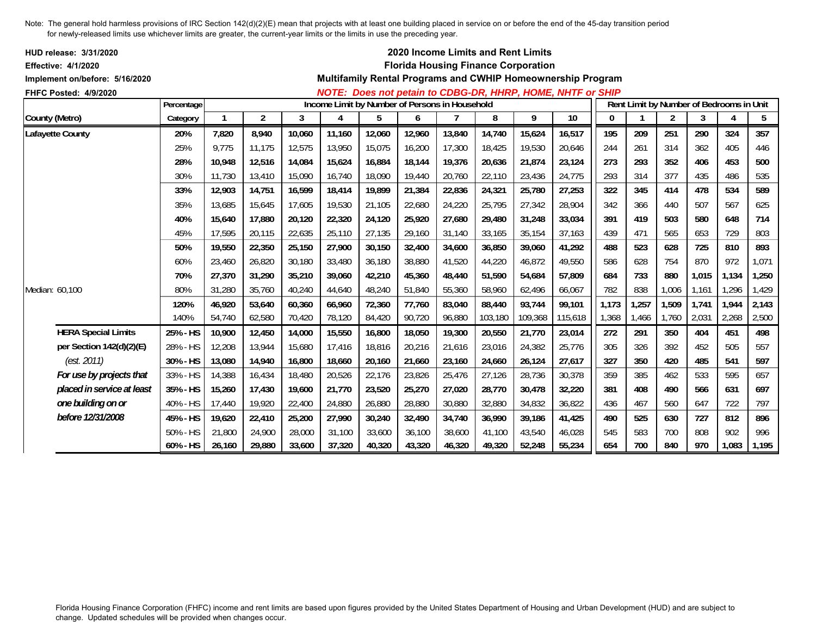| HUD release: 3/31/2020<br><b>Effective: 4/1/2020</b><br>Implement on/before: 5/16/2020 |            |        |                |        |        |                                                |        |        |         | 2020 Income Limits and Rent Limits<br><b>Florida Housing Finance Corporation</b> | Multifamily Rental Programs and CWHIP Homeownership Program |       |       |                |                                          |       |       |
|----------------------------------------------------------------------------------------|------------|--------|----------------|--------|--------|------------------------------------------------|--------|--------|---------|----------------------------------------------------------------------------------|-------------------------------------------------------------|-------|-------|----------------|------------------------------------------|-------|-------|
| FHFC Posted: 4/9/2020                                                                  |            |        |                |        |        |                                                |        |        |         |                                                                                  | NOTE: Does not petain to CDBG-DR, HHRP, HOME, NHTF or SHIP  |       |       |                |                                          |       |       |
|                                                                                        | Percentage |        |                |        |        | Income Limit by Number of Persons in Household |        |        |         |                                                                                  |                                                             |       |       |                | Rent Limit by Number of Bedrooms in Unit |       |       |
| County (Metro)                                                                         | Category   |        | $\overline{2}$ | 3      | 4      | 5                                              | 6      |        | 8       | 9                                                                                | 10                                                          | 0     |       | $\overline{2}$ | 3                                        | 4     | 5     |
| Lafayette County                                                                       | 20%        | 7,820  | 8,940          | 10,060 | 11,160 | 12,060                                         | 12,960 | 13,840 | 14,740  | 15,624                                                                           | 16,517                                                      | 195   | 209   | 251            | 290                                      | 324   | 357   |
|                                                                                        | 25%        | 9,775  | 11,175         | 12,575 | 13,950 | 15,075                                         | 16,200 | 17,300 | 18,425  | 19,530                                                                           | 20,646                                                      | 244   | 261   | 314            | 362                                      | 405   | 446   |
|                                                                                        | 28%        | 10.948 | 12,516         | 14,084 | 15,624 | 16,884                                         | 18,144 | 19,376 | 20.636  | 21,874                                                                           | 23,124                                                      | 273   | 293   | 352            | 406                                      | 453   | 500   |
|                                                                                        | 30%        | 11,730 | 13,410         | 15,090 | 16,740 | 18,090                                         | 19,440 | 20,760 | 22,110  | 23,436                                                                           | 24,775                                                      | 293   | 314   | 377            | 435                                      | 486   | 535   |
|                                                                                        | 33%        | 12,903 | 14,751         | 16,599 | 18,414 | 19,899                                         | 21,384 | 22,836 | 24,321  | 25,780                                                                           | 27,253                                                      | 322   | 345   | 414            | 478                                      | 534   | 589   |
|                                                                                        | 35%        | 13.685 | 15.645         | 17.605 | 19,530 | 21,105                                         | 22,680 | 24,220 | 25,795  | 27.342                                                                           | 28,904                                                      | 342   | 366   | 440            | 507                                      | 567   | 625   |
|                                                                                        | 40%        | 15,640 | 17,880         | 20,120 | 22,320 | 24,120                                         | 25,920 | 27,680 | 29,480  | 31,248                                                                           | 33,034                                                      | 391   | 419   | 503            | 580                                      | 648   | 714   |
|                                                                                        | 45%        | 17,595 | 20,115         | 22,635 | 25,110 | 27,135                                         | 29,160 | 31,140 | 33,165  | 35,154                                                                           | 37,163                                                      | 439   | 471   | 565            | 653                                      | 729   | 803   |
|                                                                                        | 50%        | 19.550 | 22,350         | 25,150 | 27,900 | 30,150                                         | 32,400 | 34,600 | 36.850  | 39,060                                                                           | 41,292                                                      | 488   | 523   | 628            | 725                                      | 810   | 893   |
|                                                                                        | 60%        | 23,460 | 26,820         | 30,180 | 33,480 | 36,180                                         | 38,880 | 41,520 | 44,220  | 46,872                                                                           | 49,550                                                      | 586   | 628   | 754            | 870                                      | 972   | 1,071 |
|                                                                                        | 70%        | 27,370 | 31,290         | 35,210 | 39,060 | 42,210                                         | 45,360 | 48,440 | 51,590  | 54,684                                                                           | 57,809                                                      | 684   | 733   | 880            | 1,015                                    | 1,134 | 1,250 |
| Median: 60,100                                                                         | 80%        | 31,280 | 35,760         | 40,240 | 44,640 | 48,240                                         | 51,840 | 55,360 | 58,960  | 62,496                                                                           | 66,067                                                      | 782   | 838   | 1,006          | 1,161                                    | 1,296 | 1,429 |
|                                                                                        | 120%       | 46,920 | 53,640         | 60,360 | 66,960 | 72,360                                         | 77,760 | 83,040 | 88,440  | 93,744                                                                           | 99,101                                                      | 1,173 | 1,257 | 1,509          | 1,741                                    | 1,944 | 2,143 |
|                                                                                        | 140%       | 54,740 | 62,580         | 70,420 | 78,120 | 84,420                                         | 90,720 | 96,880 | 103,180 | 109,368                                                                          | 115,618                                                     | 1,368 | l,466 | 1,760          | 2,031                                    | 2,268 | 2,500 |
| <b>HERA Special Limits</b>                                                             | 25% - HS   | 10,900 | 12,450         | 14,000 | 15,550 | 16,800                                         | 18,050 | 19,300 | 20,550  | 21,770                                                                           | 23,014                                                      | 272   | 291   | 350            | 404                                      | 451   | 498   |
| per Section 142(d)(2)(E)                                                               | 28% - HS   | 12,208 | 13,944         | 15,680 | 17,416 | 18,816                                         | 20,216 | 21,616 | 23,016  | 24,382                                                                           | 25,776                                                      | 305   | 326   | 392            | 452                                      | 505   | 557   |
| (est. 2011)                                                                            | 30% - HS   | 13,080 | 14,940         | 16,800 | 18,660 | 20,160                                         | 21,660 | 23,160 | 24,660  | 26,124                                                                           | 27,617                                                      | 327   | 350   | 420            | 485                                      | 541   | 597   |
| For use by projects that                                                               | 33% - HS   | 14,388 | 16,434         | 18,480 | 20,526 | 22,176                                         | 23,826 | 25,476 | 27,126  | 28,736                                                                           | 30,378                                                      | 359   | 385   | 462            | 533                                      | 595   | 657   |
| placed in service at least                                                             | 35% - HS   | 15,260 | 17,430         | 19,600 | 21,770 | 23,520                                         | 25,270 | 27,020 | 28,770  | 30,478                                                                           | 32,220                                                      | 381   | 408   | 490            | 566                                      | 631   | 697   |
| one building on or                                                                     | 40% - HS   | 17,440 | 19,920         | 22,400 | 24,880 | 26,880                                         | 28,880 | 30,880 | 32,880  | 34,832                                                                           | 36,822                                                      | 436   | 467   | 560            | 647                                      | 722   | 797   |
| before 12/31/2008                                                                      | 45% - HS   | 19,620 | 22,410         | 25,200 | 27,990 | 30,240                                         | 32,490 | 34,740 | 36,990  | 39,186                                                                           | 41,425                                                      | 490   | 525   | 630            | 727                                      | 812   | 896   |
|                                                                                        | 50% - HS   | 21,800 | 24,900         | 28,000 | 31,100 | 33,600                                         | 36,100 | 38,600 | 41,100  | 43,540                                                                           | 46,028                                                      | 545   | 583   | 700            | 808                                      | 902   | 996   |
|                                                                                        | 60% - HS   | 26,160 | 29,880         | 33,600 | 37,320 | 40,320                                         | 43,320 | 46,320 | 49,320  | 52,248                                                                           | 55,234                                                      | 654   | 700   | 840            | 970                                      | 1,083 | 1,195 |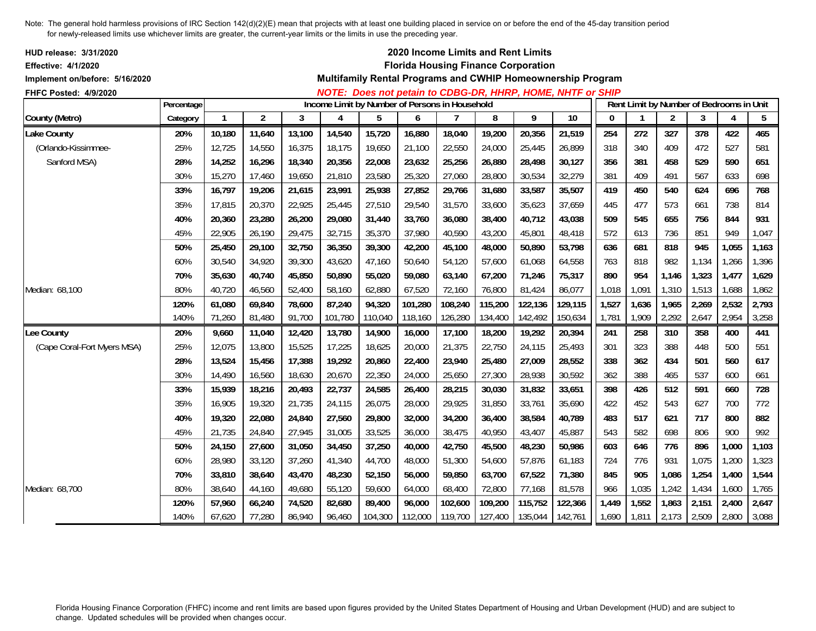| <b>HUD release: 3/31/2020</b><br><b>Effective: 4/1/2020</b><br>Implement on/before: 5/16/2020 |            |              |                |        |         |                                                |         |                | 2020 Income Limits and Rent Limits<br><b>Florida Housing Finance Corporation</b> |         | Multifamily Rental Programs and CWHIP Homeownership Program |          |              |                |                                          |       |       |
|-----------------------------------------------------------------------------------------------|------------|--------------|----------------|--------|---------|------------------------------------------------|---------|----------------|----------------------------------------------------------------------------------|---------|-------------------------------------------------------------|----------|--------------|----------------|------------------------------------------|-------|-------|
| FHFC Posted: 4/9/2020                                                                         | Percentage |              |                |        |         | Income Limit by Number of Persons in Household |         |                |                                                                                  |         | NOTE: Does not petain to CDBG-DR, HHRP, HOME, NHTF or SHIP  |          |              |                | Rent Limit by Number of Bedrooms in Unit |       |       |
| County (Metro)                                                                                | Category   | $\mathbf{1}$ | $\overline{2}$ | 3      | 4       | 5                                              | 6       | $\overline{7}$ | 8                                                                                | 9       | $\overline{10}$                                             | $\bf{0}$ | $\mathbf{1}$ | $\overline{2}$ | 3                                        | 4     | 5     |
| <b>Lake County</b>                                                                            | 20%        | 10,180       | 11,640         | 13,100 | 14,540  | 15,720                                         | 16,880  | 18,040         | 19,200                                                                           | 20,356  | 21,519                                                      | 254      | 272          | 327            | 378                                      | 422   | 465   |
| (Orlando-Kissimmee-                                                                           | 25%        | 12,725       | 14,550         | 16,375 | 18,175  | 19,650                                         | 21,100  | 22,550         | 24,000                                                                           | 25,445  | 26,899                                                      | 318      | 340          | 409            | 472                                      | 527   | 581   |
| Sanford MSA)                                                                                  | 28%        | 14,252       | 16,296         | 18,340 | 20,356  | 22,008                                         | 23,632  | 25,256         | 26,880                                                                           | 28,498  | 30,127                                                      | 356      | 381          | 458            | 529                                      | 590   | 651   |
|                                                                                               | 30%        | 15,270       | 17,460         | 19,650 | 21,810  | 23,580                                         | 25,320  | 27,060         | 28,800                                                                           | 30,534  | 32,279                                                      | 381      | 409          | 491            | 567                                      | 633   | 698   |
|                                                                                               | 33%        | 16,797       | 19,206         | 21,615 | 23,991  | 25,938                                         | 27,852  | 29,766         | 31,680                                                                           | 33,587  | 35,507                                                      | 419      | 450          | 540            | 624                                      | 696   | 768   |
|                                                                                               | 35%        | 17,815       | 20,370         | 22,925 | 25,445  | 27,510                                         | 29,540  | 31,570         | 33,600                                                                           | 35,623  | 37,659                                                      | 445      | 477          | 573            | 661                                      | 738   | 814   |
|                                                                                               | 40%        | 20,360       | 23,280         | 26,200 | 29,080  | 31,440                                         | 33,760  | 36,080         | 38,400                                                                           | 40,712  | 43,038                                                      | 509      | 545          | 655            | 756                                      | 844   | 931   |
|                                                                                               | 45%        | 22,905       | 26,190         | 29,475 | 32,715  | 35,370                                         | 37,980  | 40,590         | 43,200                                                                           | 45,801  | 48,418                                                      | 572      | 613          | 736            | 851                                      | 949   | 1,047 |
|                                                                                               | 50%        | 25,450       | 29,100         | 32,750 | 36,350  | 39,300                                         | 42,200  | 45,100         | 48,000                                                                           | 50,890  | 53,798                                                      | 636      | 681          | 818            | 945                                      | 1,055 | 1,163 |
|                                                                                               | 60%        | 30,540       | 34,920         | 39,300 | 43,620  | 47,160                                         | 50,640  | 54,120         | 57.600                                                                           | 61,068  | 64,558                                                      | 763      | 818          | 982            | 1,134                                    | 1,266 | 1,396 |
|                                                                                               | 70%        | 35,630       | 40,740         | 45,850 | 50,890  | 55,020                                         | 59,080  | 63,140         | 67,200                                                                           | 71,246  | 75,317                                                      | 890      | 954          | 1,146          | 1,323                                    | 1,477 | 1,629 |
| Median: 68,100                                                                                | 80%        | 40,720       | 46,560         | 52,400 | 58,160  | 62,880                                         | 67,520  | 72,160         | 76,800                                                                           | 81,424  | 86,077                                                      | 1,018    | 1,091        | 1,310          | 1,513                                    | 1,688 | 1,862 |
|                                                                                               | 120%       | 61,080       | 69,840         | 78,600 | 87,240  | 94,320                                         | 101,280 | 108,240        | 115,200                                                                          | 122,136 | 129,115                                                     | 1,527    | 1,636        | 1,965          | 2,269                                    | 2,532 | 2,793 |
|                                                                                               | 140%       | 71,260       | 81,480         | 91,700 | 101,780 | 110,040                                        | 118,160 | 126,280        | 134,400                                                                          | 142,492 | 150,634                                                     | 1,781    | 1,909        | 2,292          | 2,647                                    | 2,954 | 3,258 |
| Lee County                                                                                    | 20%        | 9,660        | 11,040         | 12,420 | 13,780  | 14,900                                         | 16,000  | 17,100         | 18,200                                                                           | 19,292  | 20,394                                                      | 241      | 258          | 310            | 358                                      | 400   | 441   |
| (Cape Coral-Fort Myers MSA)                                                                   | 25%        | 12,075       | 13,800         | 15,525 | 17,225  | 18,625                                         | 20,000  | 21,375         | 22,750                                                                           | 24,115  | 25,493                                                      | 301      | 323          | 388            | 448                                      | 500   | 551   |
|                                                                                               | 28%        | 13,524       | 15,456         | 17,388 | 19,292  | 20,860                                         | 22,400  | 23,940         | 25,480                                                                           | 27,009  | 28,552                                                      | 338      | 362          | 434            | 501                                      | 560   | 617   |
|                                                                                               | 30%        | 14,490       | 16,560         | 18,630 | 20,670  | 22,350                                         | 24,000  | 25,650         | 27,300                                                                           | 28,938  | 30,592                                                      | 362      | 388          | 465            | 537                                      | 600   | 661   |
|                                                                                               | 33%        | 15,939       | 18,216         | 20,493 | 22,737  | 24,585                                         | 26,400  | 28,215         | 30,030                                                                           | 31,832  | 33,651                                                      | 398      | 426          | 512            | 591                                      | 660   | 728   |
|                                                                                               | 35%        | 16,905       | 19,320         | 21,735 | 24,115  | 26,075                                         | 28,000  | 29,925         | 31,850                                                                           | 33,761  | 35,690                                                      | 422      | 452          | 543            | 627                                      | 700   | 772   |
|                                                                                               | 40%        | 19,320       | 22,080         | 24,840 | 27,560  | 29,800                                         | 32,000  | 34,200         | 36,400                                                                           | 38,584  | 40,789                                                      | 483      | 517          | 621            | 717                                      | 800   | 882   |
|                                                                                               | 45%        | 21,735       | 24,840         | 27,945 | 31,005  | 33,525                                         | 36,000  | 38,475         | 40,950                                                                           | 43,407  | 45,887                                                      | 543      | 582          | 698            | 806                                      | 900   | 992   |
|                                                                                               | 50%        | 24,150       | 27,600         | 31,050 | 34,450  | 37,250                                         | 40,000  | 42,750         | 45,500                                                                           | 48,230  | 50,986                                                      | 603      | 646          | 776            | 896                                      | 1,000 | 1,103 |
|                                                                                               | 60%        | 28,980       | 33,120         | 37,260 | 41,340  | 44,700                                         | 48,000  | 51,300         | 54,600                                                                           | 57,876  | 61,183                                                      | 724      | 776          | 931            | 1,075                                    | 1,200 | 1,323 |
|                                                                                               | 70%        | 33,810       | 38,640         | 43,470 | 48,230  | 52,150                                         | 56,000  | 59,850         | 63,700                                                                           | 67,522  | 71,380                                                      | 845      | 905          | 1,086          | 1,254                                    | 1,400 | 1,544 |
| Median: 68,700                                                                                | 80%        | 38.640       | 44,160         | 49,680 | 55,120  | 59,600                                         | 64,000  | 68,400         | 72,800                                                                           | 77,168  | 81,578                                                      | 966      | 1,035        | 1,242          | 1,434                                    | 1,600 | 1,765 |
|                                                                                               | 120%       | 57,960       | 66,240         | 74,520 | 82,680  | 89,400                                         | 96,000  | 102,600        | 109,200                                                                          | 115,752 | 122,366                                                     | 1,449    | 1,552        | 1,863          | 2,151                                    | 2,400 | 2,647 |
|                                                                                               | 140%       | 67,620       | 77,280         | 86,940 | 96,460  | 104,300                                        | 112,000 | 119,700        | 127,400                                                                          | 135,044 | 142,761                                                     | 1,690    | 1,811        | 2,173          | 2,509                                    | 2,800 | 3,088 |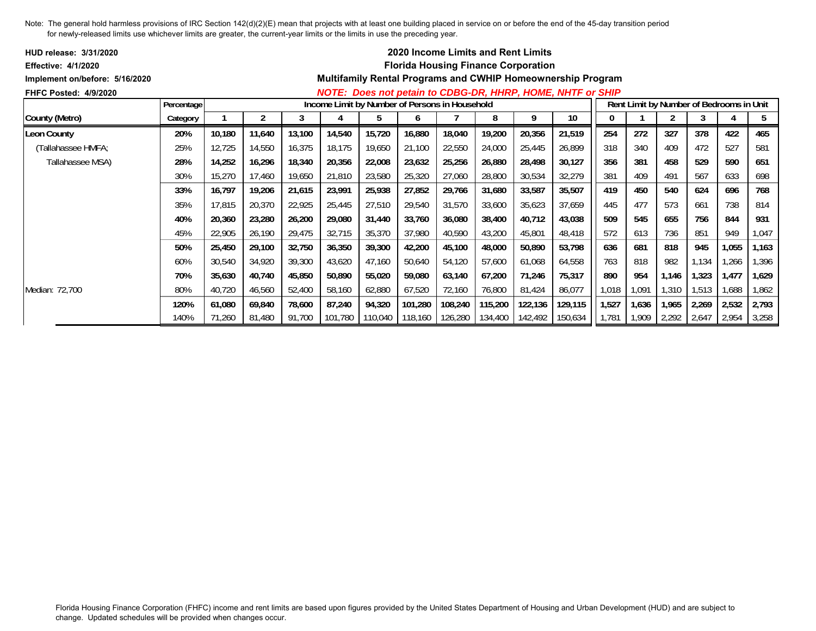| <b>HUD release: 3/31/2020</b>  |            |        |        |        |                                                |                 |         |         | <b>2020 Income Limits and Rent Limits</b>  |         |                                                                    |       |       |                                          |       |       |       |
|--------------------------------|------------|--------|--------|--------|------------------------------------------------|-----------------|---------|---------|--------------------------------------------|---------|--------------------------------------------------------------------|-------|-------|------------------------------------------|-------|-------|-------|
| <b>Effective: 4/1/2020</b>     |            |        |        |        |                                                |                 |         |         | <b>Florida Housing Finance Corporation</b> |         |                                                                    |       |       |                                          |       |       |       |
| Implement on/before: 5/16/2020 |            |        |        |        |                                                |                 |         |         |                                            |         | <b>Multifamily Rental Programs and CWHIP Homeownership Program</b> |       |       |                                          |       |       |       |
| <b>FHFC Posted: 4/9/2020</b>   |            |        |        |        |                                                |                 |         |         |                                            |         | NOTE: Does not petain to CDBG-DR, HHRP, HOME, NHTF or SHIP         |       |       |                                          |       |       |       |
|                                | Percentage |        |        |        | Income Limit by Number of Persons in Household |                 |         |         |                                            |         |                                                                    |       |       | Rent Limit by Number of Bedrooms in Unit |       |       |       |
| County (Metro)                 | Category   |        |        |        |                                                | đ               | O       |         | 8                                          | 9       | 10                                                                 |       |       |                                          |       |       | 5     |
| <b>Leon County</b>             | 20%        | 10,180 | 11,640 | 13,100 | 14,540                                         | 15,720          | 16,880  | 18,040  | 19,200                                     | 20,356  | 21,519                                                             | 254   | 272   | 327                                      | 378   | 422   | 465   |
| (Tallahassee HMFA;             | 25%        | 12,725 | 14,550 | 16,375 | 18,175                                         | 19,650          | 21,100  | 22,550  | 24,000                                     | 25,445  | 26,899                                                             | 318   | 340   | 409                                      | 472   | 527   | 581   |
| Tallahassee MSA)               | 28%        | 14,252 | 16,296 | 18,340 | 20,356                                         | 22,008          | 23,632  | 25,256  | 26,880                                     | 28,498  | 30,127                                                             | 356   | 381   | 458                                      | 529   | 590   | 651   |
|                                | 30%        | 15,270 | 17,460 | 19,650 | 21,810                                         | 23,580          | 25,320  | 27,060  | 28,800                                     | 30,534  | 32,279                                                             | 381   | 409   | 491                                      | 567   | 633   | 698   |
|                                | 33%        | 16,797 | 19,206 | 21,615 | 23,991                                         | 25,938          | 27,852  | 29,766  | 31,680                                     | 33,587  | 35,507                                                             | 419   | 450   | 540                                      | 624   | 696   | 768   |
|                                | 35%        | 17,815 | 20,370 | 22,925 | 25,445                                         | 27,510          | 29,540  | 31,570  | 33,600                                     | 35,623  | 37,659                                                             | 445   | 477   | 573                                      | 661   | 738   | 814   |
|                                | 40%        | 20,360 | 23,280 | 26,200 | 29,080                                         | 31,440          | 33,760  | 36,080  | 38,400                                     | 40,712  | 43,038                                                             | 509   | 545   | 655                                      | 756   | 844   | 931   |
|                                | 45%        | 22,905 | 26,190 | 29,475 | 32,715                                         | 35,370          | 37,980  | 40,590  | 43,200                                     | 45,801  | 48,418                                                             | 572   | 613   | 736                                      | 851   | 949   | 1,047 |
|                                | 50%        | 25,450 | 29,100 | 32,750 | 36,350                                         | 39,300          | 42,200  | 45,100  | 48,000                                     | 50,890  | 53,798                                                             | 636   | 681   | 818                                      | 945   | 1,055 | 1,163 |
|                                | 60%        | 30,540 | 34,920 | 39,300 | 43,620                                         | 47,160          | 50,640  | 54,120  | 57,600                                     | 61,068  | 64,558                                                             | 763   | 818   | 982                                      | 1,134 | ,266  | 1,396 |
|                                | 70%        | 35,630 | 40,740 | 45,850 | 50,890                                         | 55,020          | 59,080  | 63,140  | 67,200                                     | 71,246  | 75,317                                                             | 890   | 954   | 1,146                                    | 1,323 | 1,477 | 1,629 |
| Median: 72,700                 | 80%        | 40,720 | 46,560 | 52,400 | 58,160                                         | 62,880          | 67,520  | 72,160  | 76,800                                     | 81,424  | 86,077                                                             | 1,018 | 1,091 | 1,310                                    | 1,513 | 1,688 | 1,862 |
|                                | 120%       | 61,080 | 69,840 | 78,600 | 87,240                                         | 94,320          | 101,280 | 108,240 | 115,200                                    | 122,136 | 129,115                                                            | 1,527 | 1,636 | 1,965                                    | 2,269 | 2,532 | 2,793 |
|                                | 140%       | 71,260 | 81,480 | 91,700 |                                                | 101,780 110,040 | 118,160 |         | 126,280 134,400                            | 142,492 | 150,634                                                            | 1,781 | 1,909 | 2,292                                    | 2,647 | 2,954 | 3,258 |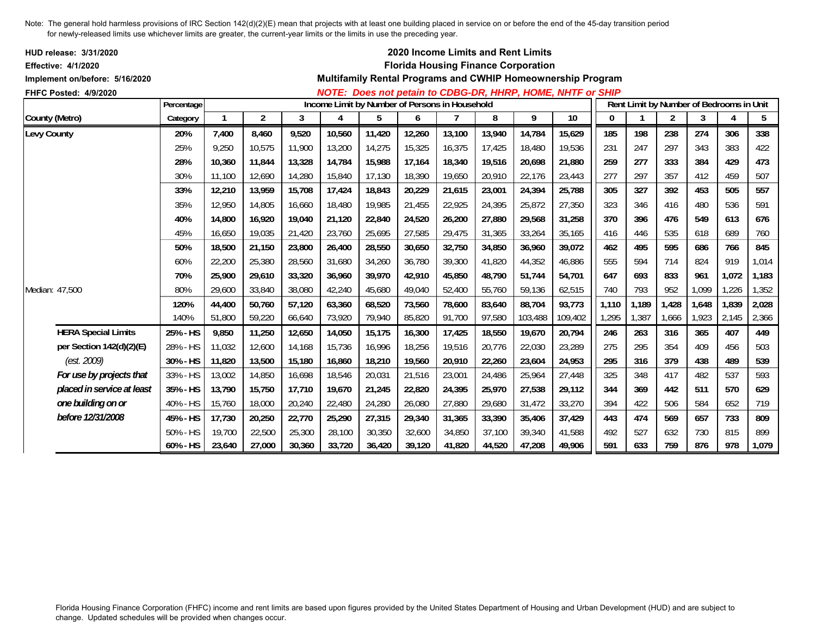| <b>HUD release: 3/31/2020</b><br><b>Effective: 4/1/2020</b> |            |        |        |        |                                                |        |        |        | 2020 Income Limits and Rent Limits<br><b>Florida Housing Finance Corporation</b> |         |                                                             |          |                                          |                |       |       |       |
|-------------------------------------------------------------|------------|--------|--------|--------|------------------------------------------------|--------|--------|--------|----------------------------------------------------------------------------------|---------|-------------------------------------------------------------|----------|------------------------------------------|----------------|-------|-------|-------|
| Implement on/before: 5/16/2020                              |            |        |        |        |                                                |        |        |        |                                                                                  |         | Multifamily Rental Programs and CWHIP Homeownership Program |          |                                          |                |       |       |       |
| FHFC Posted: 4/9/2020                                       |            |        |        |        |                                                |        |        |        |                                                                                  |         | NOTE: Does not petain to CDBG-DR, HHRP, HOME, NHTF or SHIP  |          |                                          |                |       |       |       |
|                                                             | Percentage |        |        |        | Income Limit by Number of Persons in Household |        |        |        |                                                                                  |         |                                                             |          | Rent Limit by Number of Bedrooms in Unit |                |       |       |       |
| County (Metro)                                              | Category   |        | 2      | 3      | 4                                              | 5      | 6      |        | 8                                                                                | 9       | 10                                                          | $\bf{0}$ |                                          | $\overline{2}$ | 3     | 4     | 5     |
| Levy County                                                 | 20%        | 7,400  | 8,460  | 9,520  | 10,560                                         | 11,420 | 12,260 | 13,100 | 13,940                                                                           | 14,784  | 15,629                                                      | 185      | 198                                      | 238            | 274   | 306   | 338   |
|                                                             | 25%        | 9,250  | 10,575 | 11,900 | 13,200                                         | 14,275 | 15,325 | 16,375 | 17,425                                                                           | 18,480  | 19,536                                                      | 231      | 247                                      | 297            | 343   | 383   | 422   |
|                                                             | 28%        | 10,360 | 11,844 | 13,328 | 14,784                                         | 15,988 | 17,164 | 18,340 | 19,516                                                                           | 20,698  | 21,880                                                      | 259      | 277                                      | 333            | 384   | 429   | 473   |
|                                                             | 30%        | 11,100 | 12,690 | 14,280 | 15,840                                         | 17,130 | 18,390 | 19,650 | 20,910                                                                           | 22,176  | 23,443                                                      | 277      | 297                                      | 357            | 412   | 459   | 507   |
|                                                             | 33%        | 12,210 | 13,959 | 15,708 | 17,424                                         | 18,843 | 20,229 | 21,615 | 23,001                                                                           | 24,394  | 25,788                                                      | 305      | 327                                      | 392            | 453   | 505   | 557   |
|                                                             | 35%        | 12.950 | 14,805 | 16.660 | 18,480                                         | 19,985 | 21,455 | 22,925 | 24,395                                                                           | 25,872  | 27,350                                                      | 323      | 346                                      | 416            | 480   | 536   | 591   |
|                                                             | 40%        | 14.800 | 16.920 | 19,040 | 21,120                                         | 22,840 | 24,520 | 26,200 | 27,880                                                                           | 29,568  | 31,258                                                      | 370      | 396                                      | 476            | 549   | 613   | 676   |
|                                                             | 45%        | 16,650 | 19,035 | 21,420 | 23,760                                         | 25,695 | 27,585 | 29,475 | 31,365                                                                           | 33,264  | 35,165                                                      | 416      | 446                                      | 535            | 618   | 689   | 760   |
|                                                             | 50%        | 18,500 | 21,150 | 23,800 | 26,400                                         | 28,550 | 30,650 | 32,750 | 34,850                                                                           | 36,960  | 39,072                                                      | 462      | 495                                      | 595            | 686   | 766   | 845   |
|                                                             | 60%        | 22,200 | 25,380 | 28,560 | 31,680                                         | 34,260 | 36,780 | 39,300 | 41,820                                                                           | 44,352  | 46,886                                                      | 555      | 594                                      | 714            | 824   | 919   | 1,014 |
|                                                             | 70%        | 25,900 | 29,610 | 33,320 | 36,960                                         | 39,970 | 42,910 | 45,850 | 48,790                                                                           | 51,744  | 54,701                                                      | 647      | 693                                      | 833            | 961   | 1,072 | 1,183 |
| Median: 47,500                                              | 80%        | 29,600 | 33,840 | 38,080 | 42,240                                         | 45,680 | 49,040 | 52,400 | 55,760                                                                           | 59,136  | 62,515                                                      | 740      | 793                                      | 952            | 1,099 | 1,226 | 1,352 |
|                                                             | 120%       | 44,400 | 50,760 | 57,120 | 63,360                                         | 68,520 | 73,560 | 78,600 | 83,640                                                                           | 88,704  | 93,773                                                      | 1,110    | 1,189                                    | 1,428          | 1,648 | 1,839 | 2,028 |
|                                                             | 140%       | 51,800 | 59,220 | 66,640 | 73,920                                         | 79,940 | 85,820 | 91,700 | 97,580                                                                           | 103,488 | 109,402                                                     | 1,295    | 1,387                                    | 1,666          | 1,923 | 2,145 | 2,366 |
| <b>HERA Special Limits</b>                                  | 25% - HS   | 9,850  | 11,250 | 12,650 | 14,050                                         | 15,175 | 16,300 | 17,425 | 18,550                                                                           | 19,670  | 20,794                                                      | 246      | 263                                      | 316            | 365   | 407   | 449   |
| per Section 142(d)(2)(E)                                    | 28% - HS   | 11,032 | 12,600 | 14,168 | 15,736                                         | 16,996 | 18,256 | 19,516 | 20.776                                                                           | 22,030  | 23,289                                                      | 275      | 295                                      | 354            | 409   | 456   | 503   |
| (est. 2009)                                                 | 30% - HS   | 11,820 | 13,500 | 15,180 | 16,860                                         | 18,210 | 19,560 | 20,910 | 22,260                                                                           | 23,604  | 24,953                                                      | 295      | 316                                      | 379            | 438   | 489   | 539   |
| For use by projects that                                    | 33% - HS   | 13,002 | 14,850 | 16,698 | 18,546                                         | 20,031 | 21,516 | 23,001 | 24,486                                                                           | 25,964  | 27,448                                                      | 325      | 348                                      | 417            | 482   | 537   | 593   |
| placed in service at least                                  | 35% - HS   | 13,790 | 15,750 | 17,710 | 19,670                                         | 21,245 | 22,820 | 24,395 | 25,970                                                                           | 27,538  | 29,112                                                      | 344      | 369                                      | 442            | 511   | 570   | 629   |
| one building on or                                          | 40% - HS   | 15,760 | 18,000 | 20,240 | 22,480                                         | 24,280 | 26,080 | 27,880 | 29.680                                                                           | 31,472  | 33,270                                                      | 394      | 422                                      | 506            | 584   | 652   | 719   |
| before 12/31/2008                                           | 45% - HS   | 17,730 | 20,250 | 22,770 | 25,290                                         | 27,315 | 29,340 | 31,365 | 33,390                                                                           | 35,406  | 37,429                                                      | 443      | 474                                      | 569            | 657   | 733   | 809   |
|                                                             | 50% - HS   | 19,700 | 22,500 | 25,300 | 28,100                                         | 30,350 | 32,600 | 34,850 | 37,100                                                                           | 39,340  | 41,588                                                      | 492      | 527                                      | 632            | 730   | 815   | 899   |
|                                                             | 60% - HS   | 23,640 | 27,000 | 30,360 | 33,720                                         | 36,420 | 39,120 | 41,820 | 44,520                                                                           | 47,208  | 49,906                                                      | 591      | 633                                      | 759            | 876   | 978   | 1,079 |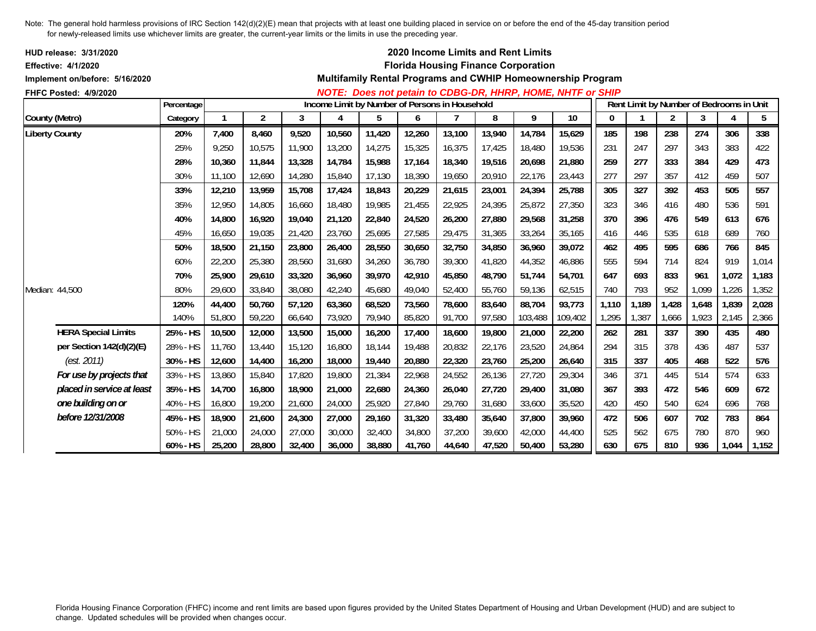| HUD release: 3/31/2020<br><b>Effective: 4/1/2020</b> |            |        |                |        |                                                |        |        |        |        | 2020 Income Limits and Rent Limits<br><b>Florida Housing Finance Corporation</b> |                                                             |       |                                          |                |       |       |       |
|------------------------------------------------------|------------|--------|----------------|--------|------------------------------------------------|--------|--------|--------|--------|----------------------------------------------------------------------------------|-------------------------------------------------------------|-------|------------------------------------------|----------------|-------|-------|-------|
| Implement on/before: 5/16/2020                       |            |        |                |        |                                                |        |        |        |        |                                                                                  | Multifamily Rental Programs and CWHIP Homeownership Program |       |                                          |                |       |       |       |
| <b>FHFC Posted: 4/9/2020</b>                         |            |        |                |        |                                                |        |        |        |        |                                                                                  | NOTE: Does not petain to CDBG-DR, HHRP, HOME, NHTF or SHIP  |       |                                          |                |       |       |       |
|                                                      | Percentage |        |                |        | Income Limit by Number of Persons in Household |        |        |        |        |                                                                                  |                                                             |       | Rent Limit by Number of Bedrooms in Unit |                |       |       |       |
| County (Metro)                                       | Category   |        | $\overline{2}$ | 3      | 4                                              | 5      | 6      |        | 8      | 9                                                                                | 10                                                          | 0     |                                          | $\overline{2}$ | 3     | 4     | 5     |
| <b>Liberty County</b>                                | 20%        | 7,400  | 8,460          | 9,520  | 10,560                                         | 11,420 | 12,260 | 13,100 | 13,940 | 14,784                                                                           | 15,629                                                      | 185   | 198                                      | 238            | 274   | 306   | 338   |
|                                                      | 25%        | 9,250  | 10,575         | 11,900 | 13,200                                         | 14,275 | 15,325 | 16,375 | 17,425 | 18,480                                                                           | 19,536                                                      | 231   | 247                                      | 297            | 343   | 383   | 422   |
|                                                      | 28%        | 10.360 | 11.844         | 13,328 | 14,784                                         | 15,988 | 17,164 | 18,340 | 19,516 | 20.698                                                                           | 21.880                                                      | 259   | 277                                      | 333            | 384   | 429   | 473   |
|                                                      | 30%        | 11,100 | 12,690         | 14,280 | 15,840                                         | 17,130 | 18,390 | 19,650 | 20,910 | 22,176                                                                           | 23,443                                                      | 277   | 297                                      | 357            | 412   | 459   | 507   |
|                                                      | 33%        | 12,210 | 13,959         | 15,708 | 17,424                                         | 18,843 | 20,229 | 21,615 | 23,001 | 24,394                                                                           | 25,788                                                      | 305   | 327                                      | 392            | 453   | 505   | 557   |
|                                                      | 35%        | 12.950 | 14.805         | 16.660 | 18,480                                         | 19,985 | 21,455 | 22,925 | 24.395 | 25.872                                                                           | 27,350                                                      | 323   | 346                                      | 416            | 480   | 536   | 591   |
|                                                      | 40%        | 14,800 | 16,920         | 19,040 | 21,120                                         | 22,840 | 24,520 | 26,200 | 27,880 | 29,568                                                                           | 31,258                                                      | 370   | 396                                      | 476            | 549   | 613   | 676   |
|                                                      | 45%        | 16,650 | 19,035         | 21,420 | 23,760                                         | 25,695 | 27,585 | 29,475 | 31,365 | 33,264                                                                           | 35,165                                                      | 416   | 446                                      | 535            | 618   | 689   | 760   |
|                                                      | 50%        | 18,500 | 21,150         | 23,800 | 26,400                                         | 28,550 | 30,650 | 32,750 | 34,850 | 36,960                                                                           | 39,072                                                      | 462   | 495                                      | 595            | 686   | 766   | 845   |
|                                                      | 60%        | 22,200 | 25,380         | 28,560 | 31,680                                         | 34,260 | 36,780 | 39,300 | 41,820 | 44,352                                                                           | 46,886                                                      | 555   | 594                                      | 714            | 824   | 919   | 1,014 |
|                                                      | 70%        | 25,900 | 29,610         | 33,320 | 36,960                                         | 39,970 | 42,910 | 45,850 | 48,790 | 51,744                                                                           | 54,701                                                      | 647   | 693                                      | 833            | 961   | 1,072 | 1,183 |
| Median: 44,500                                       | 80%        | 29,600 | 33,840         | 38,080 | 42,240                                         | 45,680 | 49,040 | 52,400 | 55,760 | 59,136                                                                           | 62,515                                                      | 740   | 793                                      | 952            | 1,099 | 1,226 | 1,352 |
|                                                      | 120%       | 44,400 | 50,760         | 57,120 | 63,360                                         | 68,520 | 73,560 | 78,600 | 83,640 | 88,704                                                                           | 93,773                                                      | 1,110 | 1,189                                    | 1,428          | 1,648 | 1,839 | 2,028 |
|                                                      | 140%       | 51,800 | 59,220         | 66,640 | 73,920                                         | 79,940 | 85,820 | 91,700 | 97,580 | 103,488                                                                          | 109,402                                                     | 1,295 | 1,387                                    | 1,666          | 1,923 | 2,145 | 2,366 |
| <b>HERA Special Limits</b>                           | 25% - HS   | 10,500 | 12,000         | 13,500 | 15,000                                         | 16,200 | 17,400 | 18,600 | 19,800 | 21,000                                                                           | 22,200                                                      | 262   | 281                                      | 337            | 390   | 435   | 480   |
| per Section 142(d)(2)(E)                             | 28% - HS   | 11,760 | 13,440         | 15,120 | 16,800                                         | 18,144 | 19,488 | 20,832 | 22,176 | 23,520                                                                           | 24.864                                                      | 294   | 315                                      | 378            | 436   | 487   | 537   |
| (est. 2011)                                          | 30% - HS   | 12,600 | 14,400         | 16,200 | 18,000                                         | 19,440 | 20,880 | 22,320 | 23,760 | 25,200                                                                           | 26,640                                                      | 315   | 337                                      | 405            | 468   | 522   | 576   |
| For use by projects that                             | 33% - HS   | 13,860 | 15,840         | 17,820 | 19,800                                         | 21,384 | 22,968 | 24,552 | 26,136 | 27,720                                                                           | 29,304                                                      | 346   | 371                                      | 445            | 514   | 574   | 633   |
| placed in service at least                           | 35% - HS   | 14,700 | 16,800         | 18,900 | 21,000                                         | 22,680 | 24,360 | 26,040 | 27,720 | 29,400                                                                           | 31,080                                                      | 367   | 393                                      | 472            | 546   | 609   | 672   |
| one building on or                                   | 40% - HS   | 16,800 | 19,200         | 21,600 | 24,000                                         | 25,920 | 27,840 | 29.760 | 31,680 | 33,600                                                                           | 35,520                                                      | 420   | 450                                      | 540            | 624   | 696   | 768   |
| before 12/31/2008                                    | 45% - HS   | 18,900 | 21,600         | 24,300 | 27,000                                         | 29,160 | 31,320 | 33,480 | 35,640 | 37,800                                                                           | 39,960                                                      | 472   | 506                                      | 607            | 702   | 783   | 864   |
|                                                      | 50% - HS   | 21,000 | 24,000         | 27,000 | 30,000                                         | 32,400 | 34,800 | 37,200 | 39,600 | 42,000                                                                           | 44,400                                                      | 525   | 562                                      | 675            | 780   | 870   | 960   |
|                                                      | 60% - HS   | 25,200 | 28,800         | 32,400 | 36,000                                         | 38,880 | 41,760 | 44,640 | 47,520 | 50,400                                                                           | 53,280                                                      | 630   | 675                                      | 810            | 936   | 1,044 | 1,152 |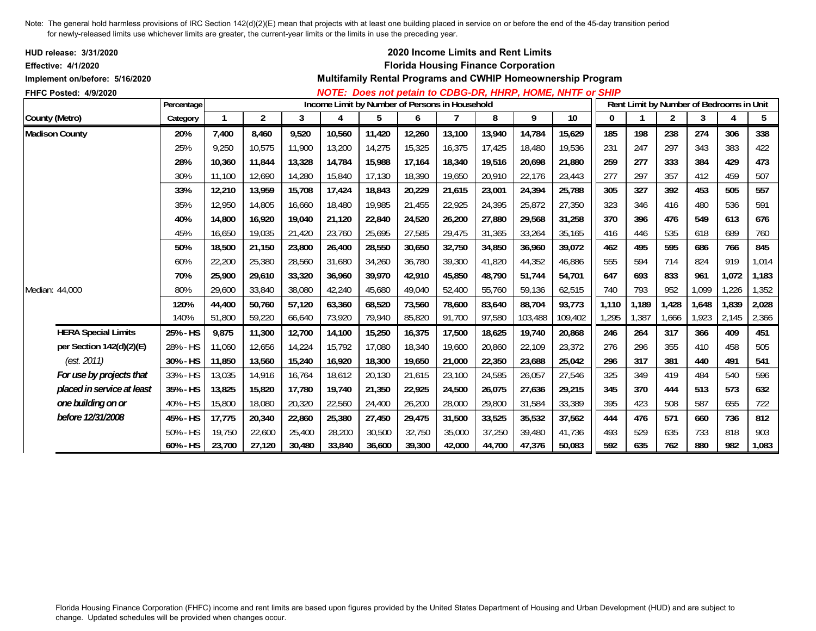| HUD release: 3/31/2020<br><b>Effective: 4/1/2020</b> |            |        |        |        |        |                                                |        |        | 2020 Income Limits and Rent Limits<br><b>Florida Housing Finance Corporation</b> |         |                                                             |              |                                          |       |       |       |       |
|------------------------------------------------------|------------|--------|--------|--------|--------|------------------------------------------------|--------|--------|----------------------------------------------------------------------------------|---------|-------------------------------------------------------------|--------------|------------------------------------------|-------|-------|-------|-------|
| Implement on/before: 5/16/2020                       |            |        |        |        |        |                                                |        |        |                                                                                  |         | Multifamily Rental Programs and CWHIP Homeownership Program |              |                                          |       |       |       |       |
| FHFC Posted: 4/9/2020                                |            |        |        |        |        |                                                |        |        |                                                                                  |         | NOTE: Does not petain to CDBG-DR, HHRP, HOME, NHTF or SHIP  |              |                                          |       |       |       |       |
|                                                      | Percentage |        |        |        |        | Income Limit by Number of Persons in Household |        |        |                                                                                  |         |                                                             |              | Rent Limit by Number of Bedrooms in Unit |       |       |       |       |
| County (Metro)                                       | Category   |        | 2      | 3      | 4      | 5                                              | 6      |        | 8                                                                                | 9       | 10                                                          | $\mathbf{0}$ |                                          | 2     | 3     | 4     | 5     |
| <b>Madison County</b>                                | 20%        | 7,400  | 8,460  | 9,520  | 10,560 | 11,420                                         | 12,260 | 13,100 | 13,940                                                                           | 14,784  | 15,629                                                      | 185          | 198                                      | 238   | 274   | 306   | 338   |
|                                                      | 25%        | 9,250  | 10,575 | 11,900 | 13,200 | 14,275                                         | 15,325 | 16,375 | 17,425                                                                           | 18,480  | 19,536                                                      | 231          | 247                                      | 297   | 343   | 383   | 422   |
|                                                      | 28%        | 10,360 | 11,844 | 13,328 | 14,784 | 15,988                                         | 17,164 | 18,340 | 19,516                                                                           | 20,698  | 21,880                                                      | 259          | 277                                      | 333   | 384   | 429   | 473   |
|                                                      | 30%        | 11,100 | 12,690 | 14,280 | 15,840 | 17,130                                         | 18,390 | 19,650 | 20,910                                                                           | 22,176  | 23,443                                                      | 277          | 297                                      | 357   | 412   | 459   | 507   |
|                                                      | 33%        | 12,210 | 13,959 | 15,708 | 17,424 | 18,843                                         | 20,229 | 21,615 | 23,001                                                                           | 24,394  | 25,788                                                      | 305          | 327                                      | 392   | 453   | 505   | 557   |
|                                                      | 35%        | 12,950 | 14,805 | 16,660 | 18,480 | 19,985                                         | 21,455 | 22,925 | 24,395                                                                           | 25,872  | 27,350                                                      | 323          | 346                                      | 416   | 480   | 536   | 591   |
|                                                      | 40%        | 14,800 | 16,920 | 19,040 | 21,120 | 22,840                                         | 24,520 | 26,200 | 27,880                                                                           | 29,568  | 31,258                                                      | 370          | 396                                      | 476   | 549   | 613   | 676   |
|                                                      | 45%        | 16,650 | 19,035 | 21,420 | 23,760 | 25,695                                         | 27,585 | 29,475 | 31.365                                                                           | 33,264  | 35,165                                                      | 416          | 446                                      | 535   | 618   | 689   | 760   |
|                                                      | 50%        | 18,500 | 21,150 | 23,800 | 26,400 | 28,550                                         | 30,650 | 32,750 | 34,850                                                                           | 36,960  | 39,072                                                      | 462          | 495                                      | 595   | 686   | 766   | 845   |
|                                                      | 60%        | 22,200 | 25,380 | 28,560 | 31,680 | 34,260                                         | 36,780 | 39,300 | 41,820                                                                           | 44,352  | 46,886                                                      | 555          | 594                                      | 714   | 824   | 919   | 1,014 |
|                                                      | 70%        | 25,900 | 29,610 | 33,320 | 36,960 | 39,970                                         | 42,910 | 45,850 | 48.790                                                                           | 51.744  | 54.701                                                      | 647          | 693                                      | 833   | 961   | 1,072 | 1,183 |
| Median: 44,000                                       | 80%        | 29,600 | 33,840 | 38,080 | 42,240 | 45,680                                         | 49,040 | 52,400 | 55,760                                                                           | 59,136  | 62,515                                                      | 740          | 793                                      | 952   | 1,099 | 1,226 | 1,352 |
|                                                      | 120%       | 44,400 | 50,760 | 57,120 | 63,360 | 68,520                                         | 73,560 | 78,600 | 83,640                                                                           | 88,704  | 93,773                                                      | 1,110        | 1,189                                    | 1,428 | 1,648 | 1,839 | 2,028 |
|                                                      | 140%       | 51,800 | 59,220 | 66,640 | 73,920 | 79,940                                         | 85,820 | 91,700 | 97,580                                                                           | 103,488 | 109,402                                                     | 1,295        | 1,387                                    | 1,666 | 1,923 | 2,145 | 2,366 |
| <b>HERA Special Limits</b>                           | 25% - HS   | 9,875  | 11,300 | 12,700 | 14,100 | 15,250                                         | 16,375 | 17,500 | 18,625                                                                           | 19,740  | 20,868                                                      | 246          | 264                                      | 317   | 366   | 409   | 451   |
| per Section 142(d)(2)(E)                             | 28% - HS   | 11,060 | 12,656 | 14,224 | 15,792 | 17,080                                         | 18,340 | 19,600 | 20,860                                                                           | 22.109  | 23,372                                                      | 276          | 296                                      | 355   | 410   | 458   | 505   |
| (est. 2011)                                          | 30% - HS   | 11,850 | 13,560 | 15,240 | 16,920 | 18,300                                         | 19,650 | 21,000 | 22,350                                                                           | 23,688  | 25,042                                                      | 296          | 317                                      | 381   | 440   | 491   | 541   |
| For use by projects that                             | 33% - HS   | 13,035 | 14,916 | 16,764 | 18,612 | 20,130                                         | 21,615 | 23,100 | 24,585                                                                           | 26,057  | 27,546                                                      | 325          | 349                                      | 419   | 484   | 540   | 596   |
| placed in service at least                           | 35% - HS   | 13,825 | 15,820 | 17,780 | 19,740 | 21,350                                         | 22,925 | 24,500 | 26,075                                                                           | 27,636  | 29,215                                                      | 345          | 370                                      | 444   | 513   | 573   | 632   |
| one building on or                                   | 40% - HS   | 15,800 | 18,080 | 20,320 | 22,560 | 24,400                                         | 26,200 | 28,000 | 29,800                                                                           | 31,584  | 33,389                                                      | 395          | 423                                      | 508   | 587   | 655   | 722   |
| before 12/31/2008                                    | 45% - HS   | 17,775 | 20,340 | 22,860 | 25,380 | 27,450                                         | 29,475 | 31,500 | 33,525                                                                           | 35,532  | 37,562                                                      | 444          | 476                                      | 571   | 660   | 736   | 812   |
|                                                      | 50% - HS   | 19,750 | 22,600 | 25,400 | 28,200 | 30,500                                         | 32,750 | 35,000 | 37,250                                                                           | 39,480  | 41,736                                                      | 493          | 529                                      | 635   | 733   | 818   | 903   |
|                                                      | 60% - HS   | 23,700 | 27,120 | 30,480 | 33,840 | 36,600                                         | 39,300 | 42,000 | 44,700                                                                           | 47,376  | 50,083                                                      | 592          | 635                                      | 762   | 880   | 982   | 1,083 |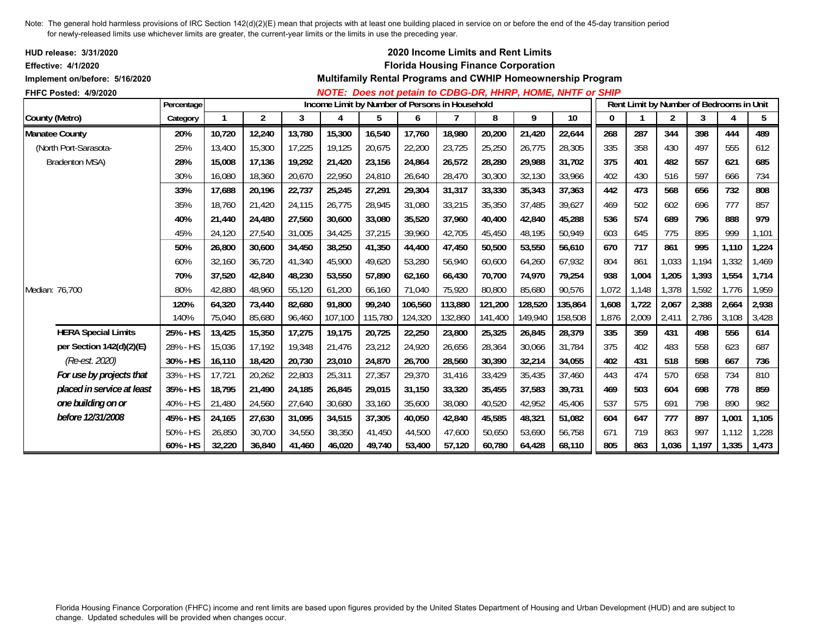| HUD release: 3/31/2020<br><b>Effective: 4/1/2020</b>    |            |        |                |        |                                                |         |         |         | 2020 Income Limits and Rent Limits<br><b>Florida Housing Finance Corporation</b> |         | Multifamily Rental Programs and CWHIP Homeownership Program |              |                                          |                |       |                |       |
|---------------------------------------------------------|------------|--------|----------------|--------|------------------------------------------------|---------|---------|---------|----------------------------------------------------------------------------------|---------|-------------------------------------------------------------|--------------|------------------------------------------|----------------|-------|----------------|-------|
| Implement on/before: 5/16/2020<br>FHFC Posted: 4/9/2020 |            |        |                |        |                                                |         |         |         |                                                                                  |         | NOTE: Does not petain to CDBG-DR, HHRP, HOME, NHTF or SHIP  |              |                                          |                |       |                |       |
|                                                         | Percentage |        |                |        | Income Limit by Number of Persons in Household |         |         |         |                                                                                  |         |                                                             |              | Rent Limit by Number of Bedrooms in Unit |                |       |                |       |
| County (Metro)                                          | Category   | 1      | $\overline{2}$ | 3      | 4                                              | 5       | 6       | 7       | 8                                                                                | 9       | 10                                                          | $\mathbf{0}$ |                                          | $\overline{2}$ | 3     | $\overline{4}$ | 5     |
| <b>Manatee County</b>                                   | 20%        | 10,720 | 12,240         | 13,780 | 15,300                                         | 16,540  | 17,760  | 18,980  | 20,200                                                                           | 21,420  | 22,644                                                      | 268          | 287                                      | 344            | 398   | 444            | 489   |
| (North Port-Sarasota-                                   | 25%        | 13,400 | 15,300         | 17,225 | 19,125                                         | 20,675  | 22,200  | 23,725  | 25,250                                                                           | 26,775  | 28,305                                                      | 335          | 358                                      | 430            | 497   | 555            | 612   |
| <b>Bradenton MSA)</b>                                   | 28%        | 15,008 | 17,136         | 19,292 | 21,420                                         | 23,156  | 24,864  | 26,572  | 28,280                                                                           | 29,988  | 31,702                                                      | 375          | 401                                      | 482            | 557   | 621            | 685   |
|                                                         | 30%        | 16,080 | 18,360         | 20,670 | 22,950                                         | 24,810  | 26,640  | 28,470  | 30,300                                                                           | 32,130  | 33,966                                                      | 402          | 430                                      | 516            | 597   | 666            | 734   |
|                                                         | 33%        | 17,688 | 20,196         | 22,737 | 25,245                                         | 27,291  | 29,304  | 31,317  | 33,330                                                                           | 35,343  | 37,363                                                      | 442          | 473                                      | 568            | 656   | 732            | 808   |
|                                                         | 35%        | 18,760 | 21,420         | 24,115 | 26,775                                         | 28,945  | 31,080  | 33,215  | 35,350                                                                           | 37,485  | 39,627                                                      | 469          | 502                                      | 602            | 696   | 777            | 857   |
|                                                         | 40%        | 21,440 | 24,480         | 27,560 | 30,600                                         | 33,080  | 35,520  | 37.960  | 40.400                                                                           | 42.840  | 45,288                                                      | 536          | 574                                      | 689            | 796   | 888            | 979   |
|                                                         | 45%        | 24,120 | 27,540         | 31,005 | 34,425                                         | 37,215  | 39,960  | 42,705  | 45,450                                                                           | 48,195  | 50,949                                                      | 603          | 645                                      | 775            | 895   | 999            | 1,101 |
|                                                         | 50%        | 26,800 | 30,600         | 34,450 | 38,250                                         | 41,350  | 44,400  | 47,450  | 50,500                                                                           | 53,550  | 56,610                                                      | 670          | 717                                      | 861            | 995   | 1,110          | 1,224 |
|                                                         | 60%        | 32.160 | 36,720         | 41,340 | 45,900                                         | 49,620  | 53,280  | 56,940  | 60,600                                                                           | 64,260  | 67,932                                                      | 804          | 861                                      | 1,033          | 1,194 | 1,332          | 1,469 |
|                                                         | 70%        | 37,520 | 42,840         | 48,230 | 53,550                                         | 57,890  | 62,160  | 66,430  | 70,700                                                                           | 74,970  | 79,254                                                      | 938          | 1,004                                    | 1,205          | 1,393 | 1,554          | 1,714 |
| Median: 76,700                                          | 80%        | 42,880 | 48,960         | 55,120 | 61,200                                         | 66,160  | 71,040  | 75,920  | 80,800                                                                           | 85,680  | 90,576                                                      | 1,072        | 1,148                                    | 1,378          | 1,592 | 1,776          | 1,959 |
|                                                         | 120%       | 64,320 | 73,440         | 82,680 | 91,800                                         | 99,240  | 106,560 | 113,880 | 121,200                                                                          | 128,520 | 135,864                                                     | 1,608        | 1,722                                    | 2,067          | 2,388 | 2,664          | 2,938 |
|                                                         | 140%       | 75,040 | 85,680         | 96,460 | 107,100                                        | 115,780 | 124,320 | 132,860 | 141,400                                                                          | 149,940 | 158,508                                                     | 1,876        | 2,009                                    | 2,411          | 2,786 | 3,108          | 3,428 |
| <b>HERA Special Limits</b>                              | 25% - HS   | 13,425 | 15,350         | 17,275 | 19,175                                         | 20,725  | 22,250  | 23,800  | 25,325                                                                           | 26,845  | 28,379                                                      | 335          | 359                                      | 431            | 498   | 556            | 614   |
| per Section 142(d)(2)(E)                                | 28% - HS   | 15,036 | 17,192         | 19,348 | 21,476                                         | 23,212  | 24,920  | 26,656  | 28,364                                                                           | 30,066  | 31,784                                                      | 375          | 402                                      | 483            | 558   | 623            | 687   |
| (Re-est. 2020)                                          | 30% - HS   | 16,110 | 18,420         | 20,730 | 23,010                                         | 24,870  | 26,700  | 28,560  | 30,390                                                                           | 32,214  | 34,055                                                      | 402          | 431                                      | 518            | 598   | 667            | 736   |
| For use by projects that                                | 33% - HS   | 17,721 | 20,262         | 22,803 | 25,311                                         | 27,357  | 29,370  | 31,416  | 33,429                                                                           | 35,435  | 37,460                                                      | 443          | 474                                      | 570            | 658   | 734            | 810   |
| placed in service at least                              | 35% - HS   | 18,795 | 21,490         | 24,185 | 26,845                                         | 29,015  | 31,150  | 33,320  | 35,455                                                                           | 37,583  | 39,731                                                      | 469          | 503                                      | 604            | 698   | 778            | 859   |
| one building on or                                      | 40% - HS   | 21,480 | 24,560         | 27,640 | 30,680                                         | 33,160  | 35,600  | 38,080  | 40,520                                                                           | 42,952  | 45,406                                                      | 537          | 575                                      | 691            | 798   | 890            | 982   |
| before 12/31/2008                                       | 45% - HS   | 24,165 | 27,630         | 31,095 | 34,515                                         | 37,305  | 40,050  | 42,840  | 45,585                                                                           | 48,321  | 51,082                                                      | 604          | 647                                      | 777            | 897   | 1,001          | 1,105 |
|                                                         | 50% - HS   | 26,850 | 30,700         | 34,550 | 38,350                                         | 41,450  | 44,500  | 47,600  | 50,650                                                                           | 53,690  | 56,758                                                      | 671          | 719                                      | 863            | 997   | 1,112          | 1,228 |
|                                                         | 60% - HS   | 32,220 | 36,840         | 41,460 | 46,020                                         | 49,740  | 53,400  | 57,120  | 60,780                                                                           | 64,428  | 68,110                                                      | 805          | 863                                      | 1,036          | 1,197 | 1,335          | 1,473 |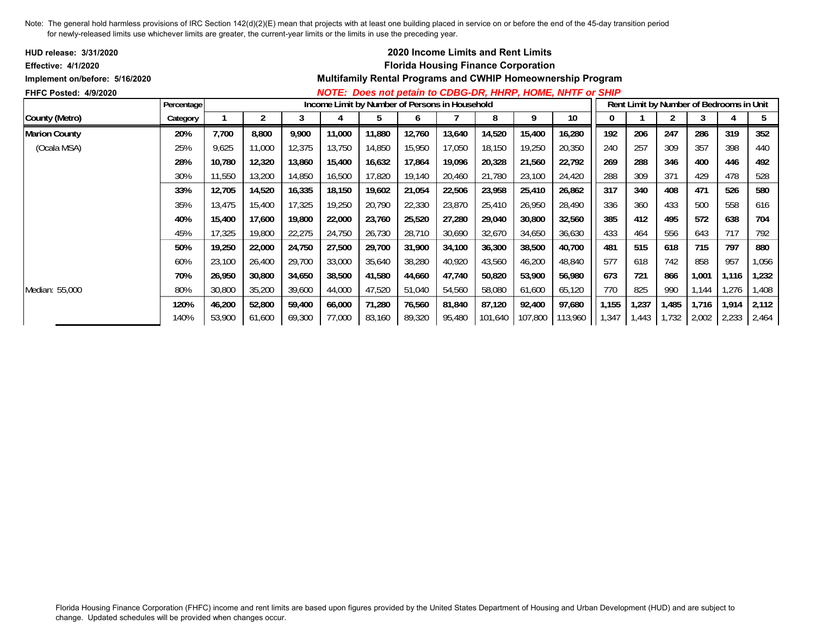| <b>HUD release: 3/31/2020</b>  |            |        |        |        |                                                |        |        |        | <b>2020 Income Limits and Rent Limits</b>  |         |                                                                    |       |       |       |       |                                          |       |
|--------------------------------|------------|--------|--------|--------|------------------------------------------------|--------|--------|--------|--------------------------------------------|---------|--------------------------------------------------------------------|-------|-------|-------|-------|------------------------------------------|-------|
| <b>Effective: 4/1/2020</b>     |            |        |        |        |                                                |        |        |        | <b>Florida Housing Finance Corporation</b> |         |                                                                    |       |       |       |       |                                          |       |
| Implement on/before: 5/16/2020 |            |        |        |        |                                                |        |        |        |                                            |         | <b>Multifamily Rental Programs and CWHIP Homeownership Program</b> |       |       |       |       |                                          |       |
| <b>FHFC Posted: 4/9/2020</b>   |            |        |        |        |                                                |        |        |        |                                            |         | NOTE: Does not petain to CDBG-DR, HHRP, HOME, NHTF or SHIP         |       |       |       |       |                                          |       |
|                                | Percentage |        |        |        | Income Limit by Number of Persons in Household |        |        |        |                                            |         |                                                                    |       |       |       |       | Rent Limit by Number of Bedrooms in Unit |       |
| County (Metro)                 | Category   |        | 2      | 3      |                                                | b.     | h      |        | 8                                          | 9       | 10                                                                 | 0     |       |       | 3     |                                          | 5     |
| <b>Marion County</b>           | 20%        | 7,700  | 8,800  | 9,900  | 11,000                                         | 11,880 | 12,760 | 13,640 | 14,520                                     | 15,400  | 16,280                                                             | 192   | 206   | 247   | 286   | 319                                      | 352   |
| (Ocala MSA)                    | 25%        | 9,625  | 11,000 | 12,375 | 13,750                                         | 14,850 | 15,950 | 17,050 | 18,150                                     | 19,250  | 20,350                                                             | 240   | 257   | 309   | 357   | 398                                      | 440   |
|                                | 28%        | 10,780 | 12,320 | 13,860 | 15,400                                         | 16,632 | 17,864 | 19,096 | 20,328                                     | 21,560  | 22,792                                                             | 269   | 288   | 346   | 400   | 446                                      | 492   |
|                                | 30%        | 11,550 | 13,200 | 14,850 | 16,500                                         | 17,820 | 19,140 | 20,460 | 21,780                                     | 23,100  | 24,420                                                             | 288   | 309   | 371   | 429   | 478                                      | 528   |
|                                | 33%        | 12,705 | 14,520 | 16,335 | 18,150                                         | 19,602 | 21,054 | 22,506 | 23,958                                     | 25,410  | 26,862                                                             | 317   | 340   | 408   | 471   | 526                                      | 580   |
|                                | 35%        | 13,475 | 15,400 | 17,325 | 19,250                                         | 20,790 | 22,330 | 23,870 | 25,410                                     | 26,950  | 28,490                                                             | 336   | 360   | 433   | 500   | 558                                      | 616   |
|                                | 40%        | 15,400 | 17,600 | 19,800 | 22,000                                         | 23,760 | 25,520 | 27,280 | 29,040                                     | 30,800  | 32,560                                                             | 385   | 412   | 495   | 572   | 638                                      | 704   |
|                                | 45%        | 17,325 | 19,800 | 22,275 | 24,750                                         | 26,730 | 28,710 | 30,690 | 32,670                                     | 34,650  | 36,630                                                             | 433   | 464   | 556   | 643   | 717                                      | 792   |
|                                | 50%        | 19,250 | 22,000 | 24,750 | 27,500                                         | 29,700 | 31,900 | 34,100 | 36,300                                     | 38,500  | 40,700                                                             | 481   | 515   | 618   | 715   | 797                                      | 880   |
|                                | 60%        | 23,100 | 26,400 | 29,700 | 33,000                                         | 35,640 | 38,280 | 40,920 | 43,560                                     | 46,200  | 48,840                                                             | 577   | 618   | 742   | 858   | 957                                      | 1,056 |
|                                | 70%        | 26,950 | 30,800 | 34,650 | 38,500                                         | 41,580 | 44,660 | 47,740 | 50,820                                     | 53,900  | 56,980                                                             | 673   | 721   | 866   | 1,001 | 1,116                                    | 1,232 |
| Median: 55,000                 | 80%        | 30,800 | 35,200 | 39,600 | 44,000                                         | 47,520 | 51,040 | 54,560 | 58,080                                     | 61,600  | 65,120                                                             | 770   | 825   | 990   | 1,144 | ,276                                     | ,408  |
|                                | 120%       | 46,200 | 52,800 | 59,400 | 66,000                                         | 71,280 | 76,560 | 81,840 | 87,120                                     | 92,400  | 97,680                                                             | 1,155 | 1,237 | 1,485 | 1,716 | 1,914                                    | 2,112 |
|                                | 140%       | 53,900 | 61,600 | 69,300 | 77,000                                         | 83,160 | 89,320 | 95,480 | 101,640                                    | 107,800 | 113,960                                                            | 1,347 | 1,443 | 1,732 | 2,002 | 2,233                                    | 2,464 |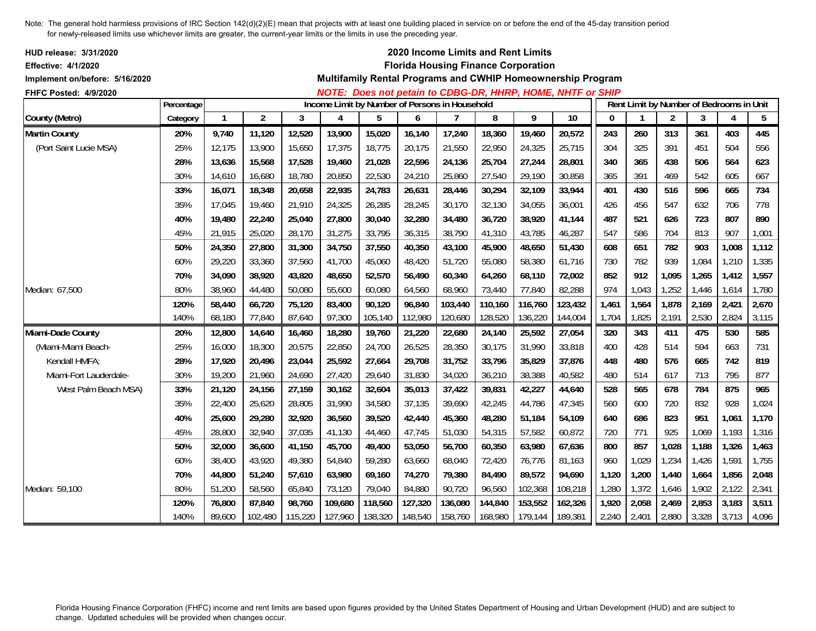| <b>HUD release: 3/31/2020</b><br><b>Effective: 4/1/2020</b><br>Implement on/before: 5/16/2020 |            |              |                |         |         |                                                |         |         | 2020 Income Limits and Rent Limits<br><b>Florida Housing Finance Corporation</b> |         | Multifamily Rental Programs and CWHIP Homeownership Program |              |                         |                |       |                                          |       |
|-----------------------------------------------------------------------------------------------|------------|--------------|----------------|---------|---------|------------------------------------------------|---------|---------|----------------------------------------------------------------------------------|---------|-------------------------------------------------------------|--------------|-------------------------|----------------|-------|------------------------------------------|-------|
| FHFC Posted: 4/9/2020                                                                         |            |              |                |         |         |                                                |         |         |                                                                                  |         | NOTE: Does not petain to CDBG-DR, HHRP, HOME, NHTF or SHIP  |              |                         |                |       |                                          |       |
|                                                                                               | Percentage |              |                |         |         | Income Limit by Number of Persons in Household |         |         |                                                                                  |         |                                                             |              |                         |                |       | Rent Limit by Number of Bedrooms in Unit |       |
| County (Metro)                                                                                | Category   | $\mathbf{1}$ | $\overline{2}$ | 3       | 4       | 5                                              | 6       | 7       | 8                                                                                | 9       | 10                                                          | $\mathbf{0}$ | $\overline{\mathbf{1}}$ | $\overline{2}$ | 3     | 4                                        | 5     |
| <b>Martin County</b>                                                                          | 20%        | 9,740        | 11,120         | 12,520  | 13,900  | 15,020                                         | 16,140  | 17,240  | 18,360                                                                           | 19,460  | 20,572                                                      | 243          | 260                     | 313            | 361   | 403                                      | 445   |
| (Port Saint Lucie MSA)                                                                        | 25%        | 12,175       | 13,900         | 15,650  | 17,375  | 18,775                                         | 20,175  | 21,550  | 22,950                                                                           | 24,325  | 25,715                                                      | 304          | 325                     | 391            | 451   | 504                                      | 556   |
|                                                                                               | 28%        | 13,636       | 15,568         | 17,528  | 19,460  | 21,028                                         | 22,596  | 24,136  | 25,704                                                                           | 27,244  | 28,801                                                      | 340          | 365                     | 438            | 506   | 564                                      | 623   |
|                                                                                               | 30%        | 14,610       | 16,680         | 18,780  | 20,850  | 22,530                                         | 24,210  | 25,860  | 27.540                                                                           | 29,190  | 30,858                                                      | 365          | 391                     | 469            | 542   | 605                                      | 667   |
|                                                                                               | 33%        | 16,071       | 18,348         | 20,658  | 22,935  | 24,783                                         | 26,631  | 28,446  | 30,294                                                                           | 32,109  | 33,944                                                      | 401          | 430                     | 516            | 596   | 665                                      | 734   |
|                                                                                               | 35%        | 17.045       | 19.460         | 21,910  | 24,325  | 26,285                                         | 28,245  | 30,170  | 32,130                                                                           | 34.055  | 36,001                                                      | 426          | 456                     | 547            | 632   | 706                                      | 778   |
|                                                                                               | 40%        | 19,480       | 22,240         | 25,040  | 27,800  | 30,040                                         | 32,280  | 34,480  | 36,720                                                                           | 38,920  | 41,144                                                      | 487          | 521                     | 626            | 723   | 807                                      | 890   |
|                                                                                               | 45%        | 21,915       | 25,020         | 28,170  | 31,275  | 33,795                                         | 36,315  | 38,790  | 41,310                                                                           | 43,785  | 46,287                                                      | 547          | 586                     | 704            | 813   | 907                                      | 1,001 |
|                                                                                               | 50%        | 24,350       | 27,800         | 31,300  | 34,750  | 37,550                                         | 40,350  | 43,100  | 45,900                                                                           | 48,650  | 51,430                                                      | 608          | 651                     | 782            | 903   | 1,008                                    | 1,112 |
|                                                                                               | 60%        | 29.220       | 33,360         | 37,560  | 41,700  | 45,060                                         | 48,420  | 51,720  | 55,080                                                                           | 58,380  | 61.716                                                      | 730          | 782                     | 939            | 1,084 | 1,210                                    | 1,335 |
|                                                                                               | 70%        | 34,090       | 38,920         | 43,820  | 48,650  | 52,570                                         | 56,490  | 60,340  | 64,260                                                                           | 68,110  | 72,002                                                      | 852          | 912                     | 1,095          | 1,265 | 1,412                                    | 1,557 |
| Median: 67,500                                                                                | 80%        | 38.960       | 44,480         | 50.080  | 55,600  | 60,080                                         | 64,560  | 68,960  | 73,440                                                                           | 77.840  | 82,288                                                      | 974          | 1,043                   | 1,252          | 1,446 | 1,614                                    | 1,780 |
|                                                                                               | 120%       | 58,440       | 66,720         | 75,120  | 83,400  | 90,120                                         | 96,840  | 103,440 | 110,160                                                                          | 116,760 | 123,432                                                     | 1,461        | 1,564                   | 1,878          | 2,169 | 2,421                                    | 2,670 |
|                                                                                               | 140%       | 68,180       | 77,840         | 87,640  | 97,300  | 105,140                                        | 112,980 | 120,680 | 128,520                                                                          | 136,220 | 144,004                                                     | 1,704        | 1,825                   | 2,191          | 2,530 | 2,824                                    | 3,115 |
| Miami-Dade County                                                                             | 20%        | 12,800       | 14,640         | 16,460  | 18,280  | 19,760                                         | 21,220  | 22,680  | 24,140                                                                           | 25,592  | 27,054                                                      | 320          | 343                     | 411            | 475   | 530                                      | 585   |
| (Miami-Miami Beach-                                                                           | 25%        | 16,000       | 18,300         | 20,575  | 22,850  | 24,700                                         | 26,525  | 28,350  | 30,175                                                                           | 31.990  | 33,818                                                      | 400          | 428                     | 514            | 594   | 663                                      | 731   |
| Kendall HMFA;                                                                                 | 28%        | 17,920       | 20,496         | 23,044  | 25,592  | 27,664                                         | 29,708  | 31,752  | 33,796                                                                           | 35,829  | 37,876                                                      | 448          | 480                     | 576            | 665   | 742                                      | 819   |
| Miami-Fort Lauderdale-                                                                        | 30%        | 19,200       | 21,960         | 24,690  | 27,420  | 29,640                                         | 31,830  | 34,020  | 36,210                                                                           | 38,388  | 40,582                                                      | 480          | 514                     | 617            | 713   | 795                                      | 877   |
| West Palm Beach MSA)                                                                          | 33%        | 21,120       | 24,156         | 27,159  | 30,162  | 32,604                                         | 35,013  | 37,422  | 39,831                                                                           | 42,227  | 44,640                                                      | 528          | 565                     | 678            | 784   | 875                                      | 965   |
|                                                                                               | 35%        | 22,400       | 25,620         | 28,805  | 31,990  | 34,580                                         | 37,135  | 39,690  | 42,245                                                                           | 44.786  | 47.345                                                      | 560          | 600                     | 720            | 832   | 928                                      | 1,024 |
|                                                                                               | 40%        | 25,600       | 29,280         | 32,920  | 36,560  | 39,520                                         | 42,440  | 45,360  | 48,280                                                                           | 51.184  | 54,109                                                      | 640          | 686                     | 823            | 951   | 1,061                                    | 1,170 |
|                                                                                               | 45%        | 28,800       | 32,940         | 37,035  | 41,130  | 44,460                                         | 47,745  | 51,030  | 54.315                                                                           | 57,582  | 60,872                                                      | 720          | 771                     | 925            | 1,069 | 1,193                                    | 1,316 |
|                                                                                               | 50%        | 32,000       | 36,600         | 41,150  | 45,700  | 49,400                                         | 53,050  | 56,700  | 60,350                                                                           | 63,980  | 67,636                                                      | 800          | 857                     | 1,028          | 1,188 | 1,326                                    | 1,463 |
|                                                                                               | 60%        | 38,400       | 43,920         | 49,380  | 54,840  | 59,280                                         | 63,660  | 68,040  | 72,420                                                                           | 76.776  | 81.163                                                      | 960          | 1,029                   | 1,234          | 1,426 | 1,591                                    | 1,755 |
|                                                                                               | 70%        | 44,800       | 51,240         | 57,610  | 63,980  | 69,160                                         | 74,270  | 79,380  | 84,490                                                                           | 89,572  | 94,690                                                      | 1,120        | 1,200                   | 1,440          | 1,664 | 1,856                                    | 2,048 |
| Median: 59,100                                                                                | 80%        | 51,200       | 58,560         | 65,840  | 73,120  | 79,040                                         | 84,880  | 90.720  | 96,560                                                                           | 102,368 | 108,218                                                     | 1,280        | 1,372                   | 1,646          | 1,902 | 2,122                                    | 2,341 |
|                                                                                               | 120%       | 76,800       | 87,840         | 98,760  | 109,680 | 118,560                                        | 127,320 | 136,080 | 144,840                                                                          | 153,552 | 162,326                                                     | 1,920        | 2,058                   | 2,469          | 2,853 | 3,183                                    | 3,511 |
|                                                                                               | 140%       | 89,600       | 102,480        | 115,220 | 127,960 | 138,320                                        | 148,540 | 158,760 | 168,980                                                                          | 179,144 | 189,381                                                     | 2,240        | 2,401                   | 2,880          | 3,328 | 3,713                                    | 4,096 |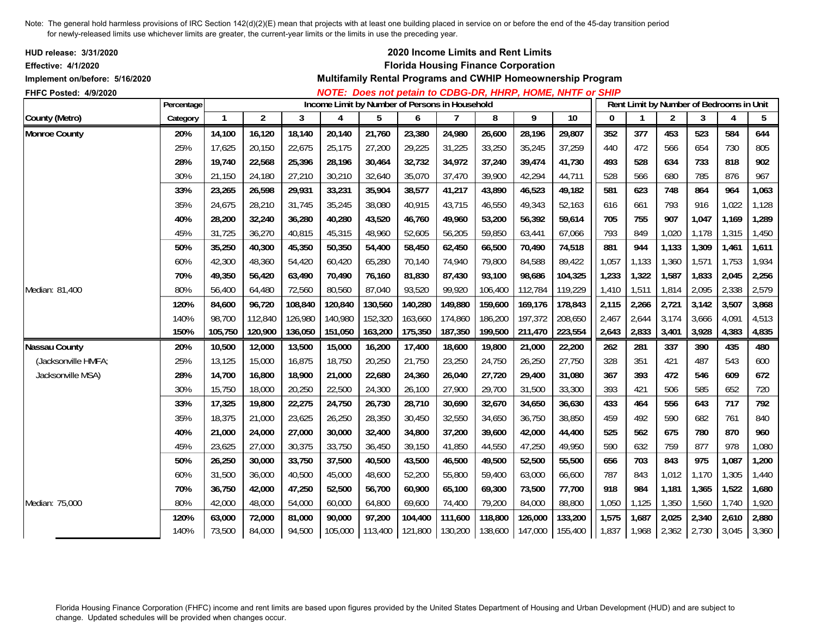| HUD release: 3/31/2020<br><b>Effective: 4/1/2020</b><br>Implement on/before: 5/16/2020<br>FHFC Posted: 4/9/2020 |            |              |                |         |                |                                                |         |         | 2020 Income Limits and Rent Limits<br><b>Florida Housing Finance Corporation</b> |         | Multifamily Rental Programs and CWHIP Homeownership Program<br>NOTE: Does not petain to CDBG-DR, HHRP, HOME, NHTF or SHIP |              |              |                |                                          |                |       |
|-----------------------------------------------------------------------------------------------------------------|------------|--------------|----------------|---------|----------------|------------------------------------------------|---------|---------|----------------------------------------------------------------------------------|---------|---------------------------------------------------------------------------------------------------------------------------|--------------|--------------|----------------|------------------------------------------|----------------|-------|
|                                                                                                                 | Percentage |              |                |         |                | Income Limit by Number of Persons in Household |         |         |                                                                                  |         |                                                                                                                           |              |              |                | Rent Limit by Number of Bedrooms in Unit |                |       |
| County (Metro)                                                                                                  | Category   | $\mathbf{1}$ | $\overline{c}$ | 3       | $\overline{A}$ | 5                                              | 6       |         | 8                                                                                | 9       | $\overline{10}$                                                                                                           | $\mathbf{0}$ | $\mathbf{1}$ | $\overline{2}$ | 3                                        | $\overline{4}$ | 5     |
| <b>Monroe County</b>                                                                                            | 20%        | 14,100       | 16,120         | 18,140  | 20,140         | 21,760                                         | 23,380  | 24,980  | 26,600                                                                           | 28,196  | 29,807                                                                                                                    | 352          | 377          | 453            | 523                                      | 584            | 644   |
|                                                                                                                 | 25%        | 17,625       | 20,150         | 22,675  | 25,175         | 27,200                                         | 29,225  | 31,225  | 33,250                                                                           | 35,245  | 37,259                                                                                                                    | 440          | 472          | 566            | 654                                      | 730            | 805   |
|                                                                                                                 | 28%        | 19,740       | 22,568         | 25,396  | 28,196         | 30,464                                         | 32,732  | 34,972  | 37,240                                                                           | 39,474  | 41,730                                                                                                                    | 493          | 528          | 634            | 733                                      | 818            | 902   |
|                                                                                                                 | 30%        | 21,150       | 24,180         | 27,210  | 30,210         | 32,640                                         | 35,070  | 37,470  | 39,900                                                                           | 42,294  | 44,711                                                                                                                    | 528          | 566          | 680            | 785                                      | 876            | 967   |
|                                                                                                                 | 33%        | 23,265       | 26,598         | 29,931  | 33,231         | 35,904                                         | 38,577  | 41,217  | 43,890                                                                           | 46,523  | 49,182                                                                                                                    | 581          | 623          | 748            | 864                                      | 964            | 1,063 |
|                                                                                                                 | 35%        | 24,675       | 28,210         | 31,745  | 35,245         | 38,080                                         | 40,915  | 43,715  | 46,550                                                                           | 49,343  | 52,163                                                                                                                    | 616          | 661          | 793            | 916                                      | 1,022          | 1,128 |
|                                                                                                                 | 40%        | 28,200       | 32,240         | 36,280  | 40,280         | 43,520                                         | 46,760  | 49,960  | 53,200                                                                           | 56,392  | 59,614                                                                                                                    | 705          | 755          | 907            | 1,047                                    | 1,169          | 1,289 |
|                                                                                                                 | 45%        | 31,725       | 36,270         | 40,815  | 45,315         | 48,960                                         | 52,605  | 56,205  | 59,850                                                                           | 63,441  | 67,066                                                                                                                    | 793          | 849          | 1,020          | 1,178                                    | 1,315          | 1,450 |
|                                                                                                                 | 50%        | 35,250       | 40,300         | 45,350  | 50,350         | 54,400                                         | 58,450  | 62,450  | 66,500                                                                           | 70,490  | 74,518                                                                                                                    | 881          | 944          | 1,133          | 1,309                                    | 1,461          | 1,611 |
|                                                                                                                 | 60%        | 42,300       | 48,360         | 54,420  | 60,420         | 65,280                                         | 70,140  | 74,940  | 79,800                                                                           | 84,588  | 89,422                                                                                                                    | 1,057        | 1,133        | 1,360          | 1,571                                    | 1,753          | 1,934 |
|                                                                                                                 | 70%        | 49,350       | 56,420         | 63,490  | 70,490         | 76,160                                         | 81,830  | 87,430  | 93,100                                                                           | 98,686  | 104,325                                                                                                                   | 1,233        | 1,322        | 1,587          | 1,833                                    | 2,045          | 2,256 |
| Median: 81,400                                                                                                  | 80%        | 56,400       | 64,480         | 72,560  | 80,560         | 87,040                                         | 93,520  | 99,920  | 106,400                                                                          | 112,784 | 119,229                                                                                                                   | 1,410        | 1,511        | 1,814          | 2,095                                    | 2,338          | 2,579 |
|                                                                                                                 | 120%       | 84,600       | 96,720         | 108,840 | 120,840        | 130,560                                        | 140,280 | 149,880 | 159,600                                                                          | 169,176 | 178,843                                                                                                                   | 2,115        | 2,266        | 2,721          | 3,142                                    | 3,507          | 3,868 |
|                                                                                                                 | 140%       | 98,700       | 112,840        | 126,980 | 140,980        | 152,320                                        | 163,660 | 174,860 | 186,200                                                                          | 197,372 | 208,650                                                                                                                   | 2,467        | 2,644        | 3,174          | 3,666                                    | 4,091          | 4,513 |
|                                                                                                                 | 150%       | 105,750      | 120,900        | 136,050 | 151,050        | 163,200                                        | 175,350 | 187,350 | 199,500                                                                          | 211,470 | 223,554                                                                                                                   | 2,643        | 2,833        | 3,401          | 3,928                                    | 4,383          | 4,835 |
| <b>Nassau County</b>                                                                                            | 20%        | 10,500       | 12,000         | 13,500  | 15,000         | 16,200                                         | 17,400  | 18,600  | 19,800                                                                           | 21,000  | 22,200                                                                                                                    | 262          | 281          | 337            | 390                                      | 435            | 480   |
| (Jacksonville HMFA;                                                                                             | 25%        | 13,125       | 15,000         | 16,875  | 18,750         | 20,250                                         | 21,750  | 23,250  | 24,750                                                                           | 26,250  | 27,750                                                                                                                    | 328          | 351          | 421            | 487                                      | 543            | 600   |
| Jacksonville MSA)                                                                                               | 28%        | 14,700       | 16,800         | 18,900  | 21,000         | 22,680                                         | 24,360  | 26,040  | 27,720                                                                           | 29,400  | 31,080                                                                                                                    | 367          | 393          | 472            | 546                                      | 609            | 672   |
|                                                                                                                 | 30%        | 15,750       | 18,000         | 20,250  | 22,500         | 24,300                                         | 26,100  | 27,900  | 29,700                                                                           | 31,500  | 33,300                                                                                                                    | 393          | 421          | 506            | 585                                      | 652            | 720   |
|                                                                                                                 | 33%        | 17,325       | 19,800         | 22,275  | 24,750         | 26,730                                         | 28,710  | 30,690  | 32,670                                                                           | 34,650  | 36,630                                                                                                                    | 433          | 464          | 556            | 643                                      | 717            | 792   |
|                                                                                                                 | 35%        | 18,375       | 21,000         | 23,625  | 26,250         | 28,350                                         | 30,450  | 32,550  | 34,650                                                                           | 36,750  | 38,850                                                                                                                    | 459          | 492          | 590            | 682                                      | 761            | 840   |
|                                                                                                                 | 40%        | 21,000       | 24,000         | 27,000  | 30,000         | 32,400                                         | 34,800  | 37,200  | 39,600                                                                           | 42,000  | 44,400                                                                                                                    | 525          | 562          | 675            | 780                                      | 870            | 960   |
|                                                                                                                 | 45%        | 23,625       | 27,000         | 30,375  | 33,750         | 36,450                                         | 39,150  | 41,850  | 44,550                                                                           | 47,250  | 49,950                                                                                                                    | 590          | 632          | 759            | 877                                      | 978            | 1,080 |
|                                                                                                                 | 50%        | 26,250       | 30,000         | 33,750  | 37,500         | 40,500                                         | 43,500  | 46,500  | 49,500                                                                           | 52,500  | 55,500                                                                                                                    | 656          | 703          | 843            | 975                                      | 1,087          | 1,200 |
|                                                                                                                 | 60%        | 31,500       | 36,000         | 40,500  | 45,000         | 48,600                                         | 52,200  | 55,800  | 59,400                                                                           | 63,000  | 66,600                                                                                                                    | 787          | 843          | 1,012          | 1,170                                    | 1,305          | 1,440 |
|                                                                                                                 | 70%        | 36,750       | 42,000         | 47,250  | 52,500         | 56,700                                         | 60,900  | 65,100  | 69,300                                                                           | 73,500  | 77,700                                                                                                                    | 918          | 984          | 1,181          | 1,365                                    | 1,522          | 1,680 |
| Median: 75,000                                                                                                  | 80%        | 42,000       | 48,000         | 54,000  | 60,000         | 64,800                                         | 69,600  | 74,400  | 79,200                                                                           | 84,000  | 88,800                                                                                                                    | 1,050        | 1,125        | 1,350          | 1,560                                    | 1,740          | 1,920 |
|                                                                                                                 | 120%       | 63,000       | 72,000         | 81,000  | 90,000         | 97,200                                         | 104,400 | 111,600 | 118,800                                                                          | 126,000 | 133,200                                                                                                                   | 1,575        | 1,687        | 2,025          | 2,340                                    | 2,610          | 2,880 |
|                                                                                                                 | 140%       | 73,500       | 84,000         | 94,500  | 105,000        | 113,400                                        | 121,800 | 130,200 | 138,600                                                                          | 147,000 | 155,400                                                                                                                   | 1,837        | 1,968        | 2,362          | 2,730                                    | 3,045          | 3,360 |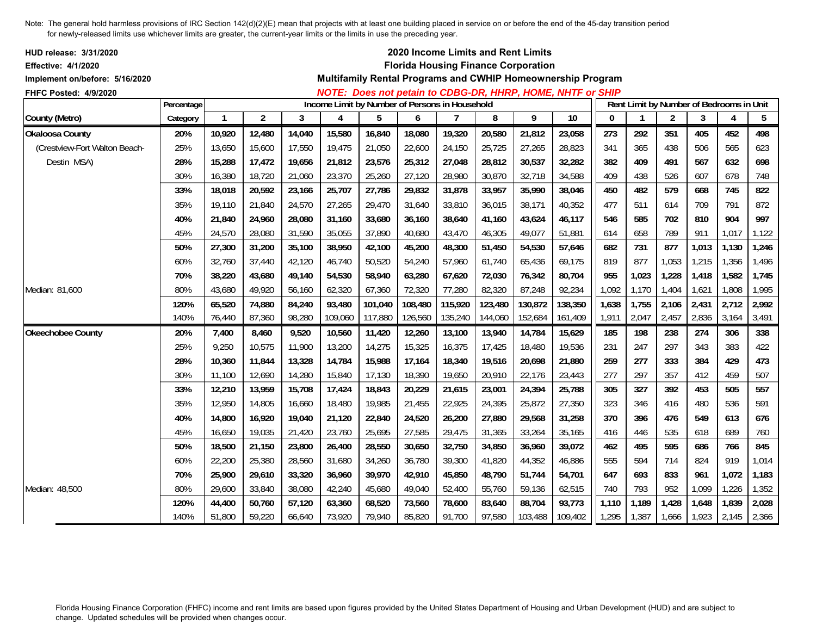| <b>HUD release: 3/31/2020</b><br><b>Effective: 4/1/2020</b><br>Implement on/before: 5/16/2020 |            |              |                |        |                                                |         |         |         | 2020 Income Limits and Rent Limits<br><b>Florida Housing Finance Corporation</b> |         | Multifamily Rental Programs and CWHIP Homeownership Program<br>NOTE: Does not petain to CDBG-DR, HHRP, HOME, NHTF or SHIP |              |             |                                          |       |                |       |
|-----------------------------------------------------------------------------------------------|------------|--------------|----------------|--------|------------------------------------------------|---------|---------|---------|----------------------------------------------------------------------------------|---------|---------------------------------------------------------------------------------------------------------------------------|--------------|-------------|------------------------------------------|-------|----------------|-------|
| FHFC Posted: 4/9/2020                                                                         | Percentage |              |                |        | Income Limit by Number of Persons in Household |         |         |         |                                                                                  |         |                                                                                                                           |              |             | Rent Limit by Number of Bedrooms in Unit |       |                |       |
| County (Metro)                                                                                | Category   | $\mathbf{1}$ | $\overline{2}$ | 3      | 4                                              | 5       | 6       | 7       | 8                                                                                | 9       | 10                                                                                                                        | $\mathbf{0}$ | $\mathbf 1$ | $\overline{2}$                           | 3     | $\overline{4}$ | 5     |
| <b>Okaloosa County</b>                                                                        | 20%        | 10,920       | 12,480         | 14,040 | 15,580                                         | 16,840  | 18,080  | 19,320  | 20,580                                                                           | 21,812  | 23,058                                                                                                                    | 273          | 292         | 351                                      | 405   | 452            | 498   |
| (Crestview-Fort Walton Beach-                                                                 | 25%        | 13,650       | 15,600         | 17,550 | 19,475                                         | 21,050  | 22,600  | 24,150  | 25,725                                                                           | 27,265  | 28,823                                                                                                                    | 341          | 365         | 438                                      | 506   | 565            | 623   |
| Destin MSA)                                                                                   | 28%        | 15,288       | 17,472         | 19,656 | 21,812                                         | 23,576  | 25,312  | 27,048  | 28,812                                                                           | 30,537  | 32,282                                                                                                                    | 382          | 409         | 491                                      | 567   | 632            | 698   |
|                                                                                               | 30%        | 16,380       | 18,720         | 21,060 | 23,370                                         | 25,260  | 27,120  | 28,980  | 30,870                                                                           | 32,718  | 34,588                                                                                                                    | 409          | 438         | 526                                      | 607   | 678            | 748   |
|                                                                                               | 33%        | 18.018       | 20,592         | 23,166 | 25,707                                         | 27,786  | 29,832  | 31,878  | 33,957                                                                           | 35,990  | 38,046                                                                                                                    | 450          | 482         | 579                                      | 668   | 745            | 822   |
|                                                                                               | 35%        | 19,110       | 21,840         | 24,570 | 27,265                                         | 29,470  | 31,640  | 33,810  | 36,015                                                                           | 38,171  | 40,352                                                                                                                    | 477          | 511         | 614                                      | 709   | 791            | 872   |
|                                                                                               | 40%        | 21,840       | 24,960         | 28,080 | 31,160                                         | 33,680  | 36,160  | 38,640  | 41,160                                                                           | 43,624  | 46,117                                                                                                                    | 546          | 585         | 702                                      | 810   | 904            | 997   |
|                                                                                               | 45%        | 24,570       | 28,080         | 31,590 | 35,055                                         | 37,890  | 40,680  | 43,470  | 46,305                                                                           | 49,077  | 51,881                                                                                                                    | 614          | 658         | 789                                      | 911   | 1,017          | 1,122 |
|                                                                                               | 50%        | 27,300       | 31,200         | 35,100 | 38,950                                         | 42,100  | 45,200  | 48,300  | 51,450                                                                           | 54,530  | 57,646                                                                                                                    | 682          | 731         | 877                                      | 1,013 | 1,130          | 1,246 |
|                                                                                               | 60%        | 32,760       | 37,440         | 42,120 | 46,740                                         | 50,520  | 54,240  | 57,960  | 61,740                                                                           | 65,436  | 69,175                                                                                                                    | 819          | 877         | 1,053                                    | 1,215 | 1,356          | 1,496 |
|                                                                                               | 70%        | 38,220       | 43,680         | 49,140 | 54,530                                         | 58,940  | 63,280  | 67,620  | 72,030                                                                           | 76,342  | 80,704                                                                                                                    | 955          | 1,023       | 1,228                                    | 1,418 | 1,582          | 1,745 |
| Median: 81,600                                                                                | 80%        | 43,680       | 49,920         | 56,160 | 62,320                                         | 67,360  | 72,320  | 77,280  | 82,320                                                                           | 87,248  | 92,234                                                                                                                    | 1,092        | 1,170       | 1,404                                    | 1,621 | 1,808          | 1,995 |
|                                                                                               | 120%       | 65,520       | 74,880         | 84,240 | 93,480                                         | 101,040 | 108,480 | 115,920 | 123,480                                                                          | 130,872 | 138,350                                                                                                                   | 1,638        | 1,755       | 2,106                                    | 2,431 | 2,712          | 2,992 |
|                                                                                               | 140%       | 76,440       | 87,360         | 98,280 | 109,060                                        | 117,880 | 126,560 | 135,240 | 144,060                                                                          | 152,684 | 161,409                                                                                                                   | 1,911        | 2,047       | 2,457                                    | 2,836 | 3,164          | 3,491 |
| Okeechobee County                                                                             | 20%        | 7,400        | 8,460          | 9,520  | 10,560                                         | 11,420  | 12,260  | 13,100  | 13,940                                                                           | 14,784  | 15,629                                                                                                                    | 185          | 198         | 238                                      | 274   | 306            | 338   |
|                                                                                               | 25%        | 9,250        | 10,575         | 11,900 | 13,200                                         | 14,275  | 15,325  | 16,375  | 17,425                                                                           | 18,480  | 19,536                                                                                                                    | 231          | 247         | 297                                      | 343   | 383            | 422   |
|                                                                                               | 28%        | 10,360       | 11,844         | 13,328 | 14,784                                         | 15,988  | 17,164  | 18,340  | 19,516                                                                           | 20,698  | 21,880                                                                                                                    | 259          | 277         | 333                                      | 384   | 429            | 473   |
|                                                                                               | 30%        | 11,100       | 12,690         | 14,280 | 15,840                                         | 17,130  | 18,390  | 19,650  | 20,910                                                                           | 22,176  | 23,443                                                                                                                    | 277          | 297         | 357                                      | 412   | 459            | 507   |
|                                                                                               | 33%        | 12,210       | 13,959         | 15,708 | 17,424                                         | 18,843  | 20,229  | 21,615  | 23,001                                                                           | 24,394  | 25,788                                                                                                                    | 305          | 327         | 392                                      | 453   | 505            | 557   |
|                                                                                               | 35%        | 12,950       | 14,805         | 16,660 | 18,480                                         | 19,985  | 21,455  | 22,925  | 24,395                                                                           | 25,872  | 27,350                                                                                                                    | 323          | 346         | 416                                      | 480   | 536            | 591   |
|                                                                                               | 40%        | 14,800       | 16,920         | 19,040 | 21,120                                         | 22,840  | 24,520  | 26,200  | 27,880                                                                           | 29,568  | 31,258                                                                                                                    | 370          | 396         | 476                                      | 549   | 613            | 676   |
|                                                                                               | 45%        | 16,650       | 19,035         | 21,420 | 23,760                                         | 25,695  | 27,585  | 29,475  | 31,365                                                                           | 33,264  | 35,165                                                                                                                    | 416          | 446         | 535                                      | 618   | 689            | 760   |
|                                                                                               | 50%        | 18,500       | 21,150         | 23,800 | 26,400                                         | 28,550  | 30,650  | 32,750  | 34,850                                                                           | 36,960  | 39,072                                                                                                                    | 462          | 495         | 595                                      | 686   | 766            | 845   |
|                                                                                               | 60%        | 22,200       | 25,380         | 28,560 | 31,680                                         | 34,260  | 36,780  | 39,300  | 41,820                                                                           | 44,352  | 46,886                                                                                                                    | 555          | 594         | 714                                      | 824   | 919            | 1,014 |
|                                                                                               | 70%        | 25,900       | 29,610         | 33,320 | 36,960                                         | 39,970  | 42,910  | 45,850  | 48,790                                                                           | 51,744  | 54,701                                                                                                                    | 647          | 693         | 833                                      | 961   | 1,072          | 1,183 |
| Median: 48,500                                                                                | 80%        | 29,600       | 33,840         | 38,080 | 42,240                                         | 45,680  | 49,040  | 52,400  | 55,760                                                                           | 59,136  | 62,515                                                                                                                    | 740          | 793         | 952                                      | 1,099 | 1,226          | 1,352 |
|                                                                                               | 120%       | 44,400       | 50,760         | 57,120 | 63,360                                         | 68,520  | 73,560  | 78,600  | 83,640                                                                           | 88,704  | 93,773                                                                                                                    | 1,110        | 1,189       | 1,428                                    | 1,648 | 1,839          | 2,028 |
|                                                                                               | 140%       | 51,800       | 59,220         | 66,640 | 73,920                                         | 79,940  | 85,820  | 91,700  | 97,580                                                                           | 103,488 | 109,402                                                                                                                   | 1,295        | 1,387       | 1,666                                    | 1,923 | 2,145          | 2,366 |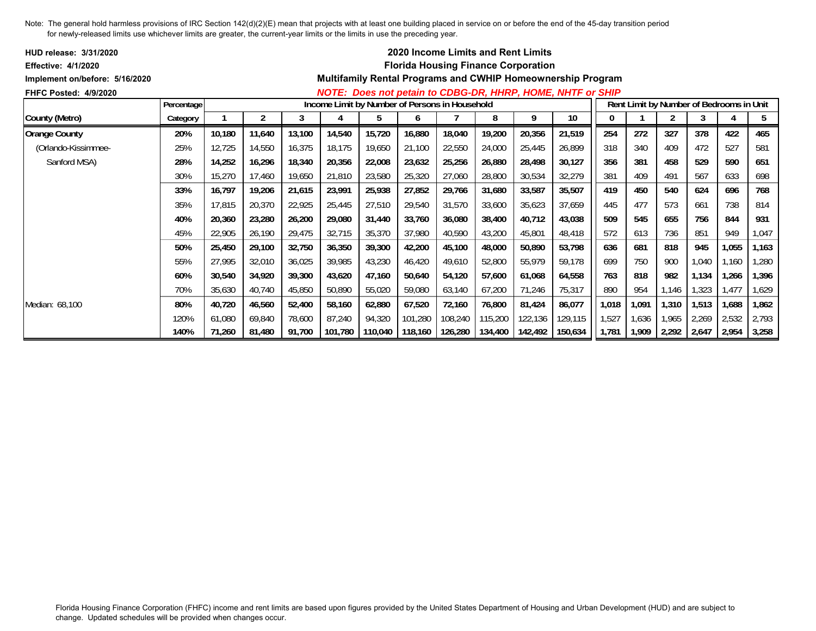| <b>HUD release: 3/31/2020</b>  |            |        |        |        |         |                                                |         |         | <b>2020 Income Limits and Rent Limits</b>  |         |                                                             |       |       |       |                                          |       |       |
|--------------------------------|------------|--------|--------|--------|---------|------------------------------------------------|---------|---------|--------------------------------------------|---------|-------------------------------------------------------------|-------|-------|-------|------------------------------------------|-------|-------|
| <b>Effective: 4/1/2020</b>     |            |        |        |        |         |                                                |         |         | <b>Florida Housing Finance Corporation</b> |         |                                                             |       |       |       |                                          |       |       |
| Implement on/before: 5/16/2020 |            |        |        |        |         |                                                |         |         |                                            |         | Multifamily Rental Programs and CWHIP Homeownership Program |       |       |       |                                          |       |       |
| <b>FHFC Posted: 4/9/2020</b>   |            |        |        |        |         |                                                |         |         |                                            |         | NOTE: Does not petain to CDBG-DR, HHRP, HOME, NHTF or SHIP  |       |       |       |                                          |       |       |
|                                | Percentage |        |        |        |         | Income Limit by Number of Persons in Household |         |         |                                            |         |                                                             |       |       |       | Rent Limit by Number of Bedrooms in Unit |       |       |
| County (Metro)                 | Category   |        | 2      | 3      | 4       | 5                                              | 6       |         | 8                                          | 9       | 10                                                          |       |       |       | 3                                        | 4     | 5     |
| <b>Orange County</b>           | 20%        | 10,180 | 11,640 | 13,100 | 14,540  | 15,720                                         | 16,880  | 18,040  | 19,200                                     | 20,356  | 21,519                                                      | 254   | 272   | 327   | 378                                      | 422   | 465   |
| (Orlando-Kissimmee-            | 25%        | 12,725 | 14,550 | 16,375 | 18,175  | 19,650                                         | 21,100  | 22,550  | 24,000                                     | 25,445  | 26,899                                                      | 318   | 340   | 409   | 472                                      | 527   | 581   |
| Sanford MSA)                   | 28%        | 14,252 | 16,296 | 18,340 | 20,356  | 22,008                                         | 23,632  | 25,256  | 26,880                                     | 28,498  | 30,127                                                      | 356   | 381   | 458   | 529                                      | 590   | 651   |
|                                | 30%        | 15,270 | 17,460 | 19,650 | 21,810  | 23,580                                         | 25,320  | 27,060  | 28,800                                     | 30,534  | 32,279                                                      | 381   | 409   | 491   | 567                                      | 633   | 698   |
|                                | 33%        | 16,797 | 19,206 | 21,615 | 23,991  | 25,938                                         | 27,852  | 29,766  | 31,680                                     | 33,587  | 35,507                                                      | 419   | 450   | 540   | 624                                      | 696   | 768   |
|                                | 35%        | 17,815 | 20,370 | 22,925 | 25,445  | 27,510                                         | 29,540  | 31,570  | 33,600                                     | 35,623  | 37,659                                                      | 445   | 477   | 573   | 661                                      | 738   | 814   |
|                                | 40%        | 20,360 | 23,280 | 26,200 | 29,080  | 31,440                                         | 33,760  | 36,080  | 38,400                                     | 40,712  | 43,038                                                      | 509   | 545   | 655   | 756                                      | 844   | 931   |
|                                | 45%        | 22,905 | 26,190 | 29,475 | 32,715  | 35,370                                         | 37,980  | 40,590  | 43,200                                     | 45,801  | 48,418                                                      | 572   | 613   | 736   | 851                                      | 949   | 1,047 |
|                                | 50%        | 25,450 | 29,100 | 32,750 | 36,350  | 39,300                                         | 42,200  | 45,100  | 48,000                                     | 50,890  | 53,798                                                      | 636   | 681   | 818   | 945                                      | 1,055 | 1,163 |
|                                | 55%        | 27,995 | 32,010 | 36,025 | 39,985  | 43,230                                         | 46,420  | 49,610  | 52,800                                     | 55,979  | 59,178                                                      | 699   | 750   | 900   | 1,040                                    | 1,160 | 1,280 |
|                                | 60%        | 30,540 | 34,920 | 39,300 | 43,620  | 47,160                                         | 50,640  | 54,120  | 57,600                                     | 61,068  | 64,558                                                      | 763   | 818   | 982   | 1,134                                    | 1,266 | 1,396 |
|                                | 70%        | 35,630 | 40,740 | 45,850 | 50,890  | 55,020                                         | 59,080  | 63,140  | 67,200                                     | 71,246  | 75,317                                                      | 890   | 954   | 1,146 | 1,323                                    | 1,477 | 1,629 |
| Median: 68,100                 | 80%        | 40,720 | 46,560 | 52,400 | 58,160  | 62,880                                         | 67,520  | 72,160  | 76,800                                     | 81,424  | 86,077                                                      | 1,018 | 1,091 | 1,310 | 1,513                                    | 1,688 | 1,862 |
|                                | 120%       | 61,080 | 69,840 | 78,600 | 87,240  | 94,320                                         | 101,280 | 108,240 | 115,200                                    | 122,136 | 129,115                                                     | 1,527 | 1,636 | 1,965 | 2,269                                    | 2,532 | 2,793 |
|                                | 140%       | 71,260 | 81,480 | 91,700 | 101,780 | 110,040                                        | 118,160 | 126,280 | 134,400                                    | 142,492 | 150,634                                                     | 1,781 | 1,909 | 2,292 | 2,647                                    | 2,954 | 3,258 |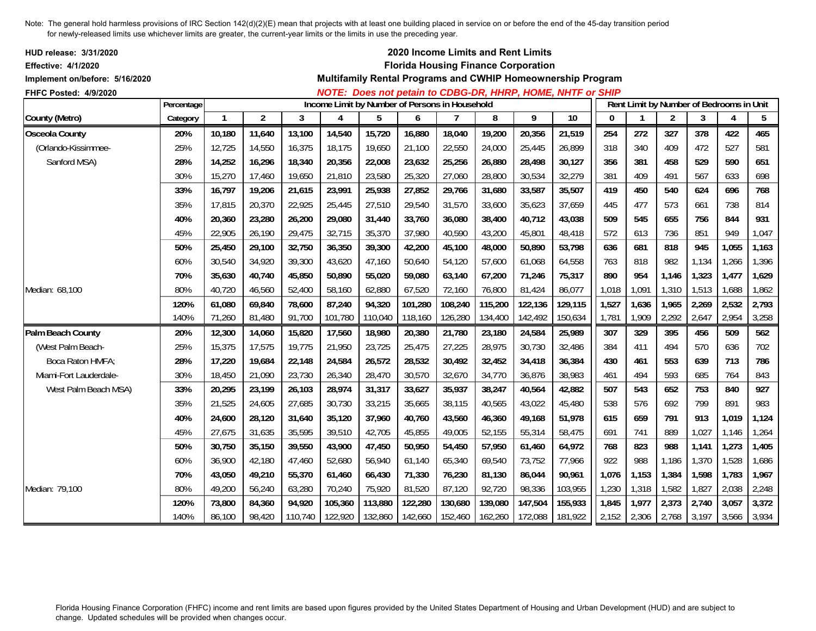| <b>HUD release: 3/31/2020</b><br><b>Effective: 4/1/2020</b><br>Implement on/before: 5/16/2020<br>FHFC Posted: 4/9/2020 |            |              |                |         |         |                                                |         |         | 2020 Income Limits and Rent Limits<br><b>Florida Housing Finance Corporation</b> |         | Multifamily Rental Programs and CWHIP Homeownership Program<br>NOTE: Does not petain to CDBG-DR, HHRP, HOME, NHTF or SHIP |              |       |                |                                          |       |       |
|------------------------------------------------------------------------------------------------------------------------|------------|--------------|----------------|---------|---------|------------------------------------------------|---------|---------|----------------------------------------------------------------------------------|---------|---------------------------------------------------------------------------------------------------------------------------|--------------|-------|----------------|------------------------------------------|-------|-------|
|                                                                                                                        | Percentage |              |                |         |         | Income Limit by Number of Persons in Household |         |         |                                                                                  |         |                                                                                                                           |              |       |                | Rent Limit by Number of Bedrooms in Unit |       |       |
| County (Metro)                                                                                                         | Category   | $\mathbf{1}$ | $\overline{2}$ | 3       | 4       | 5                                              | 6       |         | 8                                                                                | 9       | 10                                                                                                                        | $\mathbf{0}$ |       | $\overline{2}$ | 3                                        | 4     | 5     |
| <b>Osceola County</b>                                                                                                  | 20%        | 10,180       | 11,640         | 13,100  | 14,540  | 15,720                                         | 16,880  | 18,040  | 19,200                                                                           | 20,356  | 21,519                                                                                                                    | 254          | 272   | 327            | 378                                      | 422   | 465   |
| (Orlando-Kissimmee-                                                                                                    | 25%        | 12,725       | 14,550         | 16,375  | 18,175  | 19,650                                         | 21,100  | 22,550  | 24,000                                                                           | 25,445  | 26,899                                                                                                                    | 318          | 340   | 409            | 472                                      | 527   | 581   |
| Sanford MSA)                                                                                                           | 28%        | 14,252       | 16,296         | 18,340  | 20,356  | 22,008                                         | 23,632  | 25,256  | 26,880                                                                           | 28,498  | 30,127                                                                                                                    | 356          | 381   | 458            | 529                                      | 590   | 651   |
|                                                                                                                        | 30%        | 15,270       | 17,460         | 19,650  | 21,810  | 23,580                                         | 25,320  | 27,060  | 28,800                                                                           | 30,534  | 32,279                                                                                                                    | 381          | 409   | 491            | 567                                      | 633   | 698   |
|                                                                                                                        | 33%        | 16,797       | 19,206         | 21,615  | 23,991  | 25,938                                         | 27,852  | 29,766  | 31,680                                                                           | 33,587  | 35,507                                                                                                                    | 419          | 450   | 540            | 624                                      | 696   | 768   |
|                                                                                                                        | 35%        | 17,815       | 20,370         | 22,925  | 25,445  | 27,510                                         | 29,540  | 31,570  | 33,600                                                                           | 35,623  | 37,659                                                                                                                    | 445          | 477   | 573            | 661                                      | 738   | 814   |
|                                                                                                                        | 40%        | 20,360       | 23,280         | 26,200  | 29,080  | 31,440                                         | 33,760  | 36,080  | 38,400                                                                           | 40,712  | 43,038                                                                                                                    | 509          | 545   | 655            | 756                                      | 844   | 931   |
|                                                                                                                        | 45%        | 22,905       | 26,190         | 29,475  | 32,715  | 35,370                                         | 37,980  | 40,590  | 43,200                                                                           | 45,801  | 48,418                                                                                                                    | 572          | 613   | 736            | 851                                      | 949   | 1,047 |
|                                                                                                                        | 50%        | 25,450       | 29,100         | 32,750  | 36,350  | 39,300                                         | 42,200  | 45,100  | 48,000                                                                           | 50,890  | 53,798                                                                                                                    | 636          | 681   | 818            | 945                                      | 1,055 | 1,163 |
|                                                                                                                        | 60%        | 30,540       | 34,920         | 39,300  | 43,620  | 47,160                                         | 50,640  | 54,120  | 57,600                                                                           | 61,068  | 64,558                                                                                                                    | 763          | 818   | 982            | 1,134                                    | 1,266 | 1,396 |
|                                                                                                                        | 70%        | 35,630       | 40,740         | 45,850  | 50,890  | 55,020                                         | 59,080  | 63,140  | 67,200                                                                           | 71,246  | 75,317                                                                                                                    | 890          | 954   | 1,146          | 1,323                                    | 1,477 | 1,629 |
| Median: 68,100                                                                                                         | 80%        | 40,720       | 46,560         | 52,400  | 58,160  | 62,880                                         | 67,520  | 72,160  | 76,800                                                                           | 81,424  | 86,077                                                                                                                    | 1,018        | 1,091 | 1,310          | 1,513                                    | 1,688 | 1,862 |
|                                                                                                                        | 120%       | 61,080       | 69,840         | 78,600  | 87,240  | 94,320                                         | 101,280 | 108,240 | 115,200                                                                          | 122,136 | 129,115                                                                                                                   | 1,527        | 1,636 | 1,965          | 2,269                                    | 2,532 | 2,793 |
|                                                                                                                        | 140%       | 71,260       | 81,480         | 91,700  | 101,780 | 110,040                                        | 118,160 | 126,280 | 134,400                                                                          | 142,492 | 150,634                                                                                                                   | 1,781        | 1,909 | 2,292          | 2,647                                    | 2,954 | 3,258 |
| Palm Beach County                                                                                                      | 20%        | 12,300       | 14,060         | 15,820  | 17,560  | 18,980                                         | 20,380  | 21,780  | 23,180                                                                           | 24,584  | 25,989                                                                                                                    | 307          | 329   | 395            | 456                                      | 509   | 562   |
| (West Palm Beach-                                                                                                      | 25%        | 15,375       | 17,575         | 19,775  | 21,950  | 23,725                                         | 25,475  | 27,225  | 28,975                                                                           | 30,730  | 32,486                                                                                                                    | 384          | 411   | 494            | 570                                      | 636   | 702   |
| Boca Raton HMFA;                                                                                                       | 28%        | 17,220       | 19,684         | 22,148  | 24,584  | 26,572                                         | 28,532  | 30,492  | 32,452                                                                           | 34,418  | 36,384                                                                                                                    | 430          | 461   | 553            | 639                                      | 713   | 786   |
| Miami-Fort Lauderdale-                                                                                                 | 30%        | 18,450       | 21,090         | 23,730  | 26,340  | 28,470                                         | 30,570  | 32,670  | 34,770                                                                           | 36,876  | 38,983                                                                                                                    | 461          | 494   | 593            | 685                                      | 764   | 843   |
| West Palm Beach MSA)                                                                                                   | 33%        | 20,295       | 23,199         | 26,103  | 28,974  | 31,317                                         | 33,627  | 35,937  | 38,247                                                                           | 40,564  | 42,882                                                                                                                    | 507          | 543   | 652            | 753                                      | 840   | 927   |
|                                                                                                                        | 35%        | 21,525       | 24,605         | 27,685  | 30,730  | 33,215                                         | 35,665  | 38,115  | 40,565                                                                           | 43,022  | 45,480                                                                                                                    | 538          | 576   | 692            | 799                                      | 891   | 983   |
|                                                                                                                        | 40%        | 24.600       | 28,120         | 31,640  | 35,120  | 37,960                                         | 40,760  | 43,560  | 46,360                                                                           | 49,168  | 51,978                                                                                                                    | 615          | 659   | 791            | 913                                      | 1,019 | 1,124 |
|                                                                                                                        | 45%        | 27,675       | 31,635         | 35,595  | 39,510  | 42,705                                         | 45,855  | 49,005  | 52,155                                                                           | 55,314  | 58,475                                                                                                                    | 691          | 741   | 889            | 1,027                                    | 1,146 | 1,264 |
|                                                                                                                        | 50%        | 30,750       | 35,150         | 39,550  | 43,900  | 47,450                                         | 50,950  | 54,450  | 57,950                                                                           | 61,460  | 64,972                                                                                                                    | 768          | 823   | 988            | 1,141                                    | 1,273 | 1,405 |
|                                                                                                                        | 60%        | 36,900       | 42,180         | 47,460  | 52,680  | 56,940                                         | 61,140  | 65,340  | 69,540                                                                           | 73,752  | 77,966                                                                                                                    | 922          | 988   | 1,186          | 1,370                                    | 1,528 | 1,686 |
|                                                                                                                        | 70%        | 43,050       | 49,210         | 55,370  | 61,460  | 66,430                                         | 71,330  | 76,230  | 81,130                                                                           | 86,044  | 90,961                                                                                                                    | 1,076        | 1,153 | 1,384          | 1,598                                    | 1,783 | 1,967 |
| Median: 79.100                                                                                                         | 80%        | 49,200       | 56,240         | 63,280  | 70,240  | 75,920                                         | 81,520  | 87,120  | 92,720                                                                           | 98,336  | 103,955                                                                                                                   | 1,230        | 1,318 | 1,582          | 1,827                                    | 2,038 | 2,248 |
|                                                                                                                        | 120%       | 73,800       | 84,360         | 94,920  | 105,360 | 113,880                                        | 122,280 | 130,680 | 139,080                                                                          | 147,504 | 155,933                                                                                                                   | 1,845        | 1,977 | 2,373          | 2,740                                    | 3,057 | 3,372 |
|                                                                                                                        | 140%       | 86,100       | 98,420         | 110,740 | 122,920 | 132,860                                        | 142,660 | 152,460 | 162,260                                                                          | 172,088 | 181,922                                                                                                                   | 2,152        | 2,306 | 2,768          | 3,197                                    | 3,566 | 3,934 |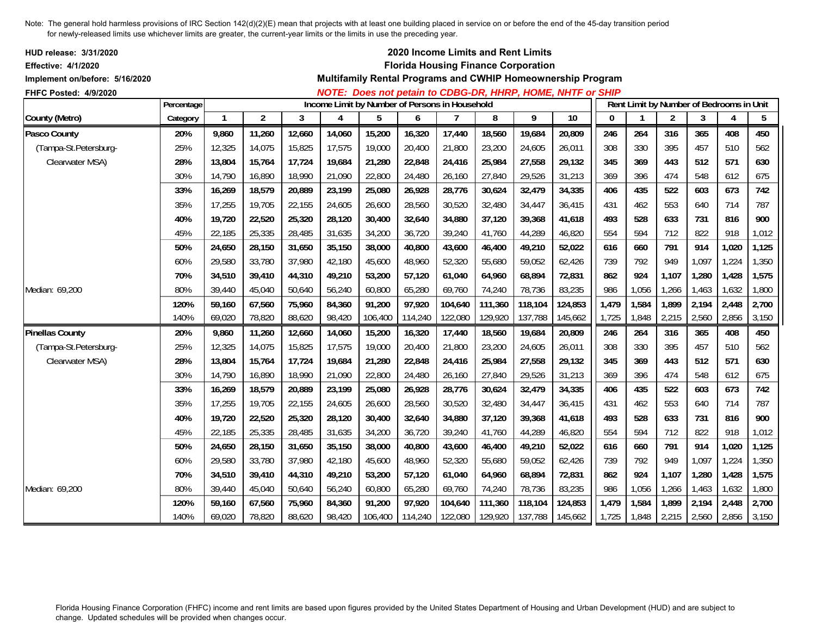| <b>HUD release: 3/31/2020</b><br><b>Effective: 4/1/2020</b><br>Implement on/before: 5/16/2020 |            |        |                |        |        |                                                |         |                | 2020 Income Limits and Rent Limits<br><b>Florida Housing Finance Corporation</b> |         | Multifamily Rental Programs and CWHIP Homeownership Program<br>NOTE: Does not petain to CDBG-DR, HHRP, HOME, NHTF or SHIP |              |       |                |                                          |       |       |
|-----------------------------------------------------------------------------------------------|------------|--------|----------------|--------|--------|------------------------------------------------|---------|----------------|----------------------------------------------------------------------------------|---------|---------------------------------------------------------------------------------------------------------------------------|--------------|-------|----------------|------------------------------------------|-------|-------|
| FHFC Posted: 4/9/2020                                                                         | Percentage |        |                |        |        | Income Limit by Number of Persons in Household |         |                |                                                                                  |         |                                                                                                                           |              |       |                | Rent Limit by Number of Bedrooms in Unit |       |       |
| County (Metro)                                                                                | Category   | 1      | $\overline{2}$ | 3      | 4      | 5                                              | 6       | $\overline{7}$ | 8                                                                                | 9       | $\overline{10}$                                                                                                           | $\mathbf{0}$ | 1     | $\overline{2}$ | 3                                        | 4     | 5     |
| Pasco County                                                                                  | 20%        | 9,860  | 11,260         | 12,660 | 14,060 | 15,200                                         | 16,320  | 17,440         | 18,560                                                                           | 19,684  | 20,809                                                                                                                    | 246          | 264   | 316            | 365                                      | 408   | 450   |
| (Tampa-St.Petersburg-                                                                         | 25%        | 12,325 | 14,075         | 15,825 | 17,575 | 19,000                                         | 20,400  | 21,800         | 23,200                                                                           | 24,605  | 26,011                                                                                                                    | 308          | 330   | 395            | 457                                      | 510   | 562   |
| Clearwater MSA)                                                                               | 28%        | 13,804 | 15,764         | 17,724 | 19,684 | 21,280                                         | 22,848  | 24,416         | 25,984                                                                           | 27,558  | 29,132                                                                                                                    | 345          | 369   | 443            | 512                                      | 571   | 630   |
|                                                                                               | 30%        | 14,790 | 16,890         | 18,990 | 21,090 | 22,800                                         | 24,480  | 26,160         | 27,840                                                                           | 29,526  | 31,213                                                                                                                    | 369          | 396   | 474            | 548                                      | 612   | 675   |
|                                                                                               | 33%        | 16,269 | 18,579         | 20,889 | 23,199 | 25,080                                         | 26,928  | 28,776         | 30.624                                                                           | 32,479  | 34,335                                                                                                                    | 406          | 435   | 522            | 603                                      | 673   | 742   |
|                                                                                               | 35%        | 17,255 | 19,705         | 22,155 | 24,605 | 26,600                                         | 28,560  | 30,520         | 32,480                                                                           | 34,447  | 36,415                                                                                                                    | 431          | 462   | 553            | 640                                      | 714   | 787   |
|                                                                                               | 40%        | 19,720 | 22,520         | 25,320 | 28,120 | 30,400                                         | 32,640  | 34,880         | 37,120                                                                           | 39,368  | 41,618                                                                                                                    | 493          | 528   | 633            | 731                                      | 816   | 900   |
|                                                                                               | 45%        | 22,185 | 25,335         | 28,485 | 31,635 | 34,200                                         | 36,720  | 39,240         | 41,760                                                                           | 44,289  | 46,820                                                                                                                    | 554          | 594   | 712            | 822                                      | 918   | 1,012 |
|                                                                                               | 50%        | 24,650 | 28,150         | 31,650 | 35,150 | 38,000                                         | 40,800  | 43,600         | 46,400                                                                           | 49,210  | 52,022                                                                                                                    | 616          | 660   | 791            | 914                                      | 1,020 | 1,125 |
|                                                                                               | 60%        | 29,580 | 33,780         | 37,980 | 42,180 | 45,600                                         | 48,960  | 52,320         | 55,680                                                                           | 59,052  | 62,426                                                                                                                    | 739          | 792   | 949            | 1,097                                    | 1,224 | 1,350 |
|                                                                                               | 70%        | 34,510 | 39,410         | 44,310 | 49,210 | 53,200                                         | 57,120  | 61,040         | 64,960                                                                           | 68,894  | 72,831                                                                                                                    | 862          | 924   | 1,107          | 1,280                                    | 1,428 | 1,575 |
| Median: 69,200                                                                                | 80%        | 39,440 | 45,040         | 50,640 | 56,240 | 60,800                                         | 65,280  | 69,760         | 74,240                                                                           | 78,736  | 83,235                                                                                                                    | 986          | 1,056 | 1,266          | 1,463                                    | 1,632 | 1,800 |
|                                                                                               | 120%       | 59,160 | 67,560         | 75,960 | 84,360 | 91,200                                         | 97,920  | 104,640        | 111,360                                                                          | 118,104 | 124,853                                                                                                                   | 1,479        | 1,584 | 1,899          | 2,194                                    | 2,448 | 2,700 |
|                                                                                               | 140%       | 69,020 | 78,820         | 88,620 | 98,420 | 106,400                                        | 114,240 | 122,080        | 129,920                                                                          | 137,788 | 145,662                                                                                                                   | 1,725        | 1,848 | 2,215          | 2,560                                    | 2,856 | 3,150 |
| <b>Pinellas County</b>                                                                        | 20%        | 9,860  | 11,260         | 12,660 | 14,060 | 15,200                                         | 16,320  | 17,440         | 18,560                                                                           | 19,684  | 20,809                                                                                                                    | 246          | 264   | 316            | 365                                      | 408   | 450   |
| (Tampa-St.Petersburg-                                                                         | 25%        | 12,325 | 14,075         | 15,825 | 17,575 | 19,000                                         | 20,400  | 21,800         | 23,200                                                                           | 24,605  | 26,011                                                                                                                    | 308          | 330   | 395            | 457                                      | 510   | 562   |
| Clearwater MSA)                                                                               | 28%        | 13,804 | 15,764         | 17,724 | 19,684 | 21,280                                         | 22,848  | 24,416         | 25,984                                                                           | 27,558  | 29,132                                                                                                                    | 345          | 369   | 443            | 512                                      | 571   | 630   |
|                                                                                               | 30%        | 14,790 | 16,890         | 18,990 | 21,090 | 22,800                                         | 24,480  | 26,160         | 27,840                                                                           | 29,526  | 31,213                                                                                                                    | 369          | 396   | 474            | 548                                      | 612   | 675   |
|                                                                                               | 33%        | 16,269 | 18,579         | 20,889 | 23,199 | 25,080                                         | 26,928  | 28,776         | 30,624                                                                           | 32,479  | 34,335                                                                                                                    | 406          | 435   | 522            | 603                                      | 673   | 742   |
|                                                                                               | 35%        | 17,255 | 19,705         | 22,155 | 24,605 | 26,600                                         | 28,560  | 30,520         | 32,480                                                                           | 34,447  | 36,415                                                                                                                    | 431          | 462   | 553            | 640                                      | 714   | 787   |
|                                                                                               | 40%        | 19,720 | 22,520         | 25,320 | 28,120 | 30,400                                         | 32,640  | 34,880         | 37,120                                                                           | 39,368  | 41,618                                                                                                                    | 493          | 528   | 633            | 731                                      | 816   | 900   |
|                                                                                               | 45%        | 22,185 | 25,335         | 28,485 | 31,635 | 34,200                                         | 36,720  | 39,240         | 41,760                                                                           | 44,289  | 46,820                                                                                                                    | 554          | 594   | 712            | 822                                      | 918   | 1,012 |
|                                                                                               | 50%        | 24,650 | 28,150         | 31,650 | 35,150 | 38,000                                         | 40,800  | 43,600         | 46,400                                                                           | 49,210  | 52,022                                                                                                                    | 616          | 660   | 791            | 914                                      | 1,020 | 1,125 |
|                                                                                               | 60%        | 29,580 | 33,780         | 37,980 | 42,180 | 45,600                                         | 48,960  | 52,320         | 55,680                                                                           | 59,052  | 62,426                                                                                                                    | 739          | 792   | 949            | 1,097                                    | 1,224 | 1,350 |
|                                                                                               | 70%        | 34,510 | 39,410         | 44,310 | 49,210 | 53,200                                         | 57,120  | 61,040         | 64,960                                                                           | 68,894  | 72,831                                                                                                                    | 862          | 924   | 1,107          | 1,280                                    | 1,428 | 1,575 |
| Median: 69,200                                                                                | 80%        | 39,440 | 45,040         | 50,640 | 56,240 | 60,800                                         | 65,280  | 69,760         | 74,240                                                                           | 78,736  | 83,235                                                                                                                    | 986          | 1,056 | 1,266          | 1,463                                    | 1,632 | 1,800 |
|                                                                                               | 120%       | 59,160 | 67,560         | 75,960 | 84,360 | 91,200                                         | 97,920  | 104,640        | 111,360                                                                          | 118,104 | 124,853                                                                                                                   | 1,479        | 1,584 | 1,899          | 2,194                                    | 2,448 | 2,700 |
|                                                                                               | 140%       | 69,020 | 78,820         | 88,620 | 98,420 | 106,400                                        | 114,240 | 122,080        | 129,920                                                                          | 137,788 | 145,662                                                                                                                   | 1,725        | 1,848 | 2,215          | 2,560                                    | 2,856 | 3,150 |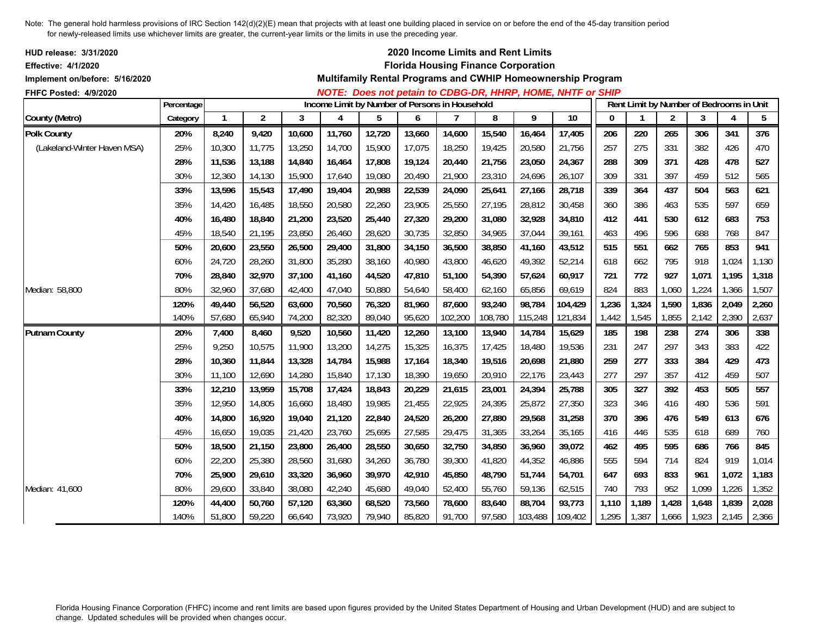| <b>HUD release: 3/31/2020</b><br><b>Effective: 4/1/2020</b><br>Implement on/before: 5/16/2020<br>FHFC Posted: 4/9/2020 |            |        |                |        |                                                     |        |        |         |         | 2020 Income Limits and Rent Limits<br><b>Florida Housing Finance Corporation</b> | Multifamily Rental Programs and CWHIP Homeownership Program<br>NOTE: Does not petain to CDBG-DR, HHRP, HOME, NHTF or SHIP |              |              |                                          |       |       |                 |
|------------------------------------------------------------------------------------------------------------------------|------------|--------|----------------|--------|-----------------------------------------------------|--------|--------|---------|---------|----------------------------------------------------------------------------------|---------------------------------------------------------------------------------------------------------------------------|--------------|--------------|------------------------------------------|-------|-------|-----------------|
|                                                                                                                        | Percentage | 1      |                |        | Income Limit by Number of Persons in Household<br>4 |        |        |         |         | 9                                                                                | $\overline{10}$                                                                                                           | $\mathbf{0}$ | $\mathbf{1}$ | Rent Limit by Number of Bedrooms in Unit |       |       |                 |
| County (Metro)                                                                                                         | Category   |        | $\overline{2}$ | 3      |                                                     | 5      | 6      |         | 8       |                                                                                  |                                                                                                                           |              |              | 2                                        | 3     | 4     | $5\phantom{.0}$ |
| <b>Polk County</b>                                                                                                     | 20%        | 8,240  | 9,420          | 10,600 | 11,760                                              | 12,720 | 13,660 | 14,600  | 15,540  | 16,464                                                                           | 17,405                                                                                                                    | 206          | 220          | 265                                      | 306   | 341   | 376             |
| (Lakeland-Winter Haven MSA)                                                                                            | 25%        | 10,300 | 11,775         | 13,250 | 14,700                                              | 15,900 | 17,075 | 18,250  | 19,425  | 20,580                                                                           | 21,756                                                                                                                    | 257          | 275          | 331                                      | 382   | 426   | 470             |
|                                                                                                                        | 28%        | 11,536 | 13,188         | 14,840 | 16,464                                              | 17,808 | 19,124 | 20,440  | 21,756  | 23,050                                                                           | 24,367                                                                                                                    | 288          | 309          | 371                                      | 428   | 478   | 527             |
|                                                                                                                        | 30%        | 12,360 | 14,130         | 15,900 | 17,640                                              | 19,080 | 20,490 | 21,900  | 23,310  | 24,696                                                                           | 26,107                                                                                                                    | 309          | 331          | 397                                      | 459   | 512   | 565             |
|                                                                                                                        | 33%        | 13,596 | 15,543         | 17,490 | 19,404                                              | 20,988 | 22,539 | 24,090  | 25,641  | 27,166                                                                           | 28,718                                                                                                                    | 339          | 364          | 437                                      | 504   | 563   | 621             |
|                                                                                                                        | 35%        | 14.420 | 16.485         | 18,550 | 20,580                                              | 22,260 | 23,905 | 25,550  | 27,195  | 28,812                                                                           | 30,458                                                                                                                    | 360          | 386          | 463                                      | 535   | 597   | 659             |
|                                                                                                                        | 40%        | 16,480 | 18,840         | 21,200 | 23,520                                              | 25,440 | 27,320 | 29,200  | 31,080  | 32,928                                                                           | 34,810                                                                                                                    | 412          | 441          | 530                                      | 612   | 683   | 753             |
|                                                                                                                        | 45%        | 18,540 | 21,195         | 23,850 | 26,460                                              | 28,620 | 30,735 | 32,850  | 34,965  | 37,044                                                                           | 39,161                                                                                                                    | 463          | 496          | 596                                      | 688   | 768   | 847             |
|                                                                                                                        | 50%        | 20,600 | 23,550         | 26,500 | 29,400                                              | 31,800 | 34,150 | 36,500  | 38,850  | 41,160                                                                           | 43,512                                                                                                                    | 515          | 551          | 662                                      | 765   | 853   | 941             |
|                                                                                                                        | 60%        | 24,720 | 28,260         | 31,800 | 35,280                                              | 38,160 | 40,980 | 43,800  | 46,620  | 49,392                                                                           | 52,214                                                                                                                    | 618          | 662          | 795                                      | 918   | 1,024 | 1,130           |
|                                                                                                                        | 70%        | 28,840 | 32,970         | 37,100 | 41,160                                              | 44,520 | 47,810 | 51,100  | 54,390  | 57,624                                                                           | 60,917                                                                                                                    | 721          | 772          | 927                                      | 1,071 | 1,195 | 1,318           |
| Median: 58,800                                                                                                         | 80%        | 32.960 | 37,680         | 42,400 | 47,040                                              | 50,880 | 54,640 | 58,400  | 62,160  | 65,856                                                                           | 69,619                                                                                                                    | 824          | 883          | 1,060                                    | 1,224 | 1,366 | 1,507           |
|                                                                                                                        | 120%       | 49,440 | 56,520         | 63,600 | 70,560                                              | 76,320 | 81,960 | 87,600  | 93,240  | 98,784                                                                           | 104,429                                                                                                                   | 1,236        | 1,324        | 1,590                                    | 1,836 | 2,049 | 2,260           |
|                                                                                                                        | 140%       | 57,680 | 65,940         | 74,200 | 82,320                                              | 89,040 | 95,620 | 102,200 | 108,780 | 115,248                                                                          | 121,834                                                                                                                   | 1,442        | 1,545        | 1,855                                    | 2,142 | 2,390 | 2,637           |
| <b>Putnam County</b>                                                                                                   | 20%        | 7,400  | 8,460          | 9,520  | 10,560                                              | 11,420 | 12,260 | 13,100  | 13,940  | 14,784                                                                           | 15,629                                                                                                                    | 185          | 198          | 238                                      | 274   | 306   | 338             |
|                                                                                                                        | 25%        | 9.250  | 10.575         | 11,900 | 13,200                                              | 14,275 | 15,325 | 16,375  | 17,425  | 18,480                                                                           | 19,536                                                                                                                    | 231          | 247          | 297                                      | 343   | 383   | 422             |
|                                                                                                                        | 28%        | 10,360 | 11,844         | 13,328 | 14,784                                              | 15,988 | 17,164 | 18,340  | 19,516  | 20,698                                                                           | 21,880                                                                                                                    | 259          | 277          | 333                                      | 384   | 429   | 473             |
|                                                                                                                        | 30%        | 11,100 | 12,690         | 14,280 | 15,840                                              | 17,130 | 18,390 | 19,650  | 20,910  | 22,176                                                                           | 23,443                                                                                                                    | 277          | 297          | 357                                      | 412   | 459   | 507             |
|                                                                                                                        | 33%        | 12,210 | 13,959         | 15,708 | 17,424                                              | 18,843 | 20,229 | 21,615  | 23,001  | 24,394                                                                           | 25,788                                                                                                                    | 305          | 327          | 392                                      | 453   | 505   | 557             |
|                                                                                                                        | 35%        | 12,950 | 14,805         | 16,660 | 18,480                                              | 19,985 | 21,455 | 22,925  | 24,395  | 25,872                                                                           | 27,350                                                                                                                    | 323          | 346          | 416                                      | 480   | 536   | 591             |
|                                                                                                                        | 40%        | 14,800 | 16,920         | 19,040 | 21,120                                              | 22,840 | 24,520 | 26,200  | 27,880  | 29,568                                                                           | 31,258                                                                                                                    | 370          | 396          | 476                                      | 549   | 613   | 676             |
|                                                                                                                        | 45%        | 16,650 | 19,035         | 21,420 | 23,760                                              | 25,695 | 27,585 | 29,475  | 31,365  | 33,264                                                                           | 35,165                                                                                                                    | 416          | 446          | 535                                      | 618   | 689   | 760             |
|                                                                                                                        | 50%        | 18,500 | 21,150         | 23,800 | 26,400                                              | 28,550 | 30,650 | 32,750  | 34,850  | 36,960                                                                           | 39,072                                                                                                                    | 462          | 495          | 595                                      | 686   | 766   | 845             |
|                                                                                                                        | 60%        | 22,200 | 25,380         | 28,560 | 31,680                                              | 34,260 | 36,780 | 39,300  | 41,820  | 44,352                                                                           | 46,886                                                                                                                    | 555          | 594          | 714                                      | 824   | 919   | 1,014           |
|                                                                                                                        | 70%        | 25,900 | 29,610         | 33,320 | 36,960                                              | 39,970 | 42,910 | 45,850  | 48,790  | 51,744                                                                           | 54,701                                                                                                                    | 647          | 693          | 833                                      | 961   | 1,072 | 1,183           |
| Median: 41.600                                                                                                         | 80%        | 29,600 | 33,840         | 38,080 | 42,240                                              | 45,680 | 49,040 | 52,400  | 55,760  | 59,136                                                                           | 62,515                                                                                                                    | 740          | 793          | 952                                      | 1,099 | 1,226 | 1,352           |
|                                                                                                                        | 120%       | 44,400 | 50,760         | 57,120 | 63,360                                              | 68,520 | 73,560 | 78,600  | 83,640  | 88,704                                                                           | 93,773                                                                                                                    | 1,110        | 1,189        | 1,428                                    | 1,648 | 1,839 | 2,028           |
|                                                                                                                        | 140%       | 51,800 | 59,220         | 66,640 | 73,920                                              | 79,940 | 85,820 | 91,700  | 97,580  | 103,488                                                                          | 109,402                                                                                                                   | 1,295        | 1,387        | 1,666                                    | 1,923 | 2,145 | 2,366           |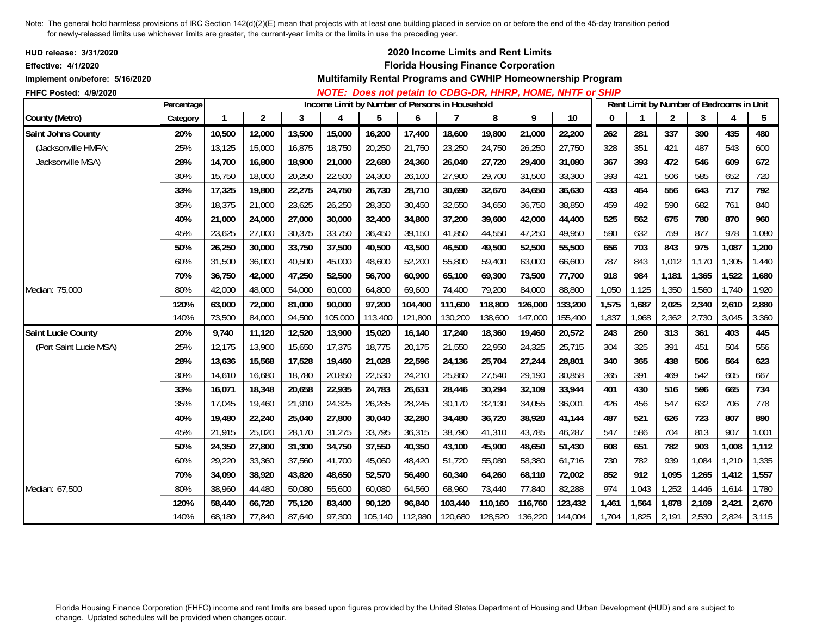| <b>HUD release: 3/31/2020</b><br><b>Effective: 4/1/2020</b><br>Implement on/before: 5/16/2020<br>FHFC Posted: 4/9/2020 |            |              |                |        |                                                |         |         |         | 2020 Income Limits and Rent Limits<br><b>Florida Housing Finance Corporation</b> |         | Multifamily Rental Programs and CWHIP Homeownership Program<br>NOTE: Does not petain to CDBG-DR, HHRP, HOME, NHTF or SHIP |              |             |                |                                          |                |       |
|------------------------------------------------------------------------------------------------------------------------|------------|--------------|----------------|--------|------------------------------------------------|---------|---------|---------|----------------------------------------------------------------------------------|---------|---------------------------------------------------------------------------------------------------------------------------|--------------|-------------|----------------|------------------------------------------|----------------|-------|
|                                                                                                                        | Percentage |              |                |        | Income Limit by Number of Persons in Household |         |         |         |                                                                                  |         |                                                                                                                           |              |             |                | Rent Limit by Number of Bedrooms in Unit |                |       |
| County (Metro)                                                                                                         | Category   | $\mathbf{1}$ | $\overline{2}$ | 3      | 4                                              | 5       | 6       | 7       | 8                                                                                | 9       | 10                                                                                                                        | $\mathbf{0}$ | $\mathbf 1$ | $\overline{2}$ | 3                                        | $\overline{4}$ | 5     |
| Saint Johns County                                                                                                     | 20%        | 10,500       | 12,000         | 13,500 | 15,000                                         | 16,200  | 17,400  | 18,600  | 19,800                                                                           | 21,000  | 22,200                                                                                                                    | 262          | 281         | 337            | 390                                      | 435            | 480   |
| (Jacksonville HMFA;                                                                                                    | 25%        | 13,125       | 15,000         | 16,875 | 18,750                                         | 20,250  | 21,750  | 23,250  | 24,750                                                                           | 26,250  | 27,750                                                                                                                    | 328          | 351         | 421            | 487                                      | 543            | 600   |
| Jacksonville MSA)                                                                                                      | 28%        | 14,700       | 16,800         | 18,900 | 21,000                                         | 22,680  | 24,360  | 26,040  | 27,720                                                                           | 29,400  | 31,080                                                                                                                    | 367          | 393         | 472            | 546                                      | 609            | 672   |
|                                                                                                                        | 30%        | 15,750       | 18,000         | 20,250 | 22,500                                         | 24,300  | 26,100  | 27,900  | 29,700                                                                           | 31,500  | 33,300                                                                                                                    | 393          | 421         | 506            | 585                                      | 652            | 720   |
|                                                                                                                        | 33%        | 17,325       | 19,800         | 22,275 | 24,750                                         | 26,730  | 28,710  | 30,690  | 32,670                                                                           | 34,650  | 36,630                                                                                                                    | 433          | 464         | 556            | 643                                      | 717            | 792   |
|                                                                                                                        | 35%        | 18,375       | 21,000         | 23,625 | 26,250                                         | 28,350  | 30,450  | 32,550  | 34,650                                                                           | 36,750  | 38,850                                                                                                                    | 459          | 492         | 590            | 682                                      | 761            | 840   |
|                                                                                                                        | 40%        | 21,000       | 24,000         | 27,000 | 30,000                                         | 32,400  | 34,800  | 37,200  | 39,600                                                                           | 42,000  | 44,400                                                                                                                    | 525          | 562         | 675            | 780                                      | 870            | 960   |
|                                                                                                                        | 45%        | 23,625       | 27,000         | 30,375 | 33,750                                         | 36,450  | 39,150  | 41,850  | 44,550                                                                           | 47,250  | 49,950                                                                                                                    | 590          | 632         | 759            | 877                                      | 978            | 1,080 |
|                                                                                                                        | 50%        | 26,250       | 30,000         | 33,750 | 37,500                                         | 40,500  | 43,500  | 46,500  | 49,500                                                                           | 52,500  | 55,500                                                                                                                    | 656          | 703         | 843            | 975                                      | 1,087          | 1,200 |
|                                                                                                                        | 60%        | 31,500       | 36,000         | 40,500 | 45,000                                         | 48,600  | 52,200  | 55,800  | 59,400                                                                           | 63,000  | 66,600                                                                                                                    | 787          | 843         | 1,012          | 1,170                                    | 1,305          | 1,440 |
|                                                                                                                        | 70%        | 36,750       | 42,000         | 47,250 | 52,500                                         | 56,700  | 60,900  | 65,100  | 69,300                                                                           | 73,500  | 77,700                                                                                                                    | 918          | 984         | 1,181          | 1,365                                    | 1,522          | 1,680 |
| Median: 75,000                                                                                                         | 80%        | 42,000       | 48,000         | 54,000 | 60,000                                         | 64,800  | 69,600  | 74,400  | 79,200                                                                           | 84,000  | 88,800                                                                                                                    | 1,050        | 1,125       | 1,350          | 1,560                                    | 1,740          | 1,920 |
|                                                                                                                        | 120%       | 63,000       | 72,000         | 81,000 | 90,000                                         | 97,200  | 104,400 | 111,600 | 118,800                                                                          | 126,000 | 133,200                                                                                                                   | 1,575        | 1,687       | 2,025          | 2,340                                    | 2,610          | 2,880 |
|                                                                                                                        | 140%       | 73,500       | 84,000         | 94,500 | 105,000                                        | 113,400 | 121,800 | 130,200 | 138,600                                                                          | 147,000 | 155,400                                                                                                                   | 1,837        | 1,968       | 2,362          | 2,730                                    | 3,045          | 3,360 |
| <b>Saint Lucie County</b>                                                                                              | 20%        | 9,740        | 11,120         | 12,520 | 13,900                                         | 15,020  | 16,140  | 17,240  | 18,360                                                                           | 19,460  | 20,572                                                                                                                    | 243          | 260         | 313            | 361                                      | 403            | 445   |
| (Port Saint Lucie MSA)                                                                                                 | 25%        | 12,175       | 13,900         | 15,650 | 17,375                                         | 18,775  | 20,175  | 21,550  | 22,950                                                                           | 24,325  | 25,715                                                                                                                    | 304          | 325         | 391            | 451                                      | 504            | 556   |
|                                                                                                                        | 28%        | 13,636       | 15,568         | 17,528 | 19,460                                         | 21,028  | 22,596  | 24,136  | 25,704                                                                           | 27,244  | 28,801                                                                                                                    | 340          | 365         | 438            | 506                                      | 564            | 623   |
|                                                                                                                        | 30%        | 14,610       | 16,680         | 18,780 | 20,850                                         | 22,530  | 24,210  | 25,860  | 27,540                                                                           | 29,190  | 30,858                                                                                                                    | 365          | 391         | 469            | 542                                      | 605            | 667   |
|                                                                                                                        | 33%        | 16,071       | 18,348         | 20,658 | 22,935                                         | 24,783  | 26,631  | 28,446  | 30,294                                                                           | 32,109  | 33,944                                                                                                                    | 401          | 430         | 516            | 596                                      | 665            | 734   |
|                                                                                                                        | 35%        | 17,045       | 19,460         | 21,910 | 24,325                                         | 26,285  | 28,245  | 30,170  | 32,130                                                                           | 34,055  | 36,001                                                                                                                    | 426          | 456         | 547            | 632                                      | 706            | 778   |
|                                                                                                                        | 40%        | 19,480       | 22,240         | 25,040 | 27,800                                         | 30,040  | 32,280  | 34,480  | 36,720                                                                           | 38,920  | 41,144                                                                                                                    | 487          | 521         | 626            | 723                                      | 807            | 890   |
|                                                                                                                        | 45%        | 21,915       | 25,020         | 28,170 | 31,275                                         | 33,795  | 36,315  | 38,790  | 41,310                                                                           | 43,785  | 46,287                                                                                                                    | 547          | 586         | 704            | 813                                      | 907            | 1,001 |
|                                                                                                                        | 50%        | 24,350       | 27,800         | 31,300 | 34,750                                         | 37,550  | 40,350  | 43,100  | 45,900                                                                           | 48,650  | 51,430                                                                                                                    | 608          | 651         | 782            | 903                                      | 1,008          | 1,112 |
|                                                                                                                        | 60%        | 29,220       | 33,360         | 37,560 | 41,700                                         | 45,060  | 48,420  | 51,720  | 55,080                                                                           | 58,380  | 61,716                                                                                                                    | 730          | 782         | 939            | 1,084                                    | 1,210          | 1,335 |
|                                                                                                                        | 70%        | 34,090       | 38,920         | 43,820 | 48,650                                         | 52,570  | 56,490  | 60,340  | 64,260                                                                           | 68,110  | 72,002                                                                                                                    | 852          | 912         | 1,095          | 1,265                                    | 1,412          | 1,557 |
| Median: 67.500                                                                                                         | 80%        | 38,960       | 44,480         | 50,080 | 55,600                                         | 60,080  | 64,560  | 68,960  | 73,440                                                                           | 77,840  | 82,288                                                                                                                    | 974          | 1,043       | 1,252          | 1,446                                    | 1,614          | 1,780 |
|                                                                                                                        | 120%       | 58,440       | 66,720         | 75,120 | 83,400                                         | 90,120  | 96,840  | 103,440 | 110,160                                                                          | 116,760 | 123,432                                                                                                                   | 1,461        | 1,564       | 1,878          | 2,169                                    | 2,421          | 2,670 |
|                                                                                                                        | 140%       | 68,180       | 77,840         | 87,640 | 97,300                                         | 105,140 | 112,980 | 120,680 | 128,520                                                                          | 136,220 | 144,004                                                                                                                   | 1,704        | 1,825       | 2,191          | 2,530                                    | 2,824          | 3,115 |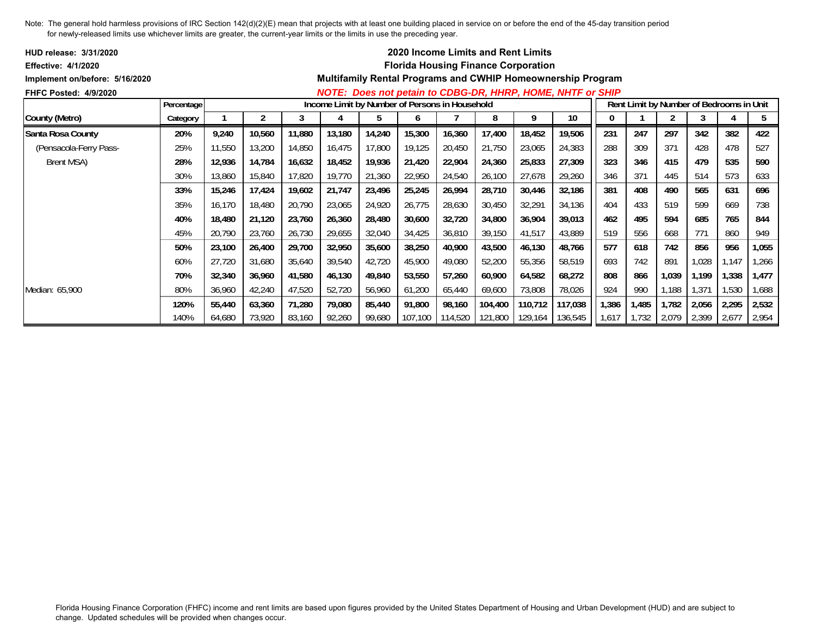| <b>HUD release: 3/31/2020</b>  |            |        |            |        |        |                                                |         |         |         | <b>2020 Income Limits and Rent Limits</b>  |                                                                   |       |       |       |       |                                          |       |
|--------------------------------|------------|--------|------------|--------|--------|------------------------------------------------|---------|---------|---------|--------------------------------------------|-------------------------------------------------------------------|-------|-------|-------|-------|------------------------------------------|-------|
| <b>Effective: 4/1/2020</b>     |            |        |            |        |        |                                                |         |         |         | <b>Florida Housing Finance Corporation</b> |                                                                   |       |       |       |       |                                          |       |
| Implement on/before: 5/16/2020 |            |        |            |        |        |                                                |         |         |         |                                            | Multifamily Rental Programs and CWHIP Homeownership Program       |       |       |       |       |                                          |       |
| <b>FHFC Posted: 4/9/2020</b>   |            |        |            |        |        |                                                |         |         |         |                                            | <b>NOTE: Does not petain to CDBG-DR, HHRP, HOME, NHTF or SHIP</b> |       |       |       |       |                                          |       |
|                                | Percentage |        |            |        |        | Income Limit by Number of Persons in Household |         |         |         |                                            |                                                                   |       |       |       |       | Rent Limit by Number of Bedrooms in Unit |       |
| County (Metro)                 | Category   |        | $\epsilon$ | 3      | 4      | b                                              | b       |         | 8       | 9                                          | 10                                                                | 0     |       | 2     | 3     |                                          | 5     |
| Santa Rosa County              | 20%        | 9,240  | 10,560     | 11,880 | 13,180 | 14,240                                         | 15,300  | 16,360  | 17,400  | 18,452                                     | 19,506                                                            | 231   | 247   | 297   | 342   | 382                                      | 422   |
| (Pensacola-Ferry Pass-         | 25%        | 11,550 | 13,200     | 14,850 | 16,475 | 17,800                                         | 19,125  | 20,450  | 21,750  | 23,065                                     | 24,383                                                            | 288   | 309   | 371   | 428   | 478                                      | 527   |
| Brent MSA)                     | 28%        | 12,936 | 14,784     | 16,632 | 18,452 | 19,936                                         | 21,420  | 22,904  | 24,360  | 25,833                                     | 27,309                                                            | 323   | 346   | 415   | 479   | 535                                      | 590   |
|                                | 30%        | 13,860 | 15,840     | 17,820 | 19,770 | 21,360                                         | 22,950  | 24,540  | 26,100  | 27,678                                     | 29,260                                                            | 346   | 371   | 445   | 514   | 573                                      | 633   |
|                                | 33%        | 15,246 | 17,424     | 19,602 | 21,747 | 23,496                                         | 25,245  | 26,994  | 28,710  | 30,446                                     | 32,186                                                            | 381   | 408   | 490   | 565   | 631                                      | 696   |
|                                | 35%        | 16,170 | 18,480     | 20,790 | 23,065 | 24,920                                         | 26,775  | 28,630  | 30,450  | 32,291                                     | 34,136                                                            | 404   | 433   | 519   | 599   | 669                                      | 738   |
|                                | 40%        | 18,480 | 21,120     | 23,760 | 26,360 | 28,480                                         | 30,600  | 32,720  | 34,800  | 36,904                                     | 39,013                                                            | 462   | 495   | 594   | 685   | 765                                      | 844   |
|                                | 45%        | 20,790 | 23,760     | 26,730 | 29,655 | 32,040                                         | 34,425  | 36,810  | 39,150  | 41,517                                     | 43,889                                                            | 519   | 556   | 668   | 771   | 860                                      | 949   |
|                                | 50%        | 23,100 | 26,400     | 29,700 | 32,950 | 35,600                                         | 38,250  | 40,900  | 43,500  | 46,130                                     | 48,766                                                            | 577   | 618   | 742   | 856   | 956                                      | 1,055 |
|                                | 60%        | 27,720 | 31,680     | 35,640 | 39,540 | 42,720                                         | 45,900  | 49,080  | 52,200  | 55,356                                     | 58,519                                                            | 693   | 742   | 891   | 1,028 | 1,147                                    | 1,266 |
|                                | 70%        | 32,340 | 36,960     | 41,580 | 46,130 | 49,840                                         | 53,550  | 57,260  | 60,900  | 64,582                                     | 68,272                                                            | 808   | 866   | 1,039 | 1,199 | 1,338                                    | 1,477 |
| Median: 65,900                 | 80%        | 36,960 | 42,240     | 47,520 | 52,720 | 56,960                                         | 61,200  | 65,440  | 69,600  | 73,808                                     | 78,026                                                            | 924   | 990   | 1,188 | 1,371 | 1,530                                    | 1,688 |
|                                | 120%       | 55,440 | 63,360     | 71,280 | 79,080 | 85,440                                         | 91,800  | 98,160  | 104,400 | 110,712                                    | 117,038                                                           | 1,386 | 1,485 | 1,782 | 2,056 | 2,295                                    | 2,532 |
|                                | 140%       | 64,680 | 73,920     | 83,160 | 92,260 | 99,680                                         | 107,100 | 114,520 | 121,800 | 129,164                                    | 136,545                                                           | 1,617 | 1,732 | 2,079 | 2,399 | 2,677                                    | 2,954 |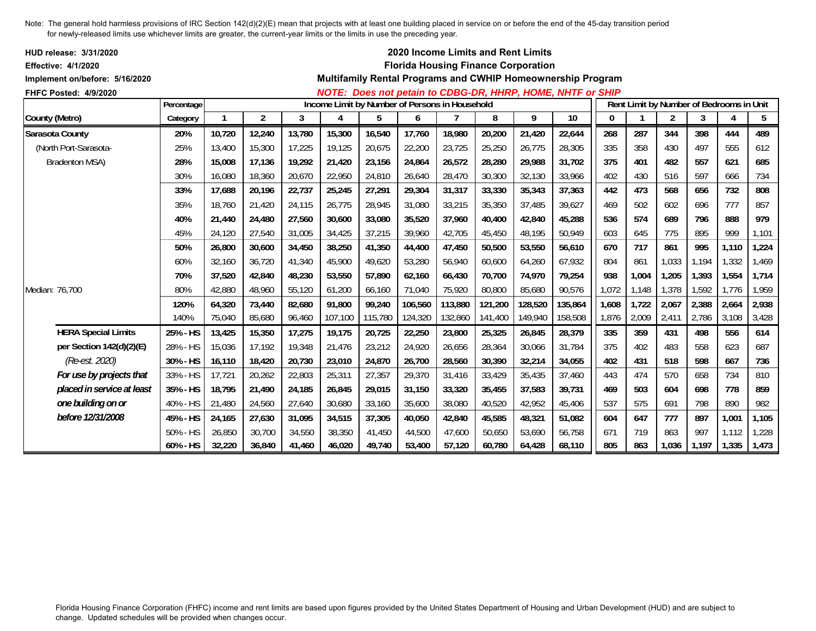| HUD release: 3/31/2020<br><b>Effective: 4/1/2020</b> |            |        |                |        |         |         |         | 2020 Income Limits and Rent Limits<br><b>Florida Housing Finance Corporation</b> |         |         |                                                             |             |       |                |                                          |       |       |
|------------------------------------------------------|------------|--------|----------------|--------|---------|---------|---------|----------------------------------------------------------------------------------|---------|---------|-------------------------------------------------------------|-------------|-------|----------------|------------------------------------------|-------|-------|
| Implement on/before: 5/16/2020                       |            |        |                |        |         |         |         |                                                                                  |         |         | Multifamily Rental Programs and CWHIP Homeownership Program |             |       |                |                                          |       |       |
| FHFC Posted: 4/9/2020                                |            |        |                |        |         |         |         |                                                                                  |         |         | NOTE: Does not petain to CDBG-DR, HHRP, HOME, NHTF or SHIP  |             |       |                |                                          |       |       |
|                                                      | Percentage |        |                |        |         |         |         | Income Limit by Number of Persons in Household                                   |         |         |                                                             |             |       |                | Rent Limit by Number of Bedrooms in Unit |       |       |
| County (Metro)                                       | Category   | 1      | $\overline{2}$ | 3      | 4       | 5       | 6       |                                                                                  | 8       | 9       | 10                                                          | $\mathbf 0$ |       | $\overline{2}$ | 3                                        | 4     | 5     |
| Sarasota County                                      | 20%        | 10,720 | 12,240         | 13,780 | 15,300  | 16,540  | 17,760  | 18,980                                                                           | 20,200  | 21,420  | 22,644                                                      | 268         | 287   | 344            | 398                                      | 444   | 489   |
| (North Port-Sarasota-                                | 25%        | 13,400 | 15,300         | 17,225 | 19,125  | 20,675  | 22,200  | 23,725                                                                           | 25,250  | 26,775  | 28,305                                                      | 335         | 358   | 430            | 497                                      | 555   | 612   |
| <b>Bradenton MSA)</b>                                | 28%        | 15,008 | 17,136         | 19,292 | 21,420  | 23,156  | 24,864  | 26,572                                                                           | 28,280  | 29,988  | 31,702                                                      | 375         | 401   | 482            | 557                                      | 621   | 685   |
|                                                      | 30%        | 16,080 | 18,360         | 20,670 | 22,950  | 24,810  | 26,640  | 28,470                                                                           | 30,300  | 32,130  | 33,966                                                      | 402         | 430   | 516            | 597                                      | 666   | 734   |
|                                                      | 33%        | 17,688 | 20,196         | 22,737 | 25,245  | 27,291  | 29,304  | 31,317                                                                           | 33,330  | 35,343  | 37,363                                                      | 442         | 473   | 568            | 656                                      | 732   | 808   |
|                                                      | 35%        | 18,760 | 21,420         | 24,115 | 26,775  | 28,945  | 31,080  | 33,215                                                                           | 35,350  | 37,485  | 39,627                                                      | 469         | 502   | 602            | 696                                      | 777   | 857   |
|                                                      | 40%        | 21,440 | 24,480         | 27,560 | 30,600  | 33,080  | 35,520  | 37,960                                                                           | 40,400  | 42,840  | 45,288                                                      | 536         | 574   | 689            | 796                                      | 888   | 979   |
|                                                      | 45%        | 24,120 | 27,540         | 31,005 | 34,425  | 37,215  | 39,960  | 42.705                                                                           | 45,450  | 48,195  | 50,949                                                      | 603         | 645   | 775            | 895                                      | 999   | 1,101 |
|                                                      | 50%        | 26,800 | 30,600         | 34,450 | 38,250  | 41,350  | 44,400  | 47,450                                                                           | 50,500  | 53,550  | 56,610                                                      | 670         | 717   | 861            | 995                                      | 1,110 | 1,224 |
|                                                      | 60%        | 32,160 | 36,720         | 41,340 | 45,900  | 49,620  | 53,280  | 56,940                                                                           | 60,600  | 64,260  | 67,932                                                      | 804         | 861   | 1,033          | 1,194                                    | 1,332 | 1,469 |
|                                                      | 70%        | 37,520 | 42,840         | 48,230 | 53,550  | 57,890  | 62,160  | 66,430                                                                           | 70,700  | 74,970  | 79,254                                                      | 938         | 1,004 | 1,205          | 1,393                                    | 1,554 | 1,714 |
| Median: 76,700                                       | 80%        | 42,880 | 48,960         | 55,120 | 61,200  | 66,160  | 71,040  | 75,920                                                                           | 80,800  | 85,680  | 90,576                                                      | 1,072       | 1,148 | 1,378          | 1,592                                    | 1,776 | 1,959 |
|                                                      | 120%       | 64,320 | 73,440         | 82,680 | 91,800  | 99,240  | 106,560 | 113,880                                                                          | 121,200 | 128,520 | 135,864                                                     | 1,608       | 1,722 | 2,067          | 2,388                                    | 2,664 | 2,938 |
|                                                      | 140%       | 75,040 | 85,680         | 96,460 | 107,100 | 115,780 | 124,320 | 132,860                                                                          | 141,400 | 149,940 | 158,508                                                     | 1,876       | 2,009 | 2,411          | 2,786                                    | 3,108 | 3,428 |
| <b>HERA Special Limits</b>                           | 25% - HS   | 13,425 | 15,350         | 17,275 | 19,175  | 20,725  | 22,250  | 23,800                                                                           | 25,325  | 26,845  | 28,379                                                      | 335         | 359   | 431            | 498                                      | 556   | 614   |
| per Section 142(d)(2)(E)                             | 28% - HS   | 15,036 | 17,192         | 19,348 | 21,476  | 23,212  | 24,920  | 26,656                                                                           | 28,364  | 30,066  | 31,784                                                      | 375         | 402   | 483            | 558                                      | 623   | 687   |
| (Re-est. 2020)                                       | 30% - HS   | 16,110 | 18,420         | 20,730 | 23,010  | 24,870  | 26,700  | 28,560                                                                           | 30,390  | 32,214  | 34,055                                                      | 402         | 431   | 518            | 598                                      | 667   | 736   |
| For use by projects that                             | 33% - HS   | 17,721 | 20,262         | 22,803 | 25,311  | 27,357  | 29,370  | 31,416                                                                           | 33,429  | 35,435  | 37,460                                                      | 443         | 474   | 570            | 658                                      | 734   | 810   |
| placed in service at least                           | 35% - HS   | 18,795 | 21,490         | 24,185 | 26,845  | 29,015  | 31,150  | 33,320                                                                           | 35,455  | 37,583  | 39,731                                                      | 469         | 503   | 604            | 698                                      | 778   | 859   |
| one building on or                                   | 40% - HS   | 21,480 | 24,560         | 27,640 | 30,680  | 33,160  | 35,600  | 38,080                                                                           | 40,520  | 42,952  | 45,406                                                      | 537         | 575   | 691            | 798                                      | 890   | 982   |
| before 12/31/2008                                    | 45% - HS   | 24,165 | 27,630         | 31,095 | 34,515  | 37,305  | 40,050  | 42,840                                                                           | 45,585  | 48,321  | 51,082                                                      | 604         | 647   | 777            | 897                                      | 1,001 | 1,105 |
|                                                      | 50% - HS   | 26,850 | 30,700         | 34,550 | 38,350  | 41,450  | 44,500  | 47,600                                                                           | 50,650  | 53,690  | 56,758                                                      | 671         | 719   | 863            | 997                                      | 1,112 | 1,228 |
|                                                      | 60% - HS   | 32,220 | 36,840         | 41,460 | 46,020  | 49,740  | 53,400  | 57,120                                                                           | 60,780  | 64,428  | 68,110                                                      | 805         | 863   | 1,036          | 1,197                                    | 1,335 | 1,473 |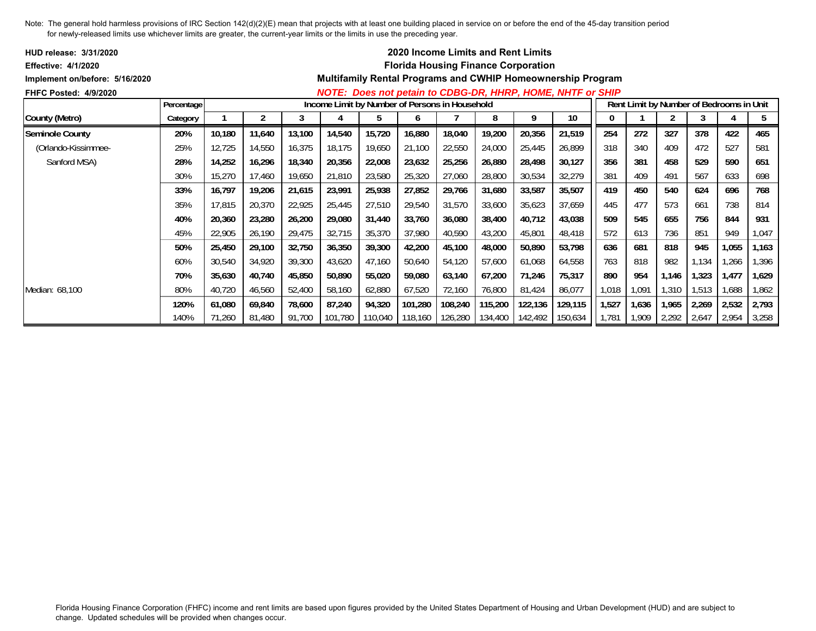| <b>HUD release: 3/31/2020</b>  |            |        |        |        |        |                                                |         |         | <b>2020 Income Limits and Rent Limits</b>  |         |                                                                    |       |       |       |                                          |       |       |
|--------------------------------|------------|--------|--------|--------|--------|------------------------------------------------|---------|---------|--------------------------------------------|---------|--------------------------------------------------------------------|-------|-------|-------|------------------------------------------|-------|-------|
| Effective: 4/1/2020            |            |        |        |        |        |                                                |         |         | <b>Florida Housing Finance Corporation</b> |         |                                                                    |       |       |       |                                          |       |       |
| Implement on/before: 5/16/2020 |            |        |        |        |        |                                                |         |         |                                            |         | <b>Multifamily Rental Programs and CWHIP Homeownership Program</b> |       |       |       |                                          |       |       |
| <b>FHFC Posted: 4/9/2020</b>   |            |        |        |        |        |                                                |         |         |                                            |         | NOTE: Does not petain to CDBG-DR, HHRP, HOME, NHTF or SHIP         |       |       |       |                                          |       |       |
|                                | Percentage |        |        |        |        | Income Limit by Number of Persons in Household |         |         |                                            |         |                                                                    |       |       |       | Rent Limit by Number of Bedrooms in Unit |       |       |
| County (Metro)                 | Category   |        |        | 3      |        | b                                              | O       |         | 8                                          | 9       | 10                                                                 |       |       | 2     | 3                                        |       | 5     |
| <b>Seminole County</b>         | 20%        | 10,180 | 11,640 | 13,100 | 14,540 | 15,720                                         | 16,880  | 18,040  | 19,200                                     | 20,356  | 21,519                                                             | 254   | 272   | 327   | 378                                      | 422   | 465   |
| (Orlando-Kissimmee-            | 25%        | 12,725 | 14,550 | 16,375 | 18,175 | 19,650                                         | 21,100  | 22,550  | 24,000                                     | 25,445  | 26,899                                                             | 318   | 340   | 409   | 472                                      | 527   | 581   |
| Sanford MSA)                   | 28%        | 14,252 | 16,296 | 18,340 | 20,356 | 22,008                                         | 23,632  | 25,256  | 26,880                                     | 28,498  | 30,127                                                             | 356   | 381   | 458   | 529                                      | 590   | 651   |
|                                | 30%        | 15,270 | 17,460 | 19,650 | 21,810 | 23,580                                         | 25,320  | 27,060  | 28,800                                     | 30,534  | 32,279                                                             | 381   | 409   | 491   | 567                                      | 633   | 698   |
|                                | 33%        | 16,797 | 19,206 | 21,615 | 23,991 | 25,938                                         | 27,852  | 29,766  | 31,680                                     | 33,587  | 35,507                                                             | 419   | 450   | 540   | 624                                      | 696   | 768   |
|                                | 35%        | 17,815 | 20,370 | 22,925 | 25,445 | 27,510                                         | 29,540  | 31,570  | 33,600                                     | 35,623  | 37,659                                                             | 445   | 477   | 573   | 661                                      | 738   | 814   |
|                                | 40%        | 20,360 | 23,280 | 26,200 | 29,080 | 31,440                                         | 33,760  | 36,080  | 38,400                                     | 40,712  | 43,038                                                             | 509   | 545   | 655   | 756                                      | 844   | 931   |
|                                | 45%        | 22,905 | 26,190 | 29,475 | 32,715 | 35,370                                         | 37,980  | 40,590  | 43,200                                     | 45,801  | 48,418                                                             | 572   | 613   | 736   | 851                                      | 949   | 1,047 |
|                                | 50%        | 25,450 | 29,100 | 32,750 | 36,350 | 39,300                                         | 42,200  | 45,100  | 48,000                                     | 50,890  | 53,798                                                             | 636   | 681   | 818   | 945                                      | 1,055 | 1,163 |
|                                | 60%        | 30,540 | 34,920 | 39,300 | 43,620 | 47,160                                         | 50,640  | 54,120  | 57,600                                     | 61,068  | 64,558                                                             | 763   | 818   | 982   | 1,134                                    | ,266  | 1,396 |
|                                | 70%        | 35,630 | 40,740 | 45,850 | 50,890 | 55,020                                         | 59,080  | 63,140  | 67,200                                     | 71,246  | 75,317                                                             | 890   | 954   | 1,146 | 1,323                                    | 1,477 | 1,629 |
| Median: 68,100                 | 80%        | 40,720 | 46,560 | 52,400 | 58,160 | 62,880                                         | 67,520  | 72,160  | 76,800                                     | 81,424  | 86,077                                                             | 1,018 | 1,091 | 1,310 | 1,513                                    | ,688  | 1,862 |
|                                | 120%       | 61,080 | 69,840 | 78,600 | 87,240 | 94,320                                         | 101,280 | 108,240 | 115,200                                    | 122,136 | 129,115                                                            | 1,527 | 1,636 | 1,965 | 2,269                                    | 2,532 | 2,793 |
|                                | 140%       | 71,260 | 81,480 | 91,700 |        | 101,780 110,040                                | 118,160 |         | 126,280  134,400                           | 142,492 | 150,634                                                            | 1,781 | 1,909 | 2,292 | 2,647                                    | 2,954 | 3,258 |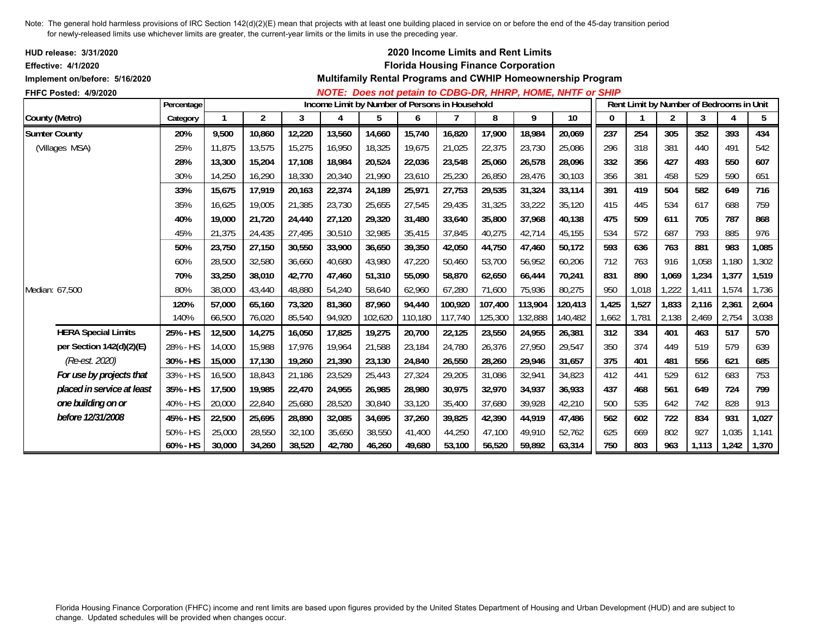| HUD release: 3/31/2020<br>Effective: 4/1/2020 |            |        |                |        |        |                                                |         |         |         | 2020 Income Limits and Rent Limits<br><b>Florida Housing Finance Corporation</b> |                                                             |       |       |                |                                          |       |       |
|-----------------------------------------------|------------|--------|----------------|--------|--------|------------------------------------------------|---------|---------|---------|----------------------------------------------------------------------------------|-------------------------------------------------------------|-------|-------|----------------|------------------------------------------|-------|-------|
| Implement on/before: 5/16/2020                |            |        |                |        |        |                                                |         |         |         |                                                                                  | Multifamily Rental Programs and CWHIP Homeownership Program |       |       |                |                                          |       |       |
| FHFC Posted: 4/9/2020                         | Percentage |        |                |        |        | Income Limit by Number of Persons in Household |         |         |         |                                                                                  | NOTE: Does not petain to CDBG-DR, HHRP, HOME, NHTF or SHIP  |       |       |                | Rent Limit by Number of Bedrooms in Unit |       |       |
| County (Metro)                                | Category   |        | $\overline{c}$ | 3      | 4      | 5                                              | 6       |         | 8       | 9                                                                                | 10                                                          | 0     |       | $\overline{c}$ | 3                                        | 4     | 5     |
| <b>Sumter County</b>                          | 20%        | 9,500  | 10,860         | 12,220 | 13,560 | 14,660                                         | 15,740  | 16,820  | 17,900  | 18,984                                                                           | 20,069                                                      | 237   | 254   | 305            | 352                                      | 393   | 434   |
| (Villages MSA)                                | 25%        | 11,875 | 13,575         | 15,275 | 16,950 | 18,325                                         | 19,675  | 21,025  | 22,375  | 23,730                                                                           | 25,086                                                      | 296   | 318   | 381            | 440                                      | 491   | 542   |
|                                               | 28%        | 13,300 | 15,204         | 17,108 | 18,984 | 20,524                                         | 22,036  | 23,548  | 25,060  | 26,578                                                                           | 28,096                                                      | 332   | 356   | 427            | 493                                      | 550   | 607   |
|                                               | 30%        | 14,250 | 16,290         | 18,330 | 20,340 | 21,990                                         | 23,610  | 25,230  | 26,850  | 28,476                                                                           | 30,103                                                      | 356   | 381   | 458            | 529                                      | 590   | 651   |
|                                               | 33%        | 15,675 | 17,919         | 20,163 | 22,374 | 24,189                                         | 25,971  | 27,753  | 29,535  | 31,324                                                                           | 33,114                                                      | 391   | 419   | 504            | 582                                      | 649   | 716   |
|                                               | 35%        | 16,625 | 19,005         | 21,385 | 23,730 | 25,655                                         | 27,545  | 29,435  | 31,325  | 33,222                                                                           | 35,120                                                      | 415   | 445   | 534            | 617                                      | 688   | 759   |
|                                               | 40%        | 19,000 | 21,720         | 24,440 | 27,120 | 29,320                                         | 31,480  | 33,640  | 35,800  | 37,968                                                                           | 40,138                                                      | 475   | 509   | 611            | 705                                      | 787   | 868   |
|                                               | 45%        | 21,375 | 24,435         | 27,495 | 30,510 | 32,985                                         | 35,415  | 37,845  | 40,275  | 42,714                                                                           | 45,155                                                      | 534   | 572   | 687            | 793                                      | 885   | 976   |
|                                               | 50%        | 23,750 | 27,150         | 30,550 | 33,900 | 36,650                                         | 39,350  | 42,050  | 44,750  | 47,460                                                                           | 50,172                                                      | 593   | 636   | 763            | 881                                      | 983   | 1,085 |
|                                               | 60%        | 28,500 | 32,580         | 36,660 | 40,680 | 43,980                                         | 47,220  | 50,460  | 53,700  | 56,952                                                                           | 60,206                                                      | 712   | 763   | 916            | 1,058                                    | 1,180 | 1,302 |
|                                               | 70%        | 33,250 | 38,010         | 42,770 | 47,460 | 51,310                                         | 55,090  | 58,870  | 62,650  | 66,444                                                                           | 70,241                                                      | 831   | 890   | 1,069          | 1,234                                    | 1,377 | 1,519 |
| Median: 67,500                                | 80%        | 38,000 | 43,440         | 48,880 | 54,240 | 58,640                                         | 62,960  | 67,280  | 71,600  | 75,936                                                                           | 80,275                                                      | 950   | 1,018 | 1,222          | 1,411                                    | 1,574 | 1,736 |
|                                               | 120%       | 57,000 | 65,160         | 73,320 | 81,360 | 87,960                                         | 94,440  | 100,920 | 107,400 | 113,904                                                                          | 120,413                                                     | 1,425 | 1,527 | 1,833          | 2,116                                    | 2,361 | 2,604 |
|                                               | 140%       | 66,500 | 76,020         | 85,540 | 94,920 | 102,620                                        | 110,180 | 117,740 | 125,300 | 132,888                                                                          | 140,482                                                     | 1,662 | 1,781 | 2,138          | 2,469                                    | 2,754 | 3,038 |
| <b>HERA Special Limits</b>                    | 25% - HS   | 12,500 | 14,275         | 16,050 | 17,825 | 19,275                                         | 20,700  | 22,125  | 23,550  | 24,955                                                                           | 26,381                                                      | 312   | 334   | 401            | 463                                      | 517   | 570   |
| per Section 142(d)(2)(E)                      | 28% - HS   | 14,000 | 15,988         | 17,976 | 19,964 | 21,588                                         | 23,184  | 24,780  | 26,376  | 27,950                                                                           | 29,547                                                      | 350   | 374   | 449            | 519                                      | 579   | 639   |
| (Re-est. 2020)                                | 30% - HS   | 15,000 | 17,130         | 19,260 | 21,390 | 23,130                                         | 24,840  | 26,550  | 28,260  | 29,946                                                                           | 31,657                                                      | 375   | 401   | 481            | 556                                      | 621   | 685   |
| For use by projects that                      | 33% - HS   | 16,500 | 18,843         | 21,186 | 23,529 | 25,443                                         | 27,324  | 29,205  | 31,086  | 32,941                                                                           | 34,823                                                      | 412   | 441   | 529            | 612                                      | 683   | 753   |
| placed in service at least                    | 35% - HS   | 17,500 | 19,985         | 22,470 | 24,955 | 26,985                                         | 28,980  | 30,975  | 32,970  | 34,937                                                                           | 36,933                                                      | 437   | 468   | 561            | 649                                      | 724   | 799   |
| one building on or                            | 40% - HS   | 20,000 | 22,840         | 25,680 | 28,520 | 30,840                                         | 33,120  | 35,400  | 37,680  | 39,928                                                                           | 42,210                                                      | 500   | 535   | 642            | 742                                      | 828   | 913   |
| before 12/31/2008                             | 45% - HS   | 22,500 | 25,695         | 28,890 | 32,085 | 34,695                                         | 37,260  | 39,825  | 42,390  | 44,919                                                                           | 47,486                                                      | 562   | 602   | 722            | 834                                      | 931   | 1,027 |
|                                               | 50% - HS   | 25,000 | 28,550         | 32,100 | 35,650 | 38,550                                         | 41,400  | 44,250  | 47.100  | 49,910                                                                           | 52,762                                                      | 625   | 669   | 802            | 927                                      | 1,035 | 1,141 |
|                                               | 60% - HS   | 30,000 | 34,260         | 38,520 | 42,780 | 46,260                                         | 49,680  | 53,100  | 56,520  | 59,892                                                                           | 63,314                                                      | 750   | 803   | 963            | 1,113                                    | 1,242 | 1,370 |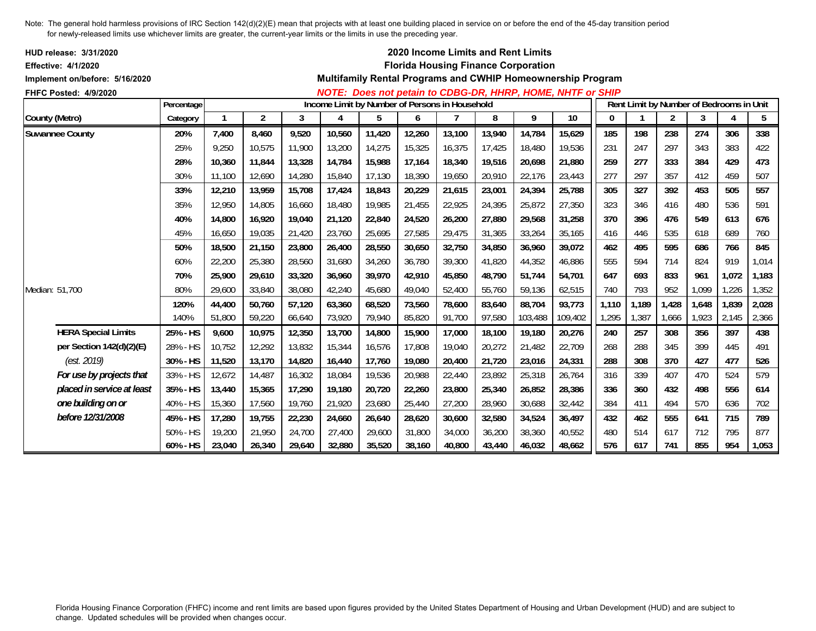| HUD release: 3/31/2020<br>Effective: 4/1/2020 |            |        |                |        |                                                |        |        |        |        | 2020 Income Limits and Rent Limits<br><b>Florida Housing Finance Corporation</b> |                                                             |       |                                          |                |       |       |       |
|-----------------------------------------------|------------|--------|----------------|--------|------------------------------------------------|--------|--------|--------|--------|----------------------------------------------------------------------------------|-------------------------------------------------------------|-------|------------------------------------------|----------------|-------|-------|-------|
| Implement on/before: 5/16/2020                |            |        |                |        |                                                |        |        |        |        |                                                                                  | Multifamily Rental Programs and CWHIP Homeownership Program |       |                                          |                |       |       |       |
| FHFC Posted: 4/9/2020                         |            |        |                |        |                                                |        |        |        |        |                                                                                  | NOTE: Does not petain to CDBG-DR, HHRP, HOME, NHTF or SHIP  |       |                                          |                |       |       |       |
|                                               | Percentage |        |                |        | Income Limit by Number of Persons in Household |        |        |        |        |                                                                                  |                                                             |       | Rent Limit by Number of Bedrooms in Unit |                |       |       |       |
| County (Metro)                                | Category   |        | $\overline{2}$ | 3      | 4                                              | 5      | 6      |        | 8      | 9                                                                                | 10                                                          | 0     |                                          | $\overline{2}$ | 3     | 4     | 5     |
| <b>Suwannee County</b>                        | 20%        | 7,400  | 8,460          | 9,520  | 10,560                                         | 11,420 | 12,260 | 13,100 | 13,940 | 14,784                                                                           | 15,629                                                      | 185   | 198                                      | 238            | 274   | 306   | 338   |
|                                               | 25%        | 9,250  | 10,575         | 11,900 | 13,200                                         | 14,275 | 15,325 | 16,375 | 17,425 | 18,480                                                                           | 19,536                                                      | 231   | 247                                      | 297            | 343   | 383   | 422   |
|                                               | 28%        | 10,360 | 11,844         | 13,328 | 14,784                                         | 15,988 | 17,164 | 18,340 | 19,516 | 20,698                                                                           | 21,880                                                      | 259   | 277                                      | 333            | 384   | 429   | 473   |
|                                               | 30%        | 11.100 | 12,690         | 14,280 | 15,840                                         | 17,130 | 18,390 | 19,650 | 20,910 | 22,176                                                                           | 23,443                                                      | 277   | 297                                      | 357            | 412   | 459   | 507   |
|                                               | 33%        | 12,210 | 13,959         | 15,708 | 17,424                                         | 18,843 | 20,229 | 21,615 | 23,001 | 24,394                                                                           | 25,788                                                      | 305   | 327                                      | 392            | 453   | 505   | 557   |
|                                               | 35%        | 12.950 | 14,805         | 16.660 | 18,480                                         | 19,985 | 21,455 | 22,925 | 24,395 | 25,872                                                                           | 27,350                                                      | 323   | 346                                      | 416            | 480   | 536   | 591   |
|                                               | 40%        | 14,800 | 16,920         | 19,040 | 21,120                                         | 22,840 | 24,520 | 26,200 | 27,880 | 29,568                                                                           | 31,258                                                      | 370   | 396                                      | 476            | 549   | 613   | 676   |
|                                               | 45%        | 16,650 | 19,035         | 21,420 | 23,760                                         | 25,695 | 27,585 | 29,475 | 31,365 | 33,264                                                                           | 35,165                                                      | 416   | 446                                      | 535            | 618   | 689   | 760   |
|                                               | 50%        | 18,500 | 21,150         | 23,800 | 26,400                                         | 28,550 | 30,650 | 32,750 | 34,850 | 36.960                                                                           | 39,072                                                      | 462   | 495                                      | 595            | 686   | 766   | 845   |
|                                               | 60%        | 22,200 | 25,380         | 28,560 | 31,680                                         | 34,260 | 36,780 | 39,300 | 41,820 | 44,352                                                                           | 46,886                                                      | 555   | 594                                      | 714            | 824   | 919   | 1,014 |
|                                               | 70%        | 25,900 | 29,610         | 33,320 | 36,960                                         | 39,970 | 42,910 | 45,850 | 48,790 | 51,744                                                                           | 54,701                                                      | 647   | 693                                      | 833            | 961   | 1,072 | 1,183 |
| Median: 51,700                                | 80%        | 29,600 | 33,840         | 38,080 | 42,240                                         | 45,680 | 49,040 | 52,400 | 55,760 | 59,136                                                                           | 62,515                                                      | 740   | 793                                      | 952            | 1,099 | 1,226 | 1,352 |
|                                               | 120%       | 44,400 | 50,760         | 57,120 | 63,360                                         | 68,520 | 73,560 | 78,600 | 83,640 | 88,704                                                                           | 93,773                                                      | 1,110 | 1,189                                    | 1,428          | 1,648 | 1,839 | 2,028 |
|                                               | 140%       | 51,800 | 59,220         | 66,640 | 73,920                                         | 79,940 | 85,820 | 91,700 | 97,580 | 103,488                                                                          | 109,402                                                     | 1,295 | 1,387                                    | 1,666          | 1,923 | 2,145 | 2,366 |
| <b>HERA Special Limits</b>                    | 25% - HS   | 9,600  | 10,975         | 12,350 | 13,700                                         | 14,800 | 15,900 | 17,000 | 18,100 | 19,180                                                                           | 20,276                                                      | 240   | 257                                      | 308            | 356   | 397   | 438   |
| per Section 142(d)(2)(E)                      | 28% - HS   | 10,752 | 12,292         | 13,832 | 15,344                                         | 16,576 | 17,808 | 19,040 | 20,272 | 21,482                                                                           | 22,709                                                      | 268   | 288                                      | 345            | 399   | 445   | 491   |
| (est. 2019)                                   | 30% - HS   | 11,520 | 13,170         | 14,820 | 16,440                                         | 17,760 | 19,080 | 20,400 | 21,720 | 23,016                                                                           | 24,331                                                      | 288   | 308                                      | 370            | 427   | 477   | 526   |
| For use by projects that                      | 33% - HS   | 12,672 | 14,487         | 16,302 | 18,084                                         | 19,536 | 20,988 | 22,440 | 23,892 | 25,318                                                                           | 26,764                                                      | 316   | 339                                      | 407            | 470   | 524   | 579   |
| placed in service at least                    | 35% - HS   | 13,440 | 15,365         | 17,290 | 19,180                                         | 20,720 | 22,260 | 23,800 | 25,340 | 26,852                                                                           | 28,386                                                      | 336   | 360                                      | 432            | 498   | 556   | 614   |
| one building on or                            | 40% - HS   | 15,360 | 17,560         | 19,760 | 21,920                                         | 23,680 | 25,440 | 27,200 | 28,960 | 30,688                                                                           | 32,442                                                      | 384   | 411                                      | 494            | 570   | 636   | 702   |
| before 12/31/2008                             | 45% - HS   | 17,280 | 19,755         | 22,230 | 24,660                                         | 26,640 | 28,620 | 30,600 | 32,580 | 34,524                                                                           | 36,497                                                      | 432   | 462                                      | 555            | 641   | 715   | 789   |
|                                               | 50% - HS   | 19,200 | 21,950         | 24,700 | 27,400                                         | 29,600 | 31,800 | 34,000 | 36,200 | 38,360                                                                           | 40,552                                                      | 480   | 514                                      | 617            | 712   | 795   | 877   |
|                                               | 60% - HS   | 23,040 | 26,340         | 29,640 | 32,880                                         | 35,520 | 38,160 | 40,800 | 43,440 | 46,032                                                                           | 48,662                                                      | 576   | 617                                      | 741            | 855   | 954   | 1,053 |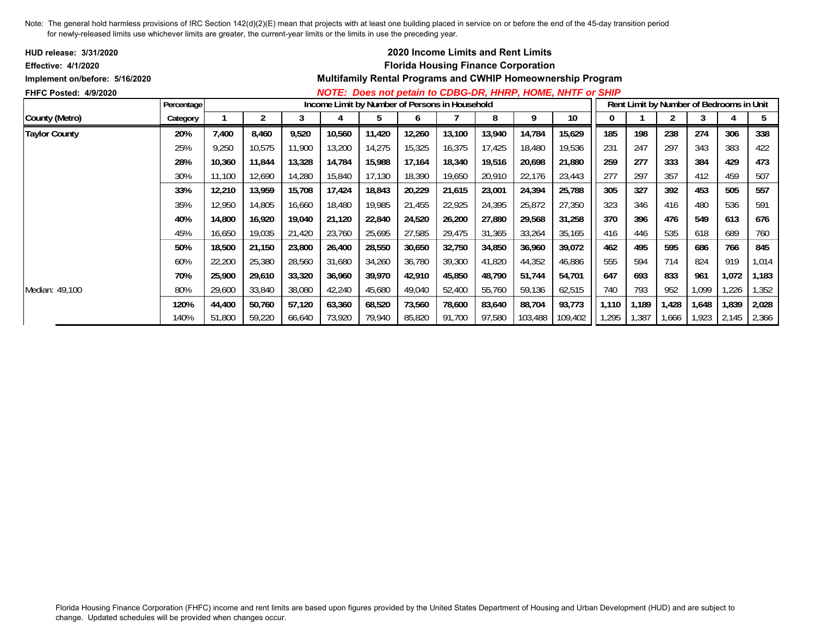| <b>HUD release: 3/31/2020</b>  |            |        |        |        |                                                |        |        | <b>2020 Income Limits and Rent Limits</b>  |        |         |                                                                    |       |       |       |       |                                          |       |
|--------------------------------|------------|--------|--------|--------|------------------------------------------------|--------|--------|--------------------------------------------|--------|---------|--------------------------------------------------------------------|-------|-------|-------|-------|------------------------------------------|-------|
| <b>Effective: 4/1/2020</b>     |            |        |        |        |                                                |        |        | <b>Florida Housing Finance Corporation</b> |        |         |                                                                    |       |       |       |       |                                          |       |
| Implement on/before: 5/16/2020 |            |        |        |        |                                                |        |        |                                            |        |         | <b>Multifamily Rental Programs and CWHIP Homeownership Program</b> |       |       |       |       |                                          |       |
| <b>FHFC Posted: 4/9/2020</b>   |            |        |        |        |                                                |        |        |                                            |        |         | NOTE: Does not petain to CDBG-DR, HHRP, HOME, NHTF or SHIP         |       |       |       |       |                                          |       |
|                                | Percentage |        |        |        | Income Limit by Number of Persons in Household |        |        |                                            |        |         |                                                                    |       |       |       |       | Rent Limit by Number of Bedrooms in Unit |       |
| County (Metro)                 | Category   |        | 2      | 3      | 4                                              | b      | b      |                                            | 8      | 9       | 10                                                                 | 0     |       | 2     | 3     |                                          | 5     |
| <b>Taylor County</b>           | 20%        | 7,400  | 8,460  | 9,520  | 10,560                                         | 11,420 | 12,260 | 13,100                                     | 13,940 | 14,784  | 15,629                                                             | 185   | 198   | 238   | 274   | 306                                      | 338   |
|                                | 25%        | 9,250  | 10,575 | 11,900 | 13,200                                         | 14,275 | 15,325 | 16,375                                     | 17,425 | 18,480  | 19,536                                                             | 231   | 247   | 297   | 343   | 383                                      | 422   |
|                                | 28%        | 10,360 | 11,844 | 13,328 | 14,784                                         | 15,988 | 17,164 | 18,340                                     | 19,516 | 20,698  | 21,880                                                             | 259   | 277   | 333   | 384   | 429                                      | 473   |
|                                | 30%        | 11,100 | 12,690 | 14,280 | 15,840                                         | 17,130 | 18,390 | 19,650                                     | 20,910 | 22,176  | 23,443                                                             | 277   | 297   | 357   | 412   | 459                                      | 507   |
|                                | 33%        | 12,210 | 13,959 | 15,708 | 17,424                                         | 18,843 | 20,229 | 21,615                                     | 23,001 | 24,394  | 25,788                                                             | 305   | 327   | 392   | 453   | 505                                      | 557   |
|                                | 35%        | 12,950 | 14,805 | 16,660 | 18,480                                         | 19,985 | 21,455 | 22,925                                     | 24,395 | 25,872  | 27,350                                                             | 323   | 346   | 416   | 480   | 536                                      | 591   |
|                                | 40%        | 14,800 | 16,920 | 19,040 | 21,120                                         | 22,840 | 24,520 | 26,200                                     | 27,880 | 29,568  | 31,258                                                             | 370   | 396   | 476   | 549   | 613                                      | 676   |
|                                | 45%        | 16,650 | 19,035 | 21,420 | 23,760                                         | 25,695 | 27,585 | 29,475                                     | 31,365 | 33,264  | 35,165                                                             | 416   | 446   | 535   | 618   | 689                                      | 760   |
|                                | 50%        | 18,500 | 21,150 | 23,800 | 26,400                                         | 28,550 | 30,650 | 32,750                                     | 34,850 | 36,960  | 39,072                                                             | 462   | 495   | 595   | 686   | 766                                      | 845   |
|                                | 60%        | 22,200 | 25,380 | 28,560 | 31,680                                         | 34,260 | 36,780 | 39,300                                     | 41,820 | 44,352  | 46,886                                                             | 555   | 594   | 714   | 824   | 919                                      | 1,014 |
|                                | 70%        | 25,900 | 29,610 | 33,320 | 36,960                                         | 39,970 | 42,910 | 45,850                                     | 48,790 | 51,744  | 54,701                                                             | 647   | 693   | 833   | 961   | 1,072                                    | 1,183 |
| Median: 49,100                 | 80%        | 29,600 | 33,840 | 38,080 | 42,240                                         | 45,680 | 49,040 | 52,400                                     | 55,760 | 59,136  | 62,515                                                             | 740   | 793   | 952   | 1,099 | 1,226                                    | 1,352 |
|                                | 120%       | 44,400 | 50,760 | 57,120 | 63,360                                         | 68,520 | 73,560 | 78,600                                     | 83,640 | 88,704  | 93,773                                                             | 1,110 | 1,189 | 1,428 | 1,648 | 1,839                                    | 2,028 |
|                                | 140%       | 51,800 | 59,220 | 66,640 | 73,920                                         | 79,940 | 85,820 | 91,700                                     | 97,580 | 103,488 | 109,402                                                            | 1,295 | 1,387 | 1,666 | 1,923 | 2,145                                    | 2,366 |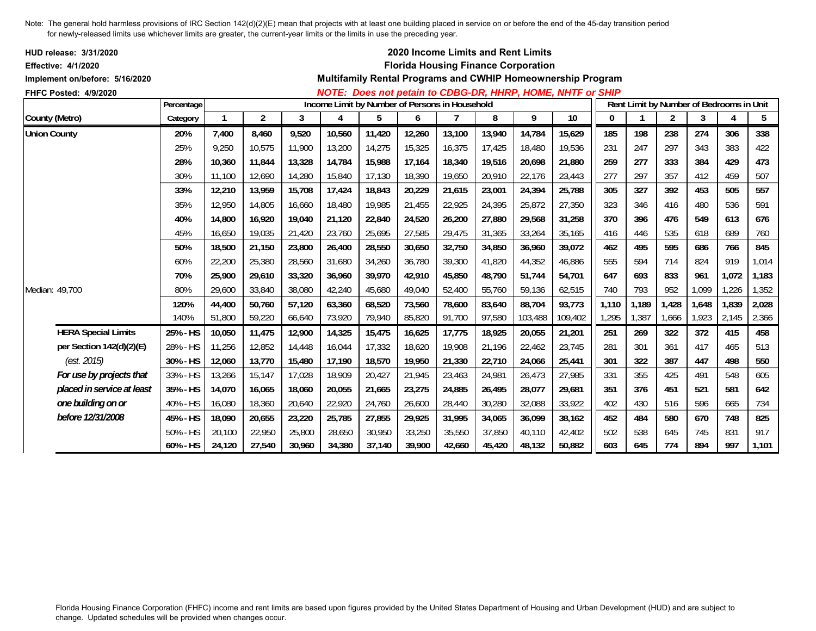| <b>HUD release: 3/31/2020</b><br><b>Effective: 4/1/2020</b> |            |        |        |        |                                                |        |        |        | 2020 Income Limits and Rent Limits<br><b>Florida Housing Finance Corporation</b> |         |                                                             |       |       |       |       |                                          |       |
|-------------------------------------------------------------|------------|--------|--------|--------|------------------------------------------------|--------|--------|--------|----------------------------------------------------------------------------------|---------|-------------------------------------------------------------|-------|-------|-------|-------|------------------------------------------|-------|
| Implement on/before: 5/16/2020                              |            |        |        |        |                                                |        |        |        |                                                                                  |         | Multifamily Rental Programs and CWHIP Homeownership Program |       |       |       |       |                                          |       |
| FHFC Posted: 4/9/2020                                       |            |        |        |        |                                                |        |        |        |                                                                                  |         | NOTE: Does not petain to CDBG-DR, HHRP, HOME, NHTF or SHIP  |       |       |       |       |                                          |       |
|                                                             | Percentage |        |        |        | Income Limit by Number of Persons in Household |        |        |        |                                                                                  |         |                                                             |       |       |       |       | Rent Limit by Number of Bedrooms in Unit |       |
| County (Metro)                                              | Category   |        | 2      | 3      | 4                                              | 5      | 6      |        | 8                                                                                | 9       | 10                                                          | 0     |       | 2     | 3     | 4                                        | 5     |
| <b>Union County</b>                                         | 20%        | 7,400  | 8,460  | 9,520  | 10,560                                         | 11,420 | 12,260 | 13,100 | 13,940                                                                           | 14,784  | 15,629                                                      | 185   | 198   | 238   | 274   | 306                                      | 338   |
|                                                             | 25%        | 9,250  | 10,575 | 11,900 | 13,200                                         | 14,275 | 15,325 | 16,375 | 17,425                                                                           | 18,480  | 19,536                                                      | 231   | 247   | 297   | 343   | 383                                      | 422   |
|                                                             | 28%        | 10,360 | 11,844 | 13,328 | 14,784                                         | 15,988 | 17,164 | 18,340 | 19,516                                                                           | 20,698  | 21,880                                                      | 259   | 277   | 333   | 384   | 429                                      | 473   |
|                                                             | 30%        | 11.100 | 12,690 | 14,280 | 15,840                                         | 17,130 | 18,390 | 19,650 | 20,910                                                                           | 22,176  | 23,443                                                      | 277   | 297   | 357   | 412   | 459                                      | 507   |
|                                                             | 33%        | 12,210 | 13,959 | 15,708 | 17,424                                         | 18,843 | 20,229 | 21,615 | 23,001                                                                           | 24,394  | 25,788                                                      | 305   | 327   | 392   | 453   | 505                                      | 557   |
|                                                             | 35%        | 12,950 | 14,805 | 16,660 | 18,480                                         | 19,985 | 21,455 | 22,925 | 24,395                                                                           | 25,872  | 27,350                                                      | 323   | 346   | 416   | 480   | 536                                      | 591   |
|                                                             | 40%        | 14.800 | 16,920 | 19,040 | 21,120                                         | 22,840 | 24,520 | 26,200 | 27,880                                                                           | 29,568  | 31,258                                                      | 370   | 396   | 476   | 549   | 613                                      | 676   |
|                                                             | 45%        | 16,650 | 19,035 | 21,420 | 23,760                                         | 25,695 | 27,585 | 29,475 | 31,365                                                                           | 33,264  | 35,165                                                      | 416   | 446   | 535   | 618   | 689                                      | 760   |
|                                                             | 50%        | 18,500 | 21,150 | 23,800 | 26,400                                         | 28,550 | 30,650 | 32,750 | 34,850                                                                           | 36,960  | 39,072                                                      | 462   | 495   | 595   | 686   | 766                                      | 845   |
|                                                             | 60%        | 22,200 | 25,380 | 28,560 | 31,680                                         | 34,260 | 36,780 | 39,300 | 41,820                                                                           | 44,352  | 46,886                                                      | 555   | 594   | 714   | 824   | 919                                      | 1,014 |
|                                                             | 70%        | 25.900 | 29,610 | 33,320 | 36,960                                         | 39,970 | 42,910 | 45,850 | 48,790                                                                           | 51.744  | 54.701                                                      | 647   | 693   | 833   | 961   | 1,072                                    | 1,183 |
| Median: 49,700                                              | 80%        | 29,600 | 33,840 | 38,080 | 42,240                                         | 45,680 | 49,040 | 52,400 | 55,760                                                                           | 59,136  | 62,515                                                      | 740   | 793   | 952   | 1,099 | 1,226                                    | 1,352 |
|                                                             | 120%       | 44,400 | 50,760 | 57,120 | 63,360                                         | 68,520 | 73,560 | 78,600 | 83,640                                                                           | 88,704  | 93,773                                                      | 1,110 | 1,189 | 1,428 | 1,648 | 1,839                                    | 2,028 |
|                                                             | 140%       | 51,800 | 59,220 | 66,640 | 73,920                                         | 79,940 | 85,820 | 91,700 | 97,580                                                                           | 103,488 | 109,402                                                     | 1,295 | 1,387 | 1,666 | 1,923 | 2,145                                    | 2,366 |
| <b>HERA Special Limits</b>                                  | 25% - HS   | 10,050 | 11,475 | 12,900 | 14,325                                         | 15,475 | 16,625 | 17,775 | 18,925                                                                           | 20,055  | 21,201                                                      | 251   | 269   | 322   | 372   | 415                                      | 458   |
| per Section 142(d)(2)(E)                                    | 28% - HS   | 11,256 | 12,852 | 14,448 | 16,044                                         | 17,332 | 18,620 | 19,908 | 21,196                                                                           | 22,462  | 23,745                                                      | 281   | 301   | 361   | 417   | 465                                      | 513   |
| (est. 2015)                                                 | 30% - HS   | 12,060 | 13,770 | 15,480 | 17,190                                         | 18,570 | 19,950 | 21,330 | 22,710                                                                           | 24,066  | 25,441                                                      | 301   | 322   | 387   | 447   | 498                                      | 550   |
| For use by projects that                                    | 33% - HS   | 13,266 | 15,147 | 17,028 | 18,909                                         | 20,427 | 21,945 | 23,463 | 24,981                                                                           | 26,473  | 27,985                                                      | 331   | 355   | 425   | 491   | 548                                      | 605   |
| placed in service at least                                  | 35% - HS   | 14,070 | 16,065 | 18,060 | 20,055                                         | 21,665 | 23,275 | 24,885 | 26,495                                                                           | 28,077  | 29,681                                                      | 351   | 376   | 451   | 521   | 581                                      | 642   |
| one building on or                                          | 40% - HS   | 16,080 | 18,360 | 20,640 | 22,920                                         | 24,760 | 26,600 | 28,440 | 30,280                                                                           | 32,088  | 33,922                                                      | 402   | 430   | 516   | 596   | 665                                      | 734   |
| before 12/31/2008                                           | 45% - HS   | 18,090 | 20,655 | 23,220 | 25,785                                         | 27,855 | 29,925 | 31,995 | 34,065                                                                           | 36,099  | 38,162                                                      | 452   | 484   | 580   | 670   | 748                                      | 825   |
|                                                             | 50% - HS   | 20,100 | 22,950 | 25,800 | 28,650                                         | 30,950 | 33,250 | 35,550 | 37,850                                                                           | 40,110  | 42,402                                                      | 502   | 538   | 645   | 745   | 831                                      | 917   |
|                                                             | 60% - HS   | 24,120 | 27,540 | 30,960 | 34,380                                         | 37,140 | 39,900 | 42,660 | 45,420                                                                           | 48,132  | 50,882                                                      | 603   | 645   | 774   | 894   | 997                                      | 1,101 |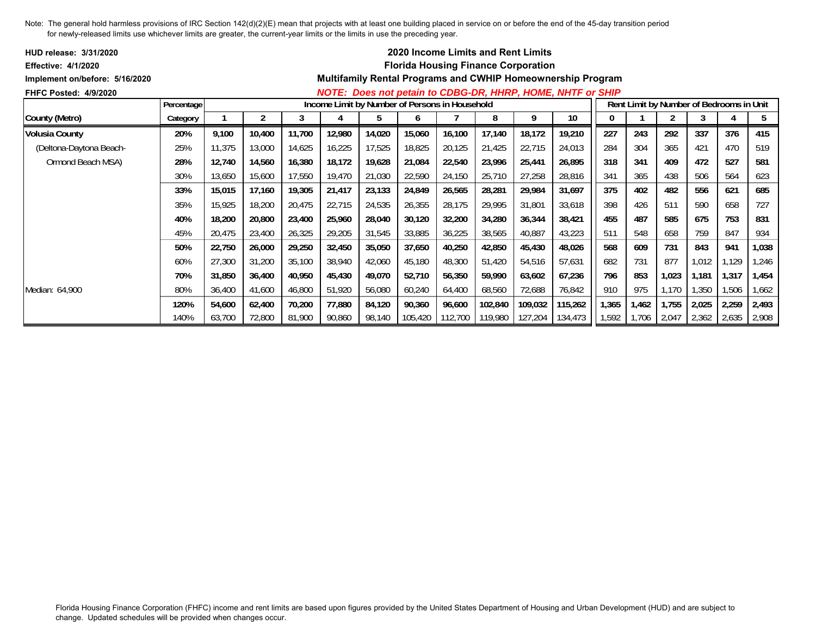| <b>HUD release: 3/31/2020</b>  |            |        |        |        |        |        | <b>2020 Income Limits and Rent Limits</b>      |                 |         |         |                                                             |       |       |       |                                          |       |       |
|--------------------------------|------------|--------|--------|--------|--------|--------|------------------------------------------------|-----------------|---------|---------|-------------------------------------------------------------|-------|-------|-------|------------------------------------------|-------|-------|
| Effective: 4/1/2020            |            |        |        |        |        |        | <b>Florida Housing Finance Corporation</b>     |                 |         |         |                                                             |       |       |       |                                          |       |       |
| Implement on/before: 5/16/2020 |            |        |        |        |        |        |                                                |                 |         |         | Multifamily Rental Programs and CWHIP Homeownership Program |       |       |       |                                          |       |       |
| <b>FHFC Posted: 4/9/2020</b>   |            |        |        |        |        |        |                                                |                 |         |         | NOTE: Does not petain to CDBG-DR, HHRP, HOME, NHTF or SHIP  |       |       |       |                                          |       |       |
|                                | Percentage |        |        |        |        |        | Income Limit by Number of Persons in Household |                 |         |         |                                                             |       |       |       | Rent Limit by Number of Bedrooms in Unit |       |       |
| County (Metro)                 | Category   |        |        | 3      |        | 5      | <sub>0</sub>                                   |                 | 8       | 9       | 10                                                          | 0     |       |       |                                          |       | 5     |
| <b>Volusia County</b>          | 20%        | 9,100  | 10,400 | 11,700 | 12,980 | 14,020 | 15,060                                         | 16,100          | 17,140  | 18,172  | 19,210                                                      | 227   | 243   | 292   | 337                                      | 376   | 415   |
| (Deltona-Daytona Beach-        | 25%        | 11,375 | 13,000 | 14,625 | 16,225 | 17,525 | 18,825                                         | 20,125          | 21,425  | 22,715  | 24,013                                                      | 284   | 304   | 365   | 421                                      | 470   | 519   |
| Ormond Beach MSA)              | 28%        | 12,740 | 14,560 | 16,380 | 18,172 | 19,628 | 21,084                                         | 22,540          | 23,996  | 25,441  | 26,895                                                      | 318   | 341   | 409   | 472                                      | 527   | 581   |
|                                | 30%        | 13,650 | 15,600 | 17,550 | 19,470 | 21,030 | 22,590                                         | 24,150          | 25,710  | 27,258  | 28,816                                                      | 341   | 365   | 438   | 506                                      | 564   | 623   |
|                                | 33%        | 15,015 | 17,160 | 19,305 | 21,417 | 23,133 | 24,849                                         | 26,565          | 28,281  | 29,984  | 31,697                                                      | 375   | 402   | 482   | 556                                      | 621   | 685   |
|                                | 35%        | 15,925 | 18,200 | 20,475 | 22,715 | 24,535 | 26,355                                         | 28,175          | 29,995  | 31,801  | 33,618                                                      | 398   | 426   | 511   | 590                                      | 658   | 727   |
|                                | 40%        | 18,200 | 20,800 | 23,400 | 25,960 | 28,040 | 30,120                                         | 32,200          | 34,280  | 36,344  | 38,421                                                      | 455   | 487   | 585   | 675                                      | 753   | 831   |
|                                | 45%        | 20,475 | 23,400 | 26,325 | 29,205 | 31,545 | 33,885                                         | 36,225          | 38,565  | 40,887  | 43,223                                                      | 511   | 548   | 658   | 759                                      | 847   | 934   |
|                                | 50%        | 22,750 | 26,000 | 29,250 | 32,450 | 35,050 | 37,650                                         | 40,250          | 42,850  | 45,430  | 48,026                                                      | 568   | 609   | 731   | 843                                      | 941   | 1,038 |
|                                | 60%        | 27,300 | 31,200 | 35,100 | 38,940 | 42,060 | 45,180                                         | 48,300          | 51,420  | 54,516  | 57,631                                                      | 682   | 731   | 877   | 1,012                                    | 1,129 | 1,246 |
|                                | 70%        | 31,850 | 36,400 | 40,950 | 45,430 | 49,070 | 52,710                                         | 56,350          | 59,990  | 63,602  | 67,236                                                      | 796   | 853   | 1,023 | 1,181                                    | 1,317 | 1,454 |
| Median: 64,900                 | 80%        | 36,400 | 41,600 | 46,800 | 51,920 | 56,080 | 60,240                                         | 64,400          | 68,560  | 72,688  | 76,842                                                      | 910   | 975   | 1,170 | ,350                                     | 1,506 | 1,662 |
|                                | 120%       | 54,600 | 62,400 | 70,200 | 77,880 | 84,120 | 90,360                                         | 96,600          | 102,840 | 109,032 | 115,262                                                     | 1,365 | 1,462 | 1,755 | 2,025                                    | 2,259 | 2,493 |
|                                | 140%       | 63,700 | 72,800 | 81,900 | 90,860 | 98,140 | 105,420                                        | 112,700 119,980 |         | 127,204 | 134,473                                                     | 1,592 | 1,706 | 2,047 | 2,362                                    | 2,635 | 2,908 |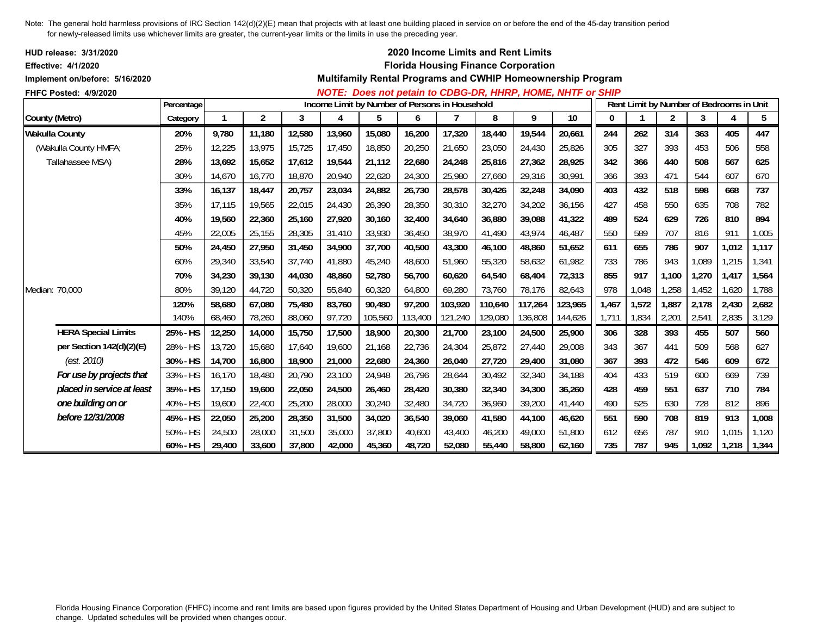| HUD release: 3/31/2020<br><b>Effective: 4/1/2020</b><br>Implement on/before: 5/16/2020 |            |        |                |        |        |                                                |         |         | 2020 Income Limits and Rent Limits<br><b>Florida Housing Finance Corporation</b> |         | Multifamily Rental Programs and CWHIP Homeownership Program |       |       |                |                                          |       |       |
|----------------------------------------------------------------------------------------|------------|--------|----------------|--------|--------|------------------------------------------------|---------|---------|----------------------------------------------------------------------------------|---------|-------------------------------------------------------------|-------|-------|----------------|------------------------------------------|-------|-------|
| FHFC Posted: 4/9/2020                                                                  |            |        |                |        |        |                                                |         |         |                                                                                  |         | NOTE: Does not petain to CDBG-DR, HHRP, HOME, NHTF or SHIP  |       |       |                |                                          |       |       |
|                                                                                        | Percentage |        |                |        |        | Income Limit by Number of Persons in Household |         |         |                                                                                  |         |                                                             |       |       |                | Rent Limit by Number of Bedrooms in Unit |       |       |
| County (Metro)                                                                         | Category   |        | $\overline{2}$ | 3      | 4      | 5                                              | 6       | 7       | 8                                                                                | 9       | 10                                                          | 0     |       | $\overline{2}$ | 3                                        | 4     | 5     |
| <b>Wakulla County</b>                                                                  | 20%        | 9,780  | 11,180         | 12,580 | 13,960 | 15,080                                         | 16,200  | 17,320  | 18,440                                                                           | 19,544  | 20,661                                                      | 244   | 262   | 314            | 363                                      | 405   | 447   |
| (Wakulla County HMFA;                                                                  | 25%        | 12,225 | 13,975         | 15,725 | 17,450 | 18,850                                         | 20,250  | 21,650  | 23,050                                                                           | 24,430  | 25,826                                                      | 305   | 327   | 393            | 453                                      | 506   | 558   |
| Tallahassee MSA)                                                                       | 28%        | 13,692 | 15,652         | 17,612 | 19,544 | 21,112                                         | 22,680  | 24,248  | 25,816                                                                           | 27,362  | 28,925                                                      | 342   | 366   | 440            | 508                                      | 567   | 625   |
|                                                                                        | 30%        | 14,670 | 16,770         | 18,870 | 20,940 | 22,620                                         | 24,300  | 25,980  | 27,660                                                                           | 29,316  | 30,991                                                      | 366   | 393   | 471            | 544                                      | 607   | 670   |
|                                                                                        | 33%        | 16,137 | 18,447         | 20,757 | 23,034 | 24,882                                         | 26,730  | 28,578  | 30,426                                                                           | 32,248  | 34,090                                                      | 403   | 432   | 518            | 598                                      | 668   | 737   |
|                                                                                        | 35%        | 17,115 | 19,565         | 22,015 | 24,430 | 26,390                                         | 28,350  | 30,310  | 32,270                                                                           | 34,202  | 36,156                                                      | 427   | 458   | 550            | 635                                      | 708   | 782   |
|                                                                                        | 40%        | 19,560 | 22,360         | 25,160 | 27,920 | 30,160                                         | 32,400  | 34,640  | 36,880                                                                           | 39,088  | 41,322                                                      | 489   | 524   | 629            | 726                                      | 810   | 894   |
|                                                                                        | 45%        | 22,005 | 25,155         | 28,305 | 31,410 | 33,930                                         | 36,450  | 38,970  | 41,490                                                                           | 43,974  | 46,487                                                      | 550   | 589   | 707            | 816                                      | 911   | 1,005 |
|                                                                                        | 50%        | 24,450 | 27,950         | 31,450 | 34,900 | 37,700                                         | 40,500  | 43,300  | 46,100                                                                           | 48,860  | 51,652                                                      | 611   | 655   | 786            | 907                                      | 1,012 | 1,117 |
|                                                                                        | 60%        | 29,340 | 33,540         | 37,740 | 41,880 | 45,240                                         | 48,600  | 51,960  | 55,320                                                                           | 58,632  | 61,982                                                      | 733   | 786   | 943            | 1,089                                    | 1,215 | 1,341 |
|                                                                                        | 70%        | 34,230 | 39,130         | 44,030 | 48,860 | 52,780                                         | 56,700  | 60,620  | 64,540                                                                           | 68,404  | 72,313                                                      | 855   | 917   | 1,100          | 1,270                                    | 1,417 | 1,564 |
| Median: 70,000                                                                         | 80%        | 39,120 | 44,720         | 50,320 | 55,840 | 60,320                                         | 64,800  | 69,280  | 73,760                                                                           | 78,176  | 82,643                                                      | 978   | 1,048 | 1,258          | 1,452                                    | 1,620 | 1,788 |
|                                                                                        | 120%       | 58,680 | 67,080         | 75,480 | 83,760 | 90,480                                         | 97,200  | 103,920 | 110,640                                                                          | 117,264 | 123,965                                                     | 1,467 | 1,572 | 1,887          | 2,178                                    | 2,430 | 2,682 |
|                                                                                        | 140%       | 68,460 | 78,260         | 88,060 | 97,720 | 105,560                                        | 113,400 | 121,240 | 129,080                                                                          | 136,808 | 144,626                                                     | 1,711 | 1,834 | 2,201          | 2,541                                    | 2,835 | 3,129 |
| <b>HERA Special Limits</b>                                                             | 25% - HS   | 12,250 | 14,000         | 15,750 | 17,500 | 18,900                                         | 20,300  | 21,700  | 23,100                                                                           | 24,500  | 25,900                                                      | 306   | 328   | 393            | 455                                      | 507   | 560   |
| per Section 142(d)(2)(E)                                                               | 28% - HS   | 13,720 | 15,680         | 17,640 | 19,600 | 21,168                                         | 22,736  | 24,304  | 25,872                                                                           | 27,440  | 29,008                                                      | 343   | 367   | 441            | 509                                      | 568   | 627   |
| (est. 2010)                                                                            | 30% - HS   | 14,700 | 16,800         | 18,900 | 21,000 | 22,680                                         | 24,360  | 26,040  | 27,720                                                                           | 29,400  | 31,080                                                      | 367   | 393   | 472            | 546                                      | 609   | 672   |
| For use by projects that                                                               | 33% - HS   | 16,170 | 18,480         | 20,790 | 23,100 | 24,948                                         | 26,796  | 28,644  | 30,492                                                                           | 32,340  | 34,188                                                      | 404   | 433   | 519            | 600                                      | 669   | 739   |
| placed in service at least                                                             | 35% - HS   | 17,150 | 19,600         | 22,050 | 24,500 | 26,460                                         | 28,420  | 30,380  | 32,340                                                                           | 34,300  | 36,260                                                      | 428   | 459   | 551            | 637                                      | 710   | 784   |
| one building on or                                                                     | 40% - HS   | 19,600 | 22,400         | 25,200 | 28,000 | 30,240                                         | 32,480  | 34,720  | 36,960                                                                           | 39,200  | 41,440                                                      | 490   | 525   | 630            | 728                                      | 812   | 896   |
| before 12/31/2008                                                                      | 45% - HS   | 22,050 | 25,200         | 28,350 | 31,500 | 34,020                                         | 36,540  | 39,060  | 41,580                                                                           | 44,100  | 46,620                                                      | 551   | 590   | 708            | 819                                      | 913   | 1,008 |
|                                                                                        | 50% - HS   | 24,500 | 28,000         | 31,500 | 35,000 | 37,800                                         | 40,600  | 43,400  | 46,200                                                                           | 49,000  | 51,800                                                      | 612   | 656   | 787            | 910                                      | 1,015 | 1,120 |
|                                                                                        | 60% - HS   | 29,400 | 33,600         | 37,800 | 42,000 | 45,360                                         | 48,720  | 52,080  | 55,440                                                                           | 58,800  | 62,160                                                      | 735   | 787   | 945            | 1,092                                    | 1,218 | 1,344 |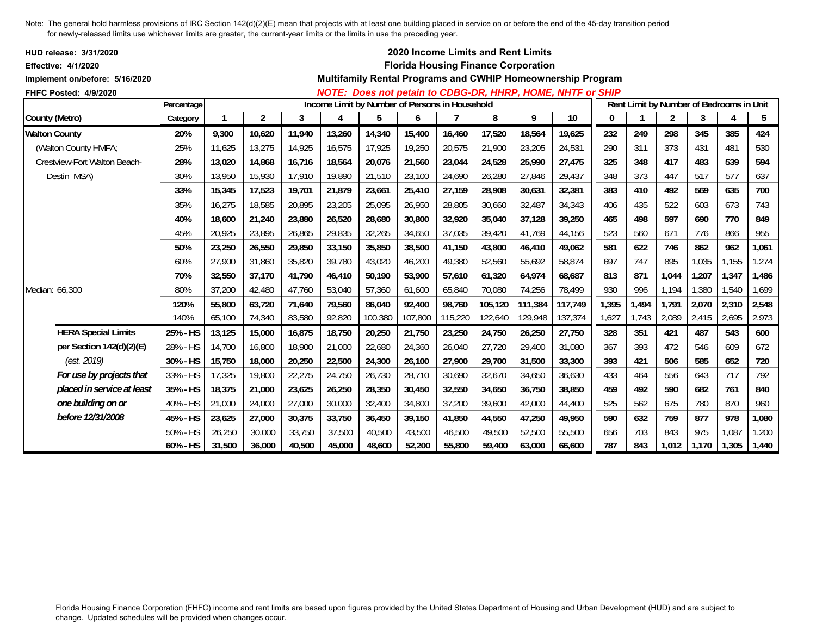| HUD release: 3/31/2020<br><b>Effective: 4/1/2020</b> |             |        |                |        |                                                |         |         |         | 2020 Income Limits and Rent Limits<br><b>Florida Housing Finance Corporation</b> |         |                                                             |       |                                          |                |       |       |       |
|------------------------------------------------------|-------------|--------|----------------|--------|------------------------------------------------|---------|---------|---------|----------------------------------------------------------------------------------|---------|-------------------------------------------------------------|-------|------------------------------------------|----------------|-------|-------|-------|
| Implement on/before: 5/16/2020                       |             |        |                |        |                                                |         |         |         |                                                                                  |         | Multifamily Rental Programs and CWHIP Homeownership Program |       |                                          |                |       |       |       |
| <b>FHFC Posted: 4/9/2020</b>                         | Percentage  |        |                |        | Income Limit by Number of Persons in Household |         |         |         |                                                                                  |         | NOTE: Does not petain to CDBG-DR, HHRP, HOME, NHTF or SHIP  |       | Rent Limit by Number of Bedrooms in Unit |                |       |       |       |
| County (Metro)                                       | Category    |        | $\overline{2}$ | 3      | 4                                              | 5       | 6       | 7       | 8                                                                                | 9       | 10                                                          | 0     |                                          | $\overline{2}$ | 3     | 4     | 5     |
| <b>Walton County</b>                                 | 20%         | 9,300  | 10,620         | 11,940 | 13,260                                         | 14,340  | 15,400  | 16,460  | 17,520                                                                           | 18,564  | 19,625                                                      | 232   | 249                                      | 298            | 345   | 385   | 424   |
| (Walton County HMFA;                                 | 25%         | 11,625 | 13,275         | 14,925 | 16,575                                         | 17,925  | 19,250  | 20,575  | 21,900                                                                           | 23,205  | 24,531                                                      | 290   | 311                                      | 373            | 431   | 481   | 530   |
| Crestview-Fort Walton Beach-                         | 28%         | 13,020 | 14,868         | 16,716 | 18,564                                         | 20,076  | 21,560  | 23,044  | 24,528                                                                           | 25,990  | 27,475                                                      | 325   | 348                                      | 417            | 483   | 539   | 594   |
| Destin MSA)                                          | 30%         | 13,950 | 15,930         | 17,910 | 19,890                                         | 21,510  | 23,100  | 24,690  | 26,280                                                                           | 27,846  | 29,437                                                      | 348   | 373                                      | 447            | 517   | 577   | 637   |
|                                                      | 33%         | 15,345 | 17,523         | 19,701 | 21,879                                         | 23,661  | 25,410  | 27,159  | 28,908                                                                           | 30,631  | 32,381                                                      | 383   | 410                                      | 492            | 569   | 635   | 700   |
|                                                      | 35%         | 16,275 | 18,585         | 20,895 | 23,205                                         | 25,095  | 26,950  | 28,805  | 30,660                                                                           | 32,487  | 34,343                                                      | 406   | 435                                      | 522            | 603   | 673   | 743   |
|                                                      | 40%         | 18,600 | 21,240         | 23,880 | 26,520                                         | 28,680  | 30,800  | 32,920  | 35,040                                                                           | 37,128  | 39,250                                                      | 465   | 498                                      | 597            | 690   | 770   | 849   |
|                                                      | 45%         | 20,925 | 23,895         | 26,865 | 29,835                                         | 32,265  | 34,650  | 37,035  | 39.420                                                                           | 41,769  | 44,156                                                      | 523   | 560                                      | 671            | 776   | 866   | 955   |
|                                                      | 50%         | 23,250 | 26,550         | 29,850 | 33,150                                         | 35,850  | 38,500  | 41,150  | 43,800                                                                           | 46,410  | 49,062                                                      | 581   | 622                                      | 746            | 862   | 962   | 1,061 |
|                                                      | 60%         | 27,900 | 31,860         | 35,820 | 39,780                                         | 43,020  | 46,200  | 49,380  | 52,560                                                                           | 55,692  | 58,874                                                      | 697   | 747                                      | 895            | 1,035 | 1,155 | 1,274 |
|                                                      | 70%         | 32,550 | 37,170         | 41,790 | 46,410                                         | 50,190  | 53,900  | 57,610  | 61,320                                                                           | 64,974  | 68,687                                                      | 813   | 871                                      | 1,044          | 1,207 | 1,347 | 1,486 |
| Median: 66,300                                       | 80%         | 37,200 | 42,480         | 47,760 | 53,040                                         | 57,360  | 61,600  | 65,840  | 70,080                                                                           | 74,256  | 78,499                                                      | 930   | 996                                      | 1,194          | 1,380 | 1,540 | 1,699 |
|                                                      | 120%        | 55,800 | 63,720         | 71,640 | 79,560                                         | 86,040  | 92,400  | 98,760  | 105,120                                                                          | 111,384 | 117,749                                                     | 1,395 | 1,494                                    | 1,791          | 2,070 | 2,310 | 2,548 |
|                                                      | 140%        | 65,100 | 74,340         | 83,580 | 92,820                                         | 100,380 | 107,800 | 115,220 | 122,640                                                                          | 129,948 | 137,374                                                     | 1,627 | 1,743                                    | 2,089          | 2,415 | 2,695 | 2,973 |
| <b>HERA Special Limits</b>                           | 25% - HS    | 13,125 | 15,000         | 16,875 | 18,750                                         | 20,250  | 21,750  | 23,250  | 24,750                                                                           | 26,250  | 27,750                                                      | 328   | 351                                      | 421            | 487   | 543   | 600   |
| per Section 142(d)(2)(E)                             | 28% - HS    | 14,700 | 16,800         | 18,900 | 21,000                                         | 22,680  | 24,360  | 26,040  | 27.720                                                                           | 29.400  | 31,080                                                      | 367   | 393                                      | 472            | 546   | 609   | 672   |
| (est. 2019)                                          | 30% - HS    | 15,750 | 18,000         | 20,250 | 22,500                                         | 24,300  | 26,100  | 27,900  | 29,700                                                                           | 31,500  | 33,300                                                      | 393   | 421                                      | 506            | 585   | 652   | 720   |
| For use by projects that                             | 33% - HS    | 17,325 | 19,800         | 22,275 | 24,750                                         | 26,730  | 28,710  | 30,690  | 32,670                                                                           | 34,650  | 36,630                                                      | 433   | 464                                      | 556            | 643   | 717   | 792   |
| placed in service at least                           | 35% - HS    | 18,375 | 21,000         | 23,625 | 26,250                                         | 28,350  | 30,450  | 32,550  | 34.650                                                                           | 36,750  | 38,850                                                      | 459   | 492                                      | 590            | 682   | 761   | 840   |
| one building on or                                   | 40% - HS    | 21,000 | 24,000         | 27,000 | 30,000                                         | 32,400  | 34,800  | 37,200  | 39,600                                                                           | 42,000  | 44,400                                                      | 525   | 562                                      | 675            | 780   | 870   | 960   |
| before 12/31/2008                                    | 45% - HS    | 23,625 | 27,000         | 30,375 | 33,750                                         | 36,450  | 39,150  | 41,850  | 44,550                                                                           | 47,250  | 49,950                                                      | 590   | 632                                      | 759            | 877   | 978   | 1,080 |
|                                                      | $50\% - HS$ | 26,250 | 30,000         | 33,750 | 37,500                                         | 40,500  | 43,500  | 46,500  | 49,500                                                                           | 52,500  | 55,500                                                      | 656   | 703                                      | 843            | 975   | 1,087 | 1,200 |
|                                                      | 60% - HS    | 31,500 | 36,000         | 40,500 | 45,000                                         | 48,600  | 52,200  | 55,800  | 59,400                                                                           | 63,000  | 66,600                                                      | 787   | 843                                      | 1,012          | 1,170 | 1,305 | 1,440 |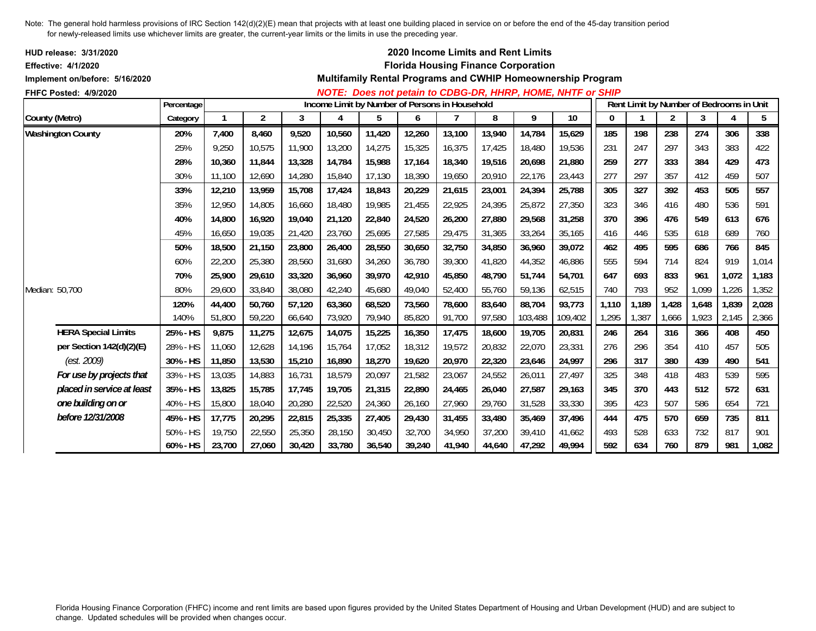| <b>HUD release: 3/31/2020</b><br><b>Effective: 4/1/2020</b> |            |        |                |        |                                                |        |        |        | 2020 Income Limits and Rent Limits | <b>Florida Housing Finance Corporation</b> |                                                             |              |                                          |                |       |       |                |
|-------------------------------------------------------------|------------|--------|----------------|--------|------------------------------------------------|--------|--------|--------|------------------------------------|--------------------------------------------|-------------------------------------------------------------|--------------|------------------------------------------|----------------|-------|-------|----------------|
| Implement on/before: 5/16/2020                              |            |        |                |        |                                                |        |        |        |                                    |                                            | Multifamily Rental Programs and CWHIP Homeownership Program |              |                                          |                |       |       |                |
| FHFC Posted: 4/9/2020                                       |            |        |                |        |                                                |        |        |        |                                    |                                            | NOTE: Does not petain to CDBG-DR, HHRP, HOME, NHTF or SHIP  |              |                                          |                |       |       |                |
|                                                             | Percentage |        |                |        | Income Limit by Number of Persons in Household |        |        |        |                                    |                                            |                                                             |              | Rent Limit by Number of Bedrooms in Unit |                |       |       |                |
| County (Metro)                                              | Category   |        | $\overline{2}$ | 3      | 4                                              | 5      | 6      |        | 8                                  | 9                                          | 10                                                          | $\mathbf{0}$ |                                          | $\overline{2}$ | 3     | 4     | 5 <sub>1</sub> |
| <b>Washington County</b>                                    | 20%        | 7,400  | 8,460          | 9,520  | 10,560                                         | 11,420 | 12,260 | 13,100 | 13,940                             | 14,784                                     | 15,629                                                      | 185          | 198                                      | 238            | 274   | 306   | 338            |
|                                                             | 25%        | 9.250  | 10,575         | 11,900 | 13,200                                         | 14,275 | 15,325 | 16,375 | 17.425                             | 18,480                                     | 19,536                                                      | 231          | 247                                      | 297            | 343   | 383   | 422            |
|                                                             | 28%        | 10.360 | 11,844         | 13,328 | 14,784                                         | 15,988 | 17,164 | 18,340 | 19,516                             | 20,698                                     | 21,880                                                      | 259          | 277                                      | 333            | 384   | 429   | 473            |
|                                                             | 30%        | 11,100 | 12,690         | 14,280 | 15,840                                         | 17,130 | 18,390 | 19,650 | 20,910                             | 22,176                                     | 23,443                                                      | 277          | 297                                      | 357            | 412   | 459   | 507            |
|                                                             | 33%        | 12,210 | 13,959         | 15,708 | 17,424                                         | 18,843 | 20,229 | 21,615 | 23,001                             | 24,394                                     | 25,788                                                      | 305          | 327                                      | 392            | 453   | 505   | 557            |
|                                                             | 35%        | 12,950 | 14,805         | 16,660 | 18,480                                         | 19,985 | 21,455 | 22,925 | 24,395                             | 25,872                                     | 27,350                                                      | 323          | 346                                      | 416            | 480   | 536   | 591            |
|                                                             | 40%        | 14.800 | 16,920         | 19,040 | 21,120                                         | 22,840 | 24,520 | 26,200 | 27,880                             | 29,568                                     | 31,258                                                      | 370          | 396                                      | 476            | 549   | 613   | 676            |
|                                                             | 45%        | 16,650 | 19,035         | 21,420 | 23,760                                         | 25,695 | 27,585 | 29,475 | 31,365                             | 33,264                                     | 35,165                                                      | 416          | 446                                      | 535            | 618   | 689   | 760            |
|                                                             | 50%        | 18.500 | 21,150         | 23,800 | 26,400                                         | 28,550 | 30,650 | 32,750 | 34,850                             | 36,960                                     | 39,072                                                      | 462          | 495                                      | 595            | 686   | 766   | 845            |
|                                                             | 60%        | 22,200 | 25,380         | 28,560 | 31,680                                         | 34,260 | 36,780 | 39,300 | 41,820                             | 44,352                                     | 46,886                                                      | 555          | 594                                      | 714            | 824   | 919   | 1,014          |
|                                                             | 70%        | 25.900 | 29,610         | 33,320 | 36,960                                         | 39,970 | 42,910 | 45,850 | 48,790                             | 51,744                                     | 54,701                                                      | 647          | 693                                      | 833            | 961   | 1,072 | 1,183          |
| Median: 50,700                                              | 80%        | 29,600 | 33,840         | 38,080 | 42,240                                         | 45,680 | 49,040 | 52,400 | 55.760                             | 59,136                                     | 62,515                                                      | 740          | 793                                      | 952            | 1,099 | 1,226 | 1,352          |
|                                                             | 120%       | 44,400 | 50,760         | 57,120 | 63,360                                         | 68,520 | 73,560 | 78,600 | 83,640                             | 88,704                                     | 93,773                                                      | 1,110        | 1,189                                    | 1,428          | 1,648 | 1,839 | 2,028          |
|                                                             | 140%       | 51,800 | 59,220         | 66,640 | 73,920                                         | 79,940 | 85,820 | 91,700 | 97,580                             | 103,488                                    | 109,402                                                     | 1,295        | 1,387                                    | 1,666          | 1,923 | 2,145 | 2,366          |
| <b>HERA Special Limits</b>                                  | 25% - HS   | 9,875  | 11,275         | 12,675 | 14,075                                         | 15,225 | 16,350 | 17,475 | 18,600                             | 19,705                                     | 20,831                                                      | 246          | 264                                      | 316            | 366   | 408   | 450            |
| per Section 142(d)(2)(E)                                    | 28% - HS   | 11,060 | 12,628         | 14,196 | 15,764                                         | 17,052 | 18,312 | 19,572 | 20,832                             | 22,070                                     | 23,331                                                      | 276          | 296                                      | 354            | 410   | 457   | 505            |
| (est. 2009)                                                 | 30% - HS   | 11,850 | 13,530         | 15,210 | 16,890                                         | 18,270 | 19,620 | 20,970 | 22,320                             | 23,646                                     | 24,997                                                      | 296          | 317                                      | 380            | 439   | 490   | 541            |
| For use by projects that                                    | 33% - HS   | 13,035 | 14,883         | 16,731 | 18,579                                         | 20,097 | 21,582 | 23,067 | 24,552                             | 26,011                                     | 27,497                                                      | 325          | 348                                      | 418            | 483   | 539   | 595            |
| placed in service at least                                  | 35% - HS   | 13,825 | 15,785         | 17,745 | 19,705                                         | 21,315 | 22,890 | 24,465 | 26,040                             | 27,587                                     | 29,163                                                      | 345          | 370                                      | 443            | 512   | 572   | 631            |
| one building on or                                          | 40% - HS   | 15,800 | 18,040         | 20,280 | 22,520                                         | 24,360 | 26,160 | 27,960 | 29.760                             | 31,528                                     | 33,330                                                      | 395          | 423                                      | 507            | 586   | 654   | 721            |
| before 12/31/2008                                           | 45% - HS   | 17,775 | 20,295         | 22,815 | 25,335                                         | 27,405 | 29,430 | 31,455 | 33,480                             | 35,469                                     | 37,496                                                      | 444          | 475                                      | 570            | 659   | 735   | 811            |
|                                                             | 50% - HS   | 19,750 | 22,550         | 25,350 | 28,150                                         | 30,450 | 32,700 | 34,950 | 37,200                             | 39,410                                     | 41,662                                                      | 493          | 528                                      | 633            | 732   | 817   | 901            |
|                                                             | 60% - HS   | 23,700 | 27,060         | 30,420 | 33,780                                         | 36,540 | 39,240 | 41,940 | 44,640                             | 47,292                                     | 49,994                                                      | 592          | 634                                      | 760            | 879   | 981   | 1,082          |